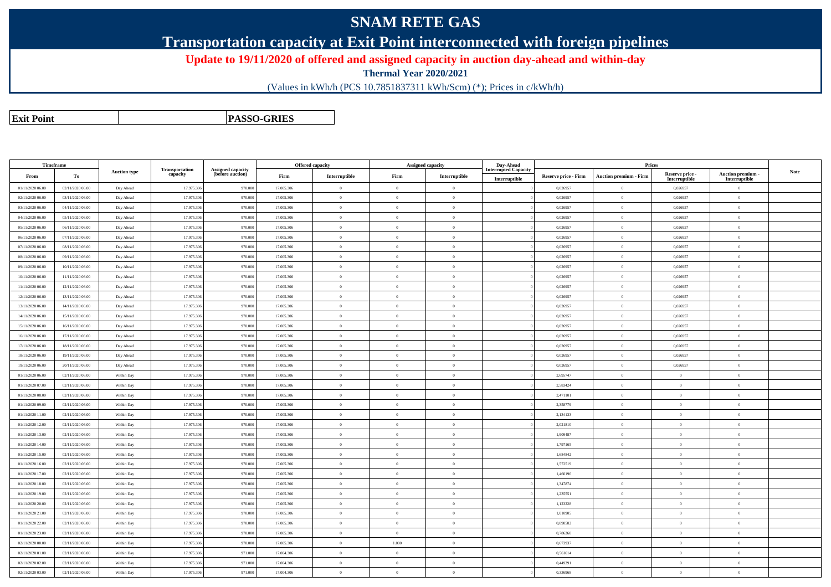# **SNAM RETE GAS**

### **Transportation capacity at Exit Point interconnected with foreign pipelines**

#### **Update to 19/11/2020 of offered and assigned capacity in auction day-ahead and within-day**

**Thermal Year 2020/2021**

(Values in kWh/h (PCS 10.7851837311 kWh/Scm) (\*); Prices in c/kWh/h)

**Exit PointPASSO-GRIES**

| Timeframe        |                  |                     | <b>Transportation</b> | <b>Assigned capacity</b> |            | <b>Offered capacity</b>                     |                | <b>Assigned capacity</b> | Day-Ahead<br><b>Interrupted Capacity</b> |                             | Prices                        |                                  |                                  |             |
|------------------|------------------|---------------------|-----------------------|--------------------------|------------|---------------------------------------------|----------------|--------------------------|------------------------------------------|-----------------------------|-------------------------------|----------------------------------|----------------------------------|-------------|
| From             | To               | <b>Auction type</b> | capacity              | (before auction)         | Firm       | $\label{prop:inter} \textbf{Interruptible}$ | Firm           | Interruptible            | Interruptible                            | <b>Reserve price - Firm</b> | <b>Auction premium - Firm</b> | Reserve price -<br>Interruptible | Auction premium<br>Interruptible | <b>Note</b> |
| 01/11/2020 06:00 | 02/11/2020 06:00 | Day Ahead           | 17.975.306            | 970.000                  | 17.005.306 | $\bf{0}$                                    | $\overline{0}$ | $\overline{0}$           |                                          | 0,026957                    | $\overline{0}$                | 0,026957                         | $\overline{0}$                   |             |
| 02/11/2020 06.00 | 03/11/2020 06:00 | Day Ahead           | 17.975.306            | 970.000                  | 17.005.306 | $\bf{0}$                                    | $\bf{0}$       | $\overline{0}$           |                                          | 0,026957                    | $\overline{0}$                | 0,026957                         | $\overline{0}$                   |             |
| 03/11/2020 06:00 | 04/11/2020 06.00 | Day Ahead           | 17.975.306            | 970.000                  | 17.005.306 | $\mathbf{0}$                                | $\overline{0}$ | $\theta$                 |                                          | 0.026957                    | $\mathbf{0}$                  | 0.026957                         | $\theta$                         |             |
| 04/11/2020 06:00 | 05/11/2020 06:00 | Day Ahead           | 17.975.306            | 970.000                  | 17.005.306 | $\overline{0}$                              | $\,$ 0 $\,$    | $\Omega$                 |                                          | 0,026957                    | $\theta$                      | 0,026957                         | $\overline{0}$                   |             |
| 05/11/2020 06.00 | 06/11/2020 06:00 | Day Ahead           | 17.975.306            | 970.000                  | 17.005.306 | $\overline{0}$                              | $\overline{0}$ | $\overline{0}$           |                                          | 0,026957                    | $\bf{0}$                      | 0,026957                         | $\overline{0}$                   |             |
| 06/11/2020 06:00 | 07/11/2020 06:00 | Day Ahead           | 17.975.306            | 970.000                  | 17.005.306 | $\overline{0}$                              | $\overline{0}$ | $\theta$                 |                                          | 0,026957                    | $\theta$                      | 0,026957                         | $\overline{0}$                   |             |
| 07/11/2020 06:00 | 08/11/2020 06:00 | Day Ahead           | 17.975.306            | 970.000                  | 17.005.306 | $\overline{0}$                              | $\overline{0}$ | $\overline{0}$           |                                          | 0,026957                    | $\theta$                      | 0,026957                         | $\overline{0}$                   |             |
| 08/11/2020 06:00 | 09/11/2020 06:00 | Day Ahead           | 17.975.306            | 970.000                  | 17.005.306 | $\bf{0}$                                    | $\theta$       | $\theta$                 |                                          | 0,026957                    | $\sqrt{2}$                    | 0,026957                         | $\theta$                         |             |
| 09/11/2020 06.00 | 10/11/2020 06:00 | Day Ahead           | 17.975.306            | 970.000                  | 17.005.306 | $\overline{0}$                              | $\overline{0}$ | $\overline{0}$           |                                          | 0,026957                    | $\mathbf{0}$                  | 0,026957                         | $\overline{0}$                   |             |
| 10/11/2020 06:00 | 11/11/2020 06:00 | Day Ahead           | 17.975.306            | 970.000                  | 17.005.306 | $\bf{0}$                                    | $\overline{0}$ | $\overline{0}$           |                                          | 0,026957                    | $\overline{0}$                | 0,026957                         | $\overline{0}$                   |             |
| 11/11/2020 06:00 | 12/11/2020 06:00 | Day Ahead           | 17.975.306            | 970.000                  | 17.005.306 | $\theta$                                    | $\Omega$       | $\theta$                 |                                          | 0,026957                    | $\theta$                      | 0,026957                         | $\theta$                         |             |
| 12/11/2020 06:00 | 13/11/2020 06:00 | Day Ahead           | 17.975.306            | 970.000                  | 17.005.306 | $\overline{0}$                              | $\overline{0}$ | $\overline{0}$           |                                          | 0,026957                    | $\theta$                      | 0,026957                         | $\overline{0}$                   |             |
| 13/11/2020 06:00 | 14/11/2020 06.00 | Day Ahead           | 17.975.306            | 970.000                  | 17.005.306 | $\,$ 0 $\,$                                 | $\overline{0}$ | $\overline{0}$           |                                          | 0,026957                    | $\overline{0}$                | 0,026957                         | $\overline{0}$                   |             |
| 14/11/2020 06.00 | 15/11/2020 06.00 | Day Ahead           | 17.975.306            | 970.000                  | 17.005.306 | $\overline{0}$                              | $\overline{0}$ | $\overline{0}$           |                                          | 0,026957                    | $\theta$                      | 0,026957                         | $\overline{0}$                   |             |
| 15/11/2020 06:00 | 16/11/2020 06:00 | Day Ahead           | 17.975.306            | 970.000                  | 17.005.306 | $\bf{0}$                                    | $\overline{0}$ | $\overline{0}$           |                                          | 0,026957                    | $\theta$                      | 0,026957                         | $\overline{0}$                   |             |
| 16/11/2020 06.00 | 17/11/2020 06:00 | Day Ahead           | 17.975.306            | 970.000                  | 17.005.306 | $\,$ 0 $\,$                                 | $\overline{0}$ | $\overline{0}$           |                                          | 0,026957                    | $\overline{0}$                | 0,026957                         | $\overline{0}$                   |             |
| 17/11/2020 06.00 | 18/11/2020 06:00 | Day Ahead           | 17.975.306            | 970.000                  | 17.005.306 | $\overline{0}$                              | $\overline{0}$ | $\overline{0}$           |                                          | 0,026957                    | $\overline{0}$                | 0,026957                         | $\overline{0}$                   |             |
| 18/11/2020 06:00 | 19/11/2020 06:00 | Day Ahead           | 17.975.306            | 970.000                  | 17.005.306 | $\overline{0}$                              | $\overline{0}$ | $\overline{0}$           |                                          | 0,026957                    | $\overline{0}$                | 0,026957                         | $\overline{0}$                   |             |
| 19/11/2020 06:00 | 20/11/2020 06:00 | Day Ahead           | 17.975.306            | 970.000                  | 17.005.306 | $\bf{0}$                                    | $\overline{0}$ | $\overline{0}$           |                                          | 0,026957                    | $\overline{0}$                | 0,026957                         | $\overline{0}$                   |             |
| 01/11/2020 06:00 | 02/11/2020 06:00 | Within Day          | 17.975.306            | 970.000                  | 17.005.306 | $\overline{0}$                              | $\overline{0}$ | $\overline{0}$           |                                          | 2,695747                    | $\overline{0}$                | $\overline{0}$                   | $\overline{0}$                   |             |
| 01/11/2020 07:00 | 02/11/2020 06:00 | Within Day          | 17.975.306            | 970.000                  | 17.005.306 | $\overline{0}$                              | $\overline{0}$ | $\overline{0}$           |                                          | 2,583424                    | $\bf{0}$                      | $\mathbf{0}$                     | $\overline{0}$                   |             |
| 01/11/2020 08:00 | 02/11/2020 06:00 | Within Day          | 17.975.306            | 970.000                  | 17.005.306 | $\overline{0}$                              | $\overline{0}$ | $\overline{0}$           |                                          | 2,471101                    | $\theta$                      | $\overline{0}$                   | $\overline{0}$                   |             |
| 01/11/2020 09:00 | 02/11/2020 06:00 | Within Day          | 17.975.306            | 970.000                  | 17.005.306 | $\theta$                                    | $\overline{0}$ | $\overline{0}$           |                                          | 2,358779                    | $\theta$                      | $\overline{0}$                   | $\overline{0}$                   |             |
| 01/11/2020 11:00 | 02/11/2020 06:00 | Within Day          | 17.975.306            | 970.000                  | 17.005.306 | $\bf{0}$                                    | $\overline{0}$ | $\overline{0}$           |                                          | 2,134133                    | $\overline{0}$                | $\overline{0}$                   | $\overline{0}$                   |             |
| 01/11/2020 12:00 | 02/11/2020 06:00 | Within Day          | 17.975.306            | 970.000                  | 17.005.306 | $\overline{0}$                              | $\overline{0}$ | $\overline{0}$           |                                          | 2,021810                    | $\bf{0}$                      | $\mathbf{0}$                     | $\overline{0}$                   |             |
| 01/11/2020 13:00 | 02/11/2020 06:00 | Within Day          | 17.975.306            | 970.000                  | 17.005.306 | $\overline{0}$                              | $\overline{0}$ | $\overline{0}$           |                                          | 1,909487                    | $\overline{0}$                | $\overline{0}$                   | $\overline{0}$                   |             |
| 01/11/2020 14:00 | 02/11/2020 06:00 | Within Day          | 17.975.306            | 970.000                  | 17.005.306 | $\overline{0}$                              | $\overline{0}$ | $\overline{0}$           |                                          | 1,797165                    | $\bf{0}$                      | $\overline{0}$                   | $\overline{0}$                   |             |
| 01/11/2020 15:00 | 02/11/2020 06:00 | Within Day          | 17.975.306            | 970.000                  | 17.005.306 | $\overline{0}$                              | $\overline{0}$ | $\theta$                 |                                          | 1,684842                    | $\theta$                      | $\overline{0}$                   | $\overline{0}$                   |             |
| 01/11/2020 16:00 | 02/11/2020 06:00 | Within Day          | 17.975.306            | 970.000                  | 17.005.306 | $\overline{0}$                              | $\overline{0}$ | $\overline{0}$           |                                          | 1,572519                    | $\bf{0}$                      | $\mathbf{0}$                     | $\overline{0}$                   |             |
| 01/11/2020 17:00 | 02/11/2020 06:00 | Within Day          | 17.975.306            | 970.000                  | 17.005.306 | $\bf{0}$                                    | $\,$ 0 $\,$    | $\overline{0}$           |                                          | 1,460196                    | $\overline{0}$                | $\,$ 0 $\,$                      | $\overline{0}$                   |             |
| 01/11/2020 18:00 | 02/11/2020 06:00 | Within Day          | 17.975.306            | 970.000                  | 17.005.306 | $\overline{0}$                              | $\overline{0}$ | $\overline{0}$           |                                          | 1,347874                    | $\overline{0}$                | $\mathbf{0}$                     | $\overline{0}$                   |             |
| 01/11/2020 19:00 | 02/11/2020 06:00 | Within Day          | 17.975.306            | 970.000                  | 17.005.306 | $\bf{0}$                                    | $\overline{0}$ | $\overline{0}$           |                                          | 1,235551                    | $\bf{0}$                      | $\overline{0}$                   | $\overline{0}$                   |             |
| 01/11/2020 20:00 | 02/11/2020 06:00 | Within Day          | 17.975.306            | 970.000                  | 17.005.306 | $\,$ 0 $\,$                                 | $\,$ 0 $\,$    | $\overline{0}$           |                                          | 1,123228                    | $\bf{0}$                      | $\mathbf{0}$                     | $\overline{0}$                   |             |
| 01/11/2020 21:00 | 02/11/2020 06:00 | Within Day          | 17.975.306            | 970.000                  | 17.005.306 | $\overline{0}$                              | $\overline{0}$ | $\overline{0}$           |                                          | 1,010905                    | $\theta$                      | $\overline{0}$                   | $\overline{0}$                   |             |
| 01/11/2020 22.00 | 02/11/2020 06:00 | Within Day          | 17.975.306            | 970.000                  | 17.005.306 | $\overline{0}$                              | $\overline{0}$ | $\overline{0}$           |                                          | 0,898582                    | $\bf{0}$                      | $\,$ 0 $\,$                      | $\overline{0}$                   |             |
| 01/11/2020 23:00 | 02/11/2020 06:00 | Within Day          | 17.975.306            | 970.000                  | 17.005.306 | $\overline{0}$                              | $\overline{0}$ | $\overline{0}$           |                                          | 0,786260                    | $\overline{0}$                | $\overline{0}$                   | $\overline{0}$                   |             |
| 02/11/2020 00:00 | 02/11/2020 06:00 | Within Day          | 17.975.306            | 970.000                  | 17.005.306 | $\bf{0}$                                    | 1.000          | $\overline{0}$           |                                          | 0,673937                    | $\bf{0}$                      | $\mathbf{0}$                     | $\overline{0}$                   |             |
| 02/11/2020 01:00 | 02/11/2020 06:00 | Within Day          | 17.975.306            | 971.000                  | 17.004.306 | $\bf{0}$                                    | $\overline{0}$ | $\overline{0}$           |                                          | 0,561614                    | $\overline{0}$                | $\overline{0}$                   | $\overline{0}$                   |             |
| 02/11/2020 02:00 | 02/11/2020 06:00 | Within Day          | 17.975.306            | 971.000                  | 17.004.306 | $\theta$                                    | $\Omega$       | $\overline{0}$           |                                          | 0,449291                    | $\theta$                      | $\overline{0}$                   | $\overline{0}$                   |             |
| 02/11/2020 03:00 | 02/11/2020 06:00 | Within Day          | 17.975.306            | 971.000                  | 17.004.306 | $\theta$                                    | $\overline{0}$ | $\overline{0}$           |                                          | 0,336968                    | $\overline{0}$                | $\overline{0}$                   | $\overline{0}$                   |             |
|                  |                  |                     |                       |                          |            |                                             |                |                          |                                          |                             |                               |                                  |                                  |             |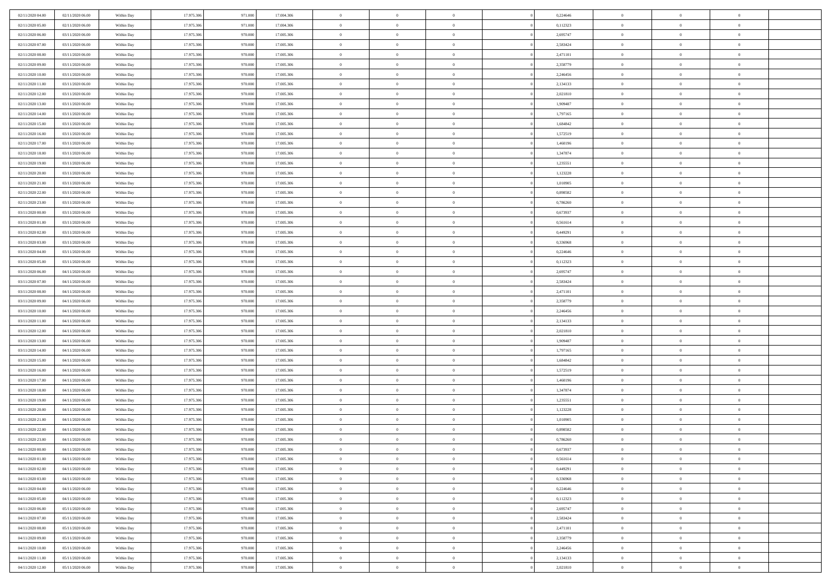| 02/11/2020 04:00                     | 02/11/2020 06:00                     | Within Day               | 17.975.306               | 971.000            | 17.004.306               | $\bf{0}$                | $\overline{0}$                   | $\overline{0}$               | 0,224646             | $\bf{0}$                     | $\overline{0}$                   | $\,0\,$                    |  |
|--------------------------------------|--------------------------------------|--------------------------|--------------------------|--------------------|--------------------------|-------------------------|----------------------------------|------------------------------|----------------------|------------------------------|----------------------------------|----------------------------|--|
| 02/11/2020 05.00                     | 02/11/2020 06:00                     | Within Day               | 17.975.306               | 971.000            | 17.004.306               | $\overline{0}$          | $\overline{0}$                   | $\mathbf{0}$                 | 0,112323             | $\theta$                     | $\overline{0}$                   | $\theta$                   |  |
| 02/11/2020 06:00                     | 03/11/2020 06:00                     | Within Dav               | 17.975.306               | 970.000            | 17.005.306               | $\theta$                | $\overline{0}$                   | $\overline{0}$               | 2,695747             | $\mathbf{0}$                 | $\overline{0}$                   | $\overline{0}$             |  |
| 02/11/2020 07.00                     | 03/11/2020 06.00                     | Within Day               | 17.975.306               | 970.000            | 17.005.306               | $\,$ 0 $\,$             | $\overline{0}$                   | $\overline{0}$               | 2,583424             | $\bf{0}$                     | $\overline{0}$                   | $\bf{0}$                   |  |
| 02/11/2020 08:00                     | 03/11/2020 06.00                     | Within Day               | 17.975.306               | 970.000            | 17.005.306               | $\,$ 0                  | $\overline{0}$                   | $\mathbf{0}$                 | 2,471101             | $\bf{0}$                     | $\theta$                         | $\,0\,$                    |  |
| 02/11/2020 09:00                     | 03/11/2020 06:00                     | Within Dav               | 17.975.306               | 970.000            | 17.005.306               | $\theta$                | $\overline{0}$                   | $\mathbf{0}$                 | 2,358779             | $\mathbf{0}$                 | $\overline{0}$                   | $\overline{0}$             |  |
| 02/11/2020 10:00                     | 03/11/2020 06.00                     | Within Day               | 17.975.306               | 970.000            | 17.005.306               | $\,$ 0 $\,$             | $\overline{0}$                   | $\overline{0}$               | 2,246456             | $\bf{0}$                     | $\overline{0}$                   | $\bf{0}$                   |  |
| 02/11/2020 11:00                     | 03/11/2020 06.00                     | Within Day               | 17.975.306               | 970,000            | 17.005.306               | $\,$ 0                  | $\overline{0}$                   | $\mathbf{0}$                 | 2,134133             | $\,$ 0 $\,$                  | $\overline{0}$                   | $\theta$                   |  |
| 02/11/2020 12:00                     | 03/11/2020 06:00                     | Within Day               | 17.975.306               | 970.000            | 17.005.306               | $\theta$                | $\overline{0}$                   | $\overline{0}$               | 2,021810             | $\mathbf{0}$                 | $\overline{0}$                   | $\overline{0}$             |  |
| 02/11/2020 13:00                     | 03/11/2020 06.00                     | Within Day               | 17.975.306               | 970.000            | 17.005.306               | $\,$ 0 $\,$             | $\overline{0}$                   | $\Omega$                     | 1,909487             | $\bf{0}$                     | $\overline{0}$                   | $\bf{0}$                   |  |
| 02/11/2020 14:00                     | 03/11/2020 06.00                     | Within Day               | 17.975.306               | 970,000            | 17.005.306               | $\bf{0}$                | $\overline{0}$                   | $\mathbf{0}$                 | 1,797165             | $\bf{0}$                     | $\mathbf{0}$                     | $\theta$                   |  |
| 02/11/2020 15:00                     | 03/11/2020 06:00                     | Within Dav               | 17.975.306               | 970.000            | 17.005.306               | $\theta$                | $\overline{0}$                   | $\overline{0}$               | 1,684842             | $\mathbf{0}$                 | $\overline{0}$                   | $\overline{0}$             |  |
| 02/11/2020 16:00                     | 03/11/2020 06.00                     | Within Day               | 17.975.306               | 970.000            | 17.005.306               | $\,$ 0 $\,$             | $\overline{0}$                   | $\overline{0}$               | 1,572519             | $\bf{0}$                     | $\overline{0}$                   | $\bf{0}$                   |  |
| 02/11/2020 17:00                     | 03/11/2020 06:00                     | Within Day               | 17.975.306               | 970,000            | 17.005.306               | $\,$ 0                  | $\overline{0}$                   | $\mathbf{0}$                 | 1,460196             | $\bf{0}$                     | $\theta$                         | $\,0\,$                    |  |
| 02/11/2020 18:00                     | 03/11/2020 06:00                     | Within Dav               | 17.975.306               | 970.000            | 17.005.306               | $\theta$                | $\overline{0}$                   | $\mathbf{0}$                 | 1,347874             | $\mathbf{0}$                 | $\overline{0}$                   | $\overline{0}$             |  |
| 02/11/2020 19:00                     | 03/11/2020 06.00                     | Within Day               | 17.975.306               | 970.000            | 17.005.306               | $\,$ 0 $\,$             | $\overline{0}$                   | $\overline{0}$               | 1,235551             | $\bf{0}$                     | $\overline{0}$                   | $\bf{0}$                   |  |
| 02/11/2020 20:00                     | 03/11/2020 06.00                     | Within Day               | 17.975.306               | 970,000            | 17.005.306               | $\,$ 0                  | $\overline{0}$                   | $\mathbf{0}$                 | 1,123228             | $\bf{0}$                     | $\overline{0}$                   | $\theta$                   |  |
| 02/11/2020 21:00                     | 03/11/2020 06:00                     | Within Day               | 17.975.306               | 970.000            | 17.005.306               | $\theta$                | $\overline{0}$                   | $\mathbf{0}$                 | 1,010905             | $\mathbf{0}$                 | $\overline{0}$                   | $\overline{0}$             |  |
| 02/11/2020 22.00                     | 03/11/2020 06.00                     | Within Day               | 17.975.306               | 970.000            | 17.005.306               | $\,$ 0 $\,$             | $\overline{0}$                   | $\Omega$                     | 0,898582             | $\bf{0}$                     | $\overline{0}$                   | $\,0\,$                    |  |
| 02/11/2020 23.00                     | 03/11/2020 06.00                     | Within Day               | 17.975.306               | 970,000            | 17.005.306               | $\bf{0}$                | $\overline{0}$                   | $\mathbf{0}$                 | 0,786260             | $\bf{0}$                     | $\mathbf{0}$                     | $\theta$                   |  |
| 03/11/2020 00:00                     | 03/11/2020 06:00                     | Within Dav               | 17.975.306               | 970.000            | 17.005.306               | $\theta$                | $\overline{0}$                   | $\mathbf{0}$                 | 0,673937             | $\mathbf{0}$                 | $\overline{0}$                   | $\overline{0}$             |  |
| 03/11/2020 01:00                     | 03/11/2020 06.00                     | Within Day               | 17.975.306               | 970.000            | 17.005.306               | $\,$ 0 $\,$             | $\overline{0}$                   | $\overline{0}$               | 0,561614             | $\bf{0}$                     | $\overline{0}$                   | $\bf{0}$                   |  |
| 03/11/2020 02.00                     | 03/11/2020 06:00                     | Within Day               | 17.975.306               | 970.000            | 17.005.306               | $\,$ 0                  | $\overline{0}$                   | $\mathbf{0}$                 | 0,449291             | $\bf{0}$                     | $\mathbf{0}$                     | $\,0\,$                    |  |
| 03/11/2020 03:00                     | 03/11/2020 06:00                     | Within Dav               | 17.975.306               | 970.000            | 17.005.306               | $\theta$                | $\overline{0}$                   | $\mathbf{0}$                 | 0,336968             | $\mathbf{0}$                 | $\overline{0}$                   | $\overline{0}$             |  |
| 03/11/2020 04:00                     | 03/11/2020 06.00                     | Within Day               | 17.975.306               | 970.000            | 17.005.306               | $\,$ 0 $\,$             | $\overline{0}$                   | $\overline{0}$               | 0,224646             | $\bf{0}$                     | $\overline{0}$                   | $\bf{0}$                   |  |
| 03/11/2020 05:00                     | 03/11/2020 06.00                     | Within Day               | 17.975.306               | 970,000            | 17.005.306               | $\,$ 0                  | $\overline{0}$                   | $\mathbf{0}$                 | 0,112323             | $\bf{0}$                     | $\overline{0}$                   | $\theta$                   |  |
| 03/11/2020 06:00                     | 04/11/2020 06:00                     | Within Day               | 17.975.306               | 970.000            | 17.005.306               | $\theta$                | $\overline{0}$                   | $\overline{0}$               | 2,695747             | $\mathbf{0}$                 | $\overline{0}$                   | $\overline{0}$             |  |
| 03/11/2020 07:00                     | 04/11/2020 06.00                     | Within Day               | 17.975.306               | 970.000            | 17.005.306               | $\,$ 0 $\,$             | $\overline{0}$                   | $\Omega$                     | 2,583424             | $\bf{0}$                     | $\overline{0}$                   | $\bf{0}$                   |  |
| 03/11/2020 08:00                     | 04/11/2020 06.00                     | Within Day               | 17.975.306               | 970,000            | 17.005.306               | $\bf{0}$                | $\overline{0}$                   | $\mathbf{0}$                 | 2,471101             | $\bf{0}$                     | $\mathbf{0}$                     | $\overline{0}$             |  |
| 03/11/2020 09:00                     | 04/11/2020 06:00                     | Within Dav               | 17.975.306               | 970.000            | 17.005.306               | $\theta$                | $\overline{0}$                   | $\overline{0}$               | 2,358779             | $\mathbf{0}$                 | $\overline{0}$                   | $\overline{0}$             |  |
| 03/11/2020 10:00                     | 04/11/2020 06:00                     | Within Day               | 17.975.306               | 970.000            | 17.005.306               | $\,$ 0 $\,$             | $\overline{0}$                   | $\overline{0}$               | 2,246456             | $\,$ 0                       | $\overline{0}$                   | $\,$ 0 $\,$                |  |
| 03/11/2020 11:00                     | 04/11/2020 06:00                     | Within Day               | 17.975.306               | 970.000            | 17.005.306               | $\,$ 0                  | $\overline{0}$                   | $\mathbf{0}$                 | 2,134133             | $\bf{0}$                     | $\mathbf{0}$                     | $\overline{0}$             |  |
| 03/11/2020 12:00                     | 04/11/2020 06:00                     | Within Dav               | 17.975.306               | 970.000            | 17.005.306               | $\theta$                | $\overline{0}$                   | $\mathbf{0}$                 | 2,021810             | $\mathbf{0}$                 | $\overline{0}$                   | $\overline{0}$             |  |
| 03/11/2020 13:00                     | 04/11/2020 06:00                     | Within Day               | 17.975.306               | 970.000<br>970,000 | 17.005.306               | $\theta$                | $\overline{0}$                   | $\overline{0}$               | 1,909487             | $\,$ 0                       | $\overline{0}$<br>$\overline{0}$ | $\theta$<br>$\overline{0}$ |  |
| 03/11/2020 14:00<br>03/11/2020 15:00 | 04/11/2020 06.00<br>04/11/2020 06:00 | Within Day<br>Within Day | 17.975.306<br>17.975.306 | 970.000            | 17.005.306<br>17.005.306 | $\,$ 0 $\,$<br>$\theta$ | $\overline{0}$<br>$\overline{0}$ | $\mathbf{0}$<br>$\mathbf{0}$ | 1,797165<br>1,684842 | $\mathbf{0}$<br>$\mathbf{0}$ | $\overline{0}$                   | $\overline{0}$             |  |
| 03/11/2020 16:00                     | 04/11/2020 06:00                     | Within Day               | 17.975.306               | 970.000            | 17.005.306               | $\theta$                | $\overline{0}$                   | $\overline{0}$               | 1,572519             | $\,$ 0                       | $\overline{0}$                   | $\theta$                   |  |
| 03/11/2020 17.00                     | 04/11/2020 06.00                     | Within Day               | 17.975.306               | 970,000            | 17.005.306               | $\bf{0}$                | $\overline{0}$                   | $\mathbf{0}$                 | 1,460196             | $\bf{0}$                     | $\mathbf{0}$                     | $\bf{0}$                   |  |
| 03/11/2020 18:00                     | 04/11/2020 06:00                     | Within Dav               | 17.975.306               | 970.000            | 17.005.306               | $\theta$                | $\overline{0}$                   | $\overline{0}$               | 1,347874             | $\mathbf{0}$                 | $\overline{0}$                   | $\overline{0}$             |  |
| 03/11/2020 19:00                     | 04/11/2020 06:00                     | Within Day               | 17.975.306               | 970.000            | 17.005.306               | $\,$ 0 $\,$             | $\overline{0}$                   | $\overline{0}$               | 1,235551             | $\,$ 0                       | $\overline{0}$                   | $\,$ 0 $\,$                |  |
| 03/11/2020 20:00                     | 04/11/2020 06:00                     | Within Day               | 17.975.306               | 970.000            | 17.005.306               | $\,$ 0                  | $\,$ 0 $\,$                      | $\overline{0}$               | 1,123228             | $\,$ 0 $\,$                  | $\overline{0}$                   | $\bf{0}$                   |  |
| 03/11/2020 21:00                     | 04/11/2020 06:00                     | Within Dav               | 17.975.306               | 970.000            | 17.005.306               | $\theta$                | $\overline{0}$                   | $\mathbf{0}$                 | 1,010905             | $\mathbf{0}$                 | $\overline{0}$                   | $\overline{0}$             |  |
| 03/11/2020 22.00                     | 04/11/2020 06.00                     | Within Day               | 17.975.306               | 970.000            | 17.005.306               | $\theta$                | $\overline{0}$                   | $\overline{0}$               | 0,898582             | $\,$ 0                       | $\overline{0}$                   | $\theta$                   |  |
| 03/11/2020 23.00                     | 04/11/2020 06.00                     | Within Day               | 17.975.306               | 970.000            | 17.005.306               | $\,$ 0                  | $\overline{0}$                   | $\mathbf{0}$                 | 0,786260             | $\bf{0}$                     | $\overline{0}$                   | $\bf{0}$                   |  |
| 04/11/2020 00:00                     | 04/11/2020 06:00                     | Within Day               | 17.975.306               | 970.000            | 17.005.306               | $\overline{0}$          | $\theta$                         |                              | 0,673937             | $\overline{0}$               | $\theta$                         | $\theta$                   |  |
| 04/11/2020 01:00                     | 04/11/2020 06:00                     | Within Day               | 17.975.306               | 970.000            | 17.005.306               | $\,$ 0 $\,$             | $\overline{0}$                   | $\overline{0}$               | 0,561614             | $\,$ 0 $\,$                  | $\bf{0}$                         | $\theta$                   |  |
| 04/11/2020 02:00                     | 04/11/2020 06:00                     | Within Day               | 17.975.306               | 970.000            | 17.005.306               | $\overline{0}$          | $\,$ 0 $\,$                      | $\overline{0}$               | 0,449291             | $\,$ 0 $\,$                  | $\overline{0}$                   | $\overline{0}$             |  |
| 04/11/2020 03:00                     | 04/11/2020 06:00                     | Within Day               | 17.975.306               | 970.000            | 17.005.306               | $\mathbf{0}$            | $\overline{0}$                   | $\overline{0}$               | 0,336968             | $\,$ 0 $\,$                  | $\bf{0}$                         | $\mathbf{0}$               |  |
| 04/11/2020 04:00                     | 04/11/2020 06:00                     | Within Day               | 17.975.306               | 970.000            | 17.005.306               | $\,$ 0 $\,$             | $\overline{0}$                   | $\overline{0}$               | 0,224646             | $\,$ 0 $\,$                  | $\bf{0}$                         | $\,$ 0 $\,$                |  |
| 04/11/2020 05:00                     | 04/11/2020 06.00                     | Within Day               | 17.975.306               | 970.000            | 17.005.306               | $\,$ 0 $\,$             | $\,$ 0 $\,$                      | $\overline{0}$               | 0,112323             | $\,$ 0 $\,$                  | $\overline{0}$                   | $\overline{0}$             |  |
| 04/11/2020 06:00                     | 05/11/2020 06:00                     | Within Day               | 17.975.306               | 970.000            | 17.005.306               | $\mathbf{0}$            | $\overline{0}$                   | $\overline{0}$               | 2,695747             | $\mathbf{0}$                 | $\overline{0}$                   | $\overline{0}$             |  |
| 04/11/2020 07:00                     | 05/11/2020 06:00                     | Within Day               | 17.975.306               | 970.000            | 17.005.306               | $\,$ 0 $\,$             | $\overline{0}$                   | $\overline{0}$               | 2,583424             | $\,$ 0 $\,$                  | $\mathbf{0}$                     | $\,$ 0 $\,$                |  |
| 04/11/2020 08:00                     | 05/11/2020 06.00                     | Within Day               | 17.975.306               | 970.000            | 17.005.306               | $\bf{0}$                | $\overline{0}$                   | $\overline{0}$               | 2,471101             | $\,$ 0 $\,$                  | $\overline{0}$                   | $\overline{0}$             |  |
| 04/11/2020 09:00                     | 05/11/2020 06:00                     | Within Day               | 17.975.306               | 970.000            | 17.005.306               | $\mathbf{0}$            | $\overline{0}$                   | $\overline{0}$               | 2,358779             | $\mathbf{0}$                 | $\bf{0}$                         | $\overline{0}$             |  |
| 04/11/2020 10:00                     | 05/11/2020 06:00                     | Within Day               | 17.975.306               | 970.000            | 17.005.306               | $\,$ 0 $\,$             | $\overline{0}$                   | $\overline{0}$               | 2,246456             | $\,$ 0 $\,$                  | $\mathbf{0}$                     | $\,$ 0 $\,$                |  |
| 04/11/2020 11:00                     | 05/11/2020 06.00                     | Within Day               | 17.975.306               | 970.000            | 17.005.306               | $\,$ 0 $\,$             | $\,$ 0 $\,$                      | $\overline{0}$               | 2,134133             | $\,$ 0 $\,$                  | $\overline{0}$                   | $\overline{0}$             |  |
| 04/11/2020 12:00                     | 05/11/2020 06:00                     | Within Day               | 17.975.306               | 970.000            | 17.005.306               | $\theta$                | $\overline{0}$                   | $\overline{0}$               | 2,021810             | $\mathbf{0}$                 | $\overline{0}$                   | $\overline{0}$             |  |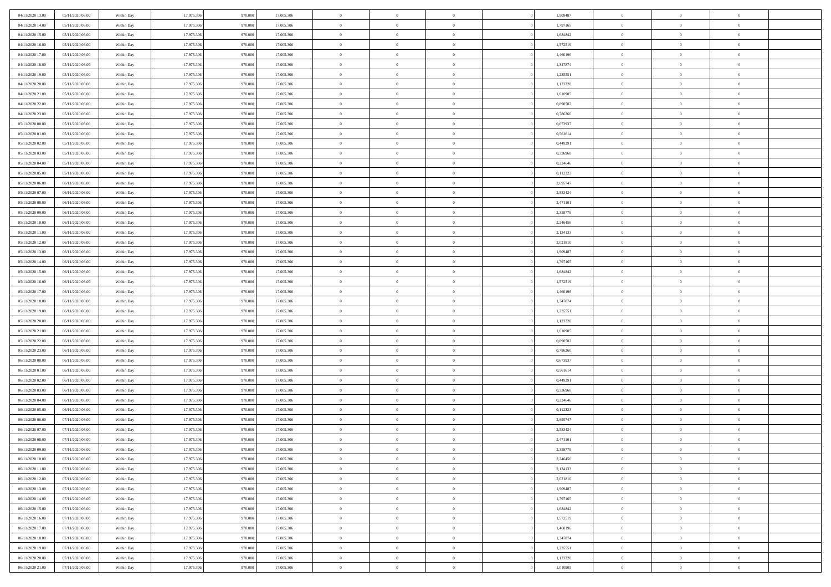| 04/11/2020 13:00                     | 05/11/2020 06:00                     | Within Day               | 17.975.306               | 970.000            | 17.005.306               | $\bf{0}$           | $\overline{0}$                   | $\overline{0}$               | 1,909487             | $\bf{0}$                 | $\overline{0}$                 | $\,0\,$                          |  |
|--------------------------------------|--------------------------------------|--------------------------|--------------------------|--------------------|--------------------------|--------------------|----------------------------------|------------------------------|----------------------|--------------------------|--------------------------------|----------------------------------|--|
| 04/11/2020 14:00                     | 05/11/2020 06.00                     | Within Day               | 17.975.306               | 970,000            | 17.005.306               | $\overline{0}$     | $\overline{0}$                   | $\mathbf{0}$                 | 1,797165             | $\theta$                 | $\overline{0}$                 | $\theta$                         |  |
| 04/11/2020 15:00                     | 05/11/2020 06:00                     | Within Dav               | 17.975.306               | 970.000            | 17.005.306               | $\theta$           | $\overline{0}$                   | $\overline{0}$               | 1,684842             | $\mathbf{0}$             | $\overline{0}$                 | $\overline{0}$                   |  |
| 04/11/2020 16:00                     | 05/11/2020 06.00                     | Within Day               | 17.975.306               | 970.000            | 17.005.306               | $\,$ 0 $\,$        | $\overline{0}$                   | $\overline{0}$               | 1,572519             | $\bf{0}$                 | $\overline{0}$                 | $\bf{0}$                         |  |
| 04/11/2020 17.00                     | 05/11/2020 06:00                     | Within Day               | 17.975.306               | 970.000            | 17.005.306               | $\bf{0}$           | $\overline{0}$                   | $\mathbf{0}$                 | 1,460196             | $\bf{0}$                 | $\theta$                       | $\,0\,$                          |  |
| 04/11/2020 18:00                     | 05/11/2020 06:00                     | Within Dav               | 17.975.306               | 970.000            | 17.005.306               | $\theta$           | $\overline{0}$                   | $\mathbf{0}$                 | 1,347874             | $\mathbf{0}$             | $\overline{0}$                 | $\overline{0}$                   |  |
| 04/11/2020 19:00                     | 05/11/2020 06:00                     | Within Day               | 17.975.306               | 970.000            | 17.005.306               | $\,$ 0 $\,$        | $\overline{0}$                   | $\overline{0}$               | 1,235551             | $\bf{0}$                 | $\overline{0}$                 | $\bf{0}$                         |  |
| 04/11/2020 20:00                     | 05/11/2020 06.00                     | Within Day               | 17.975.306               | 970,000            | 17.005.306               | $\,$ 0             | $\overline{0}$                   | $\mathbf{0}$                 | 1,123228             | $\,$ 0 $\,$              | $\overline{0}$                 | $\theta$                         |  |
| 04/11/2020 21:00                     | 05/11/2020 06:00                     | Within Day               | 17.975.306               | 970.000            | 17.005.306               | $\theta$           | $\overline{0}$                   | $\overline{0}$               | 1,010905             | $\mathbf{0}$             | $\overline{0}$                 | $\overline{0}$                   |  |
| 04/11/2020 22.00                     | 05/11/2020 06.00                     | Within Day               | 17.975.306               | 970.000            | 17.005.306               | $\,$ 0 $\,$        | $\overline{0}$                   | $\Omega$                     | 0,898582             | $\bf{0}$                 | $\overline{0}$                 | $\,0\,$                          |  |
| 04/11/2020 23.00                     | 05/11/2020 06.00                     | Within Day               | 17.975.306               | 970,000            | 17.005.306               | $\bf{0}$           | $\overline{0}$                   | $\mathbf{0}$                 | 0,786260             | $\bf{0}$                 | $\mathbf{0}$                   | $\theta$                         |  |
| 05/11/2020 00:00                     | 05/11/2020 06:00                     | Within Dav               | 17.975.306               | 970.000            | 17.005.306               | $\theta$           | $\overline{0}$                   | $\overline{0}$               | 0,673937             | $\mathbf{0}$             | $\overline{0}$                 | $\overline{0}$                   |  |
| 05/11/2020 01:00                     | 05/11/2020 06:00                     | Within Day               | 17.975.306               | 970.000            | 17.005.306               | $\,$ 0 $\,$        | $\overline{0}$                   | $\overline{0}$               | 0,561614             | $\bf{0}$                 | $\overline{0}$                 | $\bf{0}$                         |  |
| 05/11/2020 02.00                     | 05/11/2020 06:00                     | Within Day               | 17.975.306               | 970,000            | 17.005.306               | $\bf{0}$           | $\overline{0}$                   | $\mathbf{0}$                 | 0,449291             | $\bf{0}$                 | $\theta$                       | $\,0\,$                          |  |
| 05/11/2020 03:00                     | 05/11/2020 06:00                     | Within Dav               | 17.975.306               | 970.000            | 17.005.306               | $\theta$           | $\overline{0}$                   | $\mathbf{0}$                 | 0,336968             | $\mathbf{0}$             | $\overline{0}$                 | $\overline{0}$                   |  |
| 05/11/2020 04:00                     | 05/11/2020 06.00                     | Within Day               | 17.975.306               | 970.000            | 17.005.306               | $\,$ 0 $\,$        | $\overline{0}$                   | $\overline{0}$               | 0,224646             | $\bf{0}$                 | $\overline{0}$                 | $\bf{0}$                         |  |
| 05/11/2020 05:00                     | 05/11/2020 06.00                     | Within Day               | 17.975.306               | 970,000            | 17.005.306               | $\,$ 0             | $\overline{0}$                   | $\mathbf{0}$                 | 0,112323             | $\bf{0}$                 | $\overline{0}$                 | $\theta$                         |  |
| 05/11/2020 06:00                     | 06/11/2020 06:00                     | Within Day               | 17.975.306               | 970.000            | 17.005.306               | $\theta$           | $\overline{0}$                   | $\mathbf{0}$                 | 2,695747             | $\mathbf{0}$             | $\overline{0}$                 | $\overline{0}$                   |  |
| 05/11/2020 07.00                     | 06/11/2020 06.00                     | Within Day               | 17.975.306               | 970.000            | 17.005.306               | $\,$ 0 $\,$        | $\overline{0}$                   | $\Omega$                     | 2,583424             | $\bf{0}$                 | $\overline{0}$                 | $\,0\,$                          |  |
| 05/11/2020 08:00                     | 06/11/2020 06.00                     | Within Day               | 17.975.306               | 970,000            | 17.005.306               | $\bf{0}$           | $\overline{0}$                   | $\mathbf{0}$                 | 2,471101             | $\bf{0}$                 | $\mathbf{0}$                   | $\theta$                         |  |
| 05/11/2020 09:00                     | 06/11/2020 06:00                     | Within Dav               | 17.975.306               | 970.000            | 17.005.306               | $\theta$           | $\overline{0}$                   | $\mathbf{0}$                 | 2,358779             | $\mathbf{0}$             | $\overline{0}$                 | $\overline{0}$                   |  |
| 05/11/2020 10:00                     | 06/11/2020 06:00                     | Within Day               | 17.975.306               | 970.000            | 17.005.306               | $\,$ 0 $\,$        | $\overline{0}$                   | $\overline{0}$               | 2,246456             | $\bf{0}$                 | $\overline{0}$                 | $\bf{0}$                         |  |
| 05/11/2020 11:00                     | 06/11/2020 06:00                     | Within Day               | 17.975.306               | 970.000            | 17.005.306               | $\,$ 0             | $\overline{0}$                   | $\mathbf{0}$                 | 2,134133             | $\bf{0}$                 | $\mathbf{0}$                   | $\,0\,$                          |  |
| 05/11/2020 12:00                     | 06/11/2020 06:00                     | Within Dav               | 17.975.306               | 970.000            | 17.005.306               | $\theta$           | $\overline{0}$                   | $\mathbf{0}$                 | 2,021810             | $\mathbf{0}$             | $\overline{0}$                 | $\overline{0}$                   |  |
| 05/11/2020 13:00                     | 06/11/2020 06:00                     | Within Day               | 17.975.306               | 970.000            | 17.005.306               | $\,$ 0 $\,$        | $\overline{0}$                   | $\overline{0}$               | 1,909487             | $\bf{0}$                 | $\overline{0}$                 | $\bf{0}$                         |  |
| 05/11/2020 14:00                     | 06/11/2020 06:00                     | Within Day               | 17.975.306               | 970,000            | 17.005.306               | $\,$ 0             | $\overline{0}$                   | $\mathbf{0}$                 | 1,797165             | $\bf{0}$                 | $\overline{0}$                 | $\theta$                         |  |
| 05/11/2020 15:00                     | 06/11/2020 06:00                     | Within Day               | 17.975.306               | 970.000            | 17.005.306               | $\theta$           | $\overline{0}$                   | $\overline{0}$               | 1,684842             | $\mathbf{0}$             | $\overline{0}$                 | $\overline{0}$                   |  |
| 05/11/2020 16:00                     | 06/11/2020 06.00                     | Within Day               | 17.975.306               | 970.000            | 17.005.306               | $\,$ 0 $\,$        | $\overline{0}$                   | $\Omega$                     | 1,572519             | $\bf{0}$                 | $\overline{0}$                 | $\bf{0}$                         |  |
| 05/11/2020 17.00                     | 06/11/2020 06.00                     | Within Day               | 17.975.306               | 970,000            | 17.005.306               | $\bf{0}$           | $\overline{0}$                   | $\mathbf{0}$                 | 1,460196             | $\bf{0}$                 | $\mathbf{0}$                   | $\overline{0}$                   |  |
| 05/11/2020 18:00                     | 06/11/2020 06:00                     | Within Dav               | 17.975.306               | 970.000            | 17.005.306               | $\theta$           | $\overline{0}$                   | $\overline{0}$               | 1,347874             | $\mathbf{0}$             | $\overline{0}$                 | $\overline{0}$                   |  |
| 05/11/2020 19:00                     | 06/11/2020 06:00                     | Within Day               | 17.975.306               | 970.000            | 17.005.306               | $\theta$           | $\overline{0}$                   | $\overline{0}$               | 1,235551             | $\,$ 0                   | $\overline{0}$<br>$\mathbf{0}$ | $\,$ 0 $\,$                      |  |
| 05/11/2020 20:00<br>05/11/2020 21:00 | 06/11/2020 06:00<br>06/11/2020 06:00 | Within Day<br>Within Dav | 17.975.306<br>17.975.306 | 970.000<br>970.000 | 17.005.306<br>17.005.306 | $\,$ 0<br>$\theta$ | $\overline{0}$<br>$\overline{0}$ | $\mathbf{0}$<br>$\mathbf{0}$ | 1,123228<br>1,010905 | $\bf{0}$<br>$\mathbf{0}$ | $\overline{0}$                 | $\overline{0}$<br>$\overline{0}$ |  |
| 05/11/2020 22.00                     | 06/11/2020 06:00                     | Within Day               | 17.975.306               | 970.000            | 17.005.306               | $\theta$           | $\overline{0}$                   | $\overline{0}$               | 0,898582             | $\,$ 0                   | $\overline{0}$                 | $\theta$                         |  |
| 05/11/2020 23.00                     | 06/11/2020 06.00                     | Within Day               | 17.975.306               | 970,000            | 17.005.306               | $\bf{0}$           | $\overline{0}$                   | $\mathbf{0}$                 | 0,786260             | $\mathbf{0}$             | $\overline{0}$                 | $\overline{0}$                   |  |
| 06/11/2020 00:00                     | 06/11/2020 06:00                     | Within Day               | 17.975.306               | 970.000            | 17.005.306               | $\theta$           | $\overline{0}$                   | $\mathbf{0}$                 | 0,673937             | $\mathbf{0}$             | $\overline{0}$                 | $\overline{0}$                   |  |
| 06/11/2020 01:00                     | 06/11/2020 06:00                     | Within Day               | 17.975.306               | 970.000            | 17.005.306               | $\theta$           | $\overline{0}$                   | $\overline{0}$               | 0,561614             | $\,$ 0                   | $\overline{0}$                 | $\theta$                         |  |
| 06/11/2020 02.00                     | 06/11/2020 06.00                     | Within Day               | 17.975.306               | 970,000            | 17.005.306               | $\bf{0}$           | $\overline{0}$                   | $\mathbf{0}$                 | 0,449291             | $\bf{0}$                 | $\mathbf{0}$                   | $\overline{0}$                   |  |
| 06/11/2020 03:00                     | 06/11/2020 06:00                     | Within Day               | 17.975.306               | 970.000            | 17.005.306               | $\theta$           | $\overline{0}$                   | $\overline{0}$               | 0,336968             | $\mathbf{0}$             | $\overline{0}$                 | $\overline{0}$                   |  |
| 06/11/2020 04:00                     | 06/11/2020 06:00                     | Within Day               | 17.975.306               | 970.000            | 17.005.306               | $\,$ 0 $\,$        | $\overline{0}$                   | $\overline{0}$               | 0,224646             | $\,$ 0                   | $\overline{0}$                 | $\,$ 0 $\,$                      |  |
| 06/11/2020 05:00                     | 06/11/2020 06:00                     | Within Day               | 17.975.306               | 970.000            | 17.005.306               | $\,$ 0             | $\,$ 0 $\,$                      | $\overline{0}$               | 0,112323             | $\,$ 0 $\,$              | $\overline{0}$                 | $\overline{0}$                   |  |
| 06/11/2020 06:00                     | 07/11/2020 06:00                     | Within Dav               | 17.975.306               | 970.000            | 17.005.306               | $\theta$           | $\overline{0}$                   | $\mathbf{0}$                 | 2,695747             | $\mathbf{0}$             | $\overline{0}$                 | $\overline{0}$                   |  |
| 06/11/2020 07:00                     | 07/11/2020 06.00                     | Within Day               | 17.975.306               | 970.000            | 17.005.306               | $\theta$           | $\overline{0}$                   | $\overline{0}$               | 2,583424             | $\,$ 0                   | $\overline{0}$                 | $\theta$                         |  |
| 06/11/2020 08:00                     | 07/11/2020 06.00                     | Within Day               | 17.975.306               | 970.000            | 17.005.306               | $\,$ 0             | $\,$ 0 $\,$                      | $\mathbf{0}$                 | 2,471101             | $\bf{0}$                 | $\overline{0}$                 | $\overline{0}$                   |  |
| 06/11/2020 09:00                     | 07/11/2020 06:00                     | Within Day               | 17.975.306               | 970.000            | 17.005.306               | $\overline{0}$     | $\theta$                         |                              | 2,358779             | $\overline{0}$           | $\theta$                       | $\theta$                         |  |
| 06/11/2020 10:00                     | 07/11/2020 06:00                     | Within Day               | 17.975.306               | 970.000            | 17.005.306               | $\,$ 0 $\,$        | $\overline{0}$                   | $\overline{0}$               | 2,246456             | $\,$ 0 $\,$              | $\bf{0}$                       | $\theta$                         |  |
| 06/11/2020 11:00                     | 07/11/2020 06:00                     | Within Day               | 17.975.306               | 970.000            | 17.005.306               | $\bf{0}$           | $\,$ 0 $\,$                      | $\overline{0}$               | 2,134133             | $\,$ 0 $\,$              | $\overline{0}$                 | $\overline{0}$                   |  |
| 06/11/2020 12:00                     | 07/11/2020 06:00                     | Within Day               | 17.975.306               | 970.000            | 17.005.306               | $\mathbf{0}$       | $\overline{0}$                   | $\overline{0}$               | 2,021810             | $\,$ 0 $\,$              | $\bf{0}$                       | $\mathbf{0}$                     |  |
| 06/11/2020 13:00                     | 07/11/2020 06:00                     | Within Day               | 17.975.306               | 970.000            | 17.005.306               | $\,$ 0 $\,$        | $\overline{0}$                   | $\overline{0}$               | 1,909487             | $\,$ 0 $\,$              | $\bf{0}$                       | $\,$ 0 $\,$                      |  |
| 06/11/2020 14:00                     | 07/11/2020 06.00                     | Within Day               | 17.975.306               | 970.000            | 17.005.306               | $\,$ 0 $\,$        | $\,$ 0 $\,$                      | $\overline{0}$               | 1,797165             | $\,$ 0 $\,$              | $\overline{0}$                 | $\overline{0}$                   |  |
| 06/11/2020 15:00                     | 07/11/2020 06:00                     | Within Day               | 17.975.306               | 970.000            | 17.005.306               | $\mathbf{0}$       | $\overline{0}$                   | $\overline{0}$               | 1,684842             | $\mathbf{0}$             | $\overline{0}$                 | $\overline{0}$                   |  |
| 06/11/2020 16:00                     | 07/11/2020 06:00                     | Within Day               | 17.975.306               | 970.000            | 17.005.306               | $\,$ 0 $\,$        | $\overline{0}$                   | $\overline{0}$               | 1,572519             | $\,$ 0 $\,$              | $\mathbf{0}$                   | $\,$ 0 $\,$                      |  |
| 06/11/2020 17:00                     | 07/11/2020 06.00                     | Within Day               | 17.975.306               | 970.000            | 17.005.306               | $\overline{0}$     | $\overline{0}$                   | $\overline{0}$               | 1,460196             | $\,$ 0 $\,$              | $\overline{0}$                 | $\mathbf{0}$                     |  |
| 06/11/2020 18:00                     | 07/11/2020 06:00                     | Within Day               | 17.975.306               | 970.000            | 17.005.306               | $\mathbf{0}$       | $\overline{0}$                   | $\overline{0}$               | 1,347874             | $\mathbf{0}$             | $\bf{0}$                       | $\overline{0}$                   |  |
| 06/11/2020 19:00                     | 07/11/2020 06:00                     | Within Day               | 17.975.306               | 970.000            | 17.005.306               | $\,$ 0 $\,$        | $\overline{0}$                   | $\overline{0}$               | 1,235551             | $\,$ 0 $\,$              | $\mathbf{0}$                   | $\,$ 0 $\,$                      |  |
| 06/11/2020 20:00                     | 07/11/2020 06.00                     | Within Day               | 17.975.306               | 970.000            | 17.005.306               | $\,$ 0 $\,$        | $\,$ 0 $\,$                      | $\overline{0}$               | 1,123228             | $\,$ 0 $\,$              | $\overline{0}$                 | $\overline{0}$                   |  |
| 06/11/2020 21:00                     | 07/11/2020 06:00                     | Within Day               | 17.975.306               | 970.000            | 17.005.306               | $\theta$           | $\overline{0}$                   | $\overline{0}$               | 1,010905             | $\mathbf{0}$             | $\overline{0}$                 | $\overline{0}$                   |  |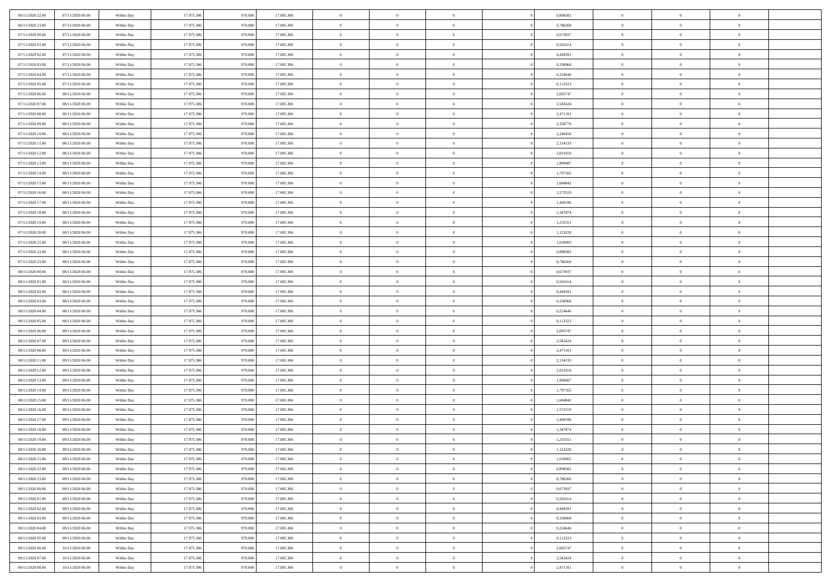| 06/11/2020 22.00                     | 07/11/2020 06:00                     | Within Day               | 17.975.306               | 970.000            | 17.005.306               | $\bf{0}$             | $\overline{0}$                   | $\overline{0}$               |          | 0,898582             | $\bf{0}$                     | $\overline{0}$                   | $\,0\,$                    |  |
|--------------------------------------|--------------------------------------|--------------------------|--------------------------|--------------------|--------------------------|----------------------|----------------------------------|------------------------------|----------|----------------------|------------------------------|----------------------------------|----------------------------|--|
| 06/11/2020 23.00                     | 07/11/2020 06:00                     | Within Day               | 17.975.306               | 970,000            | 17.005.306               | $\overline{0}$       | $\overline{0}$                   | $\mathbf{0}$                 |          | 0.786260             | $\theta$                     | $\overline{0}$                   | $\theta$                   |  |
| 07/11/2020 00:00                     | 07/11/2020 06:00                     | Within Dav               | 17.975.306               | 970.000            | 17.005.306               | $\theta$             | $\overline{0}$                   | $\overline{0}$               |          | 0,673937             | $\mathbf{0}$                 | $\overline{0}$                   | $\overline{0}$             |  |
| 07/11/2020 01:00                     | 07/11/2020 06.00                     | Within Day               | 17.975.306               | 970.000            | 17.005.306               | $\,$ 0 $\,$          | $\overline{0}$                   | $\overline{0}$               |          | 0,561614             | $\bf{0}$                     | $\overline{0}$                   | $\bf{0}$                   |  |
| 07/11/2020 02.00                     | 07/11/2020 06:00                     | Within Day               | 17.975.306               | 970.000            | 17.005.306               | $\,$ 0               | $\overline{0}$                   | $\mathbf{0}$                 |          | 0,449291             | $\bf{0}$                     | $\theta$                         | $\,0\,$                    |  |
| 07/11/2020 03:00                     | 07/11/2020 06:00                     | Within Dav               | 17.975.306               | 970.000            | 17.005.306               | $\theta$             | $\overline{0}$                   | $\mathbf{0}$                 |          | 0,336968             | $\mathbf{0}$                 | $\overline{0}$                   | $\overline{0}$             |  |
| 07/11/2020 04:00                     | 07/11/2020 06:00                     | Within Day               | 17.975.306               | 970.000            | 17.005.306               | $\,$ 0 $\,$          | $\overline{0}$                   | $\overline{0}$               |          | 0,224646             | $\bf{0}$                     | $\overline{0}$                   | $\bf{0}$                   |  |
| 07/11/2020 05:00                     | 07/11/2020 06.00                     | Within Day               | 17.975.306               | 970,000            | 17.005.306               | $\,$ 0               | $\overline{0}$                   | $\mathbf{0}$                 |          | 0,112323             | $\,$ 0 $\,$                  | $\overline{0}$                   | $\theta$                   |  |
| 07/11/2020 06:00                     | 08/11/2020 06:00                     | Within Day               | 17.975.306               | 970.000            | 17.005.306               | $\theta$             | $\overline{0}$                   | $\overline{0}$               |          | 2,695747             | $\mathbf{0}$                 | $\overline{0}$                   | $\overline{0}$             |  |
| 07/11/2020 07.00                     | 08/11/2020 06:00                     | Within Day               | 17.975.306               | 970.000            | 17.005.306               | $\,$ 0 $\,$          | $\overline{0}$                   | $\Omega$                     |          | 2,583424             | $\bf{0}$                     | $\overline{0}$                   | $\bf{0}$                   |  |
| 07/11/2020 08:00                     | 08/11/2020 06:00                     | Within Day               | 17.975.306               | 970,000            | 17.005.306               | $\bf{0}$             | $\overline{0}$                   | $\mathbf{0}$                 |          | 2,471101             | $\bf{0}$                     | $\mathbf{0}$                     | $\theta$                   |  |
| 07/11/2020 09:00                     | 08/11/2020 06:00                     | Within Dav               | 17.975.306               | 970.000            | 17.005.306               | $\theta$             | $\overline{0}$                   | $\overline{0}$               |          | 2,358779             | $\mathbf{0}$                 | $\overline{0}$                   | $\overline{0}$             |  |
| 07/11/2020 10:00                     | 08/11/2020 06:00                     | Within Day               | 17.975.306               | 970.000            | 17.005.306               | $\,$ 0 $\,$          | $\overline{0}$                   | $\overline{0}$               |          | 2,246456             | $\bf{0}$                     | $\overline{0}$                   | $\bf{0}$                   |  |
| 07/11/2020 11:00                     | 08/11/2020 06:00                     | Within Day               | 17.975.306               | 970,000            | 17.005.306               | $\bf{0}$             | $\overline{0}$                   | $\mathbf{0}$                 |          | 2,134133             | $\bf{0}$                     | $\theta$                         | $\,0\,$                    |  |
| 07/11/2020 12:00                     | 08/11/2020 06:00                     | Within Dav               | 17.975.306               | 970.000            | 17.005.306               | $\theta$             | $\overline{0}$                   | $\mathbf{0}$                 |          | 2,021810             | $\mathbf{0}$                 | $\overline{0}$                   | $\overline{0}$             |  |
| 07/11/2020 13:00                     | 08/11/2020 06:00                     | Within Day               | 17.975.306               | 970.000            | 17.005.306               | $\,$ 0 $\,$          | $\overline{0}$                   | $\Omega$                     |          | 1,909487             | $\bf{0}$                     | $\overline{0}$                   | $\bf{0}$                   |  |
| 07/11/2020 14:00                     | 08/11/2020 06:00                     | Within Day               | 17.975.306               | 970,000            | 17.005.306               | $\,$ 0               | $\overline{0}$                   | $\mathbf{0}$                 |          | 1,797165             | $\bf{0}$                     | $\overline{0}$                   | $\theta$                   |  |
| 07/11/2020 15:00                     | 08/11/2020 06:00                     | Within Day               | 17.975.306               | 970.000            | 17.005.306               | $\theta$             | $\overline{0}$                   | $\mathbf{0}$                 |          | 1,684842             | $\mathbf{0}$                 | $\overline{0}$                   | $\overline{0}$             |  |
| 07/11/2020 16:00                     | 08/11/2020 06:00                     | Within Day               | 17.975.306               | 970.000            | 17.005.306               | $\,$ 0 $\,$          | $\overline{0}$                   | $\Omega$                     |          | 1,572519             | $\bf{0}$                     | $\overline{0}$                   | $\,0\,$                    |  |
| 07/11/2020 17.00                     | 08/11/2020 06:00                     | Within Day               | 17.975.306               | 970,000            | 17.005.306               | $\bf{0}$             | $\overline{0}$                   | $\mathbf{0}$                 |          | 1,460196             | $\bf{0}$                     | $\mathbf{0}$                     | $\theta$                   |  |
| 07/11/2020 18:00                     | 08/11/2020 06:00                     | Within Dav               | 17.975.306               | 970.000            | 17.005.306               | $\theta$             | $\overline{0}$                   | $\mathbf{0}$                 |          | 1,347874             | $\mathbf{0}$                 | $\overline{0}$                   | $\overline{0}$             |  |
| 07/11/2020 19:00                     | 08/11/2020 06:00                     | Within Day               | 17.975.306               | 970.000            | 17.005.306               | $\,$ 0 $\,$          | $\overline{0}$                   | $\overline{0}$               |          | 1,235551             | $\bf{0}$                     | $\overline{0}$                   | $\bf{0}$                   |  |
| 07/11/2020 20:00                     | 08/11/2020 06:00                     | Within Day               | 17.975.306               | 970.000            | 17.005.306               | $\,$ 0               | $\overline{0}$                   | $\mathbf{0}$                 |          | 1,123228             | $\bf{0}$                     | $\mathbf{0}$                     | $\,0\,$                    |  |
| 07/11/2020 21:00                     | 08/11/2020 06:00                     | Within Dav               | 17.975.306               | 970.000            | 17.005.306               | $\theta$             | $\overline{0}$                   | $\mathbf{0}$                 |          | 1,010905             | $\mathbf{0}$                 | $\overline{0}$                   | $\overline{0}$             |  |
| 07/11/2020 22.00                     | 08/11/2020 06:00                     | Within Day               | 17.975.306               | 970.000            | 17.005.306               | $\,$ 0 $\,$          | $\overline{0}$                   | $\overline{0}$               |          | 0,898582             | $\bf{0}$                     | $\overline{0}$                   | $\bf{0}$                   |  |
| 07/11/2020 23.00                     | 08/11/2020 06:00                     | Within Day               | 17.975.306               | 970,000            | 17.005.306               | $\,$ 0               | $\overline{0}$                   | $\mathbf{0}$                 |          | 0,786260             | $\bf{0}$                     | $\overline{0}$                   | $\theta$                   |  |
| 08/11/2020 00:00                     | 08/11/2020 06:00                     | Within Day               | 17.975.306               | 970.000            | 17.005.306               | $\theta$             | $\overline{0}$                   | $\overline{0}$               |          | 0,673937             | $\mathbf{0}$                 | $\overline{0}$                   | $\overline{0}$             |  |
| 08/11/2020 01:00                     | 08/11/2020 06:00                     | Within Day               | 17.975.306               | 970.000            | 17.005.306               | $\,$ 0 $\,$          | $\overline{0}$                   | $\Omega$                     |          | 0,561614             | $\bf{0}$                     | $\overline{0}$                   | $\bf{0}$                   |  |
| 08/11/2020 02.00                     | 08/11/2020 06:00                     | Within Day               | 17.975.306               | 970,000            | 17.005.306               | $\bf{0}$             | $\overline{0}$                   | $\mathbf{0}$                 |          | 0,449291             | $\bf{0}$                     | $\mathbf{0}$                     | $\overline{0}$             |  |
| 08/11/2020 03:00                     | 08/11/2020 06:00                     | Within Dav               | 17.975.306               | 970.000            | 17.005.306               | $\theta$             | $\overline{0}$                   | $\overline{0}$               |          | 0,336968             | $\mathbf{0}$                 | $\overline{0}$                   | $\overline{0}$             |  |
| 08/11/2020 04:00                     | 08/11/2020 06:00                     | Within Day               | 17.975.306               | 970.000            | 17.005.306               | $\theta$             | $\overline{0}$                   | $\overline{0}$               |          | 0,224646             | $\,$ 0                       | $\overline{0}$                   | $\,$ 0 $\,$                |  |
| 08/11/2020 05:00                     | 08/11/2020 06:00                     | Within Day               | 17.975.306               | 970.000            | 17.005.306               | $\,$ 0               | $\overline{0}$                   | $\mathbf{0}$                 |          | 0,112323             | $\bf{0}$                     | $\mathbf{0}$                     | $\bf{0}$                   |  |
| 08/11/2020 06:00                     | 09/11/2020 06:00                     | Within Dav               | 17.975.306               | 970.000            | 17.005.306               | $\theta$             | $\overline{0}$                   | $\mathbf{0}$                 |          | 2,695747             | $\mathbf{0}$                 | $\overline{0}$                   | $\overline{0}$             |  |
| 08/11/2020 07:00                     | 09/11/2020 06:00                     | Within Day               | 17.975.306               | 970.000<br>970,000 | 17.005.306               | $\theta$             | $\overline{0}$                   | $\overline{0}$               |          | 2,583424             | $\,$ 0                       | $\overline{0}$<br>$\overline{0}$ | $\theta$<br>$\overline{0}$ |  |
| 08/11/2020 08:00<br>08/11/2020 11:00 | 09/11/2020 06.00<br>09/11/2020 06:00 | Within Day<br>Within Day | 17.975.306<br>17.975.306 | 970.000            | 17.005.306<br>17.005.306 | $\bf{0}$<br>$\theta$ | $\overline{0}$<br>$\overline{0}$ | $\mathbf{0}$<br>$\mathbf{0}$ |          | 2,471101<br>2,134133 | $\mathbf{0}$<br>$\mathbf{0}$ | $\overline{0}$                   | $\overline{0}$             |  |
| 08/11/2020 12:00                     | 09/11/2020 06:00                     | Within Day               | 17.975.306               | 970.000            | 17.005.306               | $\theta$             | $\overline{0}$                   | $\overline{0}$               |          | 2,021810             | $\,$ 0                       | $\overline{0}$                   | $\theta$                   |  |
| 08/11/2020 13:00                     | 09/11/2020 06.00                     | Within Day               | 17.975.306               | 970,000            | 17.005.306               | $\bf{0}$             | $\overline{0}$                   | $\mathbf{0}$                 |          | 1,909487             | $\bf{0}$                     | $\mathbf{0}$                     | $\bf{0}$                   |  |
| 08/11/2020 14:00                     | 09/11/2020 06:00                     | Within Dav               | 17.975.306               | 970.000            | 17.005.306               | $\theta$             | $\overline{0}$                   | $\overline{0}$               |          | 1,797165             | $\mathbf{0}$                 | $\overline{0}$                   | $\overline{0}$             |  |
| 08/11/2020 15:00                     | 09/11/2020 06:00                     | Within Day               | 17.975.306               | 970.000            | 17.005.306               | $\,$ 0 $\,$          | $\overline{0}$                   | $\overline{0}$               |          | 1,684842             | $\,$ 0                       | $\overline{0}$                   | $\,$ 0 $\,$                |  |
| 08/11/2020 16:00                     | 09/11/2020 06:00                     | Within Day               | 17.975.306               | 970.000            | 17.005.306               | $\,$ 0               | $\,$ 0 $\,$                      | $\overline{0}$               |          | 1,572519             | $\,$ 0 $\,$                  | $\overline{0}$                   | $\bf{0}$                   |  |
| 08/11/2020 17:00                     | 09/11/2020 06:00                     | Within Dav               | 17.975.306               | 970.000            | 17.005.306               | $\theta$             | $\overline{0}$                   | $\mathbf{0}$                 |          | 1,460196             | $\mathbf{0}$                 | $\overline{0}$                   | $\overline{0}$             |  |
| 08/11/2020 18:00                     | 09/11/2020 06.00                     | Within Day               | 17.975.306               | 970.000            | 17.005.306               | $\theta$             | $\overline{0}$                   | $\overline{0}$               |          | 1,347874             | $\,$ 0                       | $\overline{0}$                   | $\theta$                   |  |
| 08/11/2020 19:00                     | 09/11/2020 06.00                     | Within Day               | 17.975.306               | 970.000            | 17.005.306               | $\,$ 0               | $\overline{0}$                   | $\mathbf{0}$                 |          | 1,235551             | $\bf{0}$                     | $\overline{0}$                   | $\bf{0}$                   |  |
| 08/11/2020 20:00                     | 09/11/2020 06:00                     | Within Day               | 17.975.306               | 970.000            | 17.005.306               | $\overline{0}$       | $\theta$                         |                              |          | 1,123228             | $\overline{0}$               | $\theta$                         | $\theta$                   |  |
| 08/11/2020 21:00                     | 09/11/2020 06:00                     | Within Day               | 17.975.306               | 970.000            | 17.005.306               | $\,$ 0 $\,$          | $\overline{0}$                   | $\overline{0}$               |          | 1,010905             | $\,$ 0 $\,$                  | $\bf{0}$                         | $\theta$                   |  |
| 08/11/2020 22:00                     | 09/11/2020 06.00                     | Within Day               | 17.975.306               | 970.000            | 17.005.306               | $\bf{0}$             | $\,$ 0 $\,$                      | $\overline{0}$               |          | 0,898582             | $\,$ 0 $\,$                  | $\overline{0}$                   | $\overline{0}$             |  |
| 08/11/2020 23:00                     | 09/11/2020 06:00                     | Within Day               | 17.975.306               | 970.000            | 17.005.306               | $\mathbf{0}$         | $\overline{0}$                   | $\overline{0}$               |          | 0,786260             | $\,$ 0 $\,$                  | $\bf{0}$                         | $\mathbf{0}$               |  |
| 09/11/2020 00:00                     | 09/11/2020 06:00                     | Within Day               | 17.975.306               | 970.000            | 17.005.306               | $\,$ 0 $\,$          | $\overline{0}$                   | $\overline{0}$               | $\theta$ | 0,673937             | $\,$ 0 $\,$                  | $\bf{0}$                         | $\,$ 0 $\,$                |  |
| 09/11/2020 01:00                     | 09/11/2020 06.00                     | Within Day               | 17.975.306               | 970.000            | 17.005.306               | $\,$ 0 $\,$          | $\,$ 0 $\,$                      | $\overline{0}$               |          | 0,561614             | $\,$ 0 $\,$                  | $\overline{0}$                   | $\overline{0}$             |  |
| 09/11/2020 02.00                     | 09/11/2020 06:00                     | Within Day               | 17.975.306               | 970.000            | 17.005.306               | $\mathbf{0}$         | $\overline{0}$                   | $\overline{0}$               |          | 0,449291             | $\mathbf{0}$                 | $\overline{0}$                   | $\overline{0}$             |  |
| 09/11/2020 03:00                     | 09/11/2020 06:00                     | Within Day               | 17.975.306               | 970.000            | 17.005.306               | $\,$ 0 $\,$          | $\overline{0}$                   | $\overline{0}$               |          | 0,336968             | $\,$ 0 $\,$                  | $\mathbf{0}$                     | $\,$ 0 $\,$                |  |
| 09/11/2020 04.00                     | 09/11/2020 06.00                     | Within Day               | 17.975.306               | 970.000            | 17.005.306               | $\bf{0}$             | $\overline{0}$                   | $\overline{0}$               |          | 0,224646             | $\,$ 0 $\,$                  | $\overline{0}$                   | $\overline{0}$             |  |
| 09/11/2020 05:00                     | 09/11/2020 06:00                     | Within Day               | 17.975.306               | 970.000            | 17.005.306               | $\mathbf{0}$         | $\overline{0}$                   | $\overline{0}$               |          | 0,112323             | $\mathbf{0}$                 | $\bf{0}$                         | $\overline{0}$             |  |
| 09/11/2020 06:00                     | 10/11/2020 06:00                     | Within Day               | 17.975.306               | 970.000            | 17.005.306               | $\,$ 0 $\,$          | $\overline{0}$                   | $\overline{0}$               |          | 2,695747             | $\,$ 0 $\,$                  | $\mathbf{0}$                     | $\,$ 0 $\,$                |  |
| 09/11/2020 07.00                     | 10/11/2020 06:00                     | Within Day               | 17.975.306               | 970.000            | 17.005.306               | $\,$ 0 $\,$          | $\,$ 0 $\,$                      | $\overline{0}$               |          | 2,583424             | $\,$ 0 $\,$                  | $\overline{0}$                   | $\overline{0}$             |  |
| 09/11/2020 08:00                     | 10/11/2020 06:00                     | Within Day               | 17.975.306               | 970.000            | 17.005.306               | $\theta$             | $\overline{0}$                   | $\overline{0}$               |          | 2,471101             | $\mathbf{0}$                 | $\overline{0}$                   | $\overline{0}$             |  |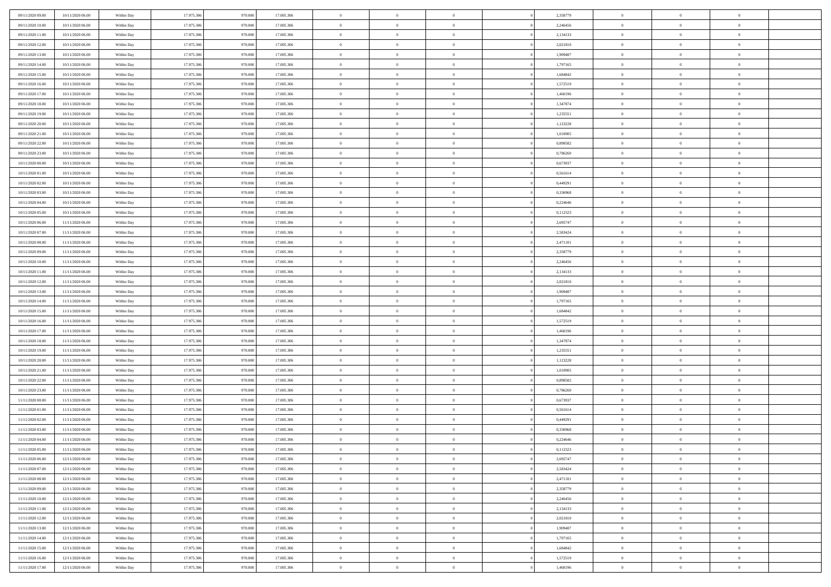| 09/11/2020 09:00                     | 10/11/2020 06:00 | Within Day | 17.975.306 | 970.000 | 17.005.306 | $\bf{0}$       | $\overline{0}$ | $\Omega$                         | 2,358779 | $\bf{0}$       | $\overline{0}$ | $\bf{0}$       |  |
|--------------------------------------|------------------|------------|------------|---------|------------|----------------|----------------|----------------------------------|----------|----------------|----------------|----------------|--|
| 09/11/2020 10:00                     | 10/11/2020 06:00 | Within Day | 17.975.306 | 970.00  | 17.005.306 | $\overline{0}$ | $\overline{0}$ | $\Omega$                         | 2,246456 | $\overline{0}$ | $\theta$       | $\theta$       |  |
| 09/11/2020 11:00                     | 10/11/2020 06:00 | Within Day | 17.975.306 | 970.000 | 17.005.306 | $\overline{0}$ | $\overline{0}$ | $\overline{0}$                   | 2,134133 | $\mathbf{0}$   | $\overline{0}$ | $\theta$       |  |
| 09/11/2020 12:00                     | 10/11/2020 06:00 | Within Day | 17.975.306 | 970.000 | 17.005.306 | $\bf{0}$       | $\overline{0}$ | $\overline{0}$                   | 2,021810 | $\mathbf{0}$   | $\overline{0}$ | $\bf{0}$       |  |
| 09/11/2020 13:00                     | 10/11/2020 06:00 | Within Day | 17.975.306 | 970.000 | 17.005.306 | $\bf{0}$       | $\overline{0}$ | $\overline{0}$                   | 1,909487 | $\bf{0}$       | $\overline{0}$ | $\bf{0}$       |  |
| 09/11/2020 14:00                     | 10/11/2020 06:00 | Within Day | 17.975.306 | 970.000 | 17.005.306 | $\overline{0}$ | $\overline{0}$ | $\overline{0}$                   | 1,797165 | $\mathbf{0}$   | $\overline{0}$ | $\theta$       |  |
| 09/11/2020 15:00                     | 10/11/2020 06:00 | Within Day | 17.975.306 | 970.000 | 17.005.306 | $\bf{0}$       | $\overline{0}$ | $\overline{0}$                   | 1,684842 | $\bf{0}$       | $\overline{0}$ | $\bf{0}$       |  |
| 09/11/2020 16:00                     | 10/11/2020 06:00 | Within Day | 17.975.306 | 970.000 | 17.005.306 | $\overline{0}$ | $\overline{0}$ | $\overline{0}$                   | 1,572519 | $\mathbf{0}$   | $\theta$       | $\theta$       |  |
| 09/11/2020 17:00                     | 10/11/2020 06:00 | Within Day | 17.975.306 | 970.000 | 17.005.306 | $\overline{0}$ | $\overline{0}$ | $\overline{0}$                   | 1,460196 | $\mathbf{0}$   | $\overline{0}$ | $\theta$       |  |
|                                      | 10/11/2020 06:00 |            | 17.975.306 | 970.000 | 17.005.306 | $\bf{0}$       | $\bf{0}$       | $\Omega$                         | 1,347874 | $\bf{0}$       | $\overline{0}$ | $\bf{0}$       |  |
| 09/11/2020 18:00                     |                  | Within Day | 17.975.306 | 970,000 |            | $\bf{0}$       | $\overline{0}$ | $\overline{0}$                   |          |                | $\theta$       | $\theta$       |  |
| 09/11/2020 19:00                     | 10/11/2020 06:00 | Within Day |            |         | 17.005.306 | $\overline{0}$ | $\overline{0}$ |                                  | 1,235551 | $\mathbf{0}$   |                | $\theta$       |  |
| 09/11/2020 20.00<br>09/11/2020 21:00 | 10/11/2020 06:00 | Within Day | 17.975.306 | 970.000 | 17.005.306 |                |                | $\overline{0}$<br>$\overline{0}$ | 1,123228 | $\mathbf{0}$   | $\overline{0}$ |                |  |
|                                      | 10/11/2020 06:00 | Within Day | 17.975.306 | 970.000 | 17.005.306 | $\bf{0}$       | $\overline{0}$ |                                  | 1,010905 | $\mathbf{0}$   | $\overline{0}$ | $\bf{0}$       |  |
| 09/11/2020 22.00                     | 10/11/2020 06:00 | Within Day | 17.975.306 | 970.000 | 17.005.306 | $\bf{0}$       | $\overline{0}$ | $\overline{0}$                   | 0,898582 | $\bf{0}$       | $\theta$       | $\bf{0}$       |  |
| 09/11/2020 23.00                     | 10/11/2020 06:00 | Within Day | 17.975.306 | 970.000 | 17.005.306 | $\overline{0}$ | $\overline{0}$ | $\overline{0}$                   | 0,786260 | $\overline{0}$ | $\overline{0}$ | $\theta$       |  |
| 10/11/2020 00:00                     | 10/11/2020 06:00 | Within Day | 17.975.306 | 970.000 | 17.005.306 | $\bf{0}$       | $\overline{0}$ | $\Omega$                         | 0,673937 | $\bf{0}$       | $\overline{0}$ | $\bf{0}$       |  |
| 10/11/2020 01:00                     | 10/11/2020 06:00 | Within Day | 17.975.306 | 970,000 | 17.005.306 | $\,$ 0 $\,$    | $\overline{0}$ | $\overline{0}$                   | 0,561614 | $\mathbf{0}$   | $\theta$       | $\theta$       |  |
| 10/11/2020 02:00                     | 10/11/2020 06:00 | Within Day | 17.975.306 | 970.000 | 17.005.306 | $\overline{0}$ | $\overline{0}$ | $\overline{0}$                   | 0,449291 | $\mathbf{0}$   | $\overline{0}$ | $\theta$       |  |
| 10/11/2020 03:00                     | 10/11/2020 06:00 | Within Day | 17.975.306 | 970.000 | 17.005.306 | $\bf{0}$       | $\overline{0}$ | $\Omega$                         | 0,336968 | $\bf{0}$       | $\overline{0}$ | $\bf{0}$       |  |
| 10/11/2020 04:00                     | 10/11/2020 06:00 | Within Day | 17.975.306 | 970,000 | 17.005.306 | $\bf{0}$       | $\overline{0}$ | $\overline{0}$                   | 0,224646 | $\mathbf{0}$   | $\mathbf{0}$   | $\overline{0}$ |  |
| 10/11/2020 05:00                     | 10/11/2020 06:00 | Within Day | 17.975.306 | 970.000 | 17.005.306 | $\overline{0}$ | $\overline{0}$ | $\overline{0}$                   | 0,112323 | $\mathbf{0}$   | $\overline{0}$ | $\theta$       |  |
| 10/11/2020 06:00                     | 11/11/2020 06:00 | Within Day | 17.975.306 | 970.000 | 17.005.306 | $\bf{0}$       | $\overline{0}$ | $\overline{0}$                   | 2,695747 | $\mathbf{0}$   | $\overline{0}$ | $\bf{0}$       |  |
| 10/11/2020 07:00                     | 11/11/2020 06:00 | Within Day | 17.975.306 | 970.000 | 17.005.306 | $\bf{0}$       | $\overline{0}$ | $\overline{0}$                   | 2,583424 | $\,$ 0 $\,$    | $\overline{0}$ | $\bf{0}$       |  |
| 10/11/2020 08:00                     | 11/11/2020 06:00 | Within Day | 17.975.306 | 970.000 | 17.005.306 | $\overline{0}$ | $\overline{0}$ | $\overline{0}$                   | 2,471101 | $\mathbf{0}$   | $\overline{0}$ | $\theta$       |  |
| 10/11/2020 09:00                     | 11/11/2020 06:00 | Within Day | 17.975.306 | 970.000 | 17.005.306 | $\bf{0}$       | $\overline{0}$ | $\overline{0}$                   | 2,358779 | $\bf{0}$       | $\overline{0}$ | $\bf{0}$       |  |
| 10/11/2020 10:00                     | 11/11/2020 06:00 | Within Day | 17.975.306 | 970,000 | 17.005.306 | $\,$ 0 $\,$    | $\overline{0}$ | $\overline{0}$                   | 2,246456 | $\mathbf{0}$   | $\overline{0}$ | $\overline{0}$ |  |
| 10/11/2020 11:00                     | 11/11/2020 06:00 | Within Day | 17.975.306 | 970.000 | 17.005.306 | $\overline{0}$ | $\overline{0}$ | $\overline{0}$                   | 2,134133 | $\mathbf{0}$   | $\overline{0}$ | $\theta$       |  |
| 10/11/2020 12:00                     | 11/11/2020 06:00 | Within Day | 17.975.306 | 970.000 | 17.005.306 | $\bf{0}$       | $\overline{0}$ | $\Omega$                         | 2,021810 | $\mathbf{0}$   | $\overline{0}$ | $\bf{0}$       |  |
| 10/11/2020 13:00                     | 11/11/2020 06:00 | Within Day | 17.975.306 | 970,000 | 17.005.306 | $\bf{0}$       | $\overline{0}$ | $\overline{0}$                   | 1,909487 | $\mathbf{0}$   | $\theta$       | $\overline{0}$ |  |
| 10/11/2020 14:00                     | 11/11/2020 06:00 | Within Day | 17.975.306 | 970.000 | 17.005.306 | $\overline{0}$ | $\overline{0}$ | $\overline{0}$                   | 1,797165 | $\mathbf{0}$   | $\overline{0}$ | $\theta$       |  |
| 10/11/2020 15:00                     | 11/11/2020 06:00 | Within Day | 17.975.306 | 970.000 | 17.005.306 | $\,$ 0         | $\overline{0}$ | $\overline{0}$                   | 1,684842 | $\,$ 0 $\,$    | $\overline{0}$ | $\,$ 0 $\,$    |  |
| 10/11/2020 16:00                     | 11/11/2020 06:00 | Within Day | 17.975.306 | 970.000 | 17.005.306 | $\bf{0}$       | $\overline{0}$ | $\overline{0}$                   | 1,572519 | $\,$ 0 $\,$    | $\overline{0}$ | $\overline{0}$ |  |
| 10/11/2020 17:00                     | 11/11/2020 06:00 | Within Day | 17.975.306 | 970.000 | 17.005.306 | $\overline{0}$ | $\overline{0}$ | $\overline{0}$                   | 1,460196 | $\mathbf{0}$   | $\overline{0}$ | $\theta$       |  |
| 10/11/2020 18:00                     | 11/11/2020 06:00 | Within Day | 17.975.306 | 970.000 | 17.005.306 | $\,$ 0         | $\overline{0}$ | $\theta$                         | 1,347874 | $\,$ 0         | $\overline{0}$ | $\mathbf{0}$   |  |
| 10/11/2020 19:00                     | 11/11/2020 06:00 | Within Day | 17.975.306 | 970,000 | 17.005.306 | $\bf{0}$       | $\overline{0}$ | $\overline{0}$                   | 1,235551 | $\mathbf{0}$   | $\overline{0}$ | $\overline{0}$ |  |
| 10/11/2020 20:00                     | 11/11/2020 06:00 | Within Day | 17.975.306 | 970.000 | 17.005.306 | $\overline{0}$ | $\overline{0}$ | $\overline{0}$                   | 1,123228 | $\mathbf{0}$   | $\overline{0}$ | $\theta$       |  |
| 10/11/2020 21:00                     | 11/11/2020 06:00 | Within Day | 17.975.306 | 970.000 | 17.005.306 | $\overline{0}$ | $\overline{0}$ | $\overline{0}$                   | 1,010905 | $\,$ 0 $\,$    | $\overline{0}$ | $\mathbf{0}$   |  |
| 10/11/2020 22.00                     | 11/11/2020 06:00 | Within Day | 17.975.306 | 970,000 | 17.005.306 | $\bf{0}$       | $\overline{0}$ | $\overline{0}$                   | 0,898582 | $\mathbf{0}$   | $\theta$       | $\overline{0}$ |  |
| 10/11/2020 23.00                     | 11/11/2020 06:00 | Within Day | 17.975.306 | 970.000 | 17.005.306 | $\overline{0}$ | $\overline{0}$ | $\overline{0}$                   | 0,786260 | $\mathbf{0}$   | $\overline{0}$ | $\theta$       |  |
| 11/11/2020 00:00                     | 11/11/2020 06:00 | Within Day | 17.975.306 | 970.000 | 17.005.306 | $\,$ 0         | $\overline{0}$ | $\overline{0}$                   | 0,673937 | $\,$ 0 $\,$    | $\overline{0}$ | $\,$ 0 $\,$    |  |
| 11/11/2020 01:00                     | 11/11/2020 06:00 | Within Day | 17.975.306 | 970.000 | 17.005.306 | $\bf{0}$       | $\,$ 0 $\,$    | $\overline{0}$                   | 0,561614 | $\,$ 0 $\,$    | $\overline{0}$ | $\overline{0}$ |  |
| 11/11/2020 02:00                     | 11/11/2020 06:00 | Within Day | 17.975.306 | 970.000 | 17.005.306 | $\overline{0}$ | $\overline{0}$ | $\overline{0}$                   | 0,449291 | $\mathbf{0}$   | $\overline{0}$ | $\theta$       |  |
| 11/11/2020 03:00                     | 11/11/2020 06:00 | Within Day | 17.975.306 | 970.000 | 17.005.306 | $\overline{0}$ | $\overline{0}$ | $\overline{0}$                   | 0,336968 | $\overline{0}$ | $\overline{0}$ | $\mathbf{0}$   |  |
| 11/11/2020 04:00                     | 11/11/2020 06:00 | Within Day | 17.975.306 | 970,000 | 17.005.306 | $\bf{0}$       | $\overline{0}$ | $\overline{0}$                   | 0,224646 | $\mathbf{0}$   | $\overline{0}$ | $\overline{0}$ |  |
| 11/11/2020 05:00                     | 11/11/2020 06:00 | Within Day | 17.975.306 | 970.000 | 17.005.306 | $\overline{0}$ | $\theta$       |                                  | 0,112323 | $\overline{0}$ | $\Omega$       | $\overline{0}$ |  |
| 11/11/2020 06:00                     | 12/11/2020 06:00 | Within Day | 17.975.306 | 970.000 | 17.005.306 | $\,$ 0 $\,$    | $\overline{0}$ | $\overline{0}$                   | 2,695747 | $\,$ 0 $\,$    | $\bf{0}$       | $\,$ 0 $\,$    |  |
| 11/11/2020 07:00                     | 12/11/2020 06:00 | Within Day | 17.975.306 | 970.000 | 17.005.306 | $\mathbf{0}$   | $\overline{0}$ | $\overline{0}$                   | 2,583424 | $\,$ 0 $\,$    | $\overline{0}$ | $\overline{0}$ |  |
| 11/11/2020 08:00                     | 12/11/2020 06:00 | Within Day | 17.975.306 | 970.000 | 17.005.306 | $\mathbf{0}$   | $\overline{0}$ | $\overline{0}$                   | 2,471101 | $\mathbf{0}$   | $\bf{0}$       | $\overline{0}$ |  |
| 11/11/2020 09:00                     | 12/11/2020 06:00 | Within Day | 17.975.306 | 970.000 | 17.005.306 | $\,$ 0 $\,$    | $\overline{0}$ | $\overline{0}$                   | 2,358779 | $\,$ 0 $\,$    | $\bf{0}$       | $\theta$       |  |
| 11/11/2020 10:00                     | 12/11/2020 06:00 | Within Day | 17.975.306 | 970.000 | 17.005.306 | $\,$ 0 $\,$    | $\,$ 0 $\,$    | $\overline{0}$                   | 2,246456 | $\,$ 0 $\,$    | $\overline{0}$ | $\mathbf{0}$   |  |
| 11/11/2020 11:00                     | 12/11/2020 06:00 | Within Day | 17.975.306 | 970.000 | 17.005.306 | $\mathbf{0}$   | $\overline{0}$ | $\overline{0}$                   | 2,134133 | $\mathbf{0}$   | $\bf{0}$       | $\overline{0}$ |  |
| 11/11/2020 12:00                     | 12/11/2020 06:00 | Within Day | 17.975.306 | 970.000 | 17.005.306 | $\,$ 0 $\,$    | $\overline{0}$ | $\overline{0}$                   | 2,021810 | $\,$ 0 $\,$    | $\mathbf{0}$   | $\theta$       |  |
| 11/11/2020 13.00                     | 12/11/2020 06:00 | Within Day | 17.975.306 | 970.000 | 17.005.306 | $\mathbf{0}$   | $\overline{0}$ | $\overline{0}$                   | 1,909487 | $\,$ 0 $\,$    | $\overline{0}$ | $\mathbf{0}$   |  |
| 11/11/2020 14:00                     | 12/11/2020 06:00 | Within Day | 17.975.306 | 970.000 | 17.005.306 | $\mathbf{0}$   | $\overline{0}$ | $\overline{0}$                   | 1,797165 | $\mathbf{0}$   | $\bf{0}$       | $\overline{0}$ |  |
| 11/11/2020 15:00                     | 12/11/2020 06:00 | Within Day | 17.975.306 | 970.000 | 17.005.306 | $\,$ 0 $\,$    | $\overline{0}$ | $\overline{0}$                   | 1,684842 | $\,$ 0 $\,$    | $\mathbf{0}$   | $\theta$       |  |
| 11/11/2020 16.00                     | 12/11/2020 06:00 | Within Day | 17.975.306 | 970.000 | 17.005.306 | $\mathbf{0}$   | $\overline{0}$ | $\overline{0}$                   | 1,572519 | $\,$ 0 $\,$    | $\overline{0}$ | $\overline{0}$ |  |
| 11/11/2020 17.00                     | 12/11/2020 06:00 |            | 17.975.306 | 970.000 | 17.005.306 | $\overline{0}$ | $\overline{0}$ | $\overline{0}$                   | 1,460196 | $\mathbf{0}$   | $\mathbf{0}$   | $\overline{0}$ |  |
|                                      |                  | Within Day |            |         |            |                |                |                                  |          |                |                |                |  |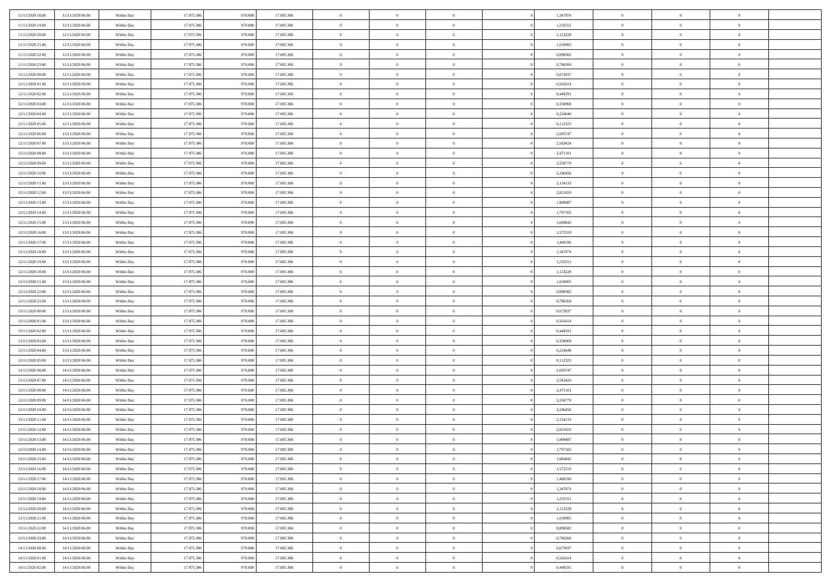| 11/11/2020 18:00                     | 12/11/2020 06:00                     | Within Day               | 17.975.306               | 970.000            | 17.005.306               | $\,$ 0 $\,$             | $\overline{0}$                   | $\overline{0}$                 |          | 1,347874             | $\bf{0}$               | $\overline{0}$                   | $\,0\,$                    |  |
|--------------------------------------|--------------------------------------|--------------------------|--------------------------|--------------------|--------------------------|-------------------------|----------------------------------|--------------------------------|----------|----------------------|------------------------|----------------------------------|----------------------------|--|
| 11/11/2020 19:00                     | 12/11/2020 06:00                     | Within Day               | 17.975.306               | 970,000            | 17.005.306               | $\overline{0}$          | $\overline{0}$                   | $\mathbf{0}$                   |          | 1,235551             | $\theta$               | $\overline{0}$                   | $\theta$                   |  |
| 11/11/2020 20:00                     | 12/11/2020 06:00                     | Within Day               | 17.975.306               | 970.000            | 17.005.306               | $\theta$                | $\overline{0}$                   | $\overline{0}$                 |          | 1,123228             | $\mathbf{0}$           | $\overline{0}$                   | $\overline{0}$             |  |
| 11/11/2020 21:00                     | 12/11/2020 06:00                     | Within Day               | 17.975.306               | 970.000            | 17.005.306               | $\,$ 0 $\,$             | $\overline{0}$                   | $\overline{0}$                 |          | 1,010905             | $\bf{0}$               | $\overline{0}$                   | $\bf{0}$                   |  |
| 11/11/2020 22.00                     | 12/11/2020 06:00                     | Within Day               | 17.975.306               | 970.000            | 17.005.306               | $\,$ 0                  | $\overline{0}$                   | $\mathbf{0}$                   |          | 0,898582             | $\bf{0}$               | $\bf{0}$                         | $\,0\,$                    |  |
| 11/11/2020 23:00                     | 12/11/2020 06:00                     | Within Day               | 17.975.306               | 970.000            | 17.005.306               | $\theta$                | $\overline{0}$                   | $\mathbf{0}$                   |          | 0,786260             | $\mathbf{0}$           | $\overline{0}$                   | $\overline{0}$             |  |
| 12/11/2020 00:00                     | 12/11/2020 06:00                     | Within Day               | 17.975.306               | 970.000            | 17.005.306               | $\,$ 0 $\,$             | $\overline{0}$                   | $\overline{0}$                 |          | 0,673937             | $\bf{0}$               | $\overline{0}$                   | $\bf{0}$                   |  |
| 12/11/2020 01:00                     | 12/11/2020 06:00                     | Within Day               | 17.975.306               | 970,000            | 17.005.306               | $\,$ 0                  | $\overline{0}$                   | $\mathbf{0}$                   |          | 0,561614             | $\,$ 0 $\,$            | $\overline{0}$                   | $\overline{0}$             |  |
| 12/11/2020 02.00                     | 12/11/2020 06:00                     | Within Day               | 17.975.306               | 970.000            | 17.005.306               | $\theta$                | $\overline{0}$                   | $\mathbf{0}$                   |          | 0,449291             | $\mathbf{0}$           | $\overline{0}$                   | $\overline{0}$             |  |
| 12/11/2020 03:00                     | 12/11/2020 06:00                     | Within Day               | 17.975.306               | 970.000            | 17.005.306               | $\,$ 0 $\,$             | $\overline{0}$                   | $\Omega$                       |          | 0,336968             | $\bf{0}$               | $\overline{0}$                   | $\bf{0}$                   |  |
| 12/11/2020 04:00                     | 12/11/2020 06.00                     | Within Day               | 17.975.306               | 970,000            | 17.005.306               | $\bf{0}$                | $\overline{0}$                   | $\mathbf{0}$                   |          | 0,224646             | $\bf{0}$               | $\mathbf{0}$                     | $\theta$                   |  |
| 12/11/2020 05:00                     | 12/11/2020 06:00                     | Within Day               | 17.975.306               | 970.000            | 17.005.306               | $\theta$                | $\overline{0}$                   | $\overline{0}$                 |          | 0,112323             | $\mathbf{0}$           | $\overline{0}$                   | $\overline{0}$             |  |
| 12/11/2020 06:00                     | 13/11/2020 06:00                     | Within Day               | 17.975.306               | 970.000            | 17.005.306               | $\,$ 0 $\,$             | $\overline{0}$                   | $\overline{0}$                 |          | 2,695747             | $\bf{0}$               | $\overline{0}$                   | $\bf{0}$                   |  |
| 12/11/2020 07:00                     | 13/11/2020 06:00                     | Within Day               | 17.975.306               | 970,000            | 17.005.306               | $\,$ 0                  | $\overline{0}$                   | $\mathbf{0}$                   |          | 2,583424             | $\bf{0}$               | $\mathbf{0}$                     | $\bf{0}$                   |  |
| 12/11/2020 08:00                     | 13/11/2020 06:00                     | Within Day               | 17.975.306               | 970.000            | 17.005.306               | $\theta$                | $\overline{0}$                   | $\overline{0}$                 |          | 2,471101             | $\mathbf{0}$           | $\overline{0}$                   | $\overline{0}$             |  |
| 12/11/2020 09:00                     | 13/11/2020 06.00                     | Within Day               | 17.975.306               | 970.000            | 17.005.306               | $\,$ 0 $\,$             | $\overline{0}$                   | $\Omega$                       |          | 2,358779             | $\bf{0}$               | $\overline{0}$                   | $\bf{0}$                   |  |
| 12/11/2020 10:00                     | 13/11/2020 06.00                     | Within Day               | 17.975.306               | 970,000            | 17.005.306               | $\,$ 0 $\,$             | $\overline{0}$                   | $\mathbf{0}$                   |          | 2,246456             | $\,$ 0 $\,$            | $\overline{0}$                   | $\theta$                   |  |
| 12/11/2020 11:00                     | 13/11/2020 06:00                     | Within Day               | 17.975.306               | 970.000            | 17.005.306               | $\theta$                | $\overline{0}$                   | $\mathbf{0}$                   |          | 2,134133             | $\mathbf{0}$           | $\overline{0}$                   | $\overline{0}$             |  |
| 12/11/2020 12:00                     | 13/11/2020 06:00                     | Within Day               | 17.975.306               | 970.000            | 17.005.306               | $\,$ 0 $\,$             | $\overline{0}$                   | $\overline{0}$                 |          | 2,021810             | $\bf{0}$               | $\overline{0}$                   | $\bf{0}$                   |  |
| 12/11/2020 13:00                     | 13/11/2020 06.00                     | Within Day               | 17.975.306               | 970,000            | 17.005.306               | $\bf{0}$                | $\overline{0}$                   | $\mathbf{0}$                   |          | 1,909487             | $\bf{0}$               | $\overline{0}$                   | $\bf{0}$                   |  |
| 12/11/2020 14:00                     | 13/11/2020 06:00                     | Within Day               | 17.975.306               | 970.000            | 17.005.306               | $\theta$                | $\overline{0}$                   | $\overline{0}$                 |          | 1,797165             | $\mathbf{0}$           | $\overline{0}$                   | $\overline{0}$             |  |
| 12/11/2020 15:00                     | 13/11/2020 06:00                     | Within Day               | 17.975.306               | 970.000            | 17.005.306               | $\,$ 0 $\,$             | $\overline{0}$                   | $\overline{0}$                 |          | 1,684842             | $\bf{0}$               | $\overline{0}$                   | $\bf{0}$                   |  |
| 12/11/2020 16:00                     | 13/11/2020 06:00                     | Within Day               | 17.975.306               | 970.000            | 17.005.306               | $\,$ 0                  | $\overline{0}$                   | $\mathbf{0}$                   |          | 1,572519             | $\,$ 0 $\,$            | $\overline{0}$                   | $\,0\,$                    |  |
| 12/11/2020 17:00                     | 13/11/2020 06:00                     | Within Day               | 17.975.306               | 970.000            | 17.005.306               | $\theta$                | $\overline{0}$                   | $\mathbf{0}$                   |          | 1,460196             | $\mathbf{0}$           | $\overline{0}$                   | $\overline{0}$             |  |
| 12/11/2020 18:00                     | 13/11/2020 06:00                     | Within Day               | 17.975.306               | 970.000            | 17.005.306               | $\,$ 0 $\,$             | $\overline{0}$                   | $\overline{0}$                 |          | 1,347874             | $\bf{0}$               | $\overline{0}$                   | $\bf{0}$                   |  |
| 12/11/2020 19:00                     | 13/11/2020 06.00                     | Within Day               | 17.975.306               | 970,000            | 17.005.306               | $\,$ 0                  | $\overline{0}$                   | $\mathbf{0}$                   |          | 1,235551             | $\mathbf{0}$           | $\overline{0}$                   | $\overline{0}$             |  |
| 12/11/2020 20:00                     | 13/11/2020 06:00                     | Within Day               | 17.975.306               | 970.000            | 17.005.306               | $\theta$                | $\overline{0}$                   | $\overline{0}$                 |          | 1,123228             | $\mathbf{0}$           | $\overline{0}$                   | $\overline{0}$             |  |
| 12/11/2020 21:00                     | 13/11/2020 06:00                     | Within Day               | 17.975.306               | 970.000            | 17.005.306               | $\,$ 0 $\,$             | $\overline{0}$                   | $\overline{0}$                 |          | 1,010905             | $\bf{0}$               | $\overline{0}$                   | $\bf{0}$                   |  |
| 12/11/2020 22.00                     | 13/11/2020 06.00                     | Within Day               | 17.975.306               | 970,000            | 17.005.306               | $\bf{0}$                | $\overline{0}$                   | $\mathbf{0}$                   |          | 0.898582             | $\bf{0}$               | $\mathbf{0}$                     | $\overline{0}$             |  |
| 12/11/2020 23:00                     | 13/11/2020 06:00                     | Within Day               | 17.975.306               | 970.000            | 17.005.306               | $\theta$                | $\overline{0}$                   | $\overline{0}$                 |          | 0,786260             | $\mathbf{0}$           | $\overline{0}$                   | $\overline{0}$             |  |
| 13/11/2020 00:00                     | 13/11/2020 06:00                     | Within Day               | 17.975.306               | 970.000            | 17.005.306               | $\,$ 0 $\,$             | $\overline{0}$                   | $\overline{0}$                 |          | 0,673937             | $\,$ 0                 | $\overline{0}$                   | $\,$ 0 $\,$                |  |
| 13/11/2020 01:00                     | 13/11/2020 06:00                     | Within Day               | 17.975.306               | 970.000            | 17.005.306               | $\,$ 0                  | $\overline{0}$                   | $\mathbf{0}$                   |          | 0,561614             | $\bf{0}$               | $\overline{0}$                   | $\bf{0}$                   |  |
| 13/11/2020 02.00                     | 13/11/2020 06:00                     | Within Day               | 17.975.306               | 970.000            | 17.005.306               | $\theta$                | $\overline{0}$                   | $\overline{0}$                 |          | 0,449291             | $\mathbf{0}$           | $\overline{0}$                   | $\overline{0}$<br>$\theta$ |  |
| 13/11/2020 03:00<br>13/11/2020 04:00 | 13/11/2020 06:00<br>13/11/2020 06.00 | Within Day               | 17.975.306<br>17.975.306 | 970.000<br>970,000 | 17.005.306<br>17.005.306 | $\theta$<br>$\,$ 0 $\,$ | $\overline{0}$<br>$\overline{0}$ | $\overline{0}$<br>$\mathbf{0}$ |          | 0,336968<br>0,224646 | $\,$ 0<br>$\mathbf{0}$ | $\overline{0}$<br>$\overline{0}$ | $\overline{0}$             |  |
| 13/11/2020 05:00                     | 13/11/2020 06:00                     | Within Day<br>Within Day | 17.975.306               | 970.000            | 17.005.306               | $\theta$                | $\overline{0}$                   | $\mathbf{0}$                   |          | 0,112323             | $\mathbf{0}$           | $\overline{0}$                   | $\overline{0}$             |  |
| 13/11/2020 06:00                     | 14/11/2020 06:00                     | Within Day               | 17.975.306               | 970.000            | 17.005.306               | $\theta$                | $\overline{0}$                   | $\overline{0}$                 |          | 2,695747             | $\,$ 0                 | $\overline{0}$                   | $\theta$                   |  |
| 13/11/2020 07:00                     | 14/11/2020 06:00                     | Within Day               | 17.975.306               | 970,000            | 17.005.306               | $\bf{0}$                | $\overline{0}$                   | $\mathbf{0}$                   |          | 2,583424             | $\bf{0}$               | $\mathbf{0}$                     | $\overline{0}$             |  |
| 13/11/2020 08:00                     | 14/11/2020 06:00                     | Within Day               | 17.975.306               | 970.000            | 17.005.306               | $\theta$                | $\overline{0}$                   | $\overline{0}$                 |          | 2,471101             | $\mathbf{0}$           | $\overline{0}$                   | $\overline{0}$             |  |
| 13/11/2020 09:00                     | 14/11/2020 06:00                     | Within Day               | 17.975.306               | 970.000            | 17.005.306               | $\,$ 0 $\,$             | $\overline{0}$                   | $\overline{0}$                 |          | 2,358779             | $\,$ 0                 | $\overline{0}$                   | $\,$ 0 $\,$                |  |
| 13/11/2020 10:00                     | 14/11/2020 06:00                     | Within Day               | 17.975.306               | 970.000            | 17.005.306               | $\,$ 0 $\,$             | $\,$ 0 $\,$                      | $\overline{0}$                 |          | 2,246456             | $\,$ 0 $\,$            | $\overline{0}$                   | $\overline{0}$             |  |
| 13/11/2020 11:00                     | 14/11/2020 06:00                     | Within Day               | 17.975.306               | 970.000            | 17.005.306               | $\theta$                | $\overline{0}$                   | $\mathbf{0}$                   |          | 2,134133             | $\mathbf{0}$           | $\overline{0}$                   | $\overline{0}$             |  |
| 13/11/2020 12:00                     | 14/11/2020 06.00                     | Within Day               | 17.975.306               | 970.000            | 17.005.306               | $\theta$                | $\overline{0}$                   | $\overline{0}$                 |          | 2,021810             | $\,$ 0                 | $\overline{0}$                   | $\theta$                   |  |
| 13/11/2020 13:00                     | 14/11/2020 06.00                     | Within Day               | 17.975.306               | 970.000            | 17.005.306               | $\,$ 0                  | $\,$ 0 $\,$                      | $\mathbf{0}$                   |          | 1,909487             | $\bf{0}$               | $\overline{0}$                   | $\overline{0}$             |  |
| 13/11/2020 14:00                     | 14/11/2020 06:00                     | Within Day               | 17.975.306               | 970.000            | 17.005.306               | $\overline{0}$          | $\theta$                         |                                |          | 1,797165             | $\overline{0}$         | $\theta$                         | $\theta$                   |  |
| 13/11/2020 15:00                     | 14/11/2020 06:00                     | Within Day               | 17.975.306               | 970.000            | 17.005.306               | $\,$ 0 $\,$             | $\overline{0}$                   | $\overline{0}$                 |          | 1,684842             | $\,$ 0 $\,$            | $\bf{0}$                         | $\,$ 0 $\,$                |  |
| 13/11/2020 16.00                     | 14/11/2020 06:00                     | Within Day               | 17.975.306               | 970.000            | 17.005.306               | $\bf{0}$                | $\,$ 0 $\,$                      | $\overline{0}$                 |          | 1,572519             | $\,$ 0 $\,$            | $\overline{0}$                   | $\overline{0}$             |  |
| 13/11/2020 17:00                     | 14/11/2020 06:00                     | Within Day               | 17.975.306               | 970.000            | 17.005.306               | $\overline{0}$          | $\overline{0}$                   | $\overline{0}$                 |          | 1,460196             | $\,$ 0 $\,$            | $\bf{0}$                         | $\mathbf{0}$               |  |
| 13/11/2020 18:00                     | 14/11/2020 06:00                     | Within Day               | 17.975.306               | 970.000            | 17.005.306               | $\,$ 0 $\,$             | $\overline{0}$                   | $\overline{0}$                 | $\theta$ | 1,347874             | $\,$ 0 $\,$            | $\bf{0}$                         | $\,$ 0 $\,$                |  |
| 13/11/2020 19:00                     | 14/11/2020 06.00                     | Within Day               | 17.975.306               | 970.000            | 17.005.306               | $\,$ 0 $\,$             | $\,$ 0 $\,$                      | $\overline{0}$                 |          | 1,235551             | $\,$ 0 $\,$            | $\overline{0}$                   | $\overline{0}$             |  |
| 13/11/2020 20:00                     | 14/11/2020 06:00                     | Within Day               | 17.975.306               | 970.000            | 17.005.306               | $\mathbf{0}$            | $\overline{0}$                   | $\overline{0}$                 |          | 1,123228             | $\mathbf{0}$           | $\overline{0}$                   | $\overline{0}$             |  |
| 13/11/2020 21:00                     | 14/11/2020 06:00                     | Within Day               | 17.975.306               | 970.000            | 17.005.306               | $\,$ 0 $\,$             | $\overline{0}$                   | $\overline{0}$                 |          | 1,010905             | $\,$ 0 $\,$            | $\mathbf{0}$                     | $\,$ 0 $\,$                |  |
| 13/11/2020 22.00                     | 14/11/2020 06.00                     | Within Day               | 17.975.306               | 970.000            | 17.005.306               | $\bf{0}$                | $\overline{0}$                   | $\overline{0}$                 |          | 0,898582             | $\,$ 0 $\,$            | $\overline{0}$                   | $\mathbf{0}$               |  |
| 13/11/2020 23:00                     | 14/11/2020 06:00                     | Within Day               | 17.975.306               | 970.000            | 17.005.306               | $\mathbf{0}$            | $\overline{0}$                   | $\overline{0}$                 |          | 0,786260             | $\mathbf{0}$           | $\bf{0}$                         | $\overline{0}$             |  |
| 14/11/2020 00:00                     | 14/11/2020 06:00                     | Within Day               | 17.975.306               | 970.000            | 17.005.306               | $\,$ 0 $\,$             | $\overline{0}$                   | $\overline{0}$                 |          | 0,673937             | $\,$ 0 $\,$            | $\mathbf{0}$                     | $\,$ 0 $\,$                |  |
| 14/11/2020 01:00                     | 14/11/2020 06.00                     | Within Day               | 17.975.306               | 970.000            | 17.005.306               | $\,$ 0 $\,$             | $\,$ 0 $\,$                      | $\overline{0}$                 |          | 0,561614             | $\,$ 0 $\,$            | $\overline{0}$                   | $\overline{0}$             |  |
| 14/11/2020 02.00                     | 14/11/2020 06:00                     | Within Day               | 17.975.306               | 970.000            | 17.005.306               | $\theta$                | $\overline{0}$                   | $\overline{0}$                 |          | 0,449291             | $\mathbf{0}$           | $\overline{0}$                   | $\overline{0}$             |  |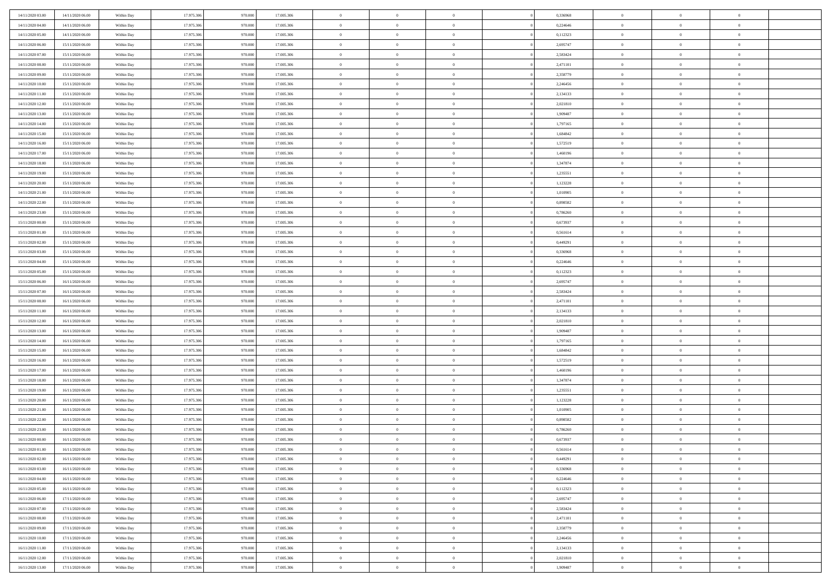| 14/11/2020 03:00                     | 14/11/2020 06:00 | Within Day | 17.975.306 | 970.000 | 17.005.306 | $\bf{0}$       | $\overline{0}$ | $\Omega$                         | 0,336968 | $\bf{0}$       | $\overline{0}$ | $\bf{0}$       |  |
|--------------------------------------|------------------|------------|------------|---------|------------|----------------|----------------|----------------------------------|----------|----------------|----------------|----------------|--|
| 14/11/2020 04.00                     | 14/11/2020 06:00 | Within Day | 17.975.306 | 970.00  | 17.005.306 | $\overline{0}$ | $\overline{0}$ | $\Omega$                         | 0,224646 | $\overline{0}$ | $\theta$       | $\theta$       |  |
| 14/11/2020 05:00                     | 14/11/2020 06:00 | Within Day | 17.975.306 | 970.000 | 17.005.306 | $\overline{0}$ | $\overline{0}$ | $\overline{0}$                   | 0,112323 | $\mathbf{0}$   | $\overline{0}$ | $\theta$       |  |
| 14/11/2020 06:00                     | 15/11/2020 06:00 | Within Day | 17.975.306 | 970.000 | 17.005.306 | $\bf{0}$       | $\overline{0}$ | $\overline{0}$                   | 2,695747 | $\mathbf{0}$   | $\overline{0}$ | $\bf{0}$       |  |
| 14/11/2020 07:00                     | 15/11/2020 06:00 | Within Day | 17.975.306 | 970.000 | 17.005.306 | $\bf{0}$       | $\overline{0}$ | $\overline{0}$                   | 2,583424 | $\bf{0}$       | $\overline{0}$ | $\bf{0}$       |  |
| 14/11/2020 08:00                     | 15/11/2020 06:00 | Within Day | 17.975.306 | 970.000 | 17.005.306 | $\overline{0}$ | $\overline{0}$ | $\overline{0}$                   | 2,471101 | $\mathbf{0}$   | $\overline{0}$ | $\theta$       |  |
| 14/11/2020 09:00                     | 15/11/2020 06:00 | Within Day | 17.975.306 | 970.000 | 17.005.306 | $\bf{0}$       | $\overline{0}$ | $\overline{0}$                   | 2,358779 | $\bf{0}$       | $\overline{0}$ | $\bf{0}$       |  |
| 14/11/2020 10:00                     | 15/11/2020 06:00 | Within Day | 17.975.306 | 970.000 | 17.005.306 | $\overline{0}$ | $\overline{0}$ | $\overline{0}$                   | 2,246456 | $\mathbf{0}$   | $\theta$       | $\theta$       |  |
| 14/11/2020 11:00                     | 15/11/2020 06:00 | Within Day | 17.975.306 | 970.000 | 17.005.306 | $\overline{0}$ | $\overline{0}$ | $\overline{0}$                   | 2,134133 | $\mathbf{0}$   | $\overline{0}$ | $\theta$       |  |
|                                      |                  |            | 17.975.306 | 970.000 | 17.005.306 | $\bf{0}$       | $\bf{0}$       | $\Omega$                         | 2,021810 | $\bf{0}$       | $\overline{0}$ | $\bf{0}$       |  |
| 14/11/2020 12:00                     | 15/11/2020 06:00 | Within Day | 17.975.306 | 970,000 |            | $\bf{0}$       | $\overline{0}$ | $\overline{0}$                   | 1,909487 |                | $\theta$       | $\theta$       |  |
| 14/11/2020 13:00                     | 15/11/2020 06:00 | Within Day |            |         | 17.005.306 | $\overline{0}$ | $\overline{0}$ |                                  |          | $\mathbf{0}$   |                | $\theta$       |  |
| 14/11/2020 14.00<br>14/11/2020 15.00 | 15/11/2020 06:00 | Within Day | 17.975.306 | 970.000 | 17.005.306 |                |                | $\overline{0}$<br>$\overline{0}$ | 1,797165 | $\mathbf{0}$   | $\overline{0}$ |                |  |
|                                      | 15/11/2020 06:00 | Within Day | 17.975.306 | 970.000 | 17.005.306 | $\bf{0}$       | $\overline{0}$ |                                  | 1,684842 | $\mathbf{0}$   | $\overline{0}$ | $\bf{0}$       |  |
| 14/11/2020 16:00                     | 15/11/2020 06:00 | Within Day | 17.975.306 | 970.000 | 17.005.306 | $\bf{0}$       | $\overline{0}$ | $\overline{0}$                   | 1,572519 | $\bf{0}$       | $\theta$       | $\bf{0}$       |  |
| 14/11/2020 17.00                     | 15/11/2020 06:00 | Within Day | 17.975.306 | 970.000 | 17.005.306 | $\overline{0}$ | $\overline{0}$ | $\overline{0}$                   | 1,460196 | $\overline{0}$ | $\overline{0}$ | $\theta$       |  |
| 14/11/2020 18.00                     | 15/11/2020 06:00 | Within Day | 17.975.306 | 970.000 | 17.005.306 | $\bf{0}$       | $\overline{0}$ | $\Omega$                         | 1,347874 | $\bf{0}$       | $\overline{0}$ | $\bf{0}$       |  |
| 14/11/2020 19:00                     | 15/11/2020 06:00 | Within Day | 17.975.306 | 970.000 | 17.005.306 | $\,$ 0 $\,$    | $\overline{0}$ | $\overline{0}$                   | 1,235551 | $\mathbf{0}$   | $\theta$       | $\theta$       |  |
| 14/11/2020 20.00                     | 15/11/2020 06:00 | Within Day | 17.975.306 | 970.000 | 17.005.306 | $\overline{0}$ | $\overline{0}$ | $\overline{0}$                   | 1,123228 | $\mathbf{0}$   | $\overline{0}$ | $\theta$       |  |
| 14/11/2020 21.00                     | 15/11/2020 06:00 | Within Day | 17.975.306 | 970.000 | 17.005.306 | $\bf{0}$       | $\overline{0}$ | $\Omega$                         | 1,010905 | $\bf{0}$       | $\overline{0}$ | $\bf{0}$       |  |
| 14/11/2020 22.00                     | 15/11/2020 06:00 | Within Day | 17.975.306 | 970,000 | 17.005.306 | $\bf{0}$       | $\overline{0}$ | $\overline{0}$                   | 0,898582 | $\mathbf{0}$   | $\theta$       | $\overline{0}$ |  |
| 14/11/2020 23:00                     | 15/11/2020 06:00 | Within Day | 17.975.306 | 970.000 | 17.005.306 | $\overline{0}$ | $\overline{0}$ | $\overline{0}$                   | 0,786260 | $\mathbf{0}$   | $\overline{0}$ | $\theta$       |  |
| 15/11/2020 00:00                     | 15/11/2020 06:00 | Within Day | 17.975.306 | 970.000 | 17.005.306 | $\bf{0}$       | $\overline{0}$ | $\overline{0}$                   | 0,673937 | $\mathbf{0}$   | $\overline{0}$ | $\bf{0}$       |  |
| 15/11/2020 01:00                     | 15/11/2020 06:00 | Within Day | 17.975.306 | 970.000 | 17.005.306 | $\bf{0}$       | $\overline{0}$ | $\overline{0}$                   | 0,561614 | $\,$ 0 $\,$    | $\overline{0}$ | $\bf{0}$       |  |
| 15/11/2020 02:00                     | 15/11/2020 06:00 | Within Day | 17.975.306 | 970.000 | 17.005.306 | $\overline{0}$ | $\overline{0}$ | $\overline{0}$                   | 0,449291 | $\mathbf{0}$   | $\overline{0}$ | $\theta$       |  |
| 15/11/2020 03:00                     | 15/11/2020 06:00 | Within Day | 17.975.306 | 970.000 | 17.005.306 | $\bf{0}$       | $\overline{0}$ | $\overline{0}$                   | 0,336968 | $\bf{0}$       | $\overline{0}$ | $\bf{0}$       |  |
| 15/11/2020 04:00                     | 15/11/2020 06:00 | Within Day | 17.975.306 | 970.000 | 17.005.306 | $\,$ 0 $\,$    | $\overline{0}$ | $\overline{0}$                   | 0,224646 | $\mathbf{0}$   | $\overline{0}$ | $\overline{0}$ |  |
| 15/11/2020 05:00                     | 15/11/2020 06:00 | Within Day | 17.975.306 | 970.000 | 17.005.306 | $\overline{0}$ | $\overline{0}$ | $\overline{0}$                   | 0,112323 | $\mathbf{0}$   | $\overline{0}$ | $\theta$       |  |
| 15/11/2020 06.00                     | 16/11/2020 06:00 | Within Day | 17.975.306 | 970.000 | 17.005.306 | $\bf{0}$       | $\overline{0}$ | $\Omega$                         | 2,695747 | $\mathbf{0}$   | $\overline{0}$ | $\bf{0}$       |  |
| 15/11/2020 07:00                     | 16/11/2020 06:00 | Within Day | 17.975.306 | 970,000 | 17.005.306 | $\bf{0}$       | $\overline{0}$ | $\overline{0}$                   | 2,583424 | $\mathbf{0}$   | $\theta$       | $\overline{0}$ |  |
| 15/11/2020 08:00                     | 16/11/2020 06:00 | Within Day | 17.975.306 | 970.000 | 17.005.306 | $\overline{0}$ | $\overline{0}$ | $\overline{0}$                   | 2,471101 | $\mathbf{0}$   | $\overline{0}$ | $\theta$       |  |
| 15/11/2020 11:00                     | 16/11/2020 06:00 | Within Day | 17.975.306 | 970.000 | 17.005.306 | $\,$ 0         | $\overline{0}$ | $\overline{0}$                   | 2,134133 | $\,$ 0 $\,$    | $\overline{0}$ | $\,0\,$        |  |
| 15/11/2020 12:00                     | 16/11/2020 06:00 | Within Day | 17.975.306 | 970.000 | 17.005.306 | $\bf{0}$       | $\overline{0}$ | $\overline{0}$                   | 2,021810 | $\,$ 0 $\,$    | $\overline{0}$ | $\bf{0}$       |  |
| 15/11/2020 13:00                     | 16/11/2020 06:00 | Within Day | 17.975.306 | 970.000 | 17.005.306 | $\overline{0}$ | $\overline{0}$ | $\overline{0}$                   | 1,909487 | $\mathbf{0}$   | $\overline{0}$ | $\theta$       |  |
| 15/11/2020 14:00                     | 16/11/2020 06:00 | Within Day | 17.975.306 | 970.000 | 17.005.306 | $\,$ 0         | $\overline{0}$ | $\theta$                         | 1,797165 | $\,$ 0         | $\overline{0}$ | $\mathbf{0}$   |  |
| 15/11/2020 15:00                     | 16/11/2020 06:00 | Within Day | 17.975.306 | 970,000 | 17.005.306 | $\,$ 0 $\,$    | $\overline{0}$ | $\overline{0}$                   | 1,684842 | $\mathbf{0}$   | $\overline{0}$ | $\overline{0}$ |  |
| 15/11/2020 16.00                     | 16/11/2020 06:00 | Within Day | 17.975.306 | 970.000 | 17.005.306 | $\overline{0}$ | $\overline{0}$ | $\overline{0}$                   | 1,572519 | $\mathbf{0}$   | $\overline{0}$ | $\theta$       |  |
| 15/11/2020 17:00                     | 16/11/2020 06:00 | Within Day | 17.975.306 | 970.000 | 17.005.306 | $\overline{0}$ | $\overline{0}$ | $\overline{0}$                   | 1,460196 | $\,$ 0 $\,$    | $\overline{0}$ | $\mathbf{0}$   |  |
| 15/11/2020 18:00                     | 16/11/2020 06:00 | Within Day | 17.975.306 | 970,000 | 17.005.306 | $\bf{0}$       | $\overline{0}$ | $\overline{0}$                   | 1,347874 | $\mathbf{0}$   | $\theta$       | $\bf{0}$       |  |
| 15/11/2020 19:00                     | 16/11/2020 06:00 | Within Day | 17.975.306 | 970.000 | 17.005.306 | $\overline{0}$ | $\overline{0}$ | $\overline{0}$                   | 1,235551 | $\mathbf{0}$   | $\overline{0}$ | $\theta$       |  |
| 15/11/2020 20:00                     | 16/11/2020 06:00 | Within Day | 17.975.306 | 970.000 | 17.005.306 | $\,$ 0         | $\overline{0}$ | $\overline{0}$                   | 1,123228 | $\,$ 0 $\,$    | $\overline{0}$ | $\,0\,$        |  |
| 15/11/2020 21:00                     | 16/11/2020 06:00 | Within Day | 17.975.306 | 970.000 | 17.005.306 | $\,$ 0 $\,$    | $\,$ 0 $\,$    | $\overline{0}$                   | 1,010905 | $\,$ 0 $\,$    | $\overline{0}$ | $\bf{0}$       |  |
| 15/11/2020 22:00                     | 16/11/2020 06:00 | Within Day | 17.975.306 | 970.000 | 17.005.306 | $\overline{0}$ | $\overline{0}$ | $\overline{0}$                   | 0,898582 | $\mathbf{0}$   | $\overline{0}$ | $\theta$       |  |
| 15/11/2020 23.00                     | 16/11/2020 06:00 | Within Day | 17.975.306 | 970.000 | 17.005.306 | $\overline{0}$ | $\overline{0}$ | $\overline{0}$                   | 0,786260 | $\overline{0}$ | $\overline{0}$ | $\mathbf{0}$   |  |
| 16/11/2020 00:00                     | 16/11/2020 06:00 | Within Day | 17.975.306 | 970,000 | 17.005.306 | $\bf{0}$       | $\overline{0}$ | $\overline{0}$                   | 0,673937 | $\mathbf{0}$   | $\overline{0}$ | $\bf{0}$       |  |
| 16/11/2020 01:00                     | 16/11/2020 06:00 | Within Day | 17.975.306 | 970.000 | 17.005.306 | $\overline{0}$ | $\theta$       |                                  | 0,561614 | $\overline{0}$ | $\Omega$       | $\overline{0}$ |  |
| 16/11/2020 02.00                     | 16/11/2020 06:00 | Within Day | 17.975.306 | 970.000 | 17.005.306 | $\,$ 0 $\,$    | $\overline{0}$ | $\overline{0}$                   | 0,449291 | $\,$ 0 $\,$    | $\bf{0}$       | $\,0\,$        |  |
| 16/11/2020 03:00                     | 16/11/2020 06:00 | Within Day | 17.975.306 | 970.000 | 17.005.306 | $\mathbf{0}$   | $\overline{0}$ | $\overline{0}$                   | 0.336968 | $\,$ 0 $\,$    | $\overline{0}$ | $\overline{0}$ |  |
| 16/11/2020 04:00                     | 16/11/2020 06:00 | Within Day | 17.975.306 | 970.000 | 17.005.306 | $\mathbf{0}$   | $\overline{0}$ | $\overline{0}$                   | 0,224646 | $\mathbf{0}$   | $\bf{0}$       | $\overline{0}$ |  |
| 16/11/2020 05:00                     | 16/11/2020 06:00 | Within Day | 17.975.306 | 970.000 | 17.005.306 | $\,$ 0 $\,$    | $\overline{0}$ | $\overline{0}$                   | 0,112323 | $\,$ 0 $\,$    | $\bf{0}$       | $\theta$       |  |
| 16/11/2020 06:00                     | 17/11/2020 06:00 | Within Day | 17.975.306 | 970.000 | 17.005.306 | $\,$ 0 $\,$    | $\,$ 0 $\,$    | $\overline{0}$                   | 2,695747 | $\,$ 0 $\,$    | $\overline{0}$ | $\mathbf{0}$   |  |
| 16/11/2020 07:00                     | 17/11/2020 06:00 | Within Day | 17.975.306 | 970.000 | 17.005.306 | $\mathbf{0}$   | $\overline{0}$ | $\overline{0}$                   | 2,583424 | $\mathbf{0}$   | $\bf{0}$       | $\overline{0}$ |  |
| 16/11/2020 08:00                     | 17/11/2020 06:00 | Within Day | 17.975.306 | 970.000 | 17.005.306 | $\,$ 0 $\,$    | $\overline{0}$ | $\overline{0}$                   | 2,471101 | $\,$ 0 $\,$    | $\mathbf{0}$   | $\theta$       |  |
| 16/11/2020 09:00                     | 17/11/2020 06:00 | Within Day | 17.975.306 | 970.000 | 17.005.306 | $\mathbf{0}$   | $\overline{0}$ | $\overline{0}$                   | 2,358779 | $\,$ 0 $\,$    | $\overline{0}$ | $\mathbf{0}$   |  |
| 16/11/2020 10:00                     | 17/11/2020 06:00 | Within Day | 17.975.306 | 970.000 | 17.005.306 | $\mathbf{0}$   | $\overline{0}$ | $\overline{0}$                   | 2,246456 | $\mathbf{0}$   | $\bf{0}$       | $\overline{0}$ |  |
| 16/11/2020 11:00                     | 17/11/2020 06:00 | Within Day | 17.975.306 | 970.000 | 17.005.306 | $\,$ 0 $\,$    | $\overline{0}$ | $\overline{0}$                   | 2,134133 | $\,$ 0 $\,$    | $\mathbf{0}$   | $\theta$       |  |
| 16/11/2020 12:00                     | 17/11/2020 06:00 | Within Day | 17.975.306 | 970.000 | 17.005.306 | $\mathbf{0}$   | $\overline{0}$ | $\overline{0}$                   | 2,021810 | $\,$ 0 $\,$    | $\overline{0}$ | $\overline{0}$ |  |
| 16/11/2020 13:00                     | 17/11/2020 06:00 | Within Day | 17.975.306 | 970.000 | 17.005.306 | $\overline{0}$ | $\overline{0}$ | $\overline{0}$                   | 1,909487 | $\mathbf{0}$   | $\mathbf{0}$   | $\overline{0}$ |  |
|                                      |                  |            |            |         |            |                |                |                                  |          |                |                |                |  |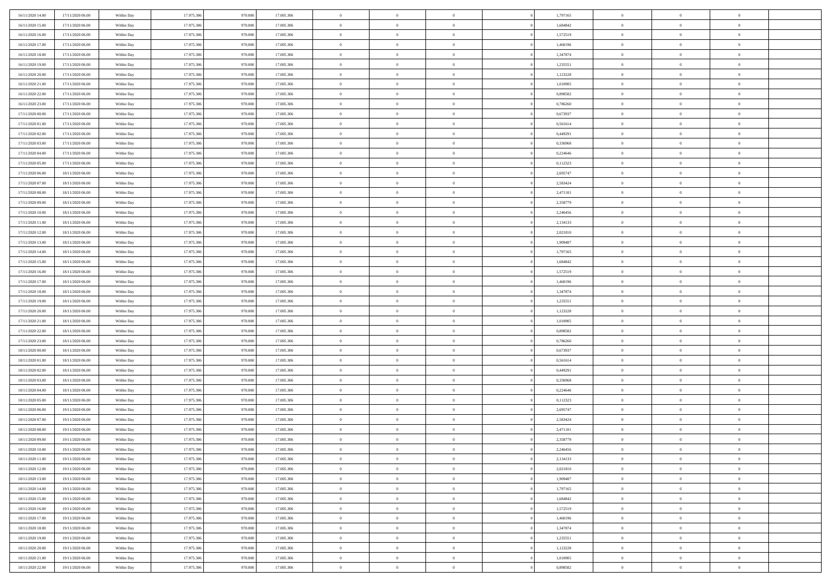| 16/11/2020 14:00 | 17/11/2020 06:00 | Within Day | 17.975.306 | 970.000 | 17.005.306 | $\,$ 0 $\,$    | $\overline{0}$ | $\overline{0}$ |          | 1,797165 | $\bf{0}$       | $\overline{0}$ | $\,0\,$        |  |
|------------------|------------------|------------|------------|---------|------------|----------------|----------------|----------------|----------|----------|----------------|----------------|----------------|--|
| 16/11/2020 15.00 | 17/11/2020 06.00 | Within Day | 17.975.306 | 970,000 | 17.005.306 | $\overline{0}$ | $\overline{0}$ | $\mathbf{0}$   |          | 1.684842 | $\theta$       | $\overline{0}$ | $\theta$       |  |
| 16/11/2020 16:00 | 17/11/2020 06:00 | Within Dav | 17.975.306 | 970.000 | 17.005.306 | $\theta$       | $\overline{0}$ | $\overline{0}$ |          | 1,572519 | $\mathbf{0}$   | $\overline{0}$ | $\overline{0}$ |  |
| 16/11/2020 17:00 | 17/11/2020 06.00 | Within Day | 17.975.306 | 970.000 | 17.005.306 | $\,$ 0 $\,$    | $\overline{0}$ | $\overline{0}$ |          | 1,460196 | $\bf{0}$       | $\overline{0}$ | $\bf{0}$       |  |
| 16/11/2020 18:00 | 17/11/2020 06:00 | Within Day | 17.975.306 | 970.000 | 17.005.306 | $\,$ 0         | $\overline{0}$ | $\mathbf{0}$   |          | 1,347874 | $\bf{0}$       | $\bf{0}$       | $\,0\,$        |  |
| 16/11/2020 19:00 | 17/11/2020 06:00 | Within Dav | 17.975.306 | 970.000 | 17.005.306 | $\theta$       | $\overline{0}$ | $\mathbf{0}$   |          | 1,235551 | $\mathbf{0}$   | $\overline{0}$ | $\overline{0}$ |  |
| 16/11/2020 20:00 | 17/11/2020 06.00 | Within Day | 17.975.306 | 970.000 | 17.005.306 | $\,$ 0 $\,$    | $\overline{0}$ | $\overline{0}$ |          | 1,123228 | $\bf{0}$       | $\overline{0}$ | $\bf{0}$       |  |
| 16/11/2020 21:00 | 17/11/2020 06.00 | Within Day | 17.975.306 | 970,000 | 17.005.306 | $\,$ 0         | $\overline{0}$ | $\mathbf{0}$   |          | 1,010905 | $\,$ 0 $\,$    | $\overline{0}$ | $\theta$       |  |
| 16/11/2020 22.00 | 17/11/2020 06:00 | Within Day | 17.975.306 | 970.000 | 17.005.306 | $\theta$       | $\overline{0}$ | $\mathbf{0}$   |          | 0,898582 | $\mathbf{0}$   | $\overline{0}$ | $\overline{0}$ |  |
| 16/11/2020 23.00 | 17/11/2020 06.00 | Within Day | 17.975.306 | 970.000 | 17.005.306 | $\,$ 0 $\,$    | $\overline{0}$ | $\Omega$       |          | 0,786260 | $\bf{0}$       | $\overline{0}$ | $\bf{0}$       |  |
| 17/11/2020 00:00 | 17/11/2020 06.00 | Within Day | 17.975.306 | 970,000 | 17.005.306 | $\bf{0}$       | $\overline{0}$ | $\mathbf{0}$   |          | 0,673937 | $\bf{0}$       | $\mathbf{0}$   | $\theta$       |  |
| 17/11/2020 01:00 | 17/11/2020 06:00 | Within Dav | 17.975.306 | 970.000 | 17.005.306 | $\theta$       | $\overline{0}$ | $\overline{0}$ |          | 0,561614 | $\mathbf{0}$   | $\overline{0}$ | $\overline{0}$ |  |
| 17/11/2020 02.00 | 17/11/2020 06.00 | Within Day | 17.975.306 | 970.000 | 17.005.306 | $\,$ 0 $\,$    | $\overline{0}$ | $\overline{0}$ |          | 0,449291 | $\bf{0}$       | $\overline{0}$ | $\bf{0}$       |  |
| 17/11/2020 03:00 | 17/11/2020 06:00 | Within Day | 17.975.306 | 970,000 | 17.005.306 | $\,$ 0         | $\overline{0}$ | $\mathbf{0}$   |          | 0,336968 | $\bf{0}$       | $\mathbf{0}$   | $\,0\,$        |  |
| 17/11/2020 04:00 | 17/11/2020 06:00 | Within Dav | 17.975.306 | 970.000 | 17.005.306 | $\theta$       | $\overline{0}$ | $\mathbf{0}$   |          | 0,224646 | $\mathbf{0}$   | $\overline{0}$ | $\overline{0}$ |  |
| 17/11/2020 05:00 | 17/11/2020 06.00 | Within Day | 17.975.306 | 970.000 | 17.005.306 | $\,$ 0 $\,$    | $\overline{0}$ | $\Omega$       |          | 0,112323 | $\bf{0}$       | $\overline{0}$ | $\bf{0}$       |  |
| 17/11/2020 06:00 | 18/11/2020 06:00 | Within Day | 17.975.306 | 970,000 | 17.005.306 | $\,$ 0 $\,$    | $\overline{0}$ | $\mathbf{0}$   |          | 2,695747 | $\bf{0}$       | $\overline{0}$ | $\theta$       |  |
| 17/11/2020 07:00 | 18/11/2020 06:00 | Within Day | 17.975.306 | 970.000 | 17.005.306 | $\theta$       | $\overline{0}$ | $\mathbf{0}$   |          | 2,583424 | $\mathbf{0}$   | $\overline{0}$ | $\overline{0}$ |  |
| 17/11/2020 08:00 | 18/11/2020 06:00 | Within Day | 17.975.306 | 970.000 | 17.005.306 | $\,$ 0 $\,$    | $\overline{0}$ | $\Omega$       |          | 2,471101 | $\bf{0}$       | $\overline{0}$ | $\bf{0}$       |  |
| 17/11/2020 09:00 | 18/11/2020 06:00 | Within Day | 17.975.306 | 970,000 | 17.005.306 | $\bf{0}$       | $\overline{0}$ | $\mathbf{0}$   |          | 2,358779 | $\bf{0}$       | $\mathbf{0}$   | $\overline{0}$ |  |
| 17/11/2020 10:00 | 18/11/2020 06:00 | Within Dav | 17.975.306 | 970.000 | 17.005.306 | $\theta$       | $\overline{0}$ | $\mathbf{0}$   |          | 2,246456 | $\mathbf{0}$   | $\overline{0}$ | $\overline{0}$ |  |
| 17/11/2020 11:00 | 18/11/2020 06:00 | Within Day | 17.975.306 | 970.000 | 17.005.306 | $\,$ 0 $\,$    | $\overline{0}$ | $\overline{0}$ |          | 2,134133 | $\bf{0}$       | $\overline{0}$ | $\bf{0}$       |  |
| 17/11/2020 12:00 | 18/11/2020 06:00 | Within Day | 17.975.306 | 970.000 | 17.005.306 | $\,$ 0         | $\overline{0}$ | $\mathbf{0}$   |          | 2,021810 | $\,$ 0 $\,$    | $\overline{0}$ | $\,0\,$        |  |
| 17/11/2020 13:00 | 18/11/2020 06:00 | Within Dav | 17.975.306 | 970.000 | 17.005.306 | $\theta$       | $\overline{0}$ | $\mathbf{0}$   |          | 1,909487 | $\mathbf{0}$   | $\overline{0}$ | $\overline{0}$ |  |
| 17/11/2020 14:00 | 18/11/2020 06:00 | Within Day | 17.975.306 | 970.000 | 17.005.306 | $\,$ 0 $\,$    | $\overline{0}$ | $\overline{0}$ |          | 1,797165 | $\bf{0}$       | $\overline{0}$ | $\bf{0}$       |  |
| 17/11/2020 15:00 | 18/11/2020 06:00 | Within Day | 17.975.306 | 970,000 | 17.005.306 | $\,$ 0         | $\overline{0}$ | $\mathbf{0}$   |          | 1,684842 | $\mathbf{0}$   | $\overline{0}$ | $\overline{0}$ |  |
| 17/11/2020 16:00 | 18/11/2020 06:00 | Within Day | 17.975.306 | 970.000 | 17.005.306 | $\theta$       | $\overline{0}$ | $\overline{0}$ |          | 1,572519 | $\mathbf{0}$   | $\overline{0}$ | $\overline{0}$ |  |
| 17/11/2020 17:00 | 18/11/2020 06:00 | Within Day | 17.975.306 | 970.000 | 17.005.306 | $\,$ 0 $\,$    | $\overline{0}$ | $\Omega$       |          | 1,460196 | $\bf{0}$       | $\overline{0}$ | $\bf{0}$       |  |
| 17/11/2020 18:00 | 18/11/2020 06:00 | Within Day | 17.975.306 | 970,000 | 17.005.306 | $\bf{0}$       | $\overline{0}$ | $\mathbf{0}$   |          | 1,347874 | $\bf{0}$       | $\mathbf{0}$   | $\overline{0}$ |  |
| 17/11/2020 19:00 | 18/11/2020 06:00 | Within Dav | 17.975.306 | 970.000 | 17.005.306 | $\theta$       | $\overline{0}$ | $\overline{0}$ |          | 1,235551 | $\mathbf{0}$   | $\overline{0}$ | $\overline{0}$ |  |
| 17/11/2020 20:00 | 18/11/2020 06:00 | Within Day | 17.975.306 | 970.000 | 17.005.306 | $\,$ 0 $\,$    | $\overline{0}$ | $\overline{0}$ |          | 1,123228 | $\,$ 0         | $\overline{0}$ | $\,$ 0 $\,$    |  |
| 17/11/2020 21:00 | 18/11/2020 06:00 | Within Day | 17.975.306 | 970.000 | 17.005.306 | $\,$ 0         | $\overline{0}$ | $\mathbf{0}$   |          | 1,010905 | $\bf{0}$       | $\overline{0}$ | $\bf{0}$       |  |
| 17/11/2020 22.00 | 18/11/2020 06:00 | Within Dav | 17.975.306 | 970.000 | 17.005.306 | $\theta$       | $\overline{0}$ | $\mathbf{0}$   |          | 0,898582 | $\mathbf{0}$   | $\overline{0}$ | $\overline{0}$ |  |
| 17/11/2020 23:00 | 18/11/2020 06:00 | Within Day | 17.975.306 | 970.000 | 17.005.306 | $\theta$       | $\overline{0}$ | $\overline{0}$ |          | 0,786260 | $\,$ 0         | $\overline{0}$ | $\theta$       |  |
| 18/11/2020 00:00 | 18/11/2020 06:00 | Within Day | 17.975.306 | 970,000 | 17.005.306 | $\,$ 0 $\,$    | $\overline{0}$ | $\mathbf{0}$   |          | 0,673937 | $\mathbf{0}$   | $\overline{0}$ | $\overline{0}$ |  |
| 18/11/2020 01:00 | 18/11/2020 06:00 | Within Day | 17.975.306 | 970.000 | 17.005.306 | $\theta$       | $\overline{0}$ | $\mathbf{0}$   |          | 0,561614 | $\mathbf{0}$   | $\overline{0}$ | $\overline{0}$ |  |
| 18/11/2020 02:00 | 18/11/2020 06:00 | Within Day | 17.975.306 | 970.000 | 17.005.306 | $\theta$       | $\overline{0}$ | $\overline{0}$ |          | 0,449291 | $\,$ 0         | $\overline{0}$ | $\theta$       |  |
| 18/11/2020 03:00 | 18/11/2020 06:00 | Within Day | 17.975.306 | 970,000 | 17.005.306 | $\bf{0}$       | $\overline{0}$ | $\mathbf{0}$   |          | 0,336968 | $\bf{0}$       | $\mathbf{0}$   | $\bf{0}$       |  |
| 18/11/2020 04:00 | 18/11/2020 06:00 | Within Dav | 17.975.306 | 970.000 | 17.005.306 | $\theta$       | $\overline{0}$ | $\overline{0}$ |          | 0,224646 | $\mathbf{0}$   | $\overline{0}$ | $\overline{0}$ |  |
| 18/11/2020 05:00 | 18/11/2020 06:00 | Within Day | 17.975.306 | 970.000 | 17.005.306 | $\,$ 0 $\,$    | $\overline{0}$ | $\overline{0}$ |          | 0,112323 | $\,$ 0         | $\overline{0}$ | $\,$ 0 $\,$    |  |
| 18/11/2020 06:00 | 19/11/2020 06:00 | Within Day | 17.975.306 | 970.000 | 17.005.306 | $\bf{0}$       | $\,$ 0 $\,$    | $\overline{0}$ |          | 2,695747 | $\,$ 0 $\,$    | $\overline{0}$ | $\overline{0}$ |  |
| 18/11/2020 07:00 | 19/11/2020 06:00 | Within Dav | 17.975.306 | 970.000 | 17.005.306 | $\theta$       | $\overline{0}$ | $\mathbf{0}$   |          | 2,583424 | $\mathbf{0}$   | $\overline{0}$ | $\overline{0}$ |  |
| 18/11/2020 08:00 | 19/11/2020 06.00 | Within Day | 17.975.306 | 970.000 | 17.005.306 | $\theta$       | $\overline{0}$ | $\overline{0}$ |          | 2,471101 | $\,$ 0         | $\overline{0}$ | $\theta$       |  |
| 18/11/2020 09:00 | 19/11/2020 06.00 | Within Day | 17.975.306 | 970.000 | 17.005.306 | $\,$ 0         | $\,$ 0 $\,$    | $\mathbf{0}$   |          | 2,358779 | $\bf{0}$       | $\overline{0}$ | $\overline{0}$ |  |
| 18/11/2020 10:00 | 19/11/2020 06:00 | Within Day | 17.975.306 | 970.000 | 17.005.306 | $\overline{0}$ | $\theta$       |                |          | 2,246456 | $\overline{0}$ | $\theta$       | $\theta$       |  |
| 18/11/2020 11:00 | 19/11/2020 06:00 | Within Day | 17.975.306 | 970.000 | 17.005.306 | $\,$ 0 $\,$    | $\overline{0}$ | $\overline{0}$ |          | 2,134133 | $\,$ 0 $\,$    | $\bf{0}$       | $\theta$       |  |
| 18/11/2020 12:00 | 19/11/2020 06:00 | Within Day | 17.975.306 | 970.000 | 17.005.306 | $\bf{0}$       | $\,$ 0 $\,$    | $\overline{0}$ |          | 2,021810 | $\,$ 0 $\,$    | $\overline{0}$ | $\overline{0}$ |  |
| 18/11/2020 13:00 | 19/11/2020 06:00 | Within Day | 17.975.306 | 970.000 | 17.005.306 | $\mathbf{0}$   | $\overline{0}$ | $\overline{0}$ |          | 1,909487 | $\,$ 0 $\,$    | $\bf{0}$       | $\mathbf{0}$   |  |
| 18/11/2020 14:00 | 19/11/2020 06:00 | Within Day | 17.975.306 | 970.000 | 17.005.306 | $\,$ 0 $\,$    | $\overline{0}$ | $\overline{0}$ | $\theta$ | 1,797165 | $\,$ 0 $\,$    | $\bf{0}$       | $\,$ 0 $\,$    |  |
| 18/11/2020 15:00 | 19/11/2020 06:00 | Within Day | 17.975.306 | 970.000 | 17.005.306 | $\,$ 0 $\,$    | $\,$ 0 $\,$    | $\overline{0}$ |          | 1,684842 | $\,$ 0 $\,$    | $\overline{0}$ | $\overline{0}$ |  |
| 18/11/2020 16:00 | 19/11/2020 06:00 | Within Day | 17.975.306 | 970.000 | 17.005.306 | $\mathbf{0}$   | $\overline{0}$ | $\overline{0}$ |          | 1,572519 | $\mathbf{0}$   | $\overline{0}$ | $\overline{0}$ |  |
| 18/11/2020 17:00 | 19/11/2020 06:00 | Within Day | 17.975.306 | 970.000 | 17.005.306 | $\,$ 0 $\,$    | $\overline{0}$ | $\overline{0}$ |          | 1,460196 | $\,$ 0 $\,$    | $\mathbf{0}$   | $\,$ 0 $\,$    |  |
| 18/11/2020 18:00 | 19/11/2020 06.00 | Within Day | 17.975.306 | 970.000 | 17.005.306 | $\overline{0}$ | $\overline{0}$ | $\overline{0}$ |          | 1,347874 | $\,$ 0 $\,$    | $\overline{0}$ | $\mathbf{0}$   |  |
| 18/11/2020 19:00 | 19/11/2020 06:00 | Within Day | 17.975.306 | 970.000 | 17.005.306 | $\mathbf{0}$   | $\overline{0}$ | $\overline{0}$ |          | 1,235551 | $\mathbf{0}$   | $\bf{0}$       | $\overline{0}$ |  |
| 18/11/2020 20:00 | 19/11/2020 06:00 | Within Day | 17.975.306 | 970.000 | 17.005.306 | $\,$ 0 $\,$    | $\overline{0}$ | $\overline{0}$ |          | 1,123228 | $\,$ 0 $\,$    | $\mathbf{0}$   | $\,$ 0 $\,$    |  |
| 18/11/2020 21:00 | 19/11/2020 06.00 | Within Day | 17.975.306 | 970.000 | 17.005.306 | $\,$ 0 $\,$    | $\,$ 0 $\,$    | $\overline{0}$ |          | 1,010905 | $\,$ 0 $\,$    | $\overline{0}$ | $\overline{0}$ |  |
| 18/11/2020 22.00 | 19/11/2020 06:00 | Within Day | 17.975.306 | 970.000 | 17.005.306 | $\theta$       | $\overline{0}$ | $\overline{0}$ |          | 0,898582 | $\mathbf{0}$   | $\overline{0}$ | $\overline{0}$ |  |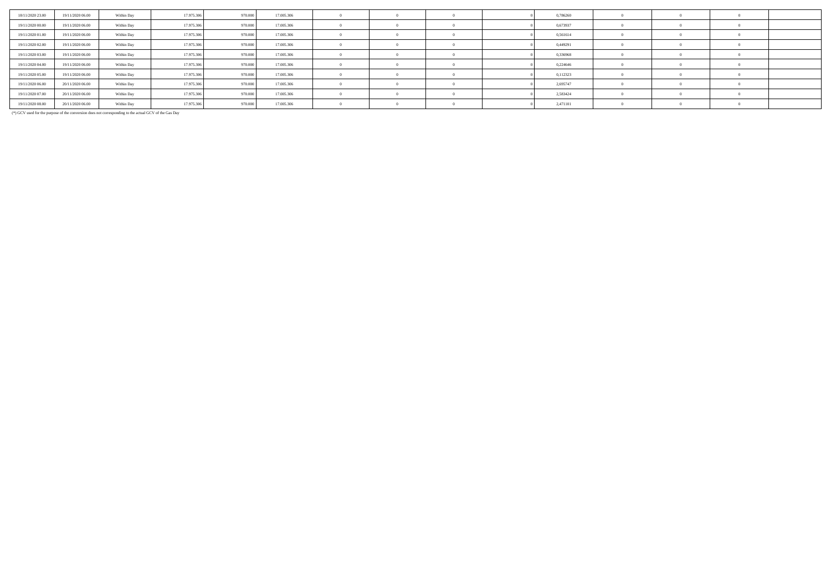| 18/11/2020 23.00 | 19/11/2020 06:00 | Within Day | 17.975.306 | 970,000 | 17.005.306 |            |  | 0,786260 |  |  |
|------------------|------------------|------------|------------|---------|------------|------------|--|----------|--|--|
| 19/11/2020 00:00 | 19/11/2020 06.00 | Within Day | 17.975.306 | 970,000 | 17.005.306 |            |  | 0,673937 |  |  |
| 19/11/2020 01:00 | 19/11/2020 06.00 | Within Day | 17.975.306 | 970,000 | 17,005,306 |            |  | 0,561614 |  |  |
| 19/11/2020 02.00 | 19/11/2020 06.00 | Within Day | 17.975.306 | 970,000 | 17,005,306 |            |  | 0,449291 |  |  |
| 19/11/2020 03:00 | 19/11/2020 06.00 | Within Day | 17.975.306 | 970,000 | 17.005.306 |            |  | 0,336968 |  |  |
| 19/11/2020 04:00 | 19/11/2020 06.00 | Within Day | 17.975.306 | 970,000 | 17.005.306 |            |  | 0,224646 |  |  |
| 19/11/2020 05:00 | 19/11/2020 06:00 | Within Day | 17.975.306 | 970,000 | 17.005.306 |            |  | 0,112323 |  |  |
| 19/11/2020 06:00 | 20/11/2020 06:00 | Within Day | 17.975.306 | 970,000 | 17,005,306 |            |  | 2,695747 |  |  |
| 19/11/2020 07:00 | 20/11/2020 06.00 | Within Day | 17.975.306 | 970,000 | 17.005.306 |            |  | 2,583424 |  |  |
| 19/11/2020 08:00 | 20/11/2020 06:00 | Within Day | 17.975.306 | 970,000 | 17.005.306 | $^{\circ}$ |  | 2,471101 |  |  |

(\*) GCV used for the purpose of the conversion does not corresponding to the actual GCV of the Gas Day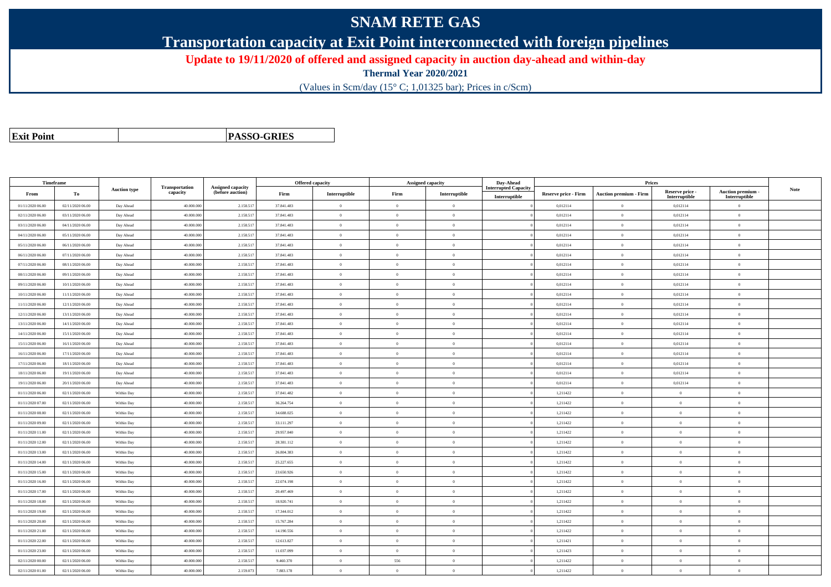# **SNAM RETE GAS**

**Transportation capacity at Exit Point interconnected with foreign pipelines**

**Update to 19/11/2020 of offered and assigned capacity in auction day-ahead and within-day**

**Thermal Year 2020/2021**

(Values in Scm/day (15° C; 1,01325 bar); Prices in c/Scm)

| <b>Exit Point</b> |
|-------------------|
|                   |

**PASSO-GRIES**

| Timeframe        |                  |                     |                            |                                              |            | <b>Offered capacity</b> |                | Assigned capacity | Day-Ahead                   |                      | Prices                        |                           |                           |      |
|------------------|------------------|---------------------|----------------------------|----------------------------------------------|------------|-------------------------|----------------|-------------------|-----------------------------|----------------------|-------------------------------|---------------------------|---------------------------|------|
| From             | To               | <b>Auction type</b> | Transportation<br>capacity | <b>Assigned capacity</b><br>(before auction) | Firm       | Interruptible           | Firm           | Interruptible     | <b>Interrupted Capacity</b> | Reserve price - Firm | <b>Auction premium - Firm</b> | Reserve price -           | <b>Auction premium</b>    | Note |
| 01/11/2020 06:00 | 02/11/2020 06.00 | Day Ahead           | 40.000.000                 | 2.158.517                                    | 37.841.483 | $\overline{0}$          | $\overline{0}$ | $\overline{0}$    | Interruptible               | 0,012114             | $\overline{0}$                | Interruptible<br>0,012114 | Interruptible<br>$\theta$ |      |
| 02/11/2020 06:00 | 03/11/2020 06:00 | Day Ahead           | 40.000.000                 | 2.158.51                                     | 37.841.483 | $\theta$                | $\Omega$       | $\Omega$          |                             | 0,012114             | $\overline{0}$                | 0,012114                  | $\Omega$                  |      |
| 03/11/2020 06:00 | 04/11/2020 06:00 | Day Ahead           | 40.000.000                 | 2.158.517                                    | 37.841.483 | $\overline{0}$          | $\overline{0}$ | $\overline{0}$    |                             | 0,012114             | $\overline{0}$                | 0,012114                  | $\mathbf{0}$              |      |
| 04/11/2020 06:00 | 05/11/2020 06:00 | Day Ahead           | 40,000,000                 | 2.158.517                                    | 37.841.483 | $\mathbf{0}$            | $\overline{0}$ | $\theta$          |                             | 0,012114             | $\mathbf{0}$                  | 0,012114                  | $\overline{0}$            |      |
| 05/11/2020 06:00 | 06/11/2020 06:00 | Day Ahead           | 40.000.000                 | 2.158.51                                     | 37.841.483 | $\overline{0}$          | $\overline{0}$ | $\overline{0}$    |                             | 0,012114             | $\,$ 0 $\,$                   | 0,012114                  | $\mathbf{0}$              |      |
| 06/11/2020 06:00 | 07/11/2020 06:00 | Day Ahead           | 40.000.000                 | 2.158.517                                    | 37.841.483 | $\theta$                | $\overline{0}$ | $\overline{0}$    |                             | 0,012114             | $\overline{0}$                | 0,012114                  | $\mathbf{0}$              |      |
| 07/11/2020 06:00 | 08/11/2020 06:00 | Day Ahead           | 40,000,000                 | 2.158.517                                    | 37.841.483 | $\theta$                | $\Omega$       | $\overline{0}$    |                             | 0,012114             | $\theta$                      | 0,012114                  | $\Omega$                  |      |
| 08/11/2020 06:00 | 09/11/2020 06.00 | Day Ahead           | 40.000.000                 | 2.158.51                                     | 37.841.483 | $\theta$                | $\overline{0}$ | $\overline{0}$    |                             | 0,012114             | $\overline{0}$                | 0,012114                  | $\theta$                  |      |
| 09/11/2020 06:00 | 10/11/2020 06.00 | Day Ahead           | 40.000.000                 | 2.158.51                                     | 37.841.483 | $\bf{0}$                | $\overline{0}$ | $\overline{0}$    |                             | 0,012114             | $\bf{0}$                      | 0,012114                  | $\theta$                  |      |
| 10/11/2020 06:00 | 11/11/2020 06:00 | Day Ahead           | 40,000,000                 | 2.158.517                                    | 37.841.483 | $\theta$                | $\theta$       | $\overline{0}$    |                             | 0.012114             | $\theta$                      | 0,012114                  | $\theta$                  |      |
| 11/11/2020 06:00 | 12/11/2020 06:00 | Day Ahead           | 40.000.000                 | 2.158.517                                    | 37.841.483 | $\theta$                | $\overline{0}$ | $\overline{0}$    |                             | 0,012114             | $\,$ 0                        | 0,012114                  | $\,0\,$                   |      |
| 12/11/2020 06:00 | 13/11/2020 06:00 | Day Ahead           | 40.000.000                 | 2.158.517                                    | 37.841.483 | $\theta$                | $\overline{0}$ | $\overline{0}$    |                             | 0,012114             | $\overline{0}$                | 0,012114                  | $\Omega$                  |      |
| 13/11/2020 06:00 | 14/11/2020 06:00 | Day Ahead           | 40.000.000                 | 2.158.517                                    | 37.841.483 |                         | $\overline{0}$ | $\overline{0}$    |                             | 0,012114             | $\overline{0}$                | 0,012114                  | $\theta$                  |      |
| 14/11/2020 06:00 | 15/11/2020 06.00 | Day Ahead           | 40,000,000                 | 2.158.51                                     | 37.841.483 | $\theta$                | $\theta$       | $\theta$          |                             | 0,012114             | $\overline{0}$                | 0,012114                  | $\Omega$                  |      |
| 15/11/2020 06:00 | 16/11/2020 06:00 | Day Ahead           | 40.000.000                 | 2.158.51                                     | 37.841.483 | $\overline{0}$          | $\overline{0}$ | $\overline{0}$    |                             | 0,012114             | $\overline{0}$                | 0,012114                  | $\mathbf{0}$              |      |
| 16/11/2020 06:00 | 17/11/2020 06:00 | Day Ahead           | 40.000.000                 | 2.158.51                                     | 37.841.483 | $\theta$                | $\overline{0}$ | $\overline{0}$    |                             | 0,012114             | $\overline{0}$                | 0,012114                  | $\theta$                  |      |
| 17/11/2020 06:00 | 18/11/2020 06:00 | Day Ahead           | 40,000,000                 | 2.158.517                                    | 37.841.483 | $\theta$                | $\overline{0}$ | $\overline{0}$    |                             | 0.012114             | $\overline{0}$                | 0,012114                  | $\overline{0}$            |      |
| 18/11/2020 06:00 | 19/11/2020 06:00 | Day Ahead           | 40.000.000                 | 2.158.517                                    | 37.841.483 | $\theta$                | $\overline{0}$ | $\overline{0}$    |                             | 0,012114             | $\overline{0}$                | 0,012114                  | $\theta$                  |      |
| 19/11/2020 06:00 | 20/11/2020 06:00 | Day Ahead           | 40.000.000                 | 2.158.51                                     | 37.841.483 | $\theta$                | $\overline{0}$ | $\overline{0}$    |                             | 0,012114             | $\,$ 0 $\,$                   | 0,012114                  | $\mathbf{0}$              |      |
| 01/11/2020 06:00 | 02/11/2020 06:00 | Within Day          | 40,000,000                 | 2.158.51                                     | 37.841.482 | $\theta$                | $\theta$       | $\overline{0}$    |                             | 1,211422             | $\overline{0}$                | $\theta$                  | $\mathbf{0}$              |      |
| 01/11/2020 07:00 | 02/11/2020 06:00 | Within Day          | 40.000.000                 | 2.158.517                                    | 36.264.754 | $\overline{0}$          | $\overline{0}$ | $\overline{0}$    |                             | 1,211422             | $\mathbf{0}$                  | $\bf{0}$                  | $\overline{0}$            |      |
| 01/11/2020 08:00 | 02/11/2020 06.00 | Within Day          | 40.000.000                 | 2.158.517                                    | 34.688.025 | $\theta$                | $\overline{0}$ | $\overline{0}$    |                             | 1,211422             | $\overline{0}$                | $\theta$                  | $\overline{0}$            |      |
| 01/11/2020 09:00 | 02/11/2020 06:00 | Within Day          | 40.000.000                 | 2.158.517                                    | 33.111.297 | $\theta$                | $\overline{0}$ | $\overline{0}$    |                             | 1.211422             | $\overline{0}$                | $\theta$                  | $\mathbf{0}$              |      |
| 01/11/2020 11:00 | 02/11/2020 06.00 | Within Day          | 40,000,000                 | 2.158.517                                    | 29.957.840 | $\theta$                | $\theta$       | $\theta$          |                             | 1,211422             | $\theta$                      | $\theta$                  | $\Omega$                  |      |
| 01/11/2020 12:00 | 02/11/2020 06:00 | Within Day          | 40.000.000                 | 2.158.51                                     | 28.381.112 | $\theta$                | $\overline{0}$ | $\overline{0}$    |                             | 1,211422             | $\overline{0}$                | $\theta$                  | $\theta$                  |      |
| 01/11/2020 13:00 | 02/11/2020 06:00 | Within Day          | 40.000.000                 | 2.158.517                                    | 26.804.383 | $\theta$                | $\overline{0}$ | $\overline{0}$    |                             | 1,211422             | $\overline{0}$                | $\theta$                  | $\theta$                  |      |
| 01/11/2020 14:00 | 02/11/2020 06:00 | Within Dav          | 40,000,000                 | 2.158.517                                    | 25.227.655 | $\overline{0}$          | $\overline{0}$ | $\overline{0}$    |                             | 1,211422             | $\overline{0}$                | $\overline{0}$            | $\mathbf{0}$              |      |
| 01/11/2020 15.00 | 02/11/2020 06.00 | Within Day          | 40,000,000                 | 2.158.51                                     | 23.650.926 | $\theta$                | $\overline{0}$ | $\theta$          |                             | 1,211422             | $\overline{0}$                | $\theta$                  | $\Omega$                  |      |
| 01/11/2020 16:00 | 02/11/2020 06:00 | Within Day          | 40.000.000                 | 2.158.517                                    | 22.074.198 | $\overline{0}$          | $\overline{0}$ | $\overline{0}$    |                             | 1,211422             | $\overline{0}$                | $\overline{0}$            | $\mathbf{0}$              |      |
| 01/11/2020 17:00 | 02/11/2020 06:00 | Within Day          | 40,000,000                 | 2.158.517                                    | 20.497.469 | $\theta$                | $\theta$       | $\overline{0}$    |                             | 1,211422             | $\theta$                      | $\theta$                  | $\theta$                  |      |
| 01/11/2020 18:00 | 02/11/2020 06:00 | Within Day          | 40,000,000                 | 2.158.51                                     | 18.920.741 | $\overline{0}$          | $\overline{0}$ | $\overline{0}$    |                             | 1,211422             | $\,$ 0 $\,$                   | $\overline{0}$            | $\overline{0}$            |      |
| 01/11/2020 19.00 | 02/11/2020 06.00 | Within Day          | 40.000.000                 | 2.158.517                                    | 17.344.012 | $\overline{0}$          | $\overline{0}$ | $\overline{0}$    |                             | 1,211422             | $\overline{0}$                | $\overline{0}$            | $\theta$                  |      |
| 01/11/2020 20:00 | 02/11/2020 06:00 | Within Dav          | 40,000,000                 | 2.158.517                                    | 15.767.284 | $\theta$                | $\theta$       | $\theta$          |                             | 1.211422             | $\theta$                      | $\theta$                  | $\theta$                  |      |
| 01/11/2020 21:00 | 02/11/2020 06:00 | Within Day          | 40,000,000                 | 2.158.517                                    | 14.190.556 | $\theta$                | $\overline{0}$ | $\overline{0}$    |                             | 1,211422             | $\overline{0}$                | $\theta$                  | $\overline{0}$            |      |
| 01/11/2020 22.00 | 02/11/2020 06:00 | Within Day          | 40.000.000                 | 2.158.517                                    | 12.613.827 | $\theta$                | $\overline{0}$ | $\overline{0}$    |                             | 1,211421             | $\overline{0}$                | $\theta$                  | $\theta$                  |      |
| 01/11/2020 23.00 | 02/11/2020 06:00 | Within Day          | 40.000.000                 | 2.158.51                                     | 11.037.099 | $\theta$                | $\overline{0}$ | $\overline{0}$    |                             | 1,211423             | $\overline{0}$                | $\theta$                  | $\Omega$                  |      |
| 02/11/2020 00:00 | 02/11/2020 06:00 | Within Dav          | 40,000,000                 | 2.158.517                                    | 9.460.370  | $\overline{0}$          | 556            | $\overline{0}$    |                             | 1.211422             | $\overline{0}$                | $\overline{0}$            | $\mathbf{0}$              |      |
| 02/11/2020 01:00 | 02/11/2020 06:00 | Within Day          | 40,000,000                 | 2.159.073                                    | 7.883.178  | $\theta$                | $\overline{0}$ | $\overline{0}$    |                             | 1,211422             | $\overline{0}$                | $\theta$                  | $\theta$                  |      |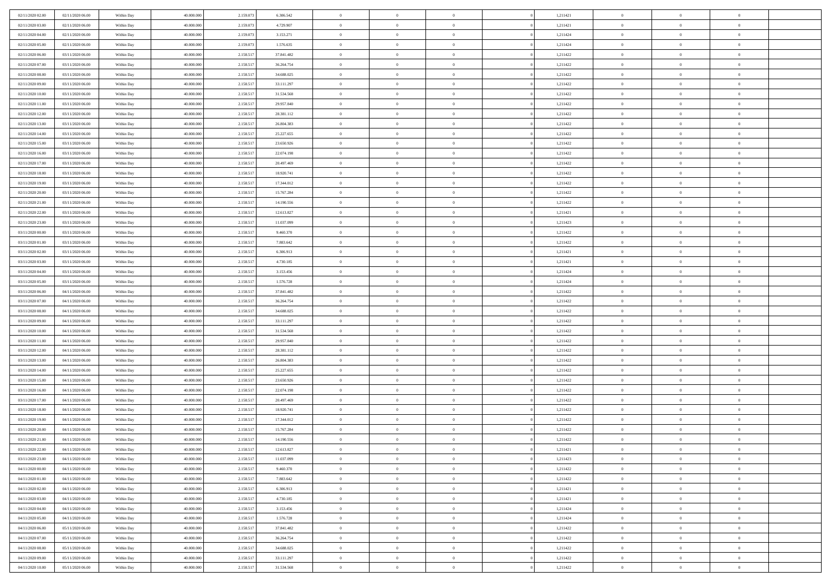| 02/11/2020 02:00 | 02/11/2020 06:00 | Within Day | 40,000,000 | 2.159.07  | 6.306.542  | $\bf{0}$       | $\overline{0}$ | $\overline{0}$ | 1,211421 | $\bf{0}$       | $\overline{0}$ | $\bf{0}$       |  |
|------------------|------------------|------------|------------|-----------|------------|----------------|----------------|----------------|----------|----------------|----------------|----------------|--|
| 02/11/2020 03:00 | 02/11/2020 06:00 | Within Day | 40.000.000 | 2.159.07  | 4.729.907  | $\overline{0}$ | $\overline{0}$ | $\Omega$       | 1,211421 | $\overline{0}$ | $\bf{0}$       | $\theta$       |  |
| 02/11/2020 04:00 | 02/11/2020 06:00 | Within Day | 40.000.000 | 2.159.07  | 3.153.271  | $\overline{0}$ | $\overline{0}$ | $\overline{0}$ | 1,211424 | $\,$ 0 $\,$    | $\overline{0}$ | $\,$ 0 $\,$    |  |
| 02/11/2020 05.00 | 02/11/2020 06.00 | Within Day | 40,000,000 | 2.159.073 | 1.576.635  | $\overline{0}$ | $\overline{0}$ | $\Omega$       | 1,211424 | $\overline{0}$ | $\theta$       | $\overline{0}$ |  |
| 02/11/2020 06:00 | 03/11/2020 06:00 | Within Day | 40.000.000 | 2.158.517 | 37.841.482 | $\mathbf{0}$   | $\overline{0}$ | $\overline{0}$ | 1,211422 | $\mathbf{0}$   | $\bf{0}$       | $\overline{0}$ |  |
| 02/11/2020 07:00 | 03/11/2020 06:00 | Within Day | 40.000.000 | 2.158.51  | 36.264.754 | $\overline{0}$ | $\overline{0}$ | $\overline{0}$ | 1,211422 | $\,$ 0 $\,$    | $\overline{0}$ | $\,$ 0 $\,$    |  |
| 02/11/2020 08:00 | 03/11/2020 06.00 | Within Day | 40,000,000 | 2.158.51  | 34.688.025 | $\bf{0}$       | $\overline{0}$ | $\Omega$       | 1,211422 | $\bf{0}$       | $\theta$       | $\overline{0}$ |  |
| 02/11/2020 09:00 | 03/11/2020 06:00 | Within Day | 40.000.000 | 2.158.51  | 33.111.297 | $\overline{0}$ | $\overline{0}$ | $\overline{0}$ | 1,211422 | $\mathbf{0}$   | $\bf{0}$       | $\theta$       |  |
| 02/11/2020 10:00 | 03/11/2020 06:00 | Within Day | 40.000.000 | 2.158.517 | 31.534.568 | $\overline{0}$ | $\overline{0}$ | $\overline{0}$ | 1,211422 | $\,$ 0 $\,$    | $\overline{0}$ | $\,$ 0 $\,$    |  |
| 02/11/2020 11:00 | 03/11/2020 06.00 | Within Day | 40,000,000 | 2.158.517 | 29.957.840 | $\overline{0}$ | $\overline{0}$ | $\Omega$       | 1,211422 | $\overline{0}$ | $\theta$       | $\overline{0}$ |  |
| 02/11/2020 12:00 | 03/11/2020 06:00 | Within Day | 40.000.000 | 2.158.517 | 28.381.112 | $\mathbf{0}$   | $\overline{0}$ | $\overline{0}$ | 1,211422 | $\mathbf{0}$   | $\bf{0}$       | $\theta$       |  |
| 02/11/2020 13:00 | 03/11/2020 06:00 | Within Day | 40.000.000 | 2.158.51  | 26.804.383 | $\overline{0}$ | $\overline{0}$ | $\overline{0}$ | 1,211422 | $\,$ 0 $\,$    | $\overline{0}$ | $\,$ 0 $\,$    |  |
| 02/11/2020 14.00 | 03/11/2020 06:00 | Within Day | 40,000,000 | 2.158.51  | 25.227.655 | $\overline{0}$ | $\overline{0}$ | $\Omega$       | 1,211422 | $\overline{0}$ | $\theta$       | $\overline{0}$ |  |
| 02/11/2020 15:00 | 03/11/2020 06:00 | Within Day | 40.000.000 | 2.158.517 | 23.650.926 | $\mathbf{0}$   | $\overline{0}$ | $\overline{0}$ | 1,211422 | $\mathbf{0}$   | $\bf{0}$       | $\theta$       |  |
| 02/11/2020 16:00 | 03/11/2020 06:00 | Within Day | 40.000.000 | 2.158.51  | 22.074.198 | $\overline{0}$ | $\,$ 0 $\,$    | $\overline{0}$ | 1,211422 | $\,$ 0 $\,$    | $\overline{0}$ | $\,$ 0 $\,$    |  |
| 02/11/2020 17.00 | 03/11/2020 06.00 | Within Day | 40,000,000 | 2.158.51  | 20,497.469 | $\bf{0}$       | $\overline{0}$ | $\Omega$       | 1,211422 | $\overline{0}$ | $\theta$       | $\overline{0}$ |  |
| 02/11/2020 18:00 | 03/11/2020 06:00 | Within Day | 40.000.000 | 2.158.517 | 18.920.741 | $\mathbf{0}$   | $\overline{0}$ | $\overline{0}$ | 1,211422 | $\mathbf{0}$   | $\bf{0}$       | $\theta$       |  |
| 02/11/2020 19:00 | 03/11/2020 06:00 | Within Day | 40.000.000 | 2.158.51  | 17.344.012 | $\overline{0}$ | $\overline{0}$ | $\overline{0}$ | 1,211422 | $\,$ 0 $\,$    | $\overline{0}$ | $\,$ 0 $\,$    |  |
| 02/11/2020 20.00 | 03/11/2020 06.00 | Within Day | 40,000,000 | 2.158.517 | 15.767.284 | $\overline{0}$ | $\overline{0}$ | $\Omega$       | 1,211422 | $\overline{0}$ | $\theta$       | $\overline{0}$ |  |
| 02/11/2020 21:00 | 03/11/2020 06:00 | Within Day | 40.000.000 | 2.158.517 | 14.190.556 | $\overline{0}$ | $\overline{0}$ | $\overline{0}$ | 1,211422 | $\overline{0}$ | $\bf{0}$       | $\theta$       |  |
| 02/11/2020 22.00 | 03/11/2020 06:00 | Within Day | 40.000.000 | 2.158.51  | 12.613.827 | $\,$ 0         | $\overline{0}$ | $\overline{0}$ | 1,211421 | $\,$ 0 $\,$    | $\overline{0}$ | $\,$ 0 $\,$    |  |
| 02/11/2020 23.00 | 03/11/2020 06.00 | Within Day | 40,000,000 | 2.158.51  | 11.037.099 | $\overline{0}$ | $\overline{0}$ | $\Omega$       | 1,211423 | $\overline{0}$ | $\theta$       | $\overline{0}$ |  |
| 03/11/2020 00:00 | 03/11/2020 06:00 | Within Day | 40.000.000 | 2.158.517 | 9.460.370  | $\mathbf{0}$   | $\overline{0}$ | $\overline{0}$ | 1,211422 | $\mathbf{0}$   | $\bf{0}$       | $\theta$       |  |
| 03/11/2020 01:00 | 03/11/2020 06:00 | Within Day | 40.000.000 | 2.158.51  | 7.883.642  | $\overline{0}$ | $\overline{0}$ | $\overline{0}$ | 1,211422 | $\,$ 0 $\,$    | $\overline{0}$ | $\,$ 0 $\,$    |  |
| 03/11/2020 02.00 | 03/11/2020 06.00 | Within Day | 40,000,000 | 2.158.51  | 6.306.913  | $\bf{0}$       | $\overline{0}$ | $\Omega$       | 1,211421 | $\bf{0}$       | $\theta$       | $\bf{0}$       |  |
| 03/11/2020 03:00 | 03/11/2020 06:00 | Within Day | 40.000.000 | 2.158.51  | 4.730.185  | $\overline{0}$ | $\overline{0}$ | $\overline{0}$ | 1,211421 | $\overline{0}$ | $\bf{0}$       | $\theta$       |  |
| 03/11/2020 04:00 | 03/11/2020 06:00 | Within Day | 40.000.000 | 2.158.517 | 3.153.456  | $\,$ 0         | $\overline{0}$ | $\overline{0}$ | 1,211424 | $\,$ 0 $\,$    | $\overline{0}$ | $\,$ 0 $\,$    |  |
| 03/11/2020 05:00 | 03/11/2020 06.00 | Within Day | 40,000,000 | 2.158.517 | 1.576.728  | $\overline{0}$ | $\overline{0}$ | $\Omega$       | 1,211424 | $\overline{0}$ | $\theta$       | $\overline{0}$ |  |
| 03/11/2020 06:00 | 04/11/2020 06:00 | Within Day | 40.000.000 | 2.158.517 | 37.841.482 | $\mathbf{0}$   | $\overline{0}$ | $\overline{0}$ | 1,211422 | $\mathbf{0}$   | $\bf{0}$       | $\theta$       |  |
| 03/11/2020 07:00 | 04/11/2020 06:00 | Within Day | 40.000.000 | 2.158.51  | 36.264.754 | $\overline{0}$ | $\overline{0}$ | $\overline{0}$ | 1,211422 | $\,$ 0 $\,$    | $\overline{0}$ | $\,0\,$        |  |
| 03/11/2020 08:00 | 04/11/2020 06.00 | Within Day | 40.000.000 | 2.158.51  | 34.688.025 | $\bf{0}$       | $\overline{0}$ | $\Omega$       | 1,211422 | $\bf{0}$       | $\overline{0}$ | $\bf{0}$       |  |
| 03/11/2020 09:00 | 04/11/2020 06:00 | Within Day | 40.000.000 | 2.158.517 | 33.111.297 | $\overline{0}$ | $\overline{0}$ | $\overline{0}$ | 1,211422 | $\mathbf{0}$   | $\bf{0}$       | $\theta$       |  |
| 03/11/2020 10:00 | 04/11/2020 06:00 | Within Day | 40.000.000 | 2.158.517 | 31.534.568 | $\,$ 0         | $\overline{0}$ | $\overline{0}$ | 1,211422 | $\,$ 0 $\,$    | $\overline{0}$ | $\,0\,$        |  |
| 03/11/2020 11:00 | 04/11/2020 06.00 | Within Day | 40.000.000 | 2.158.517 | 29.957.840 | $\bf{0}$       | $\overline{0}$ | $\overline{0}$ | 1,211422 | $\mathbf{0}$   | $\overline{0}$ | $\bf{0}$       |  |
| 03/11/2020 12:00 | 04/11/2020 06:00 | Within Day | 40.000.000 | 2.158.517 | 28.381.112 | $\overline{0}$ | $\overline{0}$ | $\overline{0}$ | 1,211422 | $\overline{0}$ | $\bf{0}$       | $\theta$       |  |
| 03/11/2020 13:00 | 04/11/2020 06:00 | Within Day | 40.000.000 | 2.158.51  | 26.804.383 | $\overline{0}$ | $\overline{0}$ | $\overline{0}$ | 1,211422 | $\,$ 0 $\,$    | $\overline{0}$ | $\,0\,$        |  |
| 03/11/2020 14:00 | 04/11/2020 06.00 | Within Day | 40.000.000 | 2.158.51  | 25.227.655 | $\bf{0}$       | $\overline{0}$ | $\Omega$       | 1,211422 | $\bf{0}$       | $\theta$       | $\bf{0}$       |  |
| 03/11/2020 15:00 | 04/11/2020 06:00 | Within Day | 40.000.000 | 2.158.517 | 23.650.926 | $\mathbf{0}$   | $\overline{0}$ | $\overline{0}$ | 1,211422 | $\mathbf{0}$   | $\bf{0}$       | $\theta$       |  |
| 03/11/2020 16:00 | 04/11/2020 06:00 | Within Day | 40.000.000 | 2.158.517 | 22.074.198 | $\,$ 0         | $\overline{0}$ | $\overline{0}$ | 1,211422 | $\,$ 0 $\,$    | $\overline{0}$ | $\,0\,$        |  |
| 03/11/2020 17:00 | 04/11/2020 06.00 | Within Day | 40.000.000 | 2.158.517 | 20.497.469 | $\bf{0}$       | $\overline{0}$ | $\Omega$       | 1,211422 | $\bf{0}$       | $\overline{0}$ | $\bf{0}$       |  |
| 03/11/2020 18:00 | 04/11/2020 06:00 | Within Day | 40.000.000 | 2.158.517 | 18.920.741 | $\mathbf{0}$   | $\overline{0}$ | $\overline{0}$ | 1,211422 | $\overline{0}$ | $\overline{0}$ | $\theta$       |  |
| 03/11/2020 19:00 | 04/11/2020 06:00 | Within Day | 40.000.000 | 2.158.51  | 17.344.012 | $\,$ 0         | $\overline{0}$ | $\overline{0}$ | 1,211422 | $\,$ 0 $\,$    | $\overline{0}$ | $\,0\,$        |  |
| 03/11/2020 20:00 | 04/11/2020 06.00 | Within Day | 40.000.000 | 2.158.51  | 15.767.284 | $\bf{0}$       | $\overline{0}$ | $\overline{0}$ | 1,211422 | $\bf{0}$       | $\overline{0}$ | $\bf{0}$       |  |
| 03/11/2020 21.00 | 04/11/2020 06:00 | Within Day | 40.000.000 | 2.158.517 | 14.190.556 | $\mathbf{0}$   | $\overline{0}$ | $\overline{0}$ | 1,211422 | $\overline{0}$ | $\bf{0}$       | $\theta$       |  |
| 03/11/2020 22.00 | 04/11/2020 06:00 | Within Day | 40.000.000 | 2.158.517 | 12.613.827 | $\theta$       | $\overline{0}$ | $\Omega$       | 1,211421 | $\overline{0}$ | $\overline{0}$ | $\overline{0}$ |  |
| 03/11/2020 23.00 | 04/11/2020 06.00 | Within Day | 40.000.000 | 2.158.517 | 11.037.099 | $\bf{0}$       | $\overline{0}$ | $\overline{0}$ | 1,211423 | $\mathbf{0}$   | $\overline{0}$ | $\bf{0}$       |  |
| 04/11/2020 00:00 | 04/11/2020 06:00 | Within Day | 40.000.000 | 2.158.51  | 9.460.370  | $\overline{0}$ | $\overline{0}$ | $\overline{0}$ | 1,211422 | $\,$ 0 $\,$    | $\overline{0}$ | $\overline{0}$ |  |
| 04/11/2020 01:00 | 04/11/2020 06:00 | Within Day | 40.000.000 | 2.158.517 | 7.883.642  | $\,$ 0 $\,$    | $\overline{0}$ | $\overline{0}$ | 1,211422 | $\,$ 0 $\,$    | $\,$ 0 $\,$    | $\theta$       |  |
| 04/11/2020 02.00 | 04/11/2020 06:00 | Within Day | 40.000.000 | 2.158.517 | 6.306.913  | $\bf{0}$       | $\overline{0}$ | $\overline{0}$ | 1,211421 | $\mathbf{0}$   | $\overline{0}$ | $\bf{0}$       |  |
| 04/11/2020 03.00 | 04/11/2020 06:00 | Within Day | 40.000.000 | 2.158.517 | 4.730.185  | $\,$ 0 $\,$    | $\overline{0}$ | $\overline{0}$ | 1,211421 | $\,$ 0 $\,$    | $\bf{0}$       | $\theta$       |  |
| 04/11/2020 04:00 | 04/11/2020 06:00 | Within Day | 40.000.000 | 2.158.517 | 3.153.456  | $\,$ 0 $\,$    | $\overline{0}$ | $\overline{0}$ | 1,211424 | $\,$ 0 $\,$    | $\overline{0}$ | $\theta$       |  |
| 04/11/2020 05.00 | 04/11/2020 06.00 | Within Day | 40.000.000 | 2.158.517 | 1.576.728  | $\mathbf{0}$   | $\overline{0}$ | $\overline{0}$ | 1,211424 | $\mathbf{0}$   | $\overline{0}$ | $\overline{0}$ |  |
| 04/11/2020 06.00 | 05/11/2020 06:00 | Within Day | 40.000.000 | 2.158.517 | 37.841.482 | $\,$ 0 $\,$    | $\overline{0}$ | $\overline{0}$ | 1,211422 | $\,$ 0 $\,$    | $\bf{0}$       | $\overline{0}$ |  |
| 04/11/2020 07:00 | 05/11/2020 06:00 | Within Day | 40.000.000 | 2.158.517 | 36.264.754 | $\,$ 0         | $\overline{0}$ | $\overline{0}$ | 1,211422 | $\,$ 0 $\,$    | $\,$ 0         | $\theta$       |  |
| 04/11/2020 08:00 | 05/11/2020 06:00 | Within Day | 40.000.000 | 2.158.517 | 34.688.025 | $\bf{0}$       | $\overline{0}$ | $\overline{0}$ | 1,211422 | $\mathbf{0}$   | $\overline{0}$ | $\bf{0}$       |  |
| 04/11/2020 09:00 | 05/11/2020 06:00 | Within Day | 40.000.000 | 2.158.517 | 33.111.297 | $\mathbf{0}$   | $\overline{0}$ | $\overline{0}$ | 1,211422 | $\mathbf{0}$   | $\bf{0}$       | $\overline{0}$ |  |
| 04/11/2020 10:00 | 05/11/2020 06:00 | Within Day | 40.000.000 | 2.158.517 | 31.534.568 | $\,$ 0         | $\overline{0}$ | $\overline{0}$ | 1,211422 | $\,$ 0 $\,$    | $\overline{0}$ | $\theta$       |  |
|                  |                  |            |            |           |            |                |                |                |          |                |                |                |  |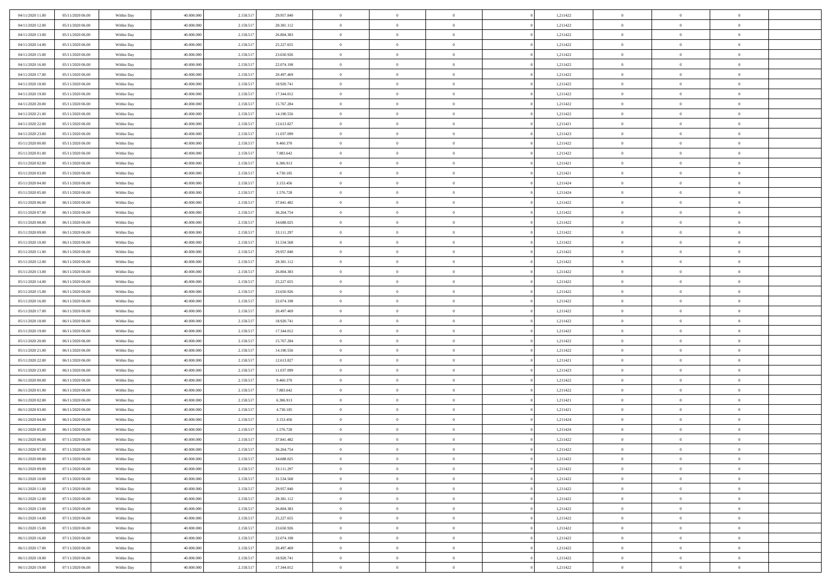| 04/11/2020 11:00                     | 05/11/2020 06.00                     | Within Day               | 40,000,000               | 2.158.517              | 29.957.840               | $\bf{0}$                   | $\overline{0}$             | $\Omega$                   | 1,211422             | $\theta$                 | $\overline{0}$                   | $\overline{0}$       |  |
|--------------------------------------|--------------------------------------|--------------------------|--------------------------|------------------------|--------------------------|----------------------------|----------------------------|----------------------------|----------------------|--------------------------|----------------------------------|----------------------|--|
| 04/11/2020 12:00                     | 05/11/2020 06:00                     | Within Day               | 40.000.000               | 2.158.517              | 28.381.112               | $\mathbf{0}$               | $\overline{0}$             | $\overline{0}$             | 1,211422             | $\theta$                 | $\bf{0}$                         | $\theta$             |  |
| 04/11/2020 13:00                     | 05/11/2020 06:00                     | Within Day               | 40.000.000               | 2.158.517              | 26.804.383               | $\,$ 0                     | $\overline{0}$             | $\bf{0}$                   | 1,211422             | $\,0\,$                  | $\overline{0}$                   | $\,$ 0 $\,$          |  |
| 04/11/2020 14:00                     | 05/11/2020 06.00                     | Within Day               | 40,000,000               | 2.158.517              | 25.227.655               | $\bf{0}$                   | $\overline{0}$             | $\Omega$                   | 1,211422             | $\theta$                 | $\theta$                         | $\theta$             |  |
| 04/11/2020 15:00                     | 05/11/2020 06:00                     | Within Dav               | 40.000.000               | 2.158.517              | 23.650.926               | $\mathbf{0}$               | $\overline{0}$             | $\overline{0}$             | 1,211422             | $\mathbf{0}$             | $\bf{0}$                         | $\overline{0}$       |  |
| 04/11/2020 16:00                     | 05/11/2020 06:00                     | Within Day               | 40.000.000               | 2.158.517              | 22.074.198               | $\bf{0}$                   | $\overline{0}$             | $\bf{0}$                   | 1,211422             | $\,0\,$                  | $\overline{0}$                   | $\,$ 0 $\,$          |  |
| 04/11/2020 17.00                     | 05/11/2020 06:00                     | Within Day               | 40,000,000               | 2.158.517              | 20.497.469               | $\bf{0}$                   | $\overline{0}$             | $\overline{0}$             | 1,211422             | $\bf{0}$                 | $\overline{0}$                   | $\theta$             |  |
| 04/11/2020 18:00                     | 05/11/2020 06:00                     | Within Dav               | 40.000.000               | 2.158.517              | 18.920.741               | $\overline{0}$             | $\overline{0}$             | $\overline{0}$             | 1,211422             | $\mathbf{0}$             | $\overline{0}$                   | $\theta$             |  |
| 04/11/2020 19:00                     | 05/11/2020 06:00                     | Within Day               | 40.000.000               | 2.158.517              | 17.344.012               | $\bf{0}$                   | $\overline{0}$             | $\bf{0}$                   | 1,211422             | $\,0\,$                  | $\overline{0}$                   | $\,$ 0 $\,$          |  |
| 04/11/2020 20:00                     | 05/11/2020 06.00                     | Within Day               | 40,000,000               | 2.158.517              | 15.767.284               | $\bf{0}$                   | $\overline{0}$             | $\overline{0}$             | 1,211422             | $\theta$                 | $\overline{0}$                   | $\overline{0}$       |  |
| 04/11/2020 21:00                     | 05/11/2020 06:00                     | Within Dav               | 40.000.000               | 2.158.517              | 14.190.556               | $\overline{0}$             | $\overline{0}$             | $\overline{0}$             | 1,211422             | $\mathbf{0}$             | $\bf{0}$                         | $\theta$             |  |
| 04/11/2020 22.00                     | 05/11/2020 06:00                     | Within Day               | 40.000.000               | 2.158.517              | 12.613.827               | $\bf{0}$                   | $\overline{0}$             | $\bf{0}$                   | 1,211421             | $\,0\,$                  | $\overline{0}$                   | $\,$ 0 $\,$          |  |
| 04/11/2020 23.00                     | 05/11/2020 06.00                     | Within Day               | 40,000,000               | 2.158.517              | 11.037.099               | $\bf{0}$                   | $\overline{0}$             | $\Omega$                   | 1,211423             | $\theta$                 | $\theta$                         | $\theta$             |  |
| 05/11/2020 00:00                     | 05/11/2020 06:00                     | Within Dav               | 40.000.000               | 2.158.517              | 9.460.370                | $\overline{0}$             | $\overline{0}$             | $\overline{0}$             | 1,211422             | $\mathbf{0}$             | $\overline{0}$                   | $\overline{0}$       |  |
| 05/11/2020 01:00                     | 05/11/2020 06:00                     | Within Day               | 40.000.000               | 2.158.517              | 7.883.642                | $\bf{0}$                   | $\overline{0}$             | $\bf{0}$                   | 1,211422             | $\,0\,$                  | $\overline{0}$                   | $\,$ 0 $\,$          |  |
| 05/11/2020 02.00                     | 05/11/2020 06.00                     | Within Day               | 40,000,000               | 2.158.517              | 6.306.913                | $\bf{0}$                   | $\overline{0}$             | $\overline{0}$             | 1,211421             | $\theta$                 | $\overline{0}$                   | $\overline{0}$       |  |
| 05/11/2020 03:00                     | 05/11/2020 06:00                     | Within Dav               | 40.000.000               | 2.158.517              | 4.730.185                | $\overline{0}$             | $\overline{0}$             | $\overline{0}$             | 1,211421             | $\overline{0}$           | $\overline{0}$                   | $\theta$             |  |
| 05/11/2020 04:00                     | 05/11/2020 06:00                     | Within Day               | 40.000.000               | 2.158.517              | 3.153.456                | $\bf{0}$                   | $\overline{0}$             | $\bf{0}$                   | 1,211424             | $\,0\,$                  | $\overline{0}$                   | $\,$ 0 $\,$          |  |
| 05/11/2020 05:00                     | 05/11/2020 06.00                     | Within Day               | 40,000,000               | 2.158.517              | 1.576.728                | $\bf{0}$                   | $\overline{0}$             | $\overline{0}$             | 1,211424             | $\theta$                 | $\theta$                         | $\overline{0}$       |  |
| 05/11/2020 06:00                     | 06/11/2020 06:00                     | Within Dav               | 40.000.000               | 2.158.517              | 37.841.482               | $\overline{0}$             | $\overline{0}$             | $\overline{0}$             | 1,211422             | $\overline{0}$           | $\overline{0}$                   | $\theta$             |  |
| 05/11/2020 07:00                     | 06/11/2020 06:00                     | Within Day               | 40.000.000               | 2.158.517              | 36.264.754               | $\bf{0}$                   | $\overline{0}$             | $\bf{0}$                   | 1,211422             | $\,0\,$                  | $\overline{0}$                   | $\,$ 0 $\,$          |  |
| 05/11/2020 08:00                     | 06/11/2020 06:00                     | Within Day               | 40,000,000               | 2.158.517              | 34,688,025               | $\bf{0}$                   | $\overline{0}$             | $\Omega$                   | 1,211422             | $\overline{0}$           | $\theta$                         | $\theta$             |  |
| 05/11/2020 09:00                     | 06/11/2020 06:00                     | Within Dav               | 40.000.000               | 2.158.517              | 33.111.297               | $\overline{0}$             | $\overline{0}$             | $\overline{0}$             | 1,211422             | $\overline{0}$           | $\overline{0}$                   | $\overline{0}$       |  |
| 05/11/2020 10:00                     | 06/11/2020 06:00                     | Within Day               | 40.000.000               | 2.158.517              | 31.534.568               | $\bf{0}$                   | $\overline{0}$             | $\bf{0}$                   | 1,211422             | $\,0\,$                  | $\overline{0}$                   | $\,$ 0 $\,$          |  |
| 05/11/2020 11:00                     | 06/11/2020 06:00                     | Within Day               | 40,000,000               | 2.158.517              | 29.957.840               | $\bf{0}$                   | $\overline{0}$             | $\overline{0}$             | 1,211422             | $\bf{0}$                 | $\overline{0}$                   | $\overline{0}$       |  |
| 05/11/2020 12:00                     | 06/11/2020 06:00                     | Within Dav               | 40.000.000               | 2.158.517              | 28.381.112               | $\overline{0}$             | $\overline{0}$             | $\overline{0}$             | 1,211422             | $\overline{0}$           | $\overline{0}$                   | $\theta$             |  |
| 05/11/2020 13:00                     | 06/11/2020 06:00                     | Within Day               | 40.000.000               | 2.158.517              | 26.804.383               | $\bf{0}$                   | $\overline{0}$             | $\bf{0}$                   | 1,211422             | $\,0\,$                  | $\overline{0}$                   | $\,$ 0 $\,$          |  |
| 05/11/2020 14:00                     | 06/11/2020 06:00                     | Within Day               | 40,000,000               | 2.158.517              | 25.227.655               | $\bf{0}$                   | $\overline{0}$             | $\Omega$                   | 1,211422             | $\theta$                 | $\theta$                         | $\overline{0}$       |  |
| 05/11/2020 15:00                     | 06/11/2020 06:00                     | Within Dav               | 40.000.000               | 2.158.517              | 23.650.926               | $\overline{0}$             | $\overline{0}$             | $\overline{0}$             | 1,211422             | $\overline{0}$           | $\bf{0}$                         | $\overline{0}$       |  |
| 05/11/2020 16:00                     | 06/11/2020 06:00                     | Within Day               | 40.000.000               | 2.158.517              | 22.074.198               | $\bf{0}$                   | $\overline{0}$             | $\bf{0}$                   | 1,211422             | $\,0\,$                  | $\overline{0}$                   | $\,$ 0 $\,$          |  |
| 05/11/2020 17.00                     | 06/11/2020 06.00                     | Within Day               | 40.000.000               | 2.158.517              | 20.497.469               | $\,$ 0                     | $\overline{0}$             | $\overline{0}$             | 1,211422             | $\bf{0}$                 | $\overline{0}$                   | $\theta$             |  |
| 05/11/2020 18:00                     | 06/11/2020 06:00                     | Within Dav               | 40.000.000               | 2.158.517              | 18.920.741               | $\overline{0}$             | $\overline{0}$             | $\overline{0}$             | 1,211422             | $\mathbf{0}$             | $\overline{0}$                   | $\overline{0}$       |  |
| 05/11/2020 19:00                     | 06/11/2020 06:00                     | Within Day               | 40.000.000               | 2.158.517              | 17.344.012               | $\bf{0}$                   | $\overline{0}$             | $\bf{0}$                   | 1,211422             | $\,0\,$                  | $\overline{0}$                   | $\,$ 0 $\,$          |  |
| 05/11/2020 20:00<br>05/11/2020 21:00 | 06/11/2020 06.00<br>06/11/2020 06:00 | Within Day<br>Within Dav | 40.000.000<br>40.000.000 | 2.158.517<br>2.158.517 | 15.767.284<br>14.190.556 | $\bf{0}$<br>$\overline{0}$ | $\bf{0}$<br>$\overline{0}$ | $\bf{0}$<br>$\overline{0}$ | 1,211422             | $\bf{0}$<br>$\mathbf{0}$ | $\overline{0}$<br>$\overline{0}$ | $\bf{0}$<br>$\theta$ |  |
| 05/11/2020 22.00                     | 06/11/2020 06:00                     | Within Day               | 40.000.000               | 2.158.517              | 12.613.827               | $\bf{0}$                   | $\overline{0}$             | $\bf{0}$                   | 1,211422<br>1,211421 | $\,0\,$                  | $\overline{0}$                   | $\,$ 0 $\,$          |  |
| 05/11/2020 23.00                     | 06/11/2020 06:00                     | Within Day               | 40.000.000               | 2.158.517              | 11.037.099               | $\bf{0}$                   | $\bf{0}$                   | $\overline{0}$             | 1,211423             | $\bf{0}$                 | $\overline{0}$                   | $\theta$             |  |
| 06/11/2020 00:00                     | 06/11/2020 06:00                     | Within Dav               | 40.000.000               | 2.158.517              | 9.460.370                | $\overline{0}$             | $\overline{0}$             | $\overline{0}$             | 1,211422             | $\mathbf{0}$             | $\overline{0}$                   | $\overline{0}$       |  |
| 06/11/2020 01:00                     | 06/11/2020 06:00                     | Within Day               | 40.000.000               | 2.158.517              | 7.883.642                | $\bf{0}$                   | $\overline{0}$             | $\bf{0}$                   | 1,211422             | $\,0\,$                  | $\overline{0}$                   | $\,$ 0 $\,$          |  |
| 06/11/2020 02.00                     | 06/11/2020 06.00                     | Within Day               | 40.000.000               | 2.158.517              | 6.306.913                | $\bf{0}$                   | $\bf{0}$                   | $\overline{0}$             | 1,211421             | $\bf{0}$                 | $\overline{0}$                   | $\theta$             |  |
| 06/11/2020 03:00                     | 06/11/2020 06:00                     | Within Dav               | 40.000.000               | 2.158.517              | 4.730.185                | $\overline{0}$             | $\overline{0}$             | $\overline{0}$             | 1,211421             | $\mathbf{0}$             | $\overline{0}$                   | $\theta$             |  |
| 06/11/2020 04:00                     | 06/11/2020 06:00                     | Within Day               | 40.000.000               | 2.158.517              | 3.153.456                | $\bf{0}$                   | $\overline{0}$             | $\bf{0}$                   | 1,211424             | $\,0\,$                  | $\overline{0}$                   | $\,$ 0 $\,$          |  |
| 06/11/2020 05:00                     | 06/11/2020 06.00                     | Within Day               | 40.000.000               | 2.158.517              | 1.576.728                | $\bf{0}$                   | $\bf{0}$                   | $\bf{0}$                   | 1,211424             | $\bf{0}$                 | $\overline{0}$                   | $\bf{0}$             |  |
| 06/11/2020 06:00                     | 07/11/2020 06:00                     | Within Dav               | 40.000.000               | 2.158.517              | 37.841.482               | $\mathbf{0}$               | $\overline{0}$             | $\overline{0}$             | 1,211422             | $\theta$                 | $\bf{0}$                         | $\theta$             |  |
| 06/11/2020 07:00                     | 07/11/2020 06.00                     | Within Day               | 40.000.000               | 2.158.517              | 36.264.754               | $\bf{0}$                   | $\overline{0}$             | $\theta$                   | 1,211422             | $\bf{0}$                 | $\overline{0}$                   | $\theta$             |  |
| 06/11/2020 08:00                     | 07/11/2020 06.00                     | Within Day               | 40.000.000               | 2.158.517              | 34.688.025               | $\bf{0}$                   | $\bf{0}$                   | $\bf{0}$                   | 1,211422             | $\bf{0}$                 | $\overline{0}$                   | $\bf{0}$             |  |
| 06/11/2020 09:00                     | 07/11/2020 06:00                     | Within Day               | 40.000.000               | 2.158.517              | 33.111.297               | $\overline{0}$             | $\overline{0}$             | $\overline{0}$             | 1,211422             | $\overline{0}$           | $\overline{0}$                   | $\overline{0}$       |  |
| 06/11/2020 10:00                     | 07/11/2020 06:00                     | Within Day               | 40.000.000               | 2.158.517              | 31.534.568               | $\,$ 0 $\,$                | $\overline{0}$             | $\overline{0}$             | 1,211422             | $\,$ 0 $\,$              | $\,$ 0 $\,$                      | $\,0\,$              |  |
| 06/11/2020 11:00                     | 07/11/2020 06.00                     | Within Day               | 40.000.000               | 2.158.517              | 29.957.840               | $\bf{0}$                   | $\bf{0}$                   | $\overline{0}$             | 1,211422             | $\mathbf{0}$             | $\overline{0}$                   | $\bf{0}$             |  |
| 06/11/2020 12:00                     | 07/11/2020 06:00                     | Within Day               | 40.000.000               | 2.158.517              | 28.381.112               | $\,$ 0 $\,$                | $\overline{0}$             | $\overline{0}$             | 1,211422             | $\mathbf{0}$             | $\bf{0}$                         | $\overline{0}$       |  |
| 06/11/2020 13:00                     | 07/11/2020 06:00                     | Within Day               | 40.000.000               | 2.158.517              | 26.804.383               | $\,$ 0 $\,$                | $\overline{0}$             | $\overline{0}$             | 1,211422             | $\,$ 0 $\,$              | $\overline{0}$                   | $\,$ 0               |  |
| 06/11/2020 14:00                     | 07/11/2020 06:00                     | Within Day               | 40.000.000               | 2.158.517              | 25.227.655               | $\bf{0}$                   | $\overline{0}$             | $\overline{0}$             | 1,211422             | $\overline{0}$           | $\overline{0}$                   | $\bf{0}$             |  |
| 06/11/2020 15:00                     | 07/11/2020 06:00                     | Within Day               | 40.000.000               | 2.158.517              | 23.650.926               | $\mathbf{0}$               | $\overline{0}$             | $\overline{0}$             | 1,211422             | $\overline{0}$           | $\bf{0}$                         | $\overline{0}$       |  |
| 06/11/2020 16:00                     | 07/11/2020 06:00                     | Within Day               | 40.000.000               | 2.158.517              | 22.074.198               | $\,$ 0 $\,$                | $\overline{0}$             | $\overline{0}$             | 1,211422             | $\,$ 0 $\,$              | $\bf{0}$                         | $\,$ 0               |  |
| 06/11/2020 17.00                     | 07/11/2020 06:00                     | Within Day               | 40.000.000               | 2.158.517              | 20.497.469               | $\bf{0}$                   | $\overline{0}$             | $\overline{0}$             | 1,211422             | $\mathbf{0}$             | $\overline{0}$                   | $\bf{0}$             |  |
| 06/11/2020 18:00                     | 07/11/2020 06:00                     | Within Day               | 40.000.000               | 2.158.517              | 18.920.741               | $\mathbf{0}$               | $\overline{0}$             | $\overline{0}$             | 1,211422             | $\overline{0}$           | $\overline{0}$                   | $\overline{0}$       |  |
| 06/11/2020 19:00                     | 07/11/2020 06.00                     | Within Day               | 40.000.000               | 2.158.517              | 17.344.012               | $\,0\,$                    | $\overline{0}$             | $\bf{0}$                   | 1,211422             | $\,0\,$                  | $\overline{0}$                   | $\,0\,$              |  |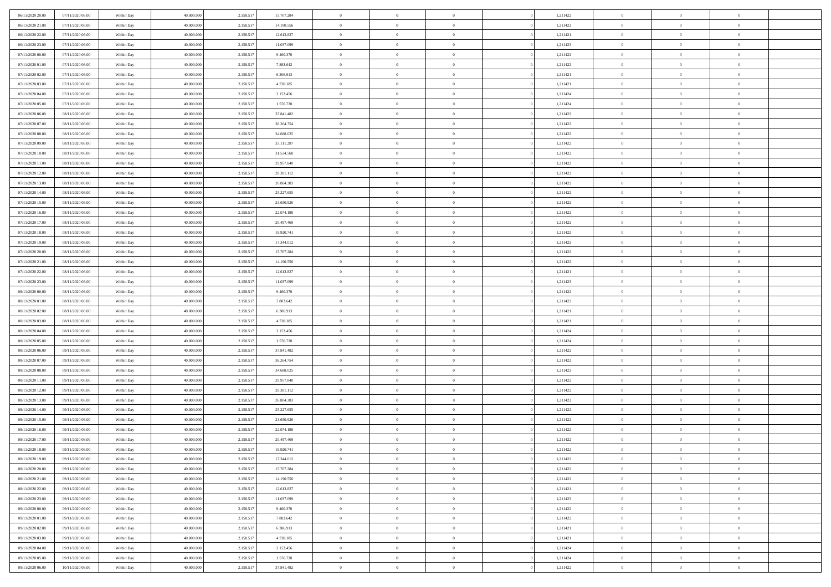| 06/11/2020 20:00 | 07/11/2020 06.00 | Within Day | 40.000.000               | 2.158.51  | 15.767.284 | $\bf{0}$       | $\bf{0}$       | $\Omega$       | 1,211422 | $\bf{0}$       | $\overline{0}$ | $\bf{0}$       |  |
|------------------|------------------|------------|--------------------------|-----------|------------|----------------|----------------|----------------|----------|----------------|----------------|----------------|--|
| 06/11/2020 21.00 | 07/11/2020 06:00 | Within Day | 40,000,000               | 2.158.51  | 14.190.556 | $\overline{0}$ | $\overline{0}$ | $\Omega$       | 1,211422 | $\overline{0}$ | $\theta$       | $\theta$       |  |
| 06/11/2020 22:00 | 07/11/2020 06:00 | Within Day | 40.000.000               | 2.158.517 | 12.613.827 | $\overline{0}$ | $\overline{0}$ | $\overline{0}$ | 1,211421 | $\mathbf{0}$   | $\overline{0}$ | $\theta$       |  |
| 06/11/2020 23.00 | 07/11/2020 06:00 | Within Day | 40.000.000               | 2.158.517 | 11.037.099 | $\bf{0}$       | $\overline{0}$ | $\overline{0}$ | 1,211423 | $\mathbf{0}$   | $\overline{0}$ | $\bf{0}$       |  |
| 07/11/2020 00:00 | 07/11/2020 06.00 |            | 40,000,000               | 2.158.51  | 9.460.370  | $\bf{0}$       | $\overline{0}$ | $\overline{0}$ | 1,211422 | $\bf{0}$       | $\overline{0}$ | $\bf{0}$       |  |
| 07/11/2020 01:00 |                  | Within Day |                          |           |            | $\overline{0}$ |                |                |          |                |                | $\theta$       |  |
|                  | 07/11/2020 06:00 | Within Day | 40.000.000               | 2.158.517 | 7.883.642  |                | $\overline{0}$ | $\overline{0}$ | 1,211422 | $\mathbf{0}$   | $\overline{0}$ |                |  |
| 07/11/2020 02.00 | 07/11/2020 06.00 | Within Day | 40.000.000               | 2.158.51  | 6.306.913  | $\bf{0}$       | $\overline{0}$ | $\overline{0}$ | 1,211421 | $\bf{0}$       | $\overline{0}$ | $\bf{0}$       |  |
| 07/11/2020 03:00 | 07/11/2020 06.00 | Within Day | 40,000,000               | 2.158.51  | 4.730.185  | $\overline{0}$ | $\overline{0}$ | $\overline{0}$ | 1,211421 | $\mathbf{0}$   | $\theta$       | $\theta$       |  |
| 07/11/2020 04:00 | 07/11/2020 06:00 | Within Day | 40.000.000               | 2.158.51  | 3.153.456  | $\overline{0}$ | $\overline{0}$ | $\overline{0}$ | 1,211424 | $\mathbf{0}$   | $\overline{0}$ | $\theta$       |  |
| 07/11/2020 05:00 | 07/11/2020 06.00 | Within Day | 40.000.000               | 2.158.517 | 1.576.728  | $\bf{0}$       | $\bf{0}$       | $\Omega$       | 1,211424 | $\bf{0}$       | $\overline{0}$ | $\bf{0}$       |  |
| 07/11/2020 06:00 | 08/11/2020 06:00 | Within Day | 40,000,000               | 2.158.51  | 37.841.482 | $\bf{0}$       | $\overline{0}$ | $\overline{0}$ | 1,211422 | $\mathbf{0}$   | $\theta$       | $\theta$       |  |
| 07/11/2020 07:00 | 08/11/2020 06:00 | Within Day | 40.000.000               | 2.158.517 | 36.264.754 | $\overline{0}$ | $\overline{0}$ | $\overline{0}$ | 1,211422 | $\mathbf{0}$   | $\overline{0}$ | $\theta$       |  |
| 07/11/2020 08:00 | 08/11/2020 06:00 | Within Day | 40.000.000               | 2.158.517 | 34.688.025 | $\bf{0}$       | $\overline{0}$ | $\overline{0}$ | 1,211422 | $\mathbf{0}$   | $\overline{0}$ | $\bf{0}$       |  |
| 07/11/2020 09:00 | 08/11/2020 06:00 | Within Day | 40,000,000               | 2.158.51  | 33.111.297 | $\bf{0}$       | $\overline{0}$ | $\overline{0}$ | 1,211422 | $\bf{0}$       | $\theta$       | $\bf{0}$       |  |
| 07/11/2020 10:00 | 08/11/2020 06:00 | Within Day | 40.000.000               | 2.158.517 | 31.534.568 | $\overline{0}$ | $\overline{0}$ | $\overline{0}$ | 1,211422 | $\overline{0}$ | $\overline{0}$ | $\theta$       |  |
| 07/11/2020 11:00 | 08/11/2020 06:00 | Within Day | 40.000.000               | 2.158.517 | 29.957.840 | $\bf{0}$       | $\overline{0}$ | $\Omega$       | 1,211422 | $\bf{0}$       | $\overline{0}$ | $\bf{0}$       |  |
| 07/11/2020 12:00 | 08/11/2020 06:00 | Within Day | 40,000,000               | 2.158.51  | 28.381.112 | $\,$ 0 $\,$    | $\overline{0}$ | $\overline{0}$ | 1,211422 | $\mathbf{0}$   | $\theta$       | $\theta$       |  |
| 07/11/2020 13.00 | 08/11/2020 06:00 | Within Day | 40.000.000               | 2.158.517 | 26.804.383 | $\overline{0}$ | $\overline{0}$ | $\overline{0}$ | 1,211422 | $\mathbf{0}$   | $\overline{0}$ | $\theta$       |  |
| 07/11/2020 14.00 | 08/11/2020 06:00 | Within Day | 40.000.000               | 2.158.51  | 25.227.655 | $\bf{0}$       | $\overline{0}$ | $\Omega$       | 1,211422 | $\bf{0}$       | $\overline{0}$ | $\bf{0}$       |  |
| 07/11/2020 15:00 | 08/11/2020 06:00 | Within Day | 40,000,000               | 2.158.51  | 23.650.926 | $\bf{0}$       | $\overline{0}$ | $\overline{0}$ | 1,211422 | $\mathbf{0}$   | $\mathbf{0}$   | $\overline{0}$ |  |
| 07/11/2020 16.00 | 08/11/2020 06:00 | Within Day | 40.000.000               | 2.158.517 | 22.074.198 | $\overline{0}$ | $\overline{0}$ | $\overline{0}$ | 1,211422 | $\mathbf{0}$   | $\overline{0}$ | $\theta$       |  |
| 07/11/2020 17.00 | 08/11/2020 06:00 | Within Day | 40.000.000               | 2.158.517 | 20.497.469 | $\bf{0}$       | $\overline{0}$ | $\overline{0}$ | 1,211422 | $\mathbf{0}$   | $\overline{0}$ | $\bf{0}$       |  |
| 07/11/2020 18:00 | 08/11/2020 06:00 | Within Day | 40,000,000               | 2.158.51  | 18.920.741 | $\bf{0}$       | $\overline{0}$ | $\overline{0}$ | 1,211422 | $\,$ 0 $\,$    | $\overline{0}$ | $\bf{0}$       |  |
| 07/11/2020 19:00 | 08/11/2020 06:00 | Within Day | 40.000.000               | 2.158.517 | 17.344.012 | $\overline{0}$ | $\overline{0}$ | $\overline{0}$ | 1,211422 | $\mathbf{0}$   | $\overline{0}$ | $\theta$       |  |
| 07/11/2020 20:00 | 08/11/2020 06:00 | Within Day | 40.000.000               | 2.158.517 | 15.767.284 | $\bf{0}$       | $\overline{0}$ | $\overline{0}$ | 1,211422 | $\bf{0}$       | $\overline{0}$ | $\bf{0}$       |  |
| 07/11/2020 21:00 | 08/11/2020 06:00 | Within Day | 40,000,000               | 2.158.51  | 14.190.556 | $\bf{0}$       | $\overline{0}$ | $\overline{0}$ | 1,211422 | $\mathbf{0}$   | $\overline{0}$ | $\theta$       |  |
| 07/11/2020 22:00 | 08/11/2020 06:00 | Within Day | 40.000.000               | 2.158.517 | 12.613.827 | $\overline{0}$ | $\overline{0}$ | $\overline{0}$ | 1,211421 | $\mathbf{0}$   | $\overline{0}$ | $\theta$       |  |
| 07/11/2020 23.00 | 08/11/2020 06:00 | Within Day | 40.000.000               | 2.158.517 | 11.037.099 | $\bf{0}$       | $\overline{0}$ | $\Omega$       | 1,211423 | $\mathbf{0}$   | $\overline{0}$ | $\bf{0}$       |  |
| 08/11/2020 00:00 | 08/11/2020 06:00 | Within Day | 40,000,000               | 2.158.51  | 9.460.370  | $\bf{0}$       | $\overline{0}$ | $\overline{0}$ | 1,211422 | $\mathbf{0}$   | $\theta$       | $\overline{0}$ |  |
| 08/11/2020 01:00 | 08/11/2020 06:00 | Within Day | 40.000.000               | 2.158.517 | 7.883.642  | $\overline{0}$ | $\overline{0}$ | $\overline{0}$ | 1,211422 | $\mathbf{0}$   | $\overline{0}$ | $\theta$       |  |
|                  |                  |            |                          |           |            | $\,$ 0         | $\overline{0}$ | $\overline{0}$ |          | $\,$ 0 $\,$    | $\overline{0}$ | $\,0\,$        |  |
| 08/11/2020 02:00 | 08/11/2020 06:00 | Within Day | 40.000.000<br>40,000,000 | 2.158.51  | 6.306.913  |                |                |                | 1,211421 |                | $\theta$       |                |  |
| 08/11/2020 03:00 | 08/11/2020 06:00 | Within Day |                          | 2.158.51  | 4.730.185  | $\bf{0}$       | $\overline{0}$ | $\overline{0}$ | 1,211421 | $\mathbf{0}$   |                | $\overline{0}$ |  |
| 08/11/2020 04:00 | 08/11/2020 06:00 | Within Day | 40.000.000               | 2.158.517 | 3.153.456  | $\overline{0}$ | $\overline{0}$ | $\overline{0}$ | 1,211424 | $\mathbf{0}$   | $\overline{0}$ | $\theta$       |  |
| 08/11/2020 05:00 | 08/11/2020 06:00 | Within Day | 40.000.000               | 2.158.517 | 1.576.728  | $\,$ 0         | $\overline{0}$ | $\theta$       | 1,211424 | $\,$ 0         | $\overline{0}$ | $\mathbf{0}$   |  |
| 08/11/2020 06:00 | 09/11/2020 06:00 | Within Day | 40,000,000               | 2.158.51  | 37.841.482 | $\bf{0}$       | $\overline{0}$ | $\overline{0}$ | 1,211422 | $\mathbf{0}$   | $\overline{0}$ | $\overline{0}$ |  |
| 08/11/2020 07:00 | 09/11/2020 06:00 | Within Day | 40.000.000               | 2.158.51  | 36.264.754 | $\overline{0}$ | $\overline{0}$ | $\overline{0}$ | 1,211422 | $\mathbf{0}$   | $\overline{0}$ | $\theta$       |  |
| 08/11/2020 08:00 | 09/11/2020 06:00 | Within Day | 40.000.000               | 2.158.517 | 34.688.025 | $\overline{0}$ | $\overline{0}$ | $\overline{0}$ | 1,211422 | $\,$ 0 $\,$    | $\overline{0}$ | $\mathbf{0}$   |  |
| 08/11/2020 11:00 | 09/11/2020 06:00 | Within Day | 40,000,000               | 2.158.51  | 29.957.840 | $\bf{0}$       | $\overline{0}$ | $\overline{0}$ | 1,211422 | $\mathbf{0}$   | $\theta$       | $\overline{0}$ |  |
| 08/11/2020 12:00 | 09/11/2020 06:00 | Within Day | 40.000.000               | 2.158.517 | 28.381.112 | $\overline{0}$ | $\overline{0}$ | $\overline{0}$ | 1,211422 | $\mathbf{0}$   | $\overline{0}$ | $\theta$       |  |
| 08/11/2020 13:00 | 09/11/2020 06:00 | Within Day | 40.000.000               | 2.158.517 | 26.804.383 | $\,$ 0         | $\overline{0}$ | $\overline{0}$ | 1,211422 | $\,$ 0         | $\overline{0}$ | $\,0\,$        |  |
| 08/11/2020 14:00 | 09/11/2020 06:00 | Within Day | 40,000,000               | 2.158.51  | 25.227.655 | $\bf{0}$       | $\,$ 0 $\,$    | $\overline{0}$ | 1,211422 | $\,$ 0 $\,$    | $\overline{0}$ | $\overline{0}$ |  |
| 08/11/2020 15:00 | 09/11/2020 06:00 | Within Day | 40.000.000               | 2.158.517 | 23.650.926 | $\overline{0}$ | $\overline{0}$ | $\overline{0}$ | 1,211422 | $\mathbf{0}$   | $\overline{0}$ | $\theta$       |  |
| 08/11/2020 16:00 | 09/11/2020 06:00 | Within Day | 40.000.000               | 2.158.51  | 22.074.198 | $\overline{0}$ | $\overline{0}$ | $\overline{0}$ | 1,211422 | $\overline{0}$ | $\overline{0}$ | $\mathbf{0}$   |  |
| 08/11/2020 17:00 | 09/11/2020 06:00 | Within Day | 40,000,000               | 2.158.51  | 20.497.469 | $\bf{0}$       | $\overline{0}$ | $\overline{0}$ | 1,211422 | $\mathbf{0}$   | $\overline{0}$ | $\bf{0}$       |  |
| 08/11/2020 18:00 | 09/11/2020 06:00 | Within Day | 40.000.000               | 2.158.517 | 18.920.741 | $\overline{0}$ | $\theta$       |                | 1,211422 | $\overline{0}$ | $\Omega$       | $\overline{0}$ |  |
| 08/11/2020 19:00 | 09/11/2020 06:00 | Within Day | 40.000.000               | 2.158.517 | 17.344.012 | $\,$ 0         | $\overline{0}$ | $\overline{0}$ | 1,211422 | $\,$ 0 $\,$    | $\bf{0}$       | $\mathbf{0}$   |  |
| 08/11/2020 20:00 | 09/11/2020 06:00 | Within Day | 40,000,000               | 2.158.51  | 15.767.284 | $\mathbf{0}$   | $\overline{0}$ | $\overline{0}$ | 1,211422 | $\,$ 0 $\,$    | $\overline{0}$ | $\overline{0}$ |  |
| 08/11/2020 21.00 | 09/11/2020 06:00 | Within Day | 40.000.000               | 2.158.517 | 14.190.556 | $\mathbf{0}$   | $\overline{0}$ | $\overline{0}$ | 1,211422 | $\mathbf{0}$   | $\bf{0}$       | $\overline{0}$ |  |
| 08/11/2020 22.00 | 09/11/2020 06:00 | Within Day | 40.000.000               | 2.158.517 | 12.613.827 | $\,$ 0 $\,$    | $\overline{0}$ | $\overline{0}$ | 1,211421 | $\,$ 0 $\,$    | $\bf{0}$       | $\theta$       |  |
| 08/11/2020 23.00 | 09/11/2020 06:00 | Within Day | 40,000,000               | 2.158.517 | 11.037.099 | $\,$ 0 $\,$    | $\,$ 0 $\,$    | $\overline{0}$ | 1,211423 | $\,$ 0 $\,$    | $\overline{0}$ | $\overline{0}$ |  |
| 09/11/2020 00:00 | 09/11/2020 06:00 | Within Day | 40.000.000               | 2.158.517 | 9.460.370  | $\mathbf{0}$   | $\overline{0}$ | $\overline{0}$ | 1,211422 | $\mathbf{0}$   | $\bf{0}$       | $\overline{0}$ |  |
| 09/11/2020 01:00 | 09/11/2020 06:00 | Within Day | 40.000.000               | 2.158.517 | 7.883.642  | $\,$ 0 $\,$    | $\overline{0}$ | $\overline{0}$ | 1,211422 | $\,$ 0 $\,$    | $\mathbf{0}$   | $\theta$       |  |
| 09/11/2020 02.00 | 09/11/2020 06:00 | Within Day | 40,000,000               | 2.158.51  | 6.306.913  | $\mathbf{0}$   | $\overline{0}$ | $\overline{0}$ | 1,211421 | $\,$ 0 $\,$    | $\overline{0}$ | $\overline{0}$ |  |
| 09/11/2020 03:00 | 09/11/2020 06:00 | Within Day | 40.000.000               | 2.158.517 | 4.730.185  | $\mathbf{0}$   | $\overline{0}$ | $\overline{0}$ | 1,211421 | $\mathbf{0}$   | $\bf{0}$       | $\overline{0}$ |  |
| 09/11/2020 04:00 | 09/11/2020 06:00 | Within Day | 40.000.000               | 2.158.517 | 3.153.456  | $\,$ 0 $\,$    | $\overline{0}$ | $\overline{0}$ | 1,211424 | $\,$ 0 $\,$    | $\overline{0}$ | $\theta$       |  |
| 09/11/2020 05:00 | 09/11/2020 06:00 | Within Day | 40,000,000               | 2.158.517 | 1.576.728  | $\mathbf{0}$   | $\overline{0}$ | $\overline{0}$ | 1,211424 | $\,$ 0 $\,$    | $\overline{0}$ | $\overline{0}$ |  |
| 09/11/2020 06.00 | 10/11/2020 06:00 | Within Day | 40.000.000               | 2.158.517 | 37.841.482 | $\mathbf{0}$   | $\overline{0}$ | $\overline{0}$ | 1,211422 | $\mathbf{0}$   | $\overline{0}$ | $\overline{0}$ |  |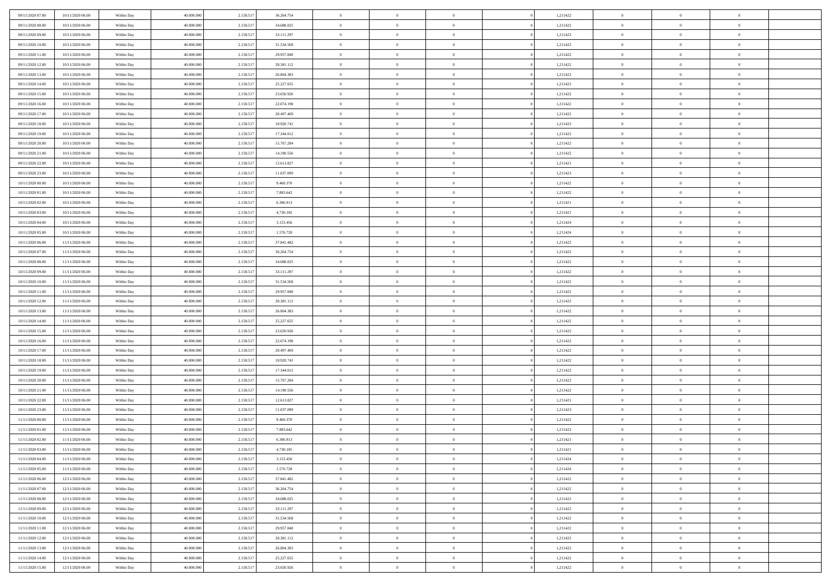| 09/11/2020 07:00                     | 10/11/2020 06:00 | Within Day | 40.000.000 | 2.158.51  | 36.264.754 | $\bf{0}$                   | $\overline{0}$                   | $\Omega$                         | 1,211422 | $\bf{0}$       | $\overline{0}$ | $\bf{0}$       |  |
|--------------------------------------|------------------|------------|------------|-----------|------------|----------------------------|----------------------------------|----------------------------------|----------|----------------|----------------|----------------|--|
| 09/11/2020 08:00                     | 10/11/2020 06:00 | Within Day | 40,000,000 | 2.158.51  | 34.688.025 | $\overline{0}$             | $\overline{0}$                   | $\Omega$                         | 1,211422 | $\overline{0}$ | $\theta$       | $\theta$       |  |
| 09/11/2020 09:00                     | 10/11/2020 06:00 | Within Day | 40.000.000 | 2.158.517 | 33.111.297 | $\overline{0}$             | $\overline{0}$                   | $\overline{0}$                   | 1,211422 | $\mathbf{0}$   | $\overline{0}$ | $\theta$       |  |
| 09/11/2020 10:00                     | 10/11/2020 06:00 | Within Day | 40.000.000 | 2.158.517 | 31.534.568 | $\bf{0}$                   | $\overline{0}$                   | $\overline{0}$                   | 1,211422 | $\mathbf{0}$   | $\overline{0}$ | $\bf{0}$       |  |
| 09/11/2020 11:00                     | 10/11/2020 06:00 | Within Day | 40,000,000 | 2.158.51  | 29.957.840 | $\bf{0}$                   | $\overline{0}$                   | $\overline{0}$                   | 1,211422 | $\bf{0}$       | $\overline{0}$ | $\bf{0}$       |  |
| 09/11/2020 12:00                     | 10/11/2020 06:00 | Within Day | 40.000.000 | 2.158.517 | 28.381.112 | $\overline{0}$             | $\overline{0}$                   | $\overline{0}$                   | 1,211422 | $\mathbf{0}$   | $\overline{0}$ | $\theta$       |  |
| 09/11/2020 13:00                     | 10/11/2020 06:00 | Within Day | 40.000.000 | 2.158.517 | 26.804.383 | $\bf{0}$                   | $\overline{0}$                   | $\overline{0}$                   | 1,211422 | $\bf{0}$       | $\overline{0}$ | $\bf{0}$       |  |
| 09/11/2020 14:00                     | 10/11/2020 06:00 | Within Day | 40,000,000 | 2.158.51  | 25.227.655 | $\mathbf{0}$               | $\overline{0}$                   | $\overline{0}$                   | 1,211422 | $\mathbf{0}$   | $\theta$       | $\theta$       |  |
| 09/11/2020 15:00                     | 10/11/2020 06:00 | Within Day | 40.000.000 | 2.158.517 | 23.650.926 | $\overline{0}$             | $\overline{0}$                   | $\overline{0}$                   | 1,211422 | $\mathbf{0}$   | $\overline{0}$ | $\theta$       |  |
|                                      | 10/11/2020 06:00 |            | 40.000.000 |           | 22.074.198 | $\bf{0}$                   | $\overline{0}$                   | $\Omega$                         | 1,211422 | $\bf{0}$       | $\overline{0}$ | $\bf{0}$       |  |
| 09/11/2020 16:00                     |                  | Within Day | 40,000,000 | 2.158.517 |            |                            |                                  |                                  |          |                | $\theta$       | $\theta$       |  |
| 09/11/2020 17:00                     | 10/11/2020 06:00 | Within Day |            | 2.158.51  | 20.497.469 | $\bf{0}$<br>$\overline{0}$ | $\overline{0}$<br>$\overline{0}$ | $\overline{0}$                   | 1,211422 | $\mathbf{0}$   |                | $\theta$       |  |
| 09/11/2020 18:00<br>09/11/2020 19:00 | 10/11/2020 06:00 | Within Day | 40.000.000 | 2.158.517 | 18.920.741 |                            |                                  | $\overline{0}$<br>$\overline{0}$ | 1,211422 | $\mathbf{0}$   | $\overline{0}$ |                |  |
|                                      | 10/11/2020 06:00 | Within Day | 40.000.000 | 2.158.517 | 17.344.012 | $\bf{0}$                   | $\overline{0}$                   |                                  | 1,211422 | $\mathbf{0}$   | $\overline{0}$ | $\bf{0}$       |  |
| 09/11/2020 20:00                     | 10/11/2020 06:00 | Within Day | 40,000,000 | 2.158.51  | 15.767.284 | $\bf{0}$                   | $\overline{0}$                   | $\overline{0}$                   | 1,211422 | $\bf{0}$       | $\theta$       | $\bf{0}$       |  |
| 09/11/2020 21.00                     | 10/11/2020 06:00 | Within Day | 40.000.000 | 2.158.517 | 14.190.556 | $\overline{0}$             | $\overline{0}$                   | $\overline{0}$                   | 1,211422 | $\mathbf{0}$   | $\overline{0}$ | $\theta$       |  |
| 09/11/2020 22.00                     | 10/11/2020 06:00 | Within Day | 40.000.000 | 2.158.517 | 12.613.827 | $\bf{0}$                   | $\overline{0}$                   | $\Omega$                         | 1,211421 | $\bf{0}$       | $\overline{0}$ | $\bf{0}$       |  |
| 09/11/2020 23.00                     | 10/11/2020 06:00 | Within Day | 40,000,000 | 2.158.51  | 11.037.099 | $\,$ 0 $\,$                | $\overline{0}$                   | $\overline{0}$                   | 1,211423 | $\mathbf{0}$   | $\theta$       | $\theta$       |  |
| 10/11/2020 00:00                     | 10/11/2020 06:00 | Within Day | 40.000.000 | 2.158.517 | 9.460.370  | $\overline{0}$             | $\overline{0}$                   | $\overline{0}$                   | 1,211422 | $\mathbf{0}$   | $\overline{0}$ | $\theta$       |  |
| 10/11/2020 01:00                     | 10/11/2020 06:00 | Within Day | 40.000.000 | 2.158.51  | 7.883.642  | $\bf{0}$                   | $\overline{0}$                   | $\Omega$                         | 1,211422 | $\bf{0}$       | $\overline{0}$ | $\bf{0}$       |  |
| 10/11/2020 02:00                     | 10/11/2020 06:00 | Within Day | 40,000,000 | 2.158.51  | 6.306.913  | $\bf{0}$                   | $\overline{0}$                   | $\overline{0}$                   | 1,211421 | $\mathbf{0}$   | $\mathbf{0}$   | $\overline{0}$ |  |
| 10/11/2020 03:00                     | 10/11/2020 06:00 | Within Day | 40.000.000 | 2.158.517 | 4.730.185  | $\overline{0}$             | $\overline{0}$                   | $\overline{0}$                   | 1,211421 | $\mathbf{0}$   | $\overline{0}$ | $\theta$       |  |
| 10/11/2020 04:00                     | 10/11/2020 06:00 | Within Day | 40.000.000 | 2.158.517 | 3.153.456  | $\bf{0}$                   | $\overline{0}$                   | $\overline{0}$                   | 1,211424 | $\mathbf{0}$   | $\overline{0}$ | $\bf{0}$       |  |
| 10/11/2020 05:00                     | 10/11/2020 06:00 | Within Day | 40,000,000 | 2.158.51  | 1.576.728  | $\,$ 0 $\,$                | $\overline{0}$                   | $\overline{0}$                   | 1,211424 | $\,$ 0 $\,$    | $\overline{0}$ | $\bf{0}$       |  |
| 10/11/2020 06:00                     | 11/11/2020 06:00 | Within Day | 40.000.000 | 2.158.517 | 37.841.482 | $\overline{0}$             | $\overline{0}$                   | $\overline{0}$                   | 1,211422 | $\mathbf{0}$   | $\overline{0}$ | $\theta$       |  |
| 10/11/2020 07:00                     | 11/11/2020 06:00 | Within Day | 40.000.000 | 2.158.517 | 36.264.754 | $\bf{0}$                   | $\overline{0}$                   | $\overline{0}$                   | 1,211422 | $\bf{0}$       | $\overline{0}$ | $\bf{0}$       |  |
| 10/11/2020 08:00                     | 11/11/2020 06:00 | Within Day | 40,000,000 | 2.158.51  | 34.688.025 | $\,$ 0 $\,$                | $\overline{0}$                   | $\overline{0}$                   | 1,211422 | $\mathbf{0}$   | $\overline{0}$ | $\overline{0}$ |  |
| 10/11/2020 09:00                     | 11/11/2020 06:00 | Within Day | 40.000.000 | 2.158.517 | 33.111.297 | $\overline{0}$             | $\overline{0}$                   | $\overline{0}$                   | 1,211422 | $\mathbf{0}$   | $\overline{0}$ | $\theta$       |  |
| 10/11/2020 10:00                     | 11/11/2020 06:00 | Within Day | 40.000.000 | 2.158.517 | 31.534.568 | $\bf{0}$                   | $\overline{0}$                   | $\Omega$                         | 1,211422 | $\mathbf{0}$   | $\overline{0}$ | $\bf{0}$       |  |
| 10/11/2020 11:00                     | 11/11/2020 06:00 | Within Day | 40,000,000 | 2.158.51  | 29.957.840 | $\bf{0}$                   | $\overline{0}$                   | $\overline{0}$                   | 1,211422 | $\mathbf{0}$   | $\theta$       | $\overline{0}$ |  |
| 10/11/2020 12:00                     | 11/11/2020 06:00 | Within Day | 40.000.000 | 2.158.517 | 28.381.112 | $\overline{0}$             | $\overline{0}$                   | $\overline{0}$                   | 1,211422 | $\mathbf{0}$   | $\overline{0}$ | $\theta$       |  |
| 10/11/2020 13:00                     | 11/11/2020 06:00 | Within Day | 40.000.000 | 2.158.517 | 26.804.383 | $\,$ 0                     | $\overline{0}$                   | $\overline{0}$                   | 1,211422 | $\,$ 0 $\,$    | $\overline{0}$ | $\,0\,$        |  |
| 10/11/2020 14:00                     | 11/11/2020 06:00 | Within Day | 40,000,000 | 2.158.51  | 25.227.655 | $\bf{0}$                   | $\overline{0}$                   | $\overline{0}$                   | 1,211422 | $\,$ 0 $\,$    | $\overline{0}$ | $\bf{0}$       |  |
| 10/11/2020 15:00                     | 11/11/2020 06:00 | Within Day | 40.000.000 | 2.158.517 | 23.650.926 | $\overline{0}$             | $\overline{0}$                   | $\overline{0}$                   | 1,211422 | $\mathbf{0}$   | $\overline{0}$ | $\theta$       |  |
| 10/11/2020 16:00                     | 11/11/2020 06:00 | Within Day | 40.000.000 | 2.158.517 | 22.074.198 | $\,$ 0                     | $\overline{0}$                   | $\theta$                         | 1,211422 | $\,$ 0         | $\overline{0}$ | $\mathbf{0}$   |  |
| 10/11/2020 17:00                     | 11/11/2020 06:00 | Within Day | 40,000,000 | 2.158.51  | 20.497.469 | $\bf{0}$                   | $\overline{0}$                   | $\overline{0}$                   | 1,211422 | $\mathbf{0}$   | $\overline{0}$ | $\overline{0}$ |  |
| 10/11/2020 18:00                     | 11/11/2020 06:00 | Within Day | 40.000.000 | 2.158.517 | 18.920.741 | $\overline{0}$             | $\overline{0}$                   | $\overline{0}$                   | 1,211422 | $\mathbf{0}$   | $\overline{0}$ | $\theta$       |  |
| 10/11/2020 19:00                     | 11/11/2020 06:00 | Within Day | 40.000.000 | 2.158.517 | 17.344.012 | $\,$ 0                     | $\overline{0}$                   | $\overline{0}$                   | 1,211422 | $\,$ 0 $\,$    | $\overline{0}$ | $\mathbf{0}$   |  |
| 10/11/2020 20:00                     | 11/11/2020 06:00 | Within Day | 40,000,000 | 2.158.51  | 15.767.284 | $\bf{0}$                   | $\overline{0}$                   | $\overline{0}$                   | 1,211422 | $\mathbf{0}$   | $\mathbf{0}$   | $\overline{0}$ |  |
| 10/11/2020 21:00                     | 11/11/2020 06:00 | Within Day | 40.000.000 | 2.158.517 | 14.190.556 | $\overline{0}$             | $\overline{0}$                   | $\overline{0}$                   | 1,211422 | $\mathbf{0}$   | $\overline{0}$ | $\theta$       |  |
| 10/11/2020 22.00                     | 11/11/2020 06:00 | Within Day | 40.000.000 | 2.158.517 | 12.613.827 | $\,$ 0                     | $\overline{0}$                   | $\overline{0}$                   | 1,211421 | $\,$ 0 $\,$    | $\overline{0}$ | $\,0\,$        |  |
| 10/11/2020 23.00                     | 11/11/2020 06:00 | Within Day | 40,000,000 | 2.158.51  | 11.037.099 | $\,$ 0 $\,$                | $\,$ 0 $\,$                      | $\overline{0}$                   | 1,211423 | $\,$ 0 $\,$    | $\overline{0}$ | $\overline{0}$ |  |
| 11/11/2020 00:00                     | 11/11/2020 06:00 | Within Day | 40.000.000 | 2.158.517 | 9.460.370  | $\overline{0}$             | $\overline{0}$                   | $\overline{0}$                   | 1,211422 | $\mathbf{0}$   | $\overline{0}$ | $\theta$       |  |
| 11/11/2020 01:00                     | 11/11/2020 06:00 | Within Day | 40.000.000 | 2.158.51  | 7.883.642  | $\overline{0}$             | $\overline{0}$                   | $\overline{0}$                   | 1,211422 | $\overline{0}$ | $\overline{0}$ | $\mathbf{0}$   |  |
| 11/11/2020 02:00                     | 11/11/2020 06:00 | Within Day | 40,000,000 | 2.158.51  | 6.306.913  | $\bf{0}$                   | $\overline{0}$                   | $\overline{0}$                   | 1,211421 | $\mathbf{0}$   | $\overline{0}$ | $\overline{0}$ |  |
| 11/11/2020 03:00                     | 11/11/2020 06:00 | Within Day | 40.000.000 | 2.158.517 | 4.730.185  | $\overline{0}$             | $\theta$                         |                                  | 1,211421 | $\overline{0}$ | $\Omega$       | $\overline{0}$ |  |
| 11/11/2020 04:00                     | 11/11/2020 06:00 | Within Day | 40.000.000 | 2.158.517 | 3.153.456  | $\,$ 0 $\,$                | $\overline{0}$                   | $\overline{0}$                   | 1,211424 | $\,$ 0 $\,$    | $\bf{0}$       | $\,0\,$        |  |
| 11/11/2020 05:00                     | 11/11/2020 06:00 | Within Day | 40,000,000 | 2.158.51  | 1.576.728  | $\mathbf{0}$               | $\,$ 0 $\,$                      | $\overline{0}$                   | 1,211424 | $\,$ 0 $\,$    | $\overline{0}$ | $\overline{0}$ |  |
| 11/11/2020 06:00                     | 12/11/2020 06:00 | Within Day | 40.000.000 | 2.158.517 | 37.841.482 | $\mathbf{0}$               | $\overline{0}$                   | $\overline{0}$                   | 1,211422 | $\mathbf{0}$   | $\bf{0}$       | $\overline{0}$ |  |
| 11/11/2020 07.00                     | 12/11/2020 06:00 | Within Day | 40.000.000 | 2.158.517 | 36.264.754 | $\,$ 0 $\,$                | $\overline{0}$                   | $\overline{0}$                   | 1,211422 | $\,$ 0 $\,$    | $\bf{0}$       | $\theta$       |  |
| 11/11/2020 08:00                     | 12/11/2020 06:00 | Within Day | 40,000,000 | 2.158.51  | 34.688.025 | $\,$ 0 $\,$                | $\,$ 0 $\,$                      | $\overline{0}$                   | 1,211422 | $\,$ 0 $\,$    | $\overline{0}$ | $\overline{0}$ |  |
| 11/11/2020 09:00                     | 12/11/2020 06:00 | Within Day | 40.000.000 | 2.158.517 | 33.111.297 | $\mathbf{0}$               | $\overline{0}$                   | $\overline{0}$                   | 1,211422 | $\mathbf{0}$   | $\bf{0}$       | $\overline{0}$ |  |
| 11/11/2020 10:00                     | 12/11/2020 06:00 | Within Day | 40.000.000 | 2.158.517 | 31.534.568 | $\,$ 0 $\,$                | $\overline{0}$                   | $\overline{0}$                   | 1,211422 | $\,$ 0 $\,$    | $\mathbf{0}$   | $\theta$       |  |
| 11/11/2020 11:00                     | 12/11/2020 06:00 | Within Day | 40,000,000 | 2.158.51  | 29.957.840 | $\mathbf{0}$               | $\overline{0}$                   | $\overline{0}$                   | 1,211422 | $\,$ 0 $\,$    | $\overline{0}$ | $\overline{0}$ |  |
| 11/11/2020 12:00                     | 12/11/2020 06:00 | Within Day | 40.000.000 | 2.158.517 | 28.381.112 | $\mathbf{0}$               | $\overline{0}$                   | $\overline{0}$                   | 1,211422 | $\mathbf{0}$   | $\bf{0}$       | $\overline{0}$ |  |
| 11/11/2020 13:00                     | 12/11/2020 06:00 | Within Day | 40.000.000 | 2.158.517 | 26.804.383 | $\,$ 0 $\,$                | $\overline{0}$                   | $\overline{0}$                   | 1,211422 | $\,$ 0 $\,$    | $\mathbf{0}$   | $\theta$       |  |
| 11/11/2020 14.00                     | 12/11/2020 06:00 | Within Day | 40,000,000 | 2.158.517 | 25.227.655 | $\,$ 0 $\,$                | $\overline{0}$                   | $\overline{0}$                   | 1,211422 | $\,$ 0 $\,$    | $\overline{0}$ | $\overline{0}$ |  |
| 11/11/2020 15:00                     | 12/11/2020 06:00 |            | 40.000.000 |           | 23.650.926 | $\mathbf{0}$               | $\overline{0}$                   | $\overline{0}$                   | 1,211422 | $\mathbf{0}$   | $\mathbf{0}$   | $\overline{0}$ |  |
|                                      |                  | Within Day |            | 2.158.517 |            |                            |                                  |                                  |          |                |                |                |  |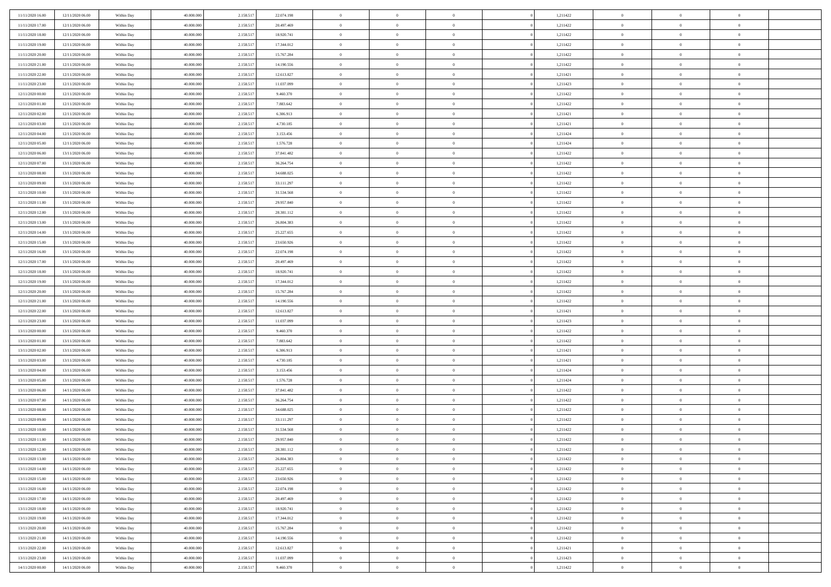| 11/11/2020 16.00                     | 12/11/2020 06:00 | Within Day | 40.000.000 | 2.158.51  | 22.074.198 | $\bf{0}$       | $\overline{0}$ | $\overline{0}$                   | 1,211422 | $\bf{0}$       | $\overline{0}$ | $\bf{0}$       |  |
|--------------------------------------|------------------|------------|------------|-----------|------------|----------------|----------------|----------------------------------|----------|----------------|----------------|----------------|--|
| 11/11/2020 17:00                     | 12/11/2020 06:00 | Within Day | 40,000,000 | 2.158.51  | 20.497.469 | $\overline{0}$ | $\overline{0}$ | $\Omega$                         | 1,211422 | $\overline{0}$ | $\theta$       | $\theta$       |  |
| 11/11/2020 18:00                     | 12/11/2020 06:00 | Within Day | 40.000.000 | 2.158.517 | 18.920.741 | $\overline{0}$ | $\overline{0}$ | $\overline{0}$                   | 1,211422 | $\mathbf{0}$   | $\overline{0}$ | $\theta$       |  |
| 11/11/2020 19:00                     | 12/11/2020 06:00 | Within Day | 40.000.000 | 2.158.517 | 17.344.012 | $\bf{0}$       | $\overline{0}$ | $\overline{0}$                   | 1,211422 | $\mathbf{0}$   | $\overline{0}$ | $\bf{0}$       |  |
| 11/11/2020 20:00                     | 12/11/2020 06:00 | Within Day | 40,000,000 | 2.158.51  | 15.767.284 | $\bf{0}$       | $\overline{0}$ | $\overline{0}$                   | 1,211422 | $\bf{0}$       | $\overline{0}$ | $\bf{0}$       |  |
| 11/11/2020 21:00                     | 12/11/2020 06:00 | Within Day | 40.000.000 | 2.158.517 | 14.190.556 | $\overline{0}$ | $\overline{0}$ | $\overline{0}$                   | 1,211422 | $\mathbf{0}$   | $\overline{0}$ | $\theta$       |  |
| 11/11/2020 22.00                     | 12/11/2020 06:00 | Within Day | 40.000.000 | 2.158.517 | 12.613.827 | $\bf{0}$       | $\overline{0}$ | $\overline{0}$                   | 1,211421 | $\mathbf{0}$   | $\overline{0}$ | $\bf{0}$       |  |
| 11/11/2020 23.00                     | 12/11/2020 06:00 | Within Day | 40,000,000 | 2.158.51  | 11.037.099 | $\overline{0}$ | $\overline{0}$ | $\overline{0}$                   | 1,211423 | $\mathbf{0}$   | $\theta$       | $\theta$       |  |
| 12/11/2020 00:00                     | 12/11/2020 06:00 | Within Day | 40.000.000 | 2.158.517 | 9.460.370  | $\overline{0}$ | $\overline{0}$ | $\overline{0}$                   | 1,211422 | $\mathbf{0}$   | $\overline{0}$ | $\theta$       |  |
|                                      |                  |            | 40.000.000 |           | 7.883.642  | $\bf{0}$       | $\overline{0}$ | $\Omega$                         | 1,211422 | $\mathbf{0}$   | $\overline{0}$ | $\bf{0}$       |  |
| 12/11/2020 01:00                     | 12/11/2020 06:00 | Within Day | 40,000,000 | 2.158.517 |            | $\bf{0}$       | $\overline{0}$ | $\overline{0}$                   |          |                | $\theta$       | $\theta$       |  |
| 12/11/2020 02:00<br>12/11/2020 03:00 | 12/11/2020 06:00 | Within Day |            | 2.158.51  | 6.306.913  | $\overline{0}$ | $\overline{0}$ |                                  | 1,211421 | $\mathbf{0}$   |                | $\theta$       |  |
| 12/11/2020 04:00                     | 12/11/2020 06:00 | Within Day | 40.000.000 | 2.158.517 | 4.730.185  |                |                | $\overline{0}$<br>$\overline{0}$ | 1,211421 | $\mathbf{0}$   | $\overline{0}$ |                |  |
|                                      | 12/11/2020 06:00 | Within Day | 40.000.000 | 2.158.517 | 3.153.456  | $\bf{0}$       | $\overline{0}$ |                                  | 1,211424 | $\mathbf{0}$   | $\overline{0}$ | $\bf{0}$       |  |
| 12/11/2020 05:00                     | 12/11/2020 06:00 | Within Day | 40,000,000 | 2.158.51  | 1.576.728  | $\bf{0}$       | $\overline{0}$ | $\overline{0}$                   | 1,211424 | $\bf{0}$       | $\theta$       | $\bf{0}$       |  |
| 12/11/2020 06:00                     | 13/11/2020 06:00 | Within Day | 40.000.000 | 2.158.517 | 37.841.482 | $\overline{0}$ | $\overline{0}$ | $\overline{0}$                   | 1,211422 | $\mathbf{0}$   | $\overline{0}$ | $\theta$       |  |
| 12/11/2020 07:00                     | 13/11/2020 06:00 | Within Day | 40.000.000 | 2.158.517 | 36.264.754 | $\bf{0}$       | $\overline{0}$ | $\Omega$                         | 1,211422 | $\bf{0}$       | $\overline{0}$ | $\bf{0}$       |  |
| 12/11/2020 08:00                     | 13/11/2020 06:00 | Within Day | 40,000,000 | 2.158.51  | 34.688.025 | $\,$ 0 $\,$    | $\overline{0}$ | $\overline{0}$                   | 1,211422 | $\mathbf{0}$   | $\overline{0}$ | $\theta$       |  |
| 12/11/2020 09:00                     | 13/11/2020 06:00 | Within Day | 40.000.000 | 2.158.517 | 33.111.297 | $\overline{0}$ | $\overline{0}$ | $\overline{0}$                   | 1,211422 | $\mathbf{0}$   | $\overline{0}$ | $\theta$       |  |
| 12/11/2020 10:00                     | 13/11/2020 06:00 | Within Day | 40.000.000 | 2.158.51  | 31.534.568 | $\bf{0}$       | $\overline{0}$ | $\Omega$                         | 1,211422 | $\bf{0}$       | $\overline{0}$ | $\bf{0}$       |  |
| 12/11/2020 11:00                     | 13/11/2020 06:00 | Within Day | 40,000,000 | 2.158.51  | 29.957.840 | $\bf{0}$       | $\overline{0}$ | $\overline{0}$                   | 1,211422 | $\mathbf{0}$   | $\mathbf{0}$   | $\bf{0}$       |  |
| 12/11/2020 12:00                     | 13/11/2020 06:00 | Within Day | 40.000.000 | 2.158.517 | 28.381.112 | $\overline{0}$ | $\overline{0}$ | $\overline{0}$                   | 1,211422 | $\mathbf{0}$   | $\overline{0}$ | $\theta$       |  |
| 12/11/2020 13:00                     | 13/11/2020 06:00 | Within Day | 40.000.000 | 2.158.517 | 26.804.383 | $\bf{0}$       | $\overline{0}$ | $\overline{0}$                   | 1,211422 | $\mathbf{0}$   | $\overline{0}$ | $\bf{0}$       |  |
| 12/11/2020 14:00                     | 13/11/2020 06:00 | Within Day | 40,000,000 | 2.158.51  | 25.227.655 | $\,0\,$        | $\overline{0}$ | $\overline{0}$                   | 1,211422 | $\,$ 0 $\,$    | $\overline{0}$ | $\bf{0}$       |  |
| 12/11/2020 15:00                     | 13/11/2020 06:00 | Within Day | 40.000.000 | 2.158.517 | 23.650.926 | $\overline{0}$ | $\overline{0}$ | $\overline{0}$                   | 1,211422 | $\mathbf{0}$   | $\overline{0}$ | $\theta$       |  |
| 12/11/2020 16.00                     | 13/11/2020 06:00 | Within Day | 40.000.000 | 2.158.517 | 22.074.198 | $\bf{0}$       | $\overline{0}$ | $\overline{0}$                   | 1,211422 | $\bf{0}$       | $\overline{0}$ | $\bf{0}$       |  |
| 12/11/2020 17:00                     | 13/11/2020 06:00 | Within Day | 40,000,000 | 2.158.51  | 20.497.469 | $\,$ 0 $\,$    | $\overline{0}$ | $\overline{0}$                   | 1,211422 | $\mathbf{0}$   | $\overline{0}$ | $\overline{0}$ |  |
| 12/11/2020 18:00                     | 13/11/2020 06:00 | Within Day | 40.000.000 | 2.158.517 | 18.920.741 | $\overline{0}$ | $\overline{0}$ | $\overline{0}$                   | 1,211422 | $\mathbf{0}$   | $\overline{0}$ | $\theta$       |  |
| 12/11/2020 19:00                     | 13/11/2020 06:00 | Within Day | 40.000.000 | 2.158.517 | 17.344.012 | $\bf{0}$       | $\overline{0}$ | $\Omega$                         | 1,211422 | $\mathbf{0}$   | $\overline{0}$ | $\bf{0}$       |  |
| 12/11/2020 20:00                     | 13/11/2020 06:00 | Within Day | 40,000,000 | 2.158.51  | 15.767.284 | $\bf{0}$       | $\overline{0}$ | $\overline{0}$                   | 1,211422 | $\mathbf{0}$   | $\overline{0}$ | $\bf{0}$       |  |
| 12/11/2020 21:00                     | 13/11/2020 06:00 | Within Day | 40.000.000 | 2.158.517 | 14.190.556 | $\overline{0}$ | $\overline{0}$ | $\overline{0}$                   | 1,211422 | $\mathbf{0}$   | $\overline{0}$ | $\theta$       |  |
| 12/11/2020 22.00                     | 13/11/2020 06:00 | Within Day | 40.000.000 | 2.158.517 | 12.613.827 | $\,$ 0         | $\overline{0}$ | $\overline{0}$                   | 1,211421 | $\,$ 0 $\,$    | $\overline{0}$ | $\,0\,$        |  |
| 12/11/2020 23.00                     | 13/11/2020 06:00 | Within Day | 40,000,000 | 2.158.51  | 11.037.099 | $\bf{0}$       | $\overline{0}$ | $\overline{0}$                   | 1,211423 | $\,$ 0 $\,$    | $\overline{0}$ | $\overline{0}$ |  |
| 13/11/2020 00:00                     | 13/11/2020 06:00 | Within Day | 40.000.000 | 2.158.517 | 9.460.370  | $\overline{0}$ | $\overline{0}$ | $\overline{0}$                   | 1,211422 | $\mathbf{0}$   | $\overline{0}$ | $\theta$       |  |
| 13/11/2020 01:00                     | 13/11/2020 06:00 | Within Day | 40.000.000 | 2.158.517 | 7.883.642  | $\,$ 0         | $\overline{0}$ | $\theta$                         | 1,211422 | $\,$ 0         | $\overline{0}$ | $\mathbf{0}$   |  |
| 13/11/2020 02:00                     | 13/11/2020 06:00 | Within Day | 40,000,000 | 2.158.51  | 6.306.913  | $\,$ 0 $\,$    | $\overline{0}$ | $\overline{0}$                   | 1,211421 | $\mathbf{0}$   | $\overline{0}$ | $\overline{0}$ |  |
| 13/11/2020 03:00                     | 13/11/2020 06:00 | Within Day | 40.000.000 | 2.158.51  | 4.730.185  | $\overline{0}$ | $\overline{0}$ | $\overline{0}$                   | 1,211421 | $\mathbf{0}$   | $\overline{0}$ | $\theta$       |  |
| 13/11/2020 04:00                     | 13/11/2020 06:00 | Within Day | 40.000.000 | 2.158.517 | 3.153.456  | $\,$ 0         | $\overline{0}$ | $\overline{0}$                   | 1,211424 | $\,$ 0 $\,$    | $\overline{0}$ | $\mathbf{0}$   |  |
| 13/11/2020 05:00                     | 13/11/2020 06:00 | Within Day | 40,000,000 | 2.158.51  | 1.576.728  | $\bf{0}$       | $\overline{0}$ | $\overline{0}$                   | 1,211424 | $\mathbf{0}$   | $\overline{0}$ | $\overline{0}$ |  |
| 13/11/2020 06:00                     | 14/11/2020 06:00 | Within Day | 40.000.000 | 2.158.517 | 37.841.482 | $\overline{0}$ | $\overline{0}$ | $\overline{0}$                   | 1,211422 | $\mathbf{0}$   | $\overline{0}$ | $\theta$       |  |
| 13/11/2020 07:00                     | 14/11/2020 06:00 | Within Day | 40.000.000 | 2.158.517 | 36.264.754 | $\,$ 0         | $\overline{0}$ | $\overline{0}$                   | 1,211422 | $\,$ 0 $\,$    | $\overline{0}$ | $\,$ 0 $\,$    |  |
| 13/11/2020 08:00                     | 14/11/2020 06:00 | Within Day | 40,000,000 | 2.158.51  | 34.688.025 | $\,$ 0 $\,$    | $\,$ 0 $\,$    | $\overline{0}$                   | 1,211422 | $\,$ 0 $\,$    | $\overline{0}$ | $\bf{0}$       |  |
| 13/11/2020 09:00                     | 14/11/2020 06:00 | Within Day | 40.000.000 | 2.158.517 | 33.111.297 | $\overline{0}$ | $\overline{0}$ | $\overline{0}$                   | 1,211422 | $\mathbf{0}$   | $\overline{0}$ | $\theta$       |  |
| 13/11/2020 10:00                     | 14/11/2020 06.00 | Within Day | 40.000.000 | 2.158.517 | 31.534.568 | $\overline{0}$ | $\overline{0}$ | $\overline{0}$                   | 1,211422 | $\overline{0}$ | $\overline{0}$ | $\mathbf{0}$   |  |
| 13/11/2020 11:00                     | 14/11/2020 06.00 | Within Day | 40,000,000 | 2.158.51  | 29.957.840 | $\bf{0}$       | $\overline{0}$ | $\overline{0}$                   | 1,211422 | $\mathbf{0}$   | $\overline{0}$ | $\bf{0}$       |  |
| 13/11/2020 12:00                     | 14/11/2020 06:00 | Within Day | 40.000.000 | 2.158.517 | 28.381.112 | $\overline{0}$ | $\theta$       |                                  | 1,211422 | $\overline{0}$ | $\Omega$       | $\overline{0}$ |  |
| 13/11/2020 13:00                     | 14/11/2020 06:00 | Within Day | 40.000.000 | 2.158.517 | 26.804.383 | $\,$ 0 $\,$    | $\overline{0}$ | $\overline{0}$                   | 1,211422 | $\,$ 0 $\,$    | $\bf{0}$       | $\mathbf{0}$   |  |
| 13/11/2020 14:00                     | 14/11/2020 06:00 | Within Day | 40,000,000 | 2.158.51  | 25.227.655 | $\mathbf{0}$   | $\,$ 0 $\,$    | $\overline{0}$                   | 1,211422 | $\,$ 0 $\,$    | $\overline{0}$ | $\overline{0}$ |  |
| 13/11/2020 15:00                     | 14/11/2020 06:00 | Within Day | 40.000.000 | 2.158.517 | 23.650.926 | $\mathbf{0}$   | $\overline{0}$ | $\overline{0}$                   | 1,211422 | $\mathbf{0}$   | $\bf{0}$       | $\overline{0}$ |  |
| 13/11/2020 16:00                     | 14/11/2020 06:00 | Within Day | 40.000.000 | 2.158.517 | 22.074.198 | $\,$ 0 $\,$    | $\overline{0}$ | $\overline{0}$                   | 1,211422 | $\,$ 0 $\,$    | $\bf{0}$       | $\theta$       |  |
| 13/11/2020 17:00                     | 14/11/2020 06.00 | Within Day | 40,000,000 | 2.158.517 | 20.497.469 | $\,$ 0 $\,$    | $\,$ 0 $\,$    | $\overline{0}$                   | 1,211422 | $\,$ 0 $\,$    | $\overline{0}$ | $\overline{0}$ |  |
| 13/11/2020 18:00                     | 14/11/2020 06:00 | Within Day | 40.000.000 | 2.158.517 | 18.920.741 | $\mathbf{0}$   | $\overline{0}$ | $\overline{0}$                   | 1,211422 | $\mathbf{0}$   | $\overline{0}$ | $\overline{0}$ |  |
| 13/11/2020 19:00                     | 14/11/2020 06:00 | Within Day | 40.000.000 | 2.158.517 | 17.344.012 | $\,$ 0 $\,$    | $\overline{0}$ | $\overline{0}$                   | 1,211422 | $\,$ 0 $\,$    | $\mathbf{0}$   | $\theta$       |  |
| 13/11/2020 20:00                     | 14/11/2020 06.00 | Within Day | 40,000,000 | 2.158.51  | 15.767.284 | $\mathbf{0}$   | $\overline{0}$ | $\overline{0}$                   | 1,211422 | $\,$ 0 $\,$    | $\overline{0}$ | $\overline{0}$ |  |
| 13/11/2020 21.00                     | 14/11/2020 06:00 | Within Day | 40.000.000 | 2.158.517 | 14.190.556 | $\mathbf{0}$   | $\overline{0}$ | $\overline{0}$                   | 1,211422 | $\mathbf{0}$   | $\bf{0}$       | $\overline{0}$ |  |
| 13/11/2020 22.00                     | 14/11/2020 06:00 | Within Day | 40.000.000 | 2.158.517 | 12.613.827 | $\,$ 0 $\,$    | $\overline{0}$ | $\overline{0}$                   | 1,211421 | $\,$ 0 $\,$    | $\mathbf{0}$   | $\theta$       |  |
| 13/11/2020 23.00                     | 14/11/2020 06.00 | Within Day | 40,000,000 | 2.158.517 | 11.037.099 | $\mathbf{0}$   | $\overline{0}$ | $\overline{0}$                   | 1,211423 | $\,$ 0 $\,$    | $\overline{0}$ | $\overline{0}$ |  |
| 14/11/2020 00.00                     | 14/11/2020 06:00 |            | 40.000.000 |           | 9.460.370  | $\overline{0}$ | $\overline{0}$ | $\overline{0}$                   | 1,211422 | $\mathbf{0}$   | $\mathbf{0}$   | $\overline{0}$ |  |
|                                      |                  | Within Day |            | 2.158.517 |            |                |                |                                  |          |                |                |                |  |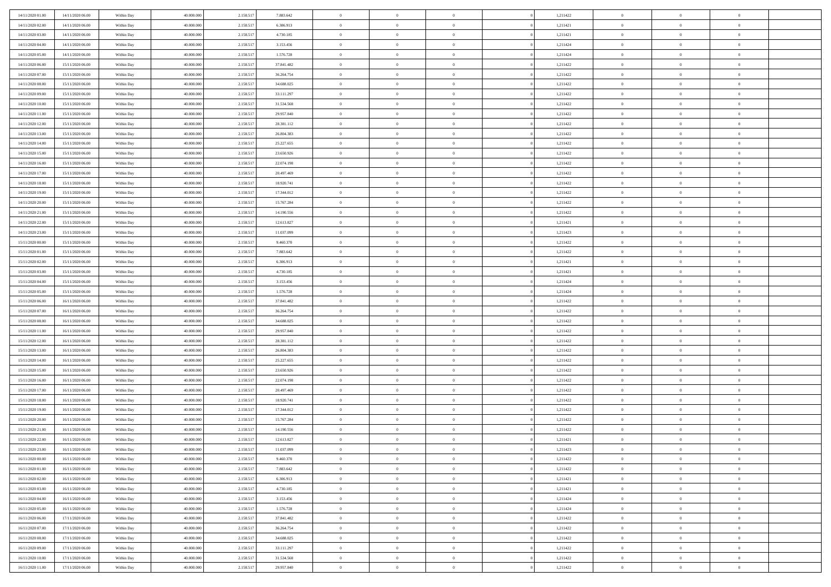| 14/11/2020 01:00                     | 14/11/2020 06:00 | Within Day | 40.000.000 | 2.158.51  | 7.883.642  | $\bf{0}$                   | $\overline{0}$                   | $\overline{0}$                   | 1,211422 | $\bf{0}$       | $\overline{0}$ | $\bf{0}$       |  |
|--------------------------------------|------------------|------------|------------|-----------|------------|----------------------------|----------------------------------|----------------------------------|----------|----------------|----------------|----------------|--|
| 14/11/2020 02.00                     | 14/11/2020 06:00 | Within Day | 40,000,000 | 2.158.51  | 6.306.913  | $\overline{0}$             | $\overline{0}$                   | $\Omega$                         | 1,211421 | $\overline{0}$ | $\theta$       | $\theta$       |  |
| 14/11/2020 03:00                     | 14/11/2020 06:00 | Within Day | 40.000.000 | 2.158.51  | 4.730.185  | $\overline{0}$             | $\overline{0}$                   | $\overline{0}$                   | 1,211421 | $\mathbf{0}$   | $\overline{0}$ | $\theta$       |  |
| 14/11/2020 04:00                     | 14/11/2020 06.00 | Within Day | 40.000.000 | 2.158.517 | 3.153.456  | $\bf{0}$                   | $\overline{0}$                   | $\overline{0}$                   | 1,211424 | $\mathbf{0}$   | $\overline{0}$ | $\bf{0}$       |  |
| 14/11/2020 05:00                     | 14/11/2020 06.00 | Within Day | 40,000,000 | 2.158.517 | 1.576.728  | $\bf{0}$                   | $\overline{0}$                   | $\overline{0}$                   | 1,211424 | $\bf{0}$       | $\overline{0}$ | $\bf{0}$       |  |
| 14/11/2020 06:00                     | 15/11/2020 06:00 | Within Day | 40.000.000 | 2.158.517 | 37.841.482 | $\overline{0}$             | $\overline{0}$                   | $\overline{0}$                   | 1,211422 | $\mathbf{0}$   | $\overline{0}$ | $\theta$       |  |
| 14/11/2020 07:00                     | 15/11/2020 06:00 | Within Day | 40.000.000 | 2.158.517 | 36.264.754 | $\bf{0}$                   | $\overline{0}$                   | $\overline{0}$                   | 1,211422 | $\mathbf{0}$   | $\overline{0}$ | $\bf{0}$       |  |
| 14/11/2020 08:00                     | 15/11/2020 06:00 | Within Day | 40,000,000 | 2.158.51  | 34.688.025 | $\overline{0}$             | $\overline{0}$                   | $\overline{0}$                   | 1,211422 | $\mathbf{0}$   | $\theta$       | $\theta$       |  |
| 14/11/2020 09:00                     | 15/11/2020 06:00 | Within Day | 40.000.000 | 2.158.517 | 33.111.297 | $\overline{0}$             | $\overline{0}$                   | $\overline{0}$                   | 1,211422 | $\mathbf{0}$   | $\overline{0}$ | $\theta$       |  |
| 14/11/2020 10:00                     |                  |            | 40.000.000 |           | 31.534.568 | $\bf{0}$                   | $\overline{0}$                   | $\Omega$                         | 1,211422 | $\bf{0}$       | $\overline{0}$ | $\bf{0}$       |  |
|                                      | 15/11/2020 06:00 | Within Day | 40,000,000 | 2.158.517 |            |                            |                                  |                                  |          |                | $\theta$       | $\theta$       |  |
| 14/11/2020 11:00                     | 15/11/2020 06:00 | Within Day |            | 2.158.51  | 29.957.840 | $\bf{0}$<br>$\overline{0}$ | $\overline{0}$<br>$\overline{0}$ | $\overline{0}$                   | 1,211422 | $\mathbf{0}$   |                | $\theta$       |  |
| 14/11/2020 12:00<br>14/11/2020 13.00 | 15/11/2020 06:00 | Within Day | 40.000.000 | 2.158.517 | 28.381.112 |                            |                                  | $\overline{0}$<br>$\overline{0}$ | 1,211422 | $\mathbf{0}$   | $\overline{0}$ |                |  |
|                                      | 15/11/2020 06:00 | Within Day | 40.000.000 | 2.158.517 | 26.804.383 | $\bf{0}$                   | $\overline{0}$                   |                                  | 1,211422 | $\mathbf{0}$   | $\overline{0}$ | $\bf{0}$       |  |
| 14/11/2020 14:00                     | 15/11/2020 06:00 | Within Day | 40,000,000 | 2.158.51  | 25.227.655 | $\bf{0}$                   | $\overline{0}$                   | $\overline{0}$                   | 1,211422 | $\bf{0}$       | $\theta$       | $\bf{0}$       |  |
| 14/11/2020 15.00                     | 15/11/2020 06:00 | Within Day | 40.000.000 | 2.158.517 | 23.650.926 | $\overline{0}$             | $\overline{0}$                   | $\overline{0}$                   | 1,211422 | $\mathbf{0}$   | $\overline{0}$ | $\theta$       |  |
| 14/11/2020 16.00                     | 15/11/2020 06:00 | Within Day | 40.000.000 | 2.158.517 | 22.074.198 | $\bf{0}$                   | $\overline{0}$                   | $\Omega$                         | 1,211422 | $\bf{0}$       | $\overline{0}$ | $\bf{0}$       |  |
| 14/11/2020 17:00                     | 15/11/2020 06:00 | Within Day | 40,000,000 | 2.158.51  | 20.497.469 | $\,$ 0 $\,$                | $\overline{0}$                   | $\overline{0}$                   | 1,211422 | $\mathbf{0}$   | $\overline{0}$ | $\theta$       |  |
| 14/11/2020 18.00                     | 15/11/2020 06:00 | Within Day | 40.000.000 | 2.158.517 | 18.920.741 | $\overline{0}$             | $\overline{0}$                   | $\overline{0}$                   | 1,211422 | $\mathbf{0}$   | $\overline{0}$ | $\theta$       |  |
| 14/11/2020 19.00                     | 15/11/2020 06:00 | Within Day | 40.000.000 | 2.158.517 | 17.344.012 | $\bf{0}$                   | $\overline{0}$                   | $\Omega$                         | 1,211422 | $\bf{0}$       | $\overline{0}$ | $\bf{0}$       |  |
| 14/11/2020 20.00                     | 15/11/2020 06:00 | Within Day | 40,000,000 | 2.158.51  | 15.767.284 | $\bf{0}$                   | $\overline{0}$                   | $\overline{0}$                   | 1,211422 | $\mathbf{0}$   | $\mathbf{0}$   | $\bf{0}$       |  |
| 14/11/2020 21.00                     | 15/11/2020 06:00 | Within Day | 40.000.000 | 2.158.517 | 14.190.556 | $\overline{0}$             | $\overline{0}$                   | $\overline{0}$                   | 1,211422 | $\mathbf{0}$   | $\overline{0}$ | $\theta$       |  |
| 14/11/2020 22.00                     | 15/11/2020 06:00 | Within Day | 40.000.000 | 2.158.517 | 12.613.827 | $\bf{0}$                   | $\overline{0}$                   | $\overline{0}$                   | 1,211421 | $\mathbf{0}$   | $\overline{0}$ | $\bf{0}$       |  |
| 14/11/2020 23.00                     | 15/11/2020 06:00 | Within Day | 40,000,000 | 2.158.51  | 11.037.099 | $\,0\,$                    | $\overline{0}$                   | $\overline{0}$                   | 1,211423 | $\,$ 0 $\,$    | $\overline{0}$ | $\bf{0}$       |  |
| 15/11/2020 00:00                     | 15/11/2020 06:00 | Within Day | 40.000.000 | 2.158.517 | 9.460.370  | $\overline{0}$             | $\overline{0}$                   | $\overline{0}$                   | 1,211422 | $\mathbf{0}$   | $\overline{0}$ | $\theta$       |  |
| 15/11/2020 01:00                     | 15/11/2020 06:00 | Within Day | 40.000.000 | 2.158.517 | 7.883.642  | $\bf{0}$                   | $\overline{0}$                   | $\overline{0}$                   | 1,211422 | $\bf{0}$       | $\overline{0}$ | $\bf{0}$       |  |
| 15/11/2020 02.00                     | 15/11/2020 06:00 | Within Day | 40,000,000 | 2.158.51  | 6.306.913  | $\,$ 0 $\,$                | $\overline{0}$                   | $\overline{0}$                   | 1,211421 | $\mathbf{0}$   | $\overline{0}$ | $\overline{0}$ |  |
| 15/11/2020 03:00                     | 15/11/2020 06:00 | Within Day | 40.000.000 | 2.158.517 | 4.730.185  | $\overline{0}$             | $\overline{0}$                   | $\overline{0}$                   | 1,211421 | $\mathbf{0}$   | $\overline{0}$ | $\theta$       |  |
| 15/11/2020 04:00                     | 15/11/2020 06:00 | Within Day | 40.000.000 | 2.158.517 | 3.153.456  | $\bf{0}$                   | $\overline{0}$                   | $\Omega$                         | 1,211424 | $\mathbf{0}$   | $\overline{0}$ | $\bf{0}$       |  |
| 15/11/2020 05:00                     | 15/11/2020 06:00 | Within Day | 40,000,000 | 2.158.51  | 1.576.728  | $\bf{0}$                   | $\overline{0}$                   | $\overline{0}$                   | 1,211424 | $\mathbf{0}$   | $\overline{0}$ | $\overline{0}$ |  |
| 15/11/2020 06:00                     | 16/11/2020 06:00 | Within Day | 40.000.000 | 2.158.517 | 37.841.482 | $\overline{0}$             | $\overline{0}$                   | $\overline{0}$                   | 1,211422 | $\mathbf{0}$   | $\overline{0}$ | $\theta$       |  |
| 15/11/2020 07:00                     | 16/11/2020 06:00 | Within Day | 40.000.000 | 2.158.517 | 36.264.754 | $\,$ 0                     | $\overline{0}$                   | $\overline{0}$                   | 1,211422 | $\,$ 0 $\,$    | $\overline{0}$ | $\,0\,$        |  |
| 15/11/2020 08:00                     | 16/11/2020 06:00 | Within Day | 40,000,000 | 2.158.51  | 34.688.025 | $\bf{0}$                   | $\overline{0}$                   | $\overline{0}$                   | 1,211422 | $\,$ 0 $\,$    | $\overline{0}$ | $\bf{0}$       |  |
| 15/11/2020 11:00                     | 16/11/2020 06:00 | Within Day | 40.000.000 | 2.158.517 | 29.957.840 | $\overline{0}$             | $\overline{0}$                   | $\overline{0}$                   | 1,211422 | $\mathbf{0}$   | $\overline{0}$ | $\theta$       |  |
| 15/11/2020 12:00                     | 16/11/2020 06:00 | Within Day | 40.000.000 | 2.158.517 | 28.381.112 | $\,$ 0                     | $\overline{0}$                   | $\theta$                         | 1,211422 | $\,$ 0         | $\overline{0}$ | $\mathbf{0}$   |  |
| 15/11/2020 13:00                     | 16/11/2020 06.00 | Within Day | 40,000,000 | 2.158.51  | 26.804.383 | $\,$ 0 $\,$                | $\overline{0}$                   | $\overline{0}$                   | 1,211422 | $\mathbf{0}$   | $\overline{0}$ | $\overline{0}$ |  |
| 15/11/2020 14:00                     | 16/11/2020 06:00 | Within Day | 40.000.000 | 2.158.517 | 25.227.655 | $\overline{0}$             | $\overline{0}$                   | $\overline{0}$                   | 1,211422 | $\mathbf{0}$   | $\overline{0}$ | $\theta$       |  |
| 15/11/2020 15:00                     | 16/11/2020 06:00 | Within Day | 40.000.000 | 2.158.517 | 23.650.926 | $\,$ 0                     | $\overline{0}$                   | $\overline{0}$                   | 1,211422 | $\,$ 0 $\,$    | $\overline{0}$ | $\mathbf{0}$   |  |
| 15/11/2020 16:00                     | 16/11/2020 06:00 | Within Day | 40,000,000 | 2.158.51  | 22.074.198 | $\bf{0}$                   | $\overline{0}$                   | $\overline{0}$                   | 1,211422 | $\mathbf{0}$   | $\overline{0}$ | $\bf{0}$       |  |
| 15/11/2020 17:00                     | 16/11/2020 06:00 | Within Day | 40.000.000 | 2.158.517 | 20.497.469 | $\overline{0}$             | $\overline{0}$                   | $\overline{0}$                   | 1,211422 | $\mathbf{0}$   | $\overline{0}$ | $\theta$       |  |
| 15/11/2020 18:00                     | 16/11/2020 06:00 | Within Day | 40.000.000 | 2.158.517 | 18.920.741 | $\,$ 0                     | $\overline{0}$                   | $\overline{0}$                   | 1,211422 | $\,$ 0 $\,$    | $\overline{0}$ | $\,$ 0 $\,$    |  |
| 15/11/2020 19:00                     | 16/11/2020 06:00 | Within Day | 40,000,000 | 2.158.51  | 17.344.012 | $\,$ 0 $\,$                | $\,$ 0 $\,$                      | $\overline{0}$                   | 1,211422 | $\,$ 0 $\,$    | $\overline{0}$ | $\bf{0}$       |  |
| 15/11/2020 20.00                     | 16/11/2020 06:00 | Within Day | 40.000.000 | 2.158.517 | 15.767.284 | $\overline{0}$             | $\overline{0}$                   | $\overline{0}$                   | 1,211422 | $\mathbf{0}$   | $\overline{0}$ | $\theta$       |  |
| 15/11/2020 21:00                     | 16/11/2020 06:00 | Within Day | 40.000.000 | 2.158.517 | 14.190.556 | $\overline{0}$             | $\overline{0}$                   | $\overline{0}$                   | 1,211422 | $\,$ 0         | $\overline{0}$ | $\mathbf{0}$   |  |
| 15/11/2020 22.00                     | 16/11/2020 06:00 | Within Day | 40,000,000 | 2.158.51  | 12.613.827 | $\bf{0}$                   | $\overline{0}$                   | $\overline{0}$                   | 1,211421 | $\mathbf{0}$   | $\overline{0}$ | $\bf{0}$       |  |
| 15/11/2020 23:00                     | 16/11/2020 06:00 | Within Day | 40.000.000 | 2.158.517 | 11.037.099 | $\overline{0}$             | $\theta$                         |                                  | 1,211423 | $\overline{0}$ | $\Omega$       | $\overline{0}$ |  |
| 16/11/2020 00:00                     | 16/11/2020 06:00 | Within Day | 40.000.000 | 2.158.517 | 9.460.370  | $\,$ 0                     | $\overline{0}$                   | $\overline{0}$                   | 1,211422 | $\,$ 0 $\,$    | $\bf{0}$       | $\mathbf{0}$   |  |
| 16/11/2020 01:00                     | 16/11/2020 06:00 | Within Day | 40,000,000 | 2.158.51  | 7.883.642  | $\mathbf{0}$               | $\overline{0}$                   | $\overline{0}$                   | 1,211422 | $\,$ 0 $\,$    | $\overline{0}$ | $\overline{0}$ |  |
| 16/11/2020 02:00                     | 16/11/2020 06:00 | Within Day | 40.000.000 | 2.158.517 | 6.306.913  | $\mathbf{0}$               | $\overline{0}$                   | $\overline{0}$                   | 1,211421 | $\mathbf{0}$   | $\bf{0}$       | $\overline{0}$ |  |
| 16/11/2020 03:00                     | 16/11/2020 06:00 | Within Day | 40.000.000 | 2.158.517 | 4.730.185  | $\,$ 0 $\,$                | $\overline{0}$                   | $\overline{0}$                   | 1,211421 | $\,$ 0 $\,$    | $\bf{0}$       | $\theta$       |  |
| 16/11/2020 04:00                     | 16/11/2020 06:00 | Within Day | 40,000,000 | 2.158.517 | 3.153.456  | $\,$ 0 $\,$                | $\,$ 0 $\,$                      | $\overline{0}$                   | 1,211424 | $\,$ 0 $\,$    | $\overline{0}$ | $\overline{0}$ |  |
| 16/11/2020 05:00                     | 16/11/2020 06:00 | Within Day | 40.000.000 | 2.158.517 | 1.576.728  | $\mathbf{0}$               | $\overline{0}$                   | $\overline{0}$                   | 1,211424 | $\mathbf{0}$   | $\overline{0}$ | $\overline{0}$ |  |
| 16/11/2020 06:00                     | 17/11/2020 06:00 | Within Day | 40.000.000 | 2.158.517 | 37.841.482 | $\,$ 0 $\,$                | $\overline{0}$                   | $\overline{0}$                   | 1,211422 | $\,$ 0 $\,$    | $\mathbf{0}$   | $\theta$       |  |
| 16/11/2020 07:00                     | 17/11/2020 06:00 | Within Day | 40,000,000 | 2.158.51  | 36.264.754 | $\mathbf{0}$               | $\overline{0}$                   | $\overline{0}$                   | 1,211422 | $\,$ 0 $\,$    | $\overline{0}$ | $\overline{0}$ |  |
| 16/11/2020 08:00                     | 17/11/2020 06:00 | Within Day | 40.000.000 | 2.158.517 | 34.688.025 | $\mathbf{0}$               | $\overline{0}$                   | $\overline{0}$                   | 1,211422 | $\mathbf{0}$   | $\bf{0}$       | $\overline{0}$ |  |
| 16/11/2020 09:00                     | 17/11/2020 06:00 | Within Day | 40.000.000 | 2.158.517 | 33.111.297 | $\,$ 0 $\,$                | $\overline{0}$                   | $\overline{0}$                   | 1,211422 | $\,$ 0 $\,$    | $\mathbf{0}$   | $\theta$       |  |
| 16/11/2020 10:00                     | 17/11/2020 06:00 | Within Day | 40,000,000 | 2.158.517 | 31.534.568 | $\mathbf{0}$               | $\overline{0}$                   | $\overline{0}$                   |          |                | $\overline{0}$ | $\overline{0}$ |  |
|                                      | 17/11/2020 06:00 |            |            |           |            |                            |                                  |                                  | 1,211422 | $\,$ 0 $\,$    |                |                |  |
| 16/11/2020 11:00                     |                  | Within Day | 40.000.000 | 2.158.517 | 29.957.840 | $\overline{0}$             | $\overline{0}$                   | $\overline{0}$                   | 1,211422 | $\mathbf{0}$   | $\mathbf{0}$   | $\overline{0}$ |  |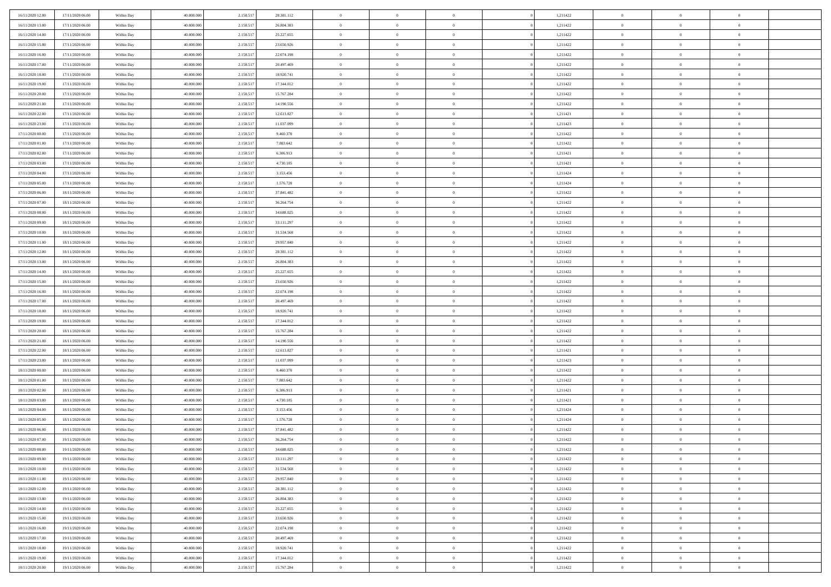| 16/11/2020 12:00 | 17/11/2020 06:00 | Within Day | 40.000.000 | 2.158.51  | 28.381.112 | $\bf{0}$                   | $\overline{0}$                   | $\Omega$                         | 1,211422 | $\bf{0}$       | $\overline{0}$ | $\bf{0}$       |  |
|------------------|------------------|------------|------------|-----------|------------|----------------------------|----------------------------------|----------------------------------|----------|----------------|----------------|----------------|--|
| 16/11/2020 13:00 | 17/11/2020 06:00 | Within Day | 40,000,000 | 2.158.51  | 26.804.383 | $\overline{0}$             | $\overline{0}$                   | $\Omega$                         | 1,211422 | $\overline{0}$ | $\theta$       | $\theta$       |  |
| 16/11/2020 14:00 | 17/11/2020 06:00 | Within Day | 40.000.000 | 2.158.517 | 25.227.655 | $\overline{0}$             | $\overline{0}$                   | $\overline{0}$                   | 1,211422 | $\mathbf{0}$   | $\overline{0}$ | $\theta$       |  |
| 16/11/2020 15:00 | 17/11/2020 06:00 | Within Day | 40.000.000 | 2.158.517 | 23.650.926 | $\bf{0}$                   | $\overline{0}$                   | $\overline{0}$                   | 1,211422 | $\mathbf{0}$   | $\overline{0}$ | $\bf{0}$       |  |
| 16/11/2020 16:00 | 17/11/2020 06:00 | Within Day | 40,000,000 | 2.158.51  | 22.074.198 | $\bf{0}$                   | $\overline{0}$                   | $\overline{0}$                   | 1,211422 | $\bf{0}$       | $\overline{0}$ | $\bf{0}$       |  |
| 16/11/2020 17:00 | 17/11/2020 06:00 | Within Day | 40.000.000 | 2.158.517 | 20.497.469 | $\overline{0}$             | $\overline{0}$                   | $\overline{0}$                   | 1,211422 | $\mathbf{0}$   | $\overline{0}$ | $\theta$       |  |
| 16/11/2020 18.00 | 17/11/2020 06:00 | Within Day | 40.000.000 | 2.158.517 | 18.920.741 | $\bf{0}$                   | $\overline{0}$                   | $\overline{0}$                   | 1,211422 | $\mathbf{0}$   | $\overline{0}$ | $\bf{0}$       |  |
| 16/11/2020 19:00 | 17/11/2020 06:00 | Within Day | 40,000,000 | 2.158.51  | 17.344.012 | $\mathbf{0}$               | $\overline{0}$                   | $\overline{0}$                   | 1,211422 | $\mathbf{0}$   | $\theta$       | $\theta$       |  |
| 16/11/2020 20:00 | 17/11/2020 06:00 | Within Day | 40.000.000 | 2.158.517 | 15.767.284 | $\overline{0}$             | $\overline{0}$                   | $\overline{0}$                   | 1,211422 | $\mathbf{0}$   | $\overline{0}$ | $\theta$       |  |
|                  |                  |            | 40.000.000 |           | 14.190.556 | $\bf{0}$                   | $\overline{0}$                   | $\Omega$                         | 1,211422 | $\bf{0}$       | $\overline{0}$ | $\bf{0}$       |  |
| 16/11/2020 21:00 | 17/11/2020 06:00 | Within Day | 40,000,000 | 2.158.517 |            |                            |                                  |                                  |          |                | $\theta$       | $\theta$       |  |
| 16/11/2020 22.00 | 17/11/2020 06:00 | Within Day |            | 2.158.517 | 12.613.827 | $\bf{0}$<br>$\overline{0}$ | $\overline{0}$<br>$\overline{0}$ | $\overline{0}$                   | 1,211421 | $\mathbf{0}$   |                | $\theta$       |  |
| 16/11/2020 23.00 | 17/11/2020 06:00 | Within Day | 40.000.000 | 2.158.517 | 11.037.099 |                            |                                  | $\overline{0}$<br>$\overline{0}$ | 1,211423 | $\mathbf{0}$   | $\overline{0}$ |                |  |
| 17/11/2020 00:00 | 17/11/2020 06:00 | Within Day | 40.000.000 | 2.158.517 | 9.460.370  | $\bf{0}$                   | $\overline{0}$                   |                                  | 1,211422 | $\mathbf{0}$   | $\overline{0}$ | $\bf{0}$       |  |
| 17/11/2020 01:00 | 17/11/2020 06:00 | Within Day | 40,000,000 | 2.158.51  | 7.883.642  | $\bf{0}$                   | $\overline{0}$                   | $\overline{0}$                   | 1,211422 | $\bf{0}$       | $\theta$       | $\bf{0}$       |  |
| 17/11/2020 02:00 | 17/11/2020 06:00 | Within Day | 40.000.000 | 2.158.517 | 6.306.913  | $\overline{0}$             | $\overline{0}$                   | $\overline{0}$                   | 1,211421 | $\mathbf{0}$   | $\overline{0}$ | $\theta$       |  |
| 17/11/2020 03:00 | 17/11/2020 06:00 | Within Day | 40.000.000 | 2.158.517 | 4.730.185  | $\bf{0}$                   | $\overline{0}$                   | $\Omega$                         | 1,211421 | $\mathbf{0}$   | $\overline{0}$ | $\bf{0}$       |  |
| 17/11/2020 04:00 | 17/11/2020 06:00 | Within Day | 40,000,000 | 2.158.51  | 3.153.456  | $\,$ 0 $\,$                | $\overline{0}$                   | $\overline{0}$                   | 1,211424 | $\mathbf{0}$   | $\overline{0}$ | $\theta$       |  |
| 17/11/2020 05:00 | 17/11/2020 06:00 | Within Day | 40.000.000 | 2.158.517 | 1.576.728  | $\overline{0}$             | $\overline{0}$                   | $\overline{0}$                   | 1,211424 | $\mathbf{0}$   | $\overline{0}$ | $\theta$       |  |
| 17/11/2020 06:00 | 18/11/2020 06:00 | Within Day | 40.000.000 | 2.158.51  | 37.841.482 | $\bf{0}$                   | $\overline{0}$                   | $\Omega$                         | 1,211422 | $\bf{0}$       | $\overline{0}$ | $\bf{0}$       |  |
| 17/11/2020 07:00 | 18/11/2020 06:00 | Within Day | 40,000,000 | 2.158.51  | 36.264.754 | $\bf{0}$                   | $\overline{0}$                   | $\overline{0}$                   | 1,211422 | $\mathbf{0}$   | $\mathbf{0}$   | $\overline{0}$ |  |
| 17/11/2020 08:00 | 18/11/2020 06:00 | Within Day | 40.000.000 | 2.158.517 | 34.688.025 | $\overline{0}$             | $\overline{0}$                   | $\overline{0}$                   | 1,211422 | $\mathbf{0}$   | $\overline{0}$ | $\theta$       |  |
| 17/11/2020 09:00 | 18/11/2020 06:00 | Within Day | 40.000.000 | 2.158.517 | 33.111.297 | $\bf{0}$                   | $\overline{0}$                   | $\overline{0}$                   | 1,211422 | $\mathbf{0}$   | $\overline{0}$ | $\bf{0}$       |  |
| 17/11/2020 10:00 | 18/11/2020 06:00 | Within Day | 40,000,000 | 2.158.51  | 31.534.568 | $\,0\,$                    | $\overline{0}$                   | $\overline{0}$                   | 1,211422 | $\,$ 0 $\,$    | $\overline{0}$ | $\bf{0}$       |  |
| 17/11/2020 11:00 | 18/11/2020 06:00 | Within Day | 40.000.000 | 2.158.517 | 29.957.840 | $\overline{0}$             | $\overline{0}$                   | $\overline{0}$                   | 1,211422 | $\mathbf{0}$   | $\overline{0}$ | $\theta$       |  |
| 17/11/2020 12:00 | 18/11/2020 06:00 | Within Day | 40.000.000 | 2.158.517 | 28.381.112 | $\bf{0}$                   | $\overline{0}$                   | $\overline{0}$                   | 1,211422 | $\bf{0}$       | $\overline{0}$ | $\bf{0}$       |  |
| 17/11/2020 13:00 | 18/11/2020 06:00 | Within Day | 40,000,000 | 2.158.51  | 26.804.383 | $\,$ 0 $\,$                | $\overline{0}$                   | $\overline{0}$                   | 1,211422 | $\mathbf{0}$   | $\overline{0}$ | $\overline{0}$ |  |
| 17/11/2020 14.00 | 18/11/2020 06:00 | Within Day | 40.000.000 | 2.158.517 | 25.227.655 | $\overline{0}$             | $\overline{0}$                   | $\overline{0}$                   | 1,211422 | $\mathbf{0}$   | $\overline{0}$ | $\theta$       |  |
| 17/11/2020 15:00 | 18/11/2020 06:00 | Within Day | 40.000.000 | 2.158.517 | 23.650.926 | $\bf{0}$                   | $\overline{0}$                   | $\Omega$                         | 1,211422 | $\mathbf{0}$   | $\overline{0}$ | $\bf{0}$       |  |
| 17/11/2020 16.00 | 18/11/2020 06:00 | Within Day | 40,000,000 | 2.158.51  | 22.074.198 | $\bf{0}$                   | $\overline{0}$                   | $\overline{0}$                   | 1,211422 | $\mathbf{0}$   | $\overline{0}$ | $\overline{0}$ |  |
| 17/11/2020 17.00 | 18/11/2020 06:00 | Within Day | 40.000.000 | 2.158.517 | 20.497.469 | $\overline{0}$             | $\overline{0}$                   | $\overline{0}$                   | 1,211422 | $\mathbf{0}$   | $\overline{0}$ | $\theta$       |  |
| 17/11/2020 18:00 | 18/11/2020 06:00 | Within Day | 40.000.000 | 2.158.517 | 18.920.741 | $\,$ 0                     | $\overline{0}$                   | $\overline{0}$                   | 1,211422 | $\,$ 0 $\,$    | $\overline{0}$ | $\,0\,$        |  |
| 17/11/2020 19:00 | 18/11/2020 06:00 | Within Day | 40,000,000 | 2.158.51  | 17.344.012 | $\bf{0}$                   | $\overline{0}$                   | $\overline{0}$                   | 1,211422 | $\,$ 0 $\,$    | $\overline{0}$ | $\bf{0}$       |  |
| 17/11/2020 20.00 | 18/11/2020 06:00 | Within Day | 40.000.000 | 2.158.517 | 15.767.284 | $\overline{0}$             | $\overline{0}$                   | $\overline{0}$                   | 1,211422 | $\mathbf{0}$   | $\overline{0}$ | $\theta$       |  |
| 17/11/2020 21:00 | 18/11/2020 06:00 | Within Day | 40.000.000 | 2.158.517 | 14.190.556 | $\,$ 0                     | $\overline{0}$                   | $\theta$                         | 1,211422 | $\,$ 0         | $\overline{0}$ | $\mathbf{0}$   |  |
| 17/11/2020 22.00 | 18/11/2020 06:00 | Within Day | 40,000,000 | 2.158.51  | 12.613.827 | $\,$ 0 $\,$                | $\overline{0}$                   | $\overline{0}$                   | 1,211421 | $\mathbf{0}$   | $\overline{0}$ | $\overline{0}$ |  |
| 17/11/2020 23.00 | 18/11/2020 06:00 | Within Day | 40.000.000 | 2.158.517 | 11.037.099 | $\overline{0}$             | $\overline{0}$                   | $\overline{0}$                   | 1,211423 | $\mathbf{0}$   | $\overline{0}$ | $\theta$       |  |
| 18/11/2020 00:00 | 18/11/2020 06:00 | Within Day | 40.000.000 | 2.158.517 | 9.460.370  | $\,$ 0                     | $\overline{0}$                   | $\overline{0}$                   | 1,211422 | $\,$ 0 $\,$    | $\overline{0}$ | $\mathbf{0}$   |  |
| 18/11/2020 01:00 | 18/11/2020 06:00 | Within Day | 40,000,000 | 2.158.51  | 7.883.642  | $\bf{0}$                   | $\overline{0}$                   | $\overline{0}$                   | 1,211422 | $\mathbf{0}$   | $\overline{0}$ | $\bf{0}$       |  |
| 18/11/2020 02:00 | 18/11/2020 06:00 | Within Day | 40.000.000 | 2.158.517 | 6.306.913  | $\overline{0}$             | $\overline{0}$                   | $\overline{0}$                   | 1,211421 | $\mathbf{0}$   | $\overline{0}$ | $\theta$       |  |
| 18/11/2020 03:00 | 18/11/2020 06:00 | Within Day | 40.000.000 | 2.158.517 | 4.730.185  | $\,$ 0                     | $\overline{0}$                   | $\overline{0}$                   | 1,211421 | $\,$ 0 $\,$    | $\overline{0}$ | $\,0\,$        |  |
| 18/11/2020 04:00 | 18/11/2020 06:00 | Within Day | 40,000,000 | 2.158.51  | 3.153.456  | $\,$ 0 $\,$                | $\,$ 0 $\,$                      | $\overline{0}$                   | 1,211424 | $\,$ 0 $\,$    | $\overline{0}$ | $\bf{0}$       |  |
| 18/11/2020 05:00 | 18/11/2020 06:00 | Within Day | 40.000.000 | 2.158.517 | 1.576.728  | $\overline{0}$             | $\overline{0}$                   | $\overline{0}$                   | 1,211424 | $\mathbf{0}$   | $\overline{0}$ | $\theta$       |  |
| 18/11/2020 06:00 | 19/11/2020 06:00 | Within Day | 40.000.000 | 2.158.517 | 37.841.482 | $\overline{0}$             | $\overline{0}$                   | $\overline{0}$                   | 1,211422 | $\overline{0}$ | $\overline{0}$ | $\mathbf{0}$   |  |
| 18/11/2020 07:00 | 19/11/2020 06:00 | Within Day | 40,000,000 | 2.158.51  | 36.264.754 | $\bf{0}$                   | $\overline{0}$                   | $\overline{0}$                   | 1,211422 | $\mathbf{0}$   | $\overline{0}$ | $\overline{0}$ |  |
| 18/11/2020 08:00 | 19/11/2020 06:00 | Within Day | 40.000.000 | 2.158.517 | 34.688.025 | $\overline{0}$             | $\theta$                         |                                  | 1,211422 | $\overline{0}$ | $\Omega$       | $\overline{0}$ |  |
| 18/11/2020 09:00 | 19/11/2020 06:00 | Within Day | 40.000.000 | 2.158.517 | 33.111.297 | $\,$ 0 $\,$                | $\overline{0}$                   | $\overline{0}$                   | 1,211422 | $\,$ 0 $\,$    | $\bf{0}$       | $\mathbf{0}$   |  |
| 18/11/2020 10:00 | 19/11/2020 06:00 | Within Day | 40,000,000 | 2.158.51  | 31.534.568 | $\mathbf{0}$               | $\overline{0}$                   | $\overline{0}$                   | 1,211422 | $\,$ 0 $\,$    | $\overline{0}$ | $\overline{0}$ |  |
| 18/11/2020 11:00 | 19/11/2020 06:00 | Within Day | 40.000.000 | 2.158.517 | 29.957.840 | $\mathbf{0}$               | $\overline{0}$                   | $\overline{0}$                   | 1,211422 | $\mathbf{0}$   | $\bf{0}$       | $\overline{0}$ |  |
| 18/11/2020 12:00 | 19/11/2020 06:00 | Within Day | 40.000.000 | 2.158.517 | 28.381.112 | $\,$ 0 $\,$                | $\overline{0}$                   | $\overline{0}$                   | 1,211422 | $\,$ 0 $\,$    | $\bf{0}$       | $\theta$       |  |
| 18/11/2020 13:00 | 19/11/2020 06:00 | Within Day | 40,000,000 | 2.158.51  | 26.804.383 | $\,$ 0 $\,$                | $\,$ 0 $\,$                      | $\overline{0}$                   | 1,211422 | $\,$ 0 $\,$    | $\overline{0}$ | $\overline{0}$ |  |
| 18/11/2020 14:00 | 19/11/2020 06:00 | Within Day | 40.000.000 | 2.158.517 | 25.227.655 | $\mathbf{0}$               | $\overline{0}$                   | $\overline{0}$                   | 1,211422 | $\mathbf{0}$   | $\bf{0}$       | $\overline{0}$ |  |
| 18/11/2020 15:00 | 19/11/2020 06:00 | Within Day | 40.000.000 | 2.158.517 | 23.650.926 | $\,$ 0 $\,$                | $\overline{0}$                   | $\overline{0}$                   | 1,211422 | $\,$ 0 $\,$    | $\mathbf{0}$   | $\theta$       |  |
| 18/11/2020 16.00 | 19/11/2020 06:00 | Within Day | 40,000,000 | 2.158.51  | 22.074.198 | $\mathbf{0}$               | $\overline{0}$                   | $\overline{0}$                   | 1,211422 | $\,$ 0 $\,$    | $\overline{0}$ | $\overline{0}$ |  |
| 18/11/2020 17:00 | 19/11/2020 06:00 | Within Day | 40.000.000 | 2.158.517 | 20.497.469 | $\mathbf{0}$               | $\overline{0}$                   | $\overline{0}$                   | 1,211422 | $\mathbf{0}$   | $\bf{0}$       | $\overline{0}$ |  |
| 18/11/2020 18:00 | 19/11/2020 06:00 | Within Day | 40.000.000 | 2.158.517 | 18.920.741 | $\,$ 0 $\,$                | $\overline{0}$                   | $\overline{0}$                   | 1,211422 | $\,$ 0 $\,$    | $\mathbf{0}$   | $\theta$       |  |
| 18/11/2020 19:00 | 19/11/2020 06:00 | Within Day | 40,000,000 | 2.158.517 | 17.344.012 | $\mathbf{0}$               | $\overline{0}$                   | $\overline{0}$                   | 1,211422 | $\,$ 0 $\,$    | $\overline{0}$ | $\overline{0}$ |  |
| 18/11/2020 20.00 | 19/11/2020 06:00 |            | 40.000.000 |           | 15.767.284 | $\mathbf{0}$               | $\overline{0}$                   | $\overline{0}$                   | 1,211422 | $\mathbf{0}$   | $\mathbf{0}$   | $\overline{0}$ |  |
|                  |                  | Within Day |            | 2.158.517 |            |                            |                                  |                                  |          |                |                |                |  |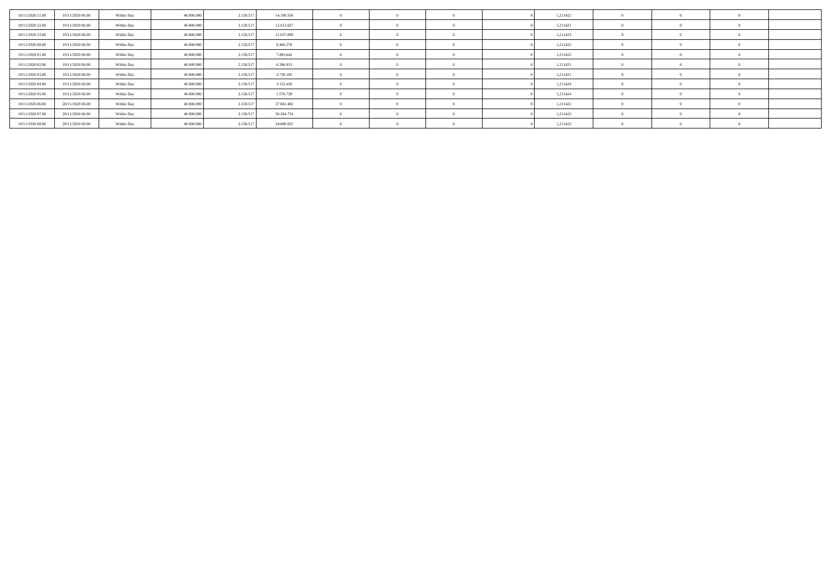| 18/11/2020 21:00 | 19/11/2020 06:00 | Within Day | 40,000,000 | 2.158.517 | 14.190.556 |  |  | 1,211422 |  |  |
|------------------|------------------|------------|------------|-----------|------------|--|--|----------|--|--|
| 18/11/2020 22.00 | 19/11/2020 06.00 | Within Day | 40,000,000 | 2.158.517 | 12.613.827 |  |  | 1,211421 |  |  |
| 18/11/2020 23.00 | 19/11/2020 06.00 | Within Day | 40,000,000 | 2.158.517 | 11.037.099 |  |  | 1,211423 |  |  |
| 19/11/2020 00:00 | 19/11/2020 06.00 | Within Day | 40,000,000 | 2.158.517 | 9.460.370  |  |  | 1,211422 |  |  |
| 19/11/2020 01:00 | 19/11/2020 06.00 | Within Day | 40,000,000 | 2.158.517 | 7.883.642  |  |  | 1,211422 |  |  |
| 19/11/2020 02.00 | 19/11/2020 06.00 | Within Day | 40,000,000 | 2.158.517 | 6.306.913  |  |  | 1,211421 |  |  |
| 19/11/2020 03:00 | 19/11/2020 06.00 | Within Day | 40,000,000 | 2.158.517 | 4.730.185  |  |  | 1,211421 |  |  |
| 19/11/2020 04:00 | 19/11/2020 06.00 | Within Day | 40,000,000 | 2.158.51  | 3.153.456  |  |  | 1,211424 |  |  |
| 19/11/2020 05:00 | 19/11/2020 06.00 | Within Day | 40.000.000 | 2.158.517 | 1.576.728  |  |  | 1,211424 |  |  |
| 19/11/2020 06:00 | 20/11/2020 06:00 | Within Day | 40.000.000 | 2.158.517 | 37.841.482 |  |  | 1,211422 |  |  |
| 19/11/2020 07:00 | 20/11/2020 06.00 | Within Day | 40,000,000 | 2.158.517 | 36.264.754 |  |  | 1,211422 |  |  |
| 19/11/2020 08:00 | 20/11/2020 06.00 | Within Day | 40.000.000 | 2.158.517 | 34.688.025 |  |  | 1,211422 |  |  |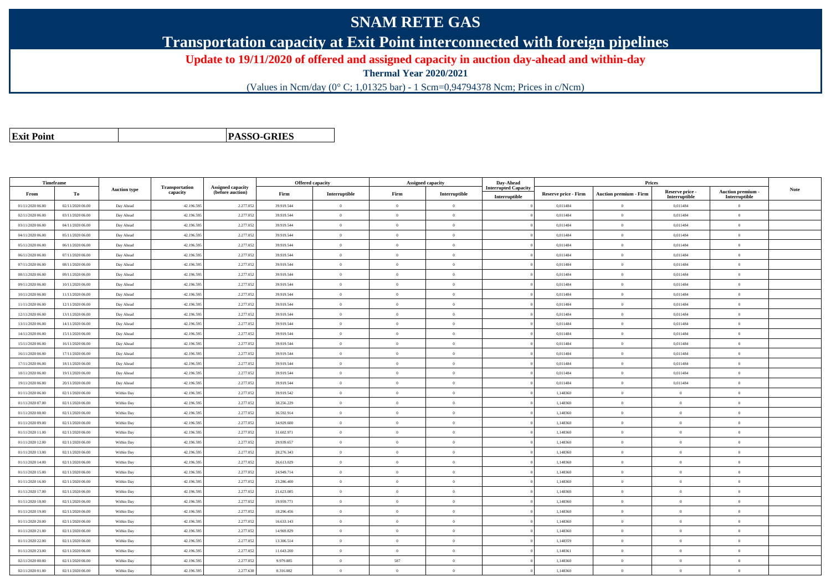# **SNAM RETE GAS**

**Transportation capacity at Exit Point interconnected with foreign pipelines**

**Update to 19/11/2020 of offered and assigned capacity in auction day-ahead and within-day**

**Thermal Year 2020/2021**

(Values in Ncm/day (0° C; 1,01325 bar) - 1 Scm=0,94794378 Ncm; Prices in c/Ncm)

**Exit Point**

**PASSO-GRIES**

| Timeframe        |                  |                     |                            |                                              |            | Offered capacity |                | <b>Assigned capacity</b> | Day-Ahead                                    |                             | Prices                        |                                  |                                         |      |
|------------------|------------------|---------------------|----------------------------|----------------------------------------------|------------|------------------|----------------|--------------------------|----------------------------------------------|-----------------------------|-------------------------------|----------------------------------|-----------------------------------------|------|
| From             | To               | <b>Auction type</b> | Transportation<br>capacity | <b>Assigned capacity</b><br>(before auction) | Firm       | Interruptible    | Firm           | Interruptible            | <b>Interrupted Capacity</b><br>Interruptible | <b>Reserve price - Firm</b> | <b>Auction premium - Firm</b> | Reserve price -<br>Interruptible | <b>Auction premium</b><br>Interruptible | Note |
| 01/11/2020 06.00 | 02/11/2020 06:00 | Day Ahead           | 42.196.595                 | 2.277.05                                     | 39.919.544 | $\overline{0}$   | $\Omega$       | $\Omega$                 |                                              | 0,011484                    | $\Omega$                      | 0,011484                         | $\overline{0}$                          |      |
| 02/11/2020 06.00 | 03/11/2020 06:00 | Day Ahead           | 42.196.59                  | 2.277.05                                     | 39.919.544 | $\mathbf{0}$     | $\theta$       | $\overline{0}$           |                                              | 0,011484                    | $\bf{0}$                      | 0,011484                         | $\mathbf{0}$                            |      |
| 03/11/2020 06:00 | 04/11/2020 06:00 | Day Ahead           | 42.196.59                  | 2.277.05                                     | 39.919.544 | $\overline{0}$   | $\overline{0}$ | $\theta$                 |                                              | 0,011484                    | $\bf{0}$                      | 0,011484                         | $\theta$                                |      |
| 04/11/2020 06:00 | 05/11/2020 06:00 | Day Ahead           | 42.196.59                  | 2.277.05                                     | 39.919.544 | $\overline{0}$   | $\overline{0}$ | $\theta$                 |                                              | 0.011484                    | $\bf{0}$                      | 0.011484                         | $\theta$                                |      |
| 05/11/2020 06.00 | 06/11/2020 06:00 | Day Ahead           | 42.196.59                  | 2.277.05                                     | 39.919.544 | $\overline{0}$   | $\theta$       | $\overline{0}$           |                                              | 0,011484                    | $\bf{0}$                      | 0,011484                         | $\overline{0}$                          |      |
| 06/11/2020 06.00 | 07/11/2020 06:00 | Day Ahead           | 42.196.59                  | 2.277.05                                     | 39.919.544 | $\mathbf{0}$     | $\overline{0}$ | $\overline{0}$           |                                              | 0,011484                    | $\bf{0}$                      | 0,011484                         | $\mathbf{0}$                            |      |
| 07/11/2020 06.00 | 08/11/2020 06:00 | Day Ahead           | 42.196.595                 | 2.277.05                                     | 39.919.544 | $\theta$         | $\theta$       | $\theta$                 |                                              | 0.011484                    | $\theta$                      | 0.011484                         | $\Omega$                                |      |
| 08/11/2020 06.00 | 09/11/2020 06:00 | Day Ahead           | 42.196.59                  | 2.277.05                                     | 39.919.544 | $\overline{0}$   | $\theta$       | $\theta$                 |                                              | 0,011484                    | $\bf{0}$                      | 0,011484                         | $\overline{0}$                          |      |
| 09/11/2020 06.00 | 10/11/2020 06:00 | Day Ahead           | 42.196.595                 | 2.277.05                                     | 39.919.544 | $\overline{0}$   | $\overline{0}$ | $\theta$                 |                                              | 0,011484                    | $\bf{0}$                      | 0,011484                         | $\theta$                                |      |
| 10/11/2020 06:00 | 11/11/2020 06:00 | Day Ahead           | 42.196.59                  | 2.277.05                                     | 39.919.544 | $\overline{0}$   | $\theta$       | $\theta$                 |                                              | 0,011484                    | $\bf{0}$                      | 0,011484                         | $\overline{0}$                          |      |
| 11/11/2020 06:00 | 12/11/2020 06:00 | Day Ahead           | 42.196.595                 | 2.277.05                                     | 39.919.544 | $\overline{0}$   | $\overline{0}$ | $\overline{0}$           |                                              | 0.011484                    | $\bf{0}$                      | 0,011484                         | $\theta$                                |      |
| 12/11/2020 06:00 | 13/11/2020 06:00 | Day Ahead           | 42.196.595                 | 2.277.05                                     | 39.919.544 | $\overline{0}$   | $\theta$       | $\theta$                 |                                              | 0,011484                    | $\bf{0}$                      | 0,011484                         | $\overline{0}$                          |      |
| 13/11/2020 06:00 | 14/11/2020 06:00 | Day Ahead           | 42.196.59                  | 2.277.05                                     | 39.919.544 | $\theta$         | $\Omega$       | $\theta$                 |                                              | 0,011484                    | $\bf{0}$                      | 0,011484                         | $\theta$                                |      |
| 14/11/2020 06.00 | 15/11/2020 06:00 | Day Ahead           | 42.196.595                 | 2.277.053                                    | 39.919.544 | $\overline{0}$   | $\theta$       | $\overline{0}$           |                                              | 0.011484                    | $\bf{0}$                      | 0,011484                         | $\theta$                                |      |
| 15/11/2020 06:00 | 16/11/2020 06:00 | Day Ahead           | 42.196.595                 | 2.277.05                                     | 39.919.544 | $\overline{0}$   | $\overline{0}$ | $\theta$                 |                                              | 0,011484                    | $\bf{0}$                      | 0,011484                         | $\theta$                                |      |
| 16/11/2020 06:00 | 17/11/2020 06.00 | Day Ahead           | 42.196.59                  | 2.277.05                                     | 39.919.544 | $\overline{0}$   | $\theta$       | $\overline{0}$           |                                              | 0,011484                    | $\bf{0}$                      | 0,011484                         | $\overline{0}$                          |      |
| 17/11/2020 06:00 | 18/11/2020 06:00 | Day Ahead           | 42.196.595                 | 2.277.05                                     | 39.919.544 | $\mathbf{0}$     | $\overline{0}$ | $\overline{0}$           |                                              | 0,011484                    | $\bf{0}$                      | 0,011484                         | $\theta$                                |      |
| 18/11/2020 06:00 | 19/11/2020 06:00 | Day Ahead           | 42.196.595                 | 2.277.05                                     | 39.919.544 | $\theta$         | $\theta$       | $\Omega$                 |                                              | 0,011484                    | $\theta$                      | 0,011484                         | $\Omega$                                |      |
| 19/11/2020 06:00 | 20/11/2020 06:00 | Day Ahead           | 42.196.59                  | 2.277.05                                     | 39.919.544 | $\theta$         | $\overline{0}$ | $\theta$                 |                                              | 0,011484                    | $\bf{0}$                      | 0,011484                         | $\overline{0}$                          |      |
| 01/11/2020 06.00 | 02/11/2020 06:00 | Within Day          | 42.196.59                  | 2.277.05                                     | 39.919.542 | $\mathbf{0}$     | $\theta$       | $\theta$                 |                                              | 1,148360                    | $\bf{0}$                      | $\theta$                         | $\theta$                                |      |
| 01/11/2020 07:00 | 02/11/2020 06:00 | Within Day          | 42.196.595                 | 2.277.05                                     | 38.256.229 | $\theta$         | $\Omega$       | $\theta$                 |                                              | 1,148360                    | $\bf{0}$                      | $\theta$                         | $\Omega$                                |      |
| 01/11/2020 08:00 | 02/11/2020 06:00 | Within Day          | 42.196.595                 | 2.277.05                                     | 36.592.914 | $\theta$         | $\Omega$       | $\Omega$                 |                                              | 1.148360                    | $\theta$                      | $\sqrt{2}$                       | $\Omega$                                |      |
| 01/11/2020 09:00 | 02/11/2020 06:00 | Within Day          | 42.196.595                 | 2.277.05                                     | 34.929.600 | $\overline{0}$   | $\theta$       | $\theta$                 |                                              | 1,148360                    | $\bf{0}$                      | $\theta$                         | $\overline{0}$                          |      |
| 01/11/2020 11:00 | 02/11/2020 06:00 | Within Day          | 42.196.59                  | 2.277.05                                     | 31.602.971 | $\theta$         | $\theta$       | $\Omega$                 |                                              | 1.148360                    | $\theta$                      | $\theta$                         | $\theta$                                |      |
| 01/11/2020 12:00 | 02/11/2020 06:00 | Within Day          | 42.196.59                  | 2.277.05                                     | 29.939.657 | $\overline{0}$   | $\overline{0}$ | $\overline{0}$           |                                              | 1,148360                    | $\bf{0}$                      | $\theta$                         | $\theta$                                |      |
| 01/11/2020 13.00 | 02/11/2020 06:00 | Within Day          | 42.196.595                 | 2.277.05                                     | 28.276.343 | $\overline{0}$   | $\overline{0}$ | $\overline{0}$           |                                              | 1,148360                    | $\bf{0}$                      | $\bf{0}$                         | $\theta$                                |      |
| 01/11/2020 14:00 | 02/11/2020 06:00 | Within Day          | 42.196.59                  | 2.277.05                                     | 26.613.029 | $\overline{0}$   | $\theta$       | $\theta$                 |                                              | 1,148360                    | $\bf{0}$                      | $\theta$                         | $\overline{0}$                          |      |
| 01/11/2020 15:00 | 02/11/2020 06:00 | Within Day          | 42.196.595                 | 2.277.05                                     | 24.949.714 | $\overline{0}$   | $\theta$       | $\overline{0}$           |                                              | 1,148360                    | $\bf{0}$                      | $\theta$                         | $\theta$                                |      |
| 01/11/2020 16:00 | 02/11/2020 06:00 | Within Day          | 42.196.595                 | 2.277.05                                     | 23.286.400 | $\theta$         | $\theta$       | $\Omega$                 |                                              | 1.148360                    | $\theta$                      | $\sqrt{2}$                       | $\Omega$                                |      |
| 01/11/2020 17.00 | 02/11/2020 06.00 | Within Day          | 42.196.59                  | 2.277.05                                     | 21.623.085 | $\overline{0}$   | $\overline{0}$ | $\overline{0}$           |                                              | 1,148360                    | $\bf{0}$                      | $\theta$                         | $\overline{0}$                          |      |
| 01/11/2020 18:00 | 02/11/2020 06:00 | Within Day          | 42.196.59                  | 2.277.05                                     | 19.959.771 | $\mathbf{0}$     | $\theta$       | $\theta$                 |                                              | 1,148360                    | $\bf{0}$                      | $\theta$                         | $\theta$                                |      |
| 01/11/2020 19:00 | 02/11/2020 06:00 | Within Day          | 42.196.595                 | 2.277.05                                     | 18.296.456 | $\overline{0}$   | $\theta$       | $\theta$                 |                                              | 1,148360                    | $\bf{0}$                      | $\theta$                         | $\mathbf{0}$                            |      |
| 01/11/2020 20.00 | 02/11/2020 06:00 | Within Day          | 42.196.59                  | 2.277.05                                     | 16.633.143 | $\overline{0}$   | $\theta$       | $\theta$                 |                                              | 1,148360                    | $\bf{0}$                      | $\sqrt{2}$                       | $\overline{0}$                          |      |
| 01/11/2020 21.00 | 02/11/2020 06:00 | Within Day          | 42.196.595                 | 2.277.05                                     | 14.969.829 | $\overline{0}$   | $\theta$       | $\overline{0}$           |                                              | 1,148360                    | $\bf{0}$                      | $\theta$                         | $\theta$                                |      |
| 01/11/2020 22:00 | 02/11/2020 06:00 | Within Day          | 42.196.595                 | 2.277.05                                     | 13.306.514 | $\overline{0}$   | $\theta$       | $\theta$                 |                                              | 1.148359                    | $\mathbf{0}$                  | $\theta$                         | $\mathbf{0}$                            |      |
| 01/11/2020 23.00 | 02/11/2020 06.00 | Within Day          | 42.196.59                  | 2.277.05                                     | 11.643.200 | $\overline{0}$   | $\overline{0}$ | $\theta$                 |                                              | 1,148361                    | $\bf{0}$                      | $\sqrt{2}$                       | $\mathbf{0}$                            |      |
| 02/11/2020 00:00 | 02/11/2020 06:00 | Within Day          | 42.196.59                  | 2.277.05                                     | 9.979.885  | $\overline{0}$   | 587            | $\theta$                 |                                              | 1,148360                    | $\bf{0}$                      | $\bf{0}$                         | $\theta$                                |      |
| 02/11/2020 01:00 | 02/11/2020 06:00 | Within Day          | 42.196.59                  | 2.277.63                                     | 8.316.082  | $\theta$         | $\theta$       | $\Omega$                 |                                              | 1,148360                    | $\theta$                      | $\theta$                         | $\overline{0}$                          |      |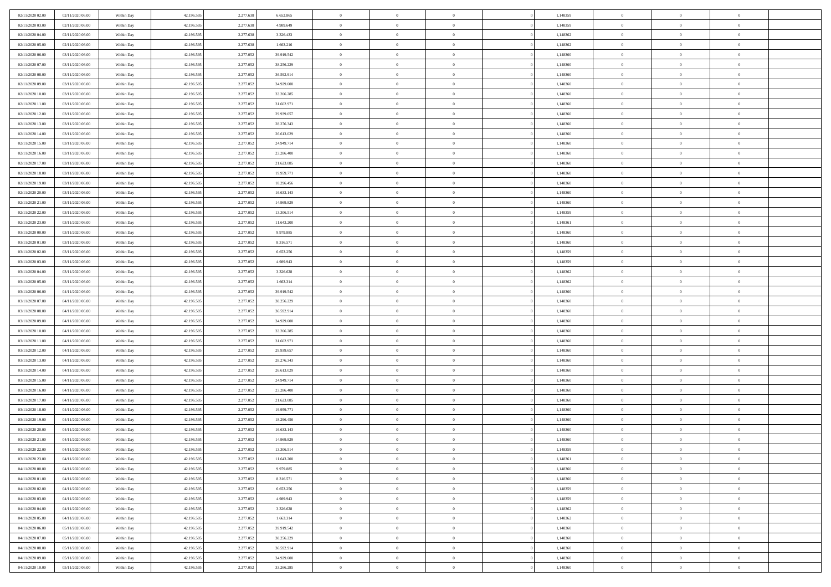| 02/11/2020 02.00                     | 02/11/2020 06:00                     | Within Day               | 42.196.595 | 2.277.638 | 6.652.865  | $\,$ 0 $\,$    | $\overline{0}$ | $\overline{0}$                 | 1,148359 | $\bf{0}$       | $\overline{0}$ | $\,0\,$        |  |
|--------------------------------------|--------------------------------------|--------------------------|------------|-----------|------------|----------------|----------------|--------------------------------|----------|----------------|----------------|----------------|--|
| 02/11/2020 03.00                     | 02/11/2020 06.00                     | Within Day               | 42.196.595 | 2.277.638 | 4.989.649  | $\theta$       | $\overline{0}$ | $\mathbf{0}$                   | 1,148359 | $\theta$       | $\overline{0}$ | $\theta$       |  |
| 02/11/2020 04:00                     | 02/11/2020 06:00                     | Within Day               | 42.196.595 | 2.277.638 | 3.326.433  | $\theta$       | $\overline{0}$ | $\overline{0}$                 | 1,148362 | $\mathbf{0}$   | $\overline{0}$ | $\overline{0}$ |  |
| 02/11/2020 05:00                     | 02/11/2020 06.00                     | Within Day               | 42.196.595 | 2.277.638 | 1.663.216  | $\,$ 0 $\,$    | $\overline{0}$ | $\overline{0}$                 | 1,148362 | $\bf{0}$       | $\overline{0}$ | $\bf{0}$       |  |
| 02/11/2020 06:00                     | 03/11/2020 06.00                     | Within Day               | 42.196.595 | 2.277.052 | 39.919.542 | $\,$ 0         | $\overline{0}$ | $\mathbf{0}$                   | 1,148360 | $\bf{0}$       | $\theta$       | $\,0\,$        |  |
| 02/11/2020 07:00                     | 03/11/2020 06:00                     | Within Day               | 42.196.595 | 2.277.052 | 38.256.229 | $\theta$       | $\overline{0}$ | $\mathbf{0}$                   | 1,148360 | $\mathbf{0}$   | $\overline{0}$ | $\overline{0}$ |  |
| 02/11/2020 08:00                     | 03/11/2020 06:00                     | Within Day               | 42.196.595 | 2.277.052 | 36.592.914 | $\,$ 0 $\,$    | $\overline{0}$ | $\overline{0}$                 | 1,148360 | $\bf{0}$       | $\overline{0}$ | $\bf{0}$       |  |
| 02/11/2020 09:00                     | 03/11/2020 06.00                     | Within Day               | 42.196.595 | 2.277.052 | 34.929.600 | $\,$ 0         | $\overline{0}$ | $\mathbf{0}$                   | 1,148360 | $\,$ 0 $\,$    | $\overline{0}$ | $\theta$       |  |
| 02/11/2020 10:00                     | 03/11/2020 06:00                     | Within Day               | 42.196.595 | 2.277.052 | 33.266.285 | $\theta$       | $\overline{0}$ | $\overline{0}$                 | 1,148360 | $\mathbf{0}$   | $\overline{0}$ | $\overline{0}$ |  |
| 02/11/2020 11:00                     | 03/11/2020 06.00                     | Within Day               | 42.196.595 | 2.277.052 | 31.602.971 | $\,$ 0 $\,$    | $\overline{0}$ | $\Omega$                       | 1,148360 | $\bf{0}$       | $\overline{0}$ | $\,0\,$        |  |
| 02/11/2020 12:00                     | 03/11/2020 06.00                     | Within Day               | 42.196.595 | 2.277.052 | 29.939.657 | $\bf{0}$       | $\overline{0}$ | $\mathbf{0}$                   | 1,148360 | $\bf{0}$       | $\mathbf{0}$   | $\theta$       |  |
| 02/11/2020 13:00                     | 03/11/2020 06:00                     | Within Day               | 42.196.595 | 2.277.052 | 28.276.343 | $\theta$       | $\overline{0}$ | $\overline{0}$                 | 1,148360 | $\mathbf{0}$   | $\overline{0}$ | $\overline{0}$ |  |
| 02/11/2020 14:00                     | 03/11/2020 06.00                     | Within Day               | 42.196.595 | 2.277.052 | 26.613.029 | $\,$ 0 $\,$    | $\overline{0}$ | $\overline{0}$                 | 1,148360 | $\bf{0}$       | $\overline{0}$ | $\bf{0}$       |  |
| 02/11/2020 15:00                     | 03/11/2020 06:00                     | Within Day               | 42.196.595 | 2.277.052 | 24.949.714 | $\bf{0}$       | $\overline{0}$ | $\mathbf{0}$                   | 1,148360 | $\bf{0}$       | $\theta$       | $\,0\,$        |  |
| 02/11/2020 16:00                     | 03/11/2020 06:00                     | Within Day               | 42.196.595 | 2.277.052 | 23.286.400 | $\theta$       | $\overline{0}$ | $\mathbf{0}$                   | 1,148360 | $\mathbf{0}$   | $\overline{0}$ | $\overline{0}$ |  |
| 02/11/2020 17.00                     | 03/11/2020 06.00                     | Within Day               | 42.196.595 | 2.277.052 | 21.623.085 | $\,$ 0 $\,$    | $\overline{0}$ | $\overline{0}$                 | 1,148360 | $\bf{0}$       | $\overline{0}$ | $\bf{0}$       |  |
| 02/11/2020 18:00                     | 03/11/2020 06.00                     |                          | 42.196.595 | 2.277.052 | 19.959.771 | $\,$ 0         | $\overline{0}$ | $\mathbf{0}$                   | 1,148360 | $\bf{0}$       | $\overline{0}$ | $\theta$       |  |
| 02/11/2020 19:00                     | 03/11/2020 06:00                     | Within Day<br>Within Day | 42.196.595 | 2.277.052 | 18.296.456 | $\theta$       | $\overline{0}$ | $\mathbf{0}$                   | 1,148360 | $\mathbf{0}$   | $\overline{0}$ | $\overline{0}$ |  |
| 02/11/2020 20:00                     | 03/11/2020 06:00                     | Within Day               | 42.196.595 | 2.277.052 | 16.633.143 | $\,$ 0 $\,$    | $\overline{0}$ | $\Omega$                       | 1,148360 | $\bf{0}$       | $\overline{0}$ | $\,0\,$        |  |
|                                      | 03/11/2020 06.00                     |                          | 42.196.595 | 2.277.052 | 14.969.829 | $\bf{0}$       | $\overline{0}$ | $\mathbf{0}$                   | 1,148360 | $\bf{0}$       | $\mathbf{0}$   | $\theta$       |  |
| 02/11/2020 21:00<br>02/11/2020 22.00 | 03/11/2020 06:00                     | Within Day<br>Within Day | 42.196.595 | 2.277.052 | 13.306.514 | $\theta$       | $\overline{0}$ |                                | 1,148359 | $\mathbf{0}$   | $\overline{0}$ | $\overline{0}$ |  |
|                                      |                                      |                          |            |           |            | $\,$ 0 $\,$    |                | $\mathbf{0}$<br>$\overline{0}$ |          | $\bf{0}$       |                | $\bf{0}$       |  |
| 02/11/2020 23.00                     | 03/11/2020 06.00                     | Within Day               | 42.196.595 | 2.277.052 | 11.643.200 |                | $\overline{0}$ |                                | 1,148361 |                | $\overline{0}$ |                |  |
| 03/11/2020 00:00                     | 03/11/2020 06:00<br>03/11/2020 06:00 | Within Day               | 42.196.595 | 2.277.052 | 9.979.885  | $\,$ 0         | $\overline{0}$ | $\mathbf{0}$                   | 1,148360 | $\bf{0}$       | $\bf{0}$       | $\,0\,$        |  |
| 03/11/2020 01:00                     |                                      | Within Day               | 42.196.595 | 2.277.052 | 8.316.571  | $\theta$       | $\overline{0}$ | $\mathbf{0}$                   | 1,148360 | $\mathbf{0}$   | $\overline{0}$ | $\overline{0}$ |  |
| 03/11/2020 02.00                     | 03/11/2020 06.00                     | Within Day               | 42.196.595 | 2.277.052 | 6.653.256  | $\,$ 0 $\,$    | $\overline{0}$ | $\overline{0}$                 | 1,148359 | $\bf{0}$       | $\overline{0}$ | $\bf{0}$       |  |
| 03/11/2020 03:00                     | 03/11/2020 06.00                     | Within Day               | 42.196.595 | 2.277.052 | 4.989.943  | $\,$ 0         | $\overline{0}$ | $\mathbf{0}$                   | 1,148359 | $\bf{0}$       | $\overline{0}$ | $\theta$       |  |
| 03/11/2020 04:00                     | 03/11/2020 06:00                     | Within Day               | 42.196.595 | 2.277.052 | 3.326.628  | $\theta$       | $\overline{0}$ | $\overline{0}$                 | 1,148362 | $\mathbf{0}$   | $\bf{0}$       | $\overline{0}$ |  |
| 03/11/2020 05:00                     | 03/11/2020 06.00                     | Within Day               | 42.196.595 | 2.277.052 | 1.663.314  | $\,$ 0 $\,$    | $\overline{0}$ | $\Omega$                       | 1,148362 | $\bf{0}$       | $\overline{0}$ | $\bf{0}$       |  |
| 03/11/2020 06:00                     | 04/11/2020 06.00                     | Within Day               | 42.196.595 | 2.277.052 | 39.919.542 | $\bf{0}$       | $\overline{0}$ | $\mathbf{0}$                   | 1,148360 | $\bf{0}$       | $\mathbf{0}$   | $\theta$       |  |
| 03/11/2020 07:00                     | 04/11/2020 06:00                     | Within Day               | 42.196.595 | 2.277.052 | 38.256.229 | $\theta$       | $\overline{0}$ | $\overline{0}$                 | 1,148360 | $\mathbf{0}$   | $\overline{0}$ | $\overline{0}$ |  |
| 03/11/2020 08:00                     | 04/11/2020 06:00                     | Within Day               | 42.196.595 | 2.277.052 | 36.592.914 | $\theta$       | $\overline{0}$ | $\overline{0}$                 | 1,148360 | $\,$ 0         | $\overline{0}$ | $\,$ 0 $\,$    |  |
| 03/11/2020 09:00                     | 04/11/2020 06:00                     | Within Day               | 42.196.595 | 2.277.052 | 34.929.600 | $\,$ 0         | $\overline{0}$ | $\mathbf{0}$                   | 1,148360 | $\bf{0}$       | $\mathbf{0}$   | $\bf{0}$       |  |
| 03/11/2020 10:00                     | 04/11/2020 06:00                     | Within Day               | 42.196.595 | 2.277.052 | 33.266.285 | $\theta$       | $\overline{0}$ | $\mathbf{0}$                   | 1,148360 | $\mathbf{0}$   | $\overline{0}$ | $\overline{0}$ |  |
| 03/11/2020 11:00                     | 04/11/2020 06.00                     | Within Day               | 42.196.595 | 2.277.052 | 31.602.971 | $\theta$       | $\overline{0}$ | $\overline{0}$                 | 1,148360 | $\,$ 0         | $\overline{0}$ | $\theta$       |  |
| 03/11/2020 12:00                     | 04/11/2020 06.00                     | Within Day               | 42.196.595 | 2.277.052 | 29.939.657 | $\bf{0}$       | $\overline{0}$ | $\mathbf{0}$                   | 1,148360 | $\mathbf{0}$   | $\overline{0}$ | $\overline{0}$ |  |
| 03/11/2020 13:00                     | 04/11/2020 06:00                     | Within Day               | 42.196.595 | 2.277.052 | 28.276.343 | $\theta$       | $\overline{0}$ | $\mathbf{0}$                   | 1,148360 | $\mathbf{0}$   | $\overline{0}$ | $\overline{0}$ |  |
| 03/11/2020 14:00                     | 04/11/2020 06:00                     | Within Day               | 42.196.595 | 2.277.052 | 26.613.029 | $\theta$       | $\overline{0}$ | $\overline{0}$                 | 1,148360 | $\,$ 0         | $\overline{0}$ | $\theta$       |  |
| 03/11/2020 15:00                     | 04/11/2020 06.00                     | Within Day               | 42.196.595 | 2.277.052 | 24.949.714 | $\bf{0}$       | $\overline{0}$ | $\mathbf{0}$                   | 1,148360 | $\bf{0}$       | $\mathbf{0}$   | $\overline{0}$ |  |
| 03/11/2020 16:00                     | 04/11/2020 06:00                     | Within Day               | 42.196.595 | 2.277.052 | 23.286.400 | $\theta$       | $\overline{0}$ | $\overline{0}$                 | 1,148360 | $\mathbf{0}$   | $\overline{0}$ | $\overline{0}$ |  |
| 03/11/2020 17:00                     | 04/11/2020 06:00                     | Within Day               | 42.196.595 | 2.277.052 | 21.623.085 | $\,$ 0 $\,$    | $\overline{0}$ | $\overline{0}$                 | 1,148360 | $\,$ 0         | $\overline{0}$ | $\,$ 0 $\,$    |  |
| 03/11/2020 18:00                     | 04/11/2020 06:00                     | Within Day               | 42.196.595 | 2.277.052 | 19.959.771 | $\,$ 0         | $\,$ 0 $\,$    | $\overline{0}$                 | 1,148360 | $\,$ 0 $\,$    | $\overline{0}$ | $\overline{0}$ |  |
| 03/11/2020 19:00                     | 04/11/2020 06:00                     | Within Day               | 42.196.595 | 2.277.052 | 18.296.456 | $\theta$       | $\overline{0}$ | $\mathbf{0}$                   | 1,148360 | $\mathbf{0}$   | $\overline{0}$ | $\overline{0}$ |  |
| 03/11/2020 20:00                     | 04/11/2020 06.00                     | Within Day               | 42.196.595 | 2.277.052 | 16.633.143 | $\overline{0}$ | $\overline{0}$ | $\overline{0}$                 | 1,148360 | $\,$ 0         | $\overline{0}$ | $\theta$       |  |
| 03/11/2020 21:00                     | 04/11/2020 06.00                     | Within Day               | 42.196.595 | 2.277.052 | 14.969.829 | $\bf{0}$       | $\,$ 0 $\,$    | $\mathbf{0}$                   | 1,148360 | $\bf{0}$       | $\overline{0}$ | $\overline{0}$ |  |
| 03/11/2020 22.00                     | 04/11/2020 06:00                     | Within Day               | 42.196.595 | 2.277.052 | 13.306.514 | $\overline{0}$ | $\theta$       |                                | 1,148359 | $\overline{0}$ | $\theta$       | $\theta$       |  |
| 03/11/2020 23:00                     | 04/11/2020 06:00                     | Within Day               | 42.196.595 | 2.277.052 | 11.643.200 | $\,$ 0 $\,$    | $\overline{0}$ | $\overline{0}$                 | 1,148361 | $\,$ 0 $\,$    | $\bf{0}$       | $\theta$       |  |
| 04/11/2020 00:00                     | 04/11/2020 06.00                     | Within Day               | 42.196.595 | 2.277.052 | 9.979.885  | $\bf{0}$       | $\,$ 0 $\,$    | $\overline{0}$                 | 1,148360 | $\,$ 0 $\,$    | $\overline{0}$ | $\overline{0}$ |  |
| 04/11/2020 01:00                     | 04/11/2020 06:00                     | Within Day               | 42.196.595 | 2.277.052 | 8.316.571  | $\overline{0}$ | $\overline{0}$ | $\overline{0}$                 | 1,148360 | $\,$ 0 $\,$    | $\bf{0}$       | $\mathbf{0}$   |  |
| 04/11/2020 02.00                     | 04/11/2020 06:00                     | Within Day               | 42.196.595 | 2.277.052 | 6.653.256  | $\,0\,$        | $\overline{0}$ | $\overline{0}$                 | 1,148359 | $\,$ 0 $\,$    | $\bf{0}$       | $\,$ 0 $\,$    |  |
| 04/11/2020 03:00                     | 04/11/2020 06.00                     | Within Day               | 42.196.595 | 2.277.052 | 4.989.943  | $\,$ 0 $\,$    | $\,$ 0 $\,$    | $\overline{0}$                 | 1,148359 | $\,$ 0 $\,$    | $\overline{0}$ | $\overline{0}$ |  |
| 04/11/2020 04:00                     | 04/11/2020 06:00                     | Within Day               | 42.196.595 | 2.277.052 | 3.326.628  | $\mathbf{0}$   | $\overline{0}$ | $\overline{0}$                 | 1,148362 | $\mathbf{0}$   | $\overline{0}$ | $\mathbf{0}$   |  |
| 04/11/2020 05:00                     | 04/11/2020 06:00                     | Within Day               | 42.196.595 | 2.277.052 | 1.663.314  | $\,$ 0 $\,$    | $\overline{0}$ | $\overline{0}$                 | 1,148362 | $\,$ 0 $\,$    | $\overline{0}$ | $\,$ 0 $\,$    |  |
| 04/11/2020 06.00                     | 05/11/2020 06.00                     | Within Day               | 42.196.595 | 2.277.052 | 39.919.542 | $\bf{0}$       | $\overline{0}$ | $\overline{0}$                 | 1,148360 | $\,$ 0 $\,$    | $\overline{0}$ | $\overline{0}$ |  |
| 04/11/2020 07:00                     | 05/11/2020 06:00                     | Within Day               | 42.196.595 | 2.277.052 | 38.256.229 | $\mathbf{0}$   | $\overline{0}$ | $\overline{0}$                 | 1,148360 | $\mathbf{0}$   | $\bf{0}$       | $\mathbf{0}$   |  |
| 04/11/2020 08:00                     | 05/11/2020 06:00                     | Within Day               | 42.196.595 | 2.277.052 | 36.592.914 | $\,0\,$        | $\overline{0}$ | $\overline{0}$                 | 1,148360 | $\,$ 0 $\,$    | $\mathbf{0}$   | $\,$ 0 $\,$    |  |
| 04/11/2020 09:00                     | 05/11/2020 06.00                     | Within Day               | 42.196.595 | 2.277.052 | 34.929.600 | $\,$ 0 $\,$    | $\,$ 0 $\,$    | $\overline{0}$                 | 1,148360 | $\,$ 0 $\,$    | $\overline{0}$ | $\overline{0}$ |  |
| 04/11/2020 10:00                     | 05/11/2020 06:00                     | Within Day               | 42.196.595 | 2.277.052 | 33.266.285 | $\theta$       | $\overline{0}$ | $\overline{0}$                 | 1,148360 | $\mathbf{0}$   | $\overline{0}$ | $\overline{0}$ |  |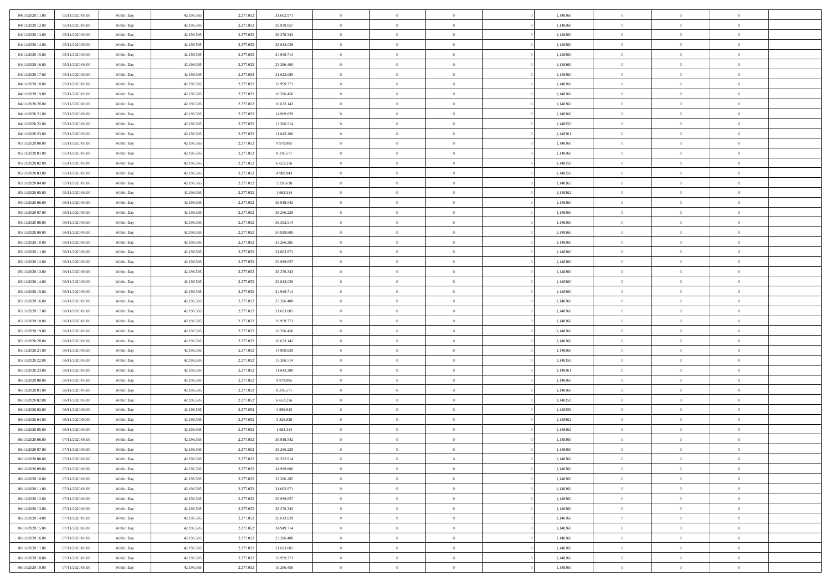| 04/11/2020 11:00<br>05/11/2020 06:00 | Within Day | 42.196.595 | 2.277.052 | 31.602.971 | $\,$ 0                   | $\bf{0}$       | $\overline{0}$ |          | 1,148360 | $\bf{0}$                 | $\overline{0}$ | $\,0\,$                          |  |
|--------------------------------------|------------|------------|-----------|------------|--------------------------|----------------|----------------|----------|----------|--------------------------|----------------|----------------------------------|--|
| 04/11/2020 12:00<br>05/11/2020 06:00 | Within Day | 42.196.595 | 2.277.052 | 29.939.657 | $\theta$                 | $\overline{0}$ | $\overline{0}$ |          | 1,148360 | $\overline{0}$           | $\overline{0}$ | $\theta$                         |  |
| 04/11/2020 13:00<br>05/11/2020 06:00 | Within Dav | 42.196.595 | 2.277.052 | 28.276.343 | $\mathbf{0}$             | $\overline{0}$ | $\overline{0}$ |          | 1,148360 | $\mathbf{0}$             | $\overline{0}$ | $\overline{0}$                   |  |
| 04/11/2020 14.00<br>05/11/2020 06:00 | Within Day | 42.196.595 | 2.277.052 | 26.613.029 | $\bf{0}$                 | $\overline{0}$ | $\bf{0}$       |          | 1,148360 | $\bf{0}$                 | $\overline{0}$ | $\bf{0}$                         |  |
| 04/11/2020 15.00<br>05/11/2020 06:00 | Within Day | 42.196.595 | 2.277.052 | 24.949.714 | $\bf{0}$                 | $\bf{0}$       | $\overline{0}$ |          | 1,148360 | $\bf{0}$                 | $\bf{0}$       | $\,0\,$                          |  |
| 04/11/2020 16:00<br>05/11/2020 06:00 | Within Dav | 42.196.595 | 2.277.052 | 23.286.400 | $\mathbf{0}$             | $\overline{0}$ | $\overline{0}$ |          | 1,148360 | $\mathbf{0}$             | $\overline{0}$ | $\overline{0}$                   |  |
|                                      |            |            |           |            |                          |                |                |          |          |                          |                |                                  |  |
| 04/11/2020 17.00<br>05/11/2020 06:00 | Within Day | 42.196.595 | 2.277.052 | 21.623.085 | $\bf{0}$                 | $\bf{0}$       | $\overline{0}$ |          | 1,148360 | $\bf{0}$                 | $\overline{0}$ | $\,0\,$                          |  |
| 04/11/2020 18:00<br>05/11/2020 06:00 | Within Day | 42.196.595 | 2.277.052 | 19.959.771 | $\theta$                 | $\overline{0}$ | $\overline{0}$ |          | 1,148360 | $\,$ 0 $\,$              | $\overline{0}$ | $\theta$                         |  |
| 04/11/2020 19:00<br>05/11/2020 06:00 | Within Dav | 42.196.595 | 2.277.052 | 18.296.456 | $\mathbf{0}$             | $\overline{0}$ | $\overline{0}$ |          | 1,148360 | $\mathbf{0}$             | $\overline{0}$ | $\overline{0}$                   |  |
| 04/11/2020 20.00<br>05/11/2020 06:00 | Within Day | 42.196.595 | 2.277.052 | 16.633.143 | $\bf{0}$                 | $\bf{0}$       | $\overline{0}$ |          | 1,148360 | $\bf{0}$                 | $\overline{0}$ | $\,0\,$                          |  |
| 04/11/2020 21.00<br>05/11/2020 06:00 | Within Day | 42.196.595 | 2.277.052 | 14.969.829 | $\bf{0}$                 | $\overline{0}$ | $\overline{0}$ |          | 1,148360 | $\bf{0}$                 | $\mathbf{0}$   | $\theta$                         |  |
| 04/11/2020 22.00<br>05/11/2020 06:00 | Within Dav | 42.196.595 | 2.277.052 | 13.306.514 | $\mathbf{0}$             | $\overline{0}$ | $\overline{0}$ |          | 1,148359 | $\mathbf{0}$             | $\overline{0}$ | $\overline{0}$                   |  |
| 04/11/2020 23.00<br>05/11/2020 06:00 | Within Day | 42.196.595 | 2.277.052 | 11.643.200 | $\bf{0}$                 | $\overline{0}$ | $\bf{0}$       |          | 1,148361 | $\bf{0}$                 | $\overline{0}$ | $\bf{0}$                         |  |
| 05/11/2020 00:00<br>05/11/2020 06:00 | Within Day | 42.196.595 | 2.277.052 | 9.979.885  | $\bf{0}$                 | $\overline{0}$ | $\overline{0}$ |          | 1,148360 | $\bf{0}$                 | $\theta$       | $\,0\,$                          |  |
| 05/11/2020 01:00<br>05/11/2020 06:00 | Within Dav | 42.196.595 | 2.277.052 | 8.316.571  | $\mathbf{0}$             | $\overline{0}$ | $\overline{0}$ |          | 1,148360 | $\mathbf{0}$             | $\overline{0}$ | $\overline{0}$                   |  |
| 05/11/2020 02.00<br>05/11/2020 06:00 | Within Day | 42.196.595 | 2.277.052 | 6.653.256  | $\bf{0}$                 | $\bf{0}$       | $\overline{0}$ |          | 1,148359 | $\bf{0}$                 | $\overline{0}$ | $\,0\,$                          |  |
| 05/11/2020 03:00<br>05/11/2020 06:00 | Within Day | 42.196.595 | 2.277.052 | 4.989.943  | $\overline{0}$           | $\overline{0}$ | $\overline{0}$ |          | 1,148359 | $\bf{0}$                 | $\overline{0}$ | $\theta$                         |  |
| 05/11/2020 04:00<br>05/11/2020 06:00 | Within Day | 42.196.595 | 2.277.052 | 3.326.628  | $\mathbf{0}$             | $\overline{0}$ | $\overline{0}$ |          | 1,148362 | $\mathbf{0}$             | $\overline{0}$ | $\overline{0}$                   |  |
| 05/11/2020 05.00<br>05/11/2020 06:00 | Within Day | 42.196.595 | 2.277.052 | 1.663.314  | $\,$ 0                   | $\bf{0}$       | $\overline{0}$ |          | 1,148362 | $\bf{0}$                 | $\overline{0}$ | $\,0\,$                          |  |
| 05/11/2020 06:00<br>06/11/2020 06:00 | Within Day | 42.196.595 | 2.277.052 | 39.919.542 | $\bf{0}$                 | $\overline{0}$ | $\overline{0}$ |          | 1,148360 | $\bf{0}$                 | $\overline{0}$ | $\overline{0}$                   |  |
| 05/11/2020 07:00<br>06/11/2020 06:00 | Within Dav | 42.196.595 | 2.277.052 | 38.256.229 | $\mathbf{0}$             | $\overline{0}$ | $\overline{0}$ |          | 1,148360 | $\mathbf{0}$             | $\overline{0}$ | $\overline{0}$                   |  |
| 05/11/2020 08:00<br>06/11/2020 06:00 | Within Day | 42.196.595 | 2.277.052 | 36.592.914 | $\bf{0}$                 | $\overline{0}$ | $\bf{0}$       |          | 1,148360 | $\bf{0}$                 | $\overline{0}$ | $\bf{0}$                         |  |
| 05/11/2020 09:00<br>06/11/2020 06:00 | Within Day | 42.196.595 | 2.277.052 | 34.929.600 | $\bf{0}$                 | $\bf{0}$       | $\overline{0}$ |          | 1,148360 | $\bf{0}$                 | $\overline{0}$ | $\,0\,$                          |  |
| 05/11/2020 10:00<br>06/11/2020 06:00 | Within Dav | 42.196.595 | 2.277.052 | 33.266.285 | $\mathbf{0}$             | $\overline{0}$ | $\overline{0}$ |          | 1,148360 | $\mathbf{0}$             | $\overline{0}$ | $\overline{0}$                   |  |
| 05/11/2020 11:00<br>06/11/2020 06:00 | Within Day | 42.196.595 | 2.277.052 | 31.602.971 | $\bf{0}$                 | $\bf{0}$       | $\overline{0}$ |          | 1,148360 | $\bf{0}$                 | $\overline{0}$ | $\,0\,$                          |  |
| 05/11/2020 12:00<br>06/11/2020 06:00 | Within Day | 42.196.595 | 2.277.052 | 29.939.657 | $\bf{0}$                 | $\overline{0}$ | $\overline{0}$ |          | 1,148360 | $\bf{0}$                 | $\overline{0}$ | $\theta$                         |  |
| 05/11/2020 13:00<br>06/11/2020 06:00 | Within Dav | 42.196.595 | 2.277.052 | 28.276.343 | $\mathbf{0}$             | $\overline{0}$ | $\overline{0}$ |          | 1,148360 | $\mathbf{0}$             | $\overline{0}$ | $\overline{0}$                   |  |
| 05/11/2020 14:00<br>06/11/2020 06:00 |            |            |           |            | $\bf{0}$                 |                | $\overline{0}$ |          |          | $\bf{0}$                 | $\overline{0}$ | $\,0\,$                          |  |
|                                      | Within Day | 42.196.595 | 2.277.052 | 26.613.029 |                          | $\bf{0}$       |                |          | 1,148360 |                          |                |                                  |  |
| 05/11/2020 15.00<br>06/11/2020 06:00 | Within Day | 42.196.595 | 2.277.052 | 24.949.714 | $\bf{0}$<br>$\mathbf{0}$ | $\bf{0}$       | $\overline{0}$ |          | 1,148360 | $\bf{0}$<br>$\mathbf{0}$ | $\overline{0}$ | $\overline{0}$<br>$\overline{0}$ |  |
| 05/11/2020 16.00<br>06/11/2020 06:00 | Within Day | 42.196.595 | 2.277.052 | 23.286.400 |                          | $\overline{0}$ | $\overline{0}$ |          | 1,148360 |                          | $\overline{0}$ |                                  |  |
| 05/11/2020 17.00<br>06/11/2020 06:00 | Within Day | 42.196.595 | 2.277.052 | 21.623.085 | $\bf{0}$                 | $\overline{0}$ | $\theta$       |          | 1,148360 | $\,$ 0                   | $\overline{0}$ | $\theta$                         |  |
| 05/11/2020 18:00<br>06/11/2020 06:00 | Within Day | 42.196.595 | 2.277.052 | 19.959.771 | $\bf{0}$                 | $\bf{0}$       | $\overline{0}$ |          | 1,148360 | $\bf{0}$                 | $\mathbf{0}$   | $\overline{0}$                   |  |
| 05/11/2020 19:00<br>06/11/2020 06:00 | Within Dav | 42.196.595 | 2.277.052 | 18.296.456 | $\mathbf{0}$             | $\overline{0}$ | $\overline{0}$ |          | 1,148360 | $\mathbf{0}$             | $\overline{0}$ | $\overline{0}$                   |  |
| 05/11/2020 20:00<br>06/11/2020 06:00 | Within Day | 42.196.595 | 2.277.052 | 16.633.143 | $\bf{0}$                 | $\overline{0}$ | $\theta$       |          | 1,148360 | $\,$ 0                   | $\overline{0}$ | $\theta$                         |  |
| 05/11/2020 21:00<br>06/11/2020 06:00 | Within Day | 42.196.595 | 2.277.052 | 14.969.829 | $\bf{0}$                 | $\overline{0}$ | $\overline{0}$ |          | 1,148360 | $\bf{0}$                 | $\overline{0}$ | $\overline{0}$                   |  |
| 05/11/2020 22.00<br>06/11/2020 06:00 | Within Day | 42.196.595 | 2.277.052 | 13.306.514 | $\mathbf{0}$             | $\overline{0}$ | $\overline{0}$ |          | 1,148359 | $\mathbf{0}$             | $\overline{0}$ | $\overline{0}$                   |  |
| 05/11/2020 23.00<br>06/11/2020 06:00 | Within Day | 42.196.595 | 2.277.052 | 11.643.200 | $\bf{0}$                 | $\overline{0}$ | $\theta$       |          | 1,148361 | $\,$ 0                   | $\overline{0}$ | $\theta$                         |  |
| 06/11/2020 00:00<br>06/11/2020 06:00 | Within Day | 42.196.595 | 2.277.052 | 9.979.885  | $\bf{0}$                 | $\overline{0}$ | $\overline{0}$ |          | 1,148360 | $\bf{0}$                 | $\mathbf{0}$   | $\overline{0}$                   |  |
| 06/11/2020 01:00<br>06/11/2020 06:00 | Within Dav | 42.196.595 | 2.277.052 | 8.316.571  | $\mathbf{0}$             | $\overline{0}$ | $\overline{0}$ |          | 1,148360 | $\mathbf{0}$             | $\overline{0}$ | $\overline{0}$                   |  |
| 06/11/2020 02.00<br>06/11/2020 06:00 | Within Day | 42.196.595 | 2.277.052 | 6.653.256  | $\bf{0}$                 | $\overline{0}$ | $\theta$       |          | 1,148359 | $\,$ 0                   | $\overline{0}$ | $\theta$                         |  |
| 06/11/2020 03:00<br>06/11/2020 06:00 | Within Day | 42.196.595 | 2.277.052 | 4.989.943  | $\bf{0}$                 | $\bf{0}$       | $\overline{0}$ |          | 1,148359 | $\,$ 0 $\,$              | $\overline{0}$ | $\bf{0}$                         |  |
| 06/11/2020 04:00<br>06/11/2020 06:00 | Within Dav | 42.196.595 | 2.277.052 | 3.326.628  | $\mathbf{0}$             | $\overline{0}$ | $\overline{0}$ |          | 1,148362 | $\mathbf{0}$             | $\overline{0}$ | $\overline{0}$                   |  |
| 06/11/2020 05:00<br>06/11/2020 06:00 | Within Day | 42.196.595 | 2.277.052 | 1.663.314  | $\bf{0}$                 | $\overline{0}$ | $\theta$       |          | 1,148362 | $\,$ 0                   | $\overline{0}$ | $\theta$                         |  |
| 06/11/2020 06:00<br>07/11/2020 06:00 | Within Day | 42.196.595 | 2.277.052 | 39.919.542 | $\bf{0}$                 | $\overline{0}$ | $\overline{0}$ |          | 1,148360 | $\bf{0}$                 | $\overline{0}$ | $\bf{0}$                         |  |
| 06/11/2020 07:00<br>07/11/2020 06:00 | Within Day | 42.196.595 | 2.277.052 | 38.256.229 | $\bf{0}$                 | $\overline{0}$ |                |          | 1,148360 | $\overline{0}$           | $\theta$       | $\theta$                         |  |
| 06/11/2020 08:00<br>07/11/2020 06.00 | Within Day | 42.196.595 | 2.277.052 | 36.592.914 | $\,0\,$                  | $\overline{0}$ | $\theta$       |          | 1,148360 | $\,$ 0 $\,$              | $\bf{0}$       | $\theta$                         |  |
| 06/11/2020 09:00<br>07/11/2020 06:00 | Within Day | 42.196.595 | 2.277.052 | 34.929.600 | $\overline{0}$           | $\overline{0}$ | $\overline{0}$ |          | 1,148360 | $\overline{0}$           | $\overline{0}$ | $\overline{0}$                   |  |
| 06/11/2020 10:00<br>07/11/2020 06.00 | Within Day | 42.196.595 | 2.277.052 | 33.266.285 | $\bf{0}$                 | $\overline{0}$ | $\overline{0}$ |          | 1,148360 | $\overline{0}$           | $\bf{0}$       | $\mathbf{0}$                     |  |
| 06/11/2020 11:00<br>07/11/2020 06.00 | Within Day | 42.196.595 | 2.277.052 | 31.602.971 | $\bf{0}$                 | $\overline{0}$ | $\overline{0}$ | $\theta$ | 1,148360 | $\,$ 0 $\,$              | $\bf{0}$       | $\,$ 0 $\,$                      |  |
| 06/11/2020 12:00<br>07/11/2020 06.00 | Within Day | 42.196.595 | 2.277.052 | 29.939.657 | $\bf{0}$                 | $\overline{0}$ | $\overline{0}$ |          | 1,148360 | $\,$ 0 $\,$              | $\overline{0}$ | $\overline{0}$                   |  |
| 06/11/2020 13.00<br>07/11/2020 06.00 | Within Day | 42.196.595 | 2.277.052 | 28.276.343 | $\bf{0}$                 | $\overline{0}$ | $\overline{0}$ |          | 1,148360 | $\mathbf{0}$             | $\overline{0}$ | $\overline{0}$                   |  |
| 06/11/2020 14:00<br>07/11/2020 06:00 | Within Day | 42.196.595 | 2.277.052 | 26.613.029 | $\,0\,$                  | $\overline{0}$ | $\overline{0}$ | $\theta$ | 1,148360 | $\,$ 0 $\,$              | $\overline{0}$ | $\overline{0}$                   |  |
| 06/11/2020 15.00<br>07/11/2020 06:00 | Within Day | 42.196.595 | 2.277.052 | 24.949.714 | $\bf{0}$                 | $\overline{0}$ | $\overline{0}$ |          | 1,148360 | $\overline{0}$           | $\overline{0}$ | $\overline{0}$                   |  |
| 06/11/2020 16.00<br>07/11/2020 06.00 | Within Day | 42.196.595 | 2.277.052 | 23.286.400 | $\bf{0}$                 | $\overline{0}$ | $\overline{0}$ |          | 1,148360 | $\mathbf{0}$             | $\overline{0}$ | $\mathbf{0}$                     |  |
| 06/11/2020 17.00<br>07/11/2020 06.00 | Within Day | 42.196.595 | 2.277.052 | 21.623.085 | $\,0\,$                  | $\overline{0}$ | $\overline{0}$ |          | 1,148360 | $\,$ 0 $\,$              | $\mathbf{0}$   | $\theta$                         |  |
| 06/11/2020 18.00<br>07/11/2020 06:00 | Within Day | 42.196.595 | 2.277.052 | 19.959.771 | $\bf{0}$                 | $\bf{0}$       | $\overline{0}$ |          | 1,148360 | $\bf{0}$                 | $\mathbf{0}$   | $\overline{0}$                   |  |
| 06/11/2020 19:00<br>07/11/2020 06:00 | Within Day | 42.196.595 | 2.277.052 | 18.296.456 | $\mathbf{0}$             | $\overline{0}$ | $\overline{0}$ |          | 1,148360 | $\mathbf{0}$             | $\overline{0}$ | $\overline{0}$                   |  |
|                                      |            |            |           |            |                          |                |                |          |          |                          |                |                                  |  |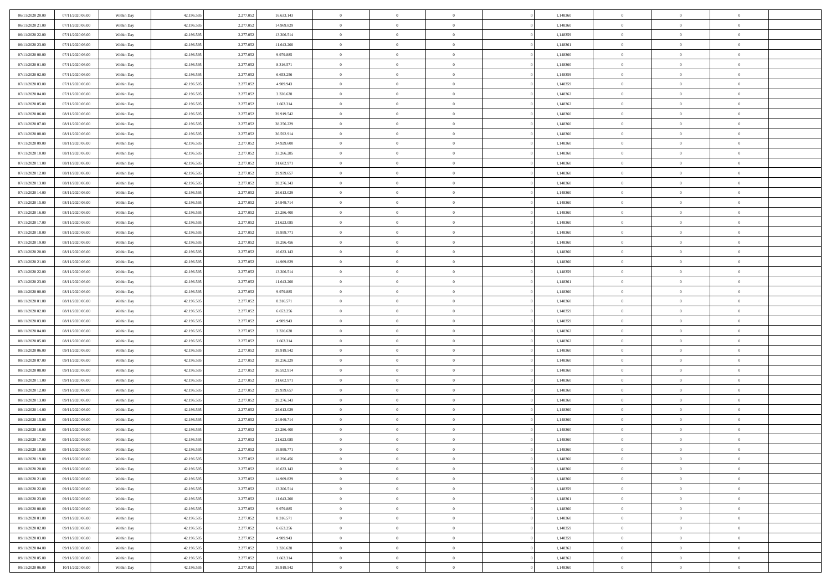| 06/11/2020 20:00                     | 07/11/2020 06.00                     | Within Day               | 42.196.595               | 2.277.052              | 16.633.143              | $\bf{0}$                | $\overline{0}$                   | $\Omega$                         | 1,148360             | $\bf{0}$                 | $\overline{0}$             | $\bf{0}$                  |  |
|--------------------------------------|--------------------------------------|--------------------------|--------------------------|------------------------|-------------------------|-------------------------|----------------------------------|----------------------------------|----------------------|--------------------------|----------------------------|---------------------------|--|
| 06/11/2020 21:00                     | 07/11/2020 06:00                     | Within Day               | 42.196.595               | 2.277.052              | 14.969.829              | $\theta$                | $\overline{0}$                   | $\overline{0}$                   | 1,148360             | $\mathbf{0}$             | $\bf{0}$                   | $\overline{0}$            |  |
| 06/11/2020 22.00                     | 07/11/2020 06:00                     | Within Day               | 42.196.595               | 2.277.052              | 13.306.514              | $\theta$                | $\overline{0}$                   | $\bf{0}$                         | 1,148359             | $\,$ 0                   | $\overline{0}$             | $\,$ 0 $\,$               |  |
| 06/11/2020 23.00                     | 07/11/2020 06.00                     | Within Day               | 42.196.595               | 2.277.052              | 11.643.200              | $\mathbf{0}$            | $\overline{0}$                   | $\mathbf{0}$                     | 1.148361             | $\bf{0}$                 | $\mathbf{0}$               | $\theta$                  |  |
| 07/11/2020 00:00                     | 07/11/2020 06:00                     | Within Day               | 42.196.595               | 2.277.052              | 9.979.885               | $\mathbf{0}$            | $\overline{0}$                   | $\overline{0}$                   | 1,148360             | $\mathbf{0}$             | $\bf{0}$                   | $\overline{0}$            |  |
| 07/11/2020 01:00                     | 07/11/2020 06:00                     | Within Day               | 42.196.595               | 2.277.052              | 8.316.571               | $\theta$                | $\overline{0}$                   | $\bf{0}$                         | 1,148360             | $\,$ 0                   | $\overline{0}$             | $\,$ 0 $\,$               |  |
| 07/11/2020 02.00                     | 07/11/2020 06:00                     | Within Day               | 42.196.595               | 2.277.052              | 6.653.256               | $\,$ 0 $\,$             | $\overline{0}$                   | $\Omega$                         | 1,148359             | $\bf{0}$                 | $\overline{0}$             | $\theta$                  |  |
| 07/11/2020 03:00                     | 07/11/2020 06:00                     | Within Day               | 42.196.595               | 2.277.052              | 4.989.943               | $\overline{0}$          | $\overline{0}$                   | $\overline{0}$                   | 1,148359             | $\mathbf{0}$             | $\bf{0}$                   | $\overline{0}$            |  |
| 07/11/2020 04:00                     | 07/11/2020 06:00                     | Within Day               | 42.196.595               | 2.277.052              | 3.326.628               | $\theta$                | $\overline{0}$                   | $\overline{0}$                   | 1,148362             | $\,$ 0                   | $\overline{0}$             | $\,$ 0 $\,$               |  |
| 07/11/2020 05:00                     | 07/11/2020 06.00                     | Within Day               | 42.196.595               | 2.277.052              | 1.663.314               | $\mathbf{0}$            | $\overline{0}$                   | $\mathbf{0}$                     | 1,148362             | $\bf{0}$                 | $\mathbf{0}$               | $\theta$                  |  |
| 07/11/2020 06:00                     | 08/11/2020 06:00                     | Within Dav               | 42.196.595               | 2.277.052              | 39.919.542              | $\mathbf{0}$            | $\overline{0}$                   | $\overline{0}$                   | 1,148360             | $\mathbf{0}$             | $\bf{0}$                   | $\overline{0}$            |  |
| 07/11/2020 07:00                     | 08/11/2020 06:00                     | Within Day               | 42.196.595               | 2.277.052              | 38.256.229              | $\theta$                | $\overline{0}$                   | $\bf{0}$                         | 1,148360             | $\,$ 0                   | $\overline{0}$             | $\,$ 0 $\,$               |  |
| 07/11/2020 08:00                     | 08/11/2020 06:00                     | Within Day               | 42.196.595               | 2.277.052              | 36.592.914              | $\theta$                | $\overline{0}$                   | $\mathbf{0}$                     | 1,148360             | $\bf{0}$                 | $\mathbf{0}$               | $\theta$                  |  |
| 07/11/2020 09:00                     | 08/11/2020 06:00                     | Within Dav               | 42.196.595               | 2.277.052              | 34.929.600              | $\overline{0}$          | $\overline{0}$                   | $\overline{0}$                   | 1,148360             | $\mathbf{0}$             | $\bf{0}$                   | $\overline{0}$            |  |
| 07/11/2020 10:00                     | 08/11/2020 06:00                     | Within Day               | 42.196.595               | 2.277.052              | 33.266.285              | $\theta$                | $\overline{0}$                   | $\overline{0}$                   | 1,148360             | $\,$ 0                   | $\overline{0}$             | $\,$ 0 $\,$               |  |
| 07/11/2020 11:00                     | 08/11/2020 06.00                     | Within Day               | 42.196.595               | 2.277.052              | 31.602.971              | $\bf{0}$                | $\overline{0}$                   | $\mathbf{0}$                     | 1,148360             | $\bf{0}$                 | $\mathbf{0}$               | $\bf{0}$                  |  |
| 07/11/2020 12:00                     | 08/11/2020 06:00                     | Within Dav               | 42.196.595               | 2.277.052              | 29.939.657              | $\overline{0}$          | $\overline{0}$                   | $\overline{0}$                   | 1,148360             | $\mathbf{0}$             | $\bf{0}$                   | $\overline{0}$            |  |
| 07/11/2020 13:00                     | 08/11/2020 06:00                     | Within Day               | 42.196.595               | 2.277.052              | 28.276.343              | $\theta$                | $\overline{0}$                   | $\bf{0}$                         | 1,148360             | $\,$ 0                   | $\overline{0}$             | $\,$ 0 $\,$               |  |
| 07/11/2020 14:00                     | 08/11/2020 06.00                     | Within Day               | 42.196.595               | 2.277.052              | 26.613.029              | $\mathbf{0}$            | $\overline{0}$                   | $\mathbf{0}$                     | 1,148360             | $\theta$                 | $\mathbf{0}$               | $\theta$                  |  |
| 07/11/2020 15:00                     | 08/11/2020 06:00                     | Within Dav               | 42.196.595               | 2.277.052              | 24.949.714              | $\overline{0}$          | $\overline{0}$                   | $\overline{0}$                   | 1,148360             | $\mathbf{0}$             | $\bf{0}$                   | $\overline{0}$            |  |
| 07/11/2020 16:00                     | 08/11/2020 06:00                     | Within Day               | 42.196.595               | 2.277.052              | 23.286.400              | $\theta$                | $\overline{0}$                   | $\bf{0}$                         | 1,148360             | $\,$ 0                   | $\overline{0}$             | $\,$ 0 $\,$               |  |
| 07/11/2020 17.00                     | 08/11/2020 06:00                     | Within Day               | 42.196.595               | 2.277.052              | 21.623.085              | $\mathbf{0}$            | $\overline{0}$                   | $\mathbf{0}$                     | 1,148360             | $\bf{0}$                 | $\mathbf{0}$               | $\theta$                  |  |
| 07/11/2020 18:00                     | 08/11/2020 06:00                     | Within Dav               | 42.196.595               | 2.277.052              | 19.959.771              | $\overline{0}$          | $\overline{0}$                   | $\overline{0}$                   | 1,148360             | $\mathbf{0}$             | $\bf{0}$                   | $\overline{0}$            |  |
| 07/11/2020 19:00                     | 08/11/2020 06:00                     | Within Day               | 42.196.595               | 2.277.052              | 18.296.456              | $\theta$                | $\overline{0}$                   | $\bf{0}$                         | 1,148360             | $\,$ 0                   | $\overline{0}$             | $\,$ 0 $\,$               |  |
| 07/11/2020 20:00                     | 08/11/2020 06:00                     | Within Day               | 42.196.595               | 2.277.052              | 16.633.143              | $\bf{0}$                | $\overline{0}$                   | $\mathbf{0}$                     | 1,148360             | $\bf{0}$                 | $\overline{0}$             | $\bf{0}$                  |  |
| 07/11/2020 21:00                     | 08/11/2020 06:00                     | Within Dav               | 42.196.595               | 2.277.052              | 14.969.829              | $\overline{0}$          | $\overline{0}$                   | $\overline{0}$                   | 1,148360             | $\mathbf{0}$             | $\bf{0}$                   | $\overline{0}$            |  |
| 07/11/2020 22.00                     | 08/11/2020 06:00                     | Within Day               | 42.196.595               | 2.277.052              | 13.306.514              | $\theta$                | $\overline{0}$                   | $\overline{0}$                   | 1,148359             | $\,$ 0                   | $\overline{0}$             | $\,$ 0 $\,$               |  |
| 07/11/2020 23.00                     | 08/11/2020 06:00                     | Within Day               | 42.196.595               | 2.277.052              | 11.643.200              | $\mathbf{0}$            | $\overline{0}$                   | $\mathbf{0}$                     | 1.148361             | $\bf{0}$                 | $\mathbf{0}$               | $\theta$                  |  |
| 08/11/2020 00:00                     | 08/11/2020 06:00                     | Within Dav               | 42.196.595               | 2.277.052              | 9.979.885               | $\mathbf{0}$            | $\overline{0}$                   | $\overline{0}$                   | 1,148360             | $\mathbf{0}$             | $\bf{0}$                   | $\overline{0}$            |  |
| 08/11/2020 01:00                     | 08/11/2020 06:00                     | Within Day               | 42.196.595               | 2.277.052              | 8.316.571               | $\theta$                | $\overline{0}$                   | $\bf{0}$                         | 1,148360             | $\,$ 0                   | $\overline{0}$             | $\,$ 0 $\,$               |  |
| 08/11/2020 02.00                     | 08/11/2020 06:00                     | Within Day               | 42.196.595               | 2.277.052              | 6.653.256               | $\,$ 0 $\,$             | $\overline{0}$                   | $\overline{0}$                   | 1,148359             | $\bf{0}$                 | $\overline{0}$             | $\,0\,$                   |  |
| 08/11/2020 03:00                     | 08/11/2020 06:00                     | Within Dav               | 42.196.595               | 2.277.052              | 4.989.943               | $\overline{0}$          | $\overline{0}$                   | $\overline{0}$                   | 1,148359             | $\mathbf{0}$             | $\bf{0}$                   | $\overline{0}$            |  |
| 08/11/2020 04:00                     | 08/11/2020 06:00                     | Within Day               | 42.196.595               | 2.277.052              | 3.326.628               | $\theta$                | $\overline{0}$                   | $\overline{0}$                   | 1,148362             | $\,$ 0                   | $\overline{0}$             | $\,$ 0 $\,$               |  |
| 08/11/2020 05:00<br>08/11/2020 06:00 | 08/11/2020 06:00<br>09/11/2020 06:00 | Within Day<br>Within Dav | 42.196.595<br>42.196.595 | 2.277.052<br>2.277.052 | 1.663.314<br>39.919.542 | $\,$ 0 $\,$<br>$\theta$ | $\overline{0}$<br>$\overline{0}$ | $\overline{0}$<br>$\overline{0}$ | 1,148362<br>1,148360 | $\bf{0}$<br>$\mathbf{0}$ | $\overline{0}$<br>$\bf{0}$ | $\,0\,$<br>$\overline{0}$ |  |
| 08/11/2020 07:00                     | 09/11/2020 06:00                     | Within Day               | 42.196.595               | 2.277.052              | 38.256.229              | $\theta$                | $\overline{0}$                   | $\bf{0}$                         | 1,148360             | $\,$ 0                   | $\overline{0}$             | $\,$ 0 $\,$               |  |
| 08/11/2020 08:00                     | 09/11/2020 06:00                     | Within Day               | 42.196.595               | 2.277.052              | 36.592.914              | $\,$ 0 $\,$             | $\overline{0}$                   | $\overline{0}$                   | 1,148360             | $\bf{0}$                 | $\overline{0}$             | $\,0\,$                   |  |
| 08/11/2020 11:00                     | 09/11/2020 06:00                     | Within Dav               | 42.196.595               | 2.277.052              | 31.602.971              | $\overline{0}$          | $\overline{0}$                   | $\overline{0}$                   | 1,148360             | $\mathbf{0}$             | $\bf{0}$                   | $\overline{0}$            |  |
| 08/11/2020 12:00                     | 09/11/2020 06:00                     | Within Day               | 42.196.595               | 2.277.052              | 29.939.657              | $\theta$                | $\overline{0}$                   | $\bf{0}$                         | 1,148360             | $\,$ 0                   | $\overline{0}$             | $\,$ 0 $\,$               |  |
| 08/11/2020 13:00                     | 09/11/2020 06.00                     | Within Day               | 42.196.595               | 2.277.052              | 28.276.343              | $\,$ 0 $\,$             | $\overline{0}$                   | $\overline{0}$                   | 1,148360             | $\bf{0}$                 | $\overline{0}$             | $\,0\,$                   |  |
| 08/11/2020 14:00                     | 09/11/2020 06:00                     | Within Dav               | 42.196.595               | 2.277.052              | 26.613.029              | $\theta$                | $\overline{0}$                   | $\overline{0}$                   | 1,148360             | $\mathbf{0}$             | $\bf{0}$                   | $\overline{0}$            |  |
| 08/11/2020 15:00                     | 09/11/2020 06:00                     | Within Day               | 42.196.595               | 2.277.052              | 24.949.714              | $\theta$                | $\overline{0}$                   | $\bf{0}$                         | 1,148360             | $\,$ 0                   | $\overline{0}$             | $\,$ 0 $\,$               |  |
| 08/11/2020 16:00                     | 09/11/2020 06.00                     | Within Day               | 42.196.595               | 2.277.052              | 23.286.400              | $\,$ 0 $\,$             | $\overline{0}$                   | $\overline{0}$                   | 1,148360             | $\bf{0}$                 | $\overline{0}$             | $\,0\,$                   |  |
| 08/11/2020 17:00                     | 09/11/2020 06:00                     | Within Dav               | 42.196.595               | 2.277.052              | 21.623.085              | $\theta$                | $\overline{0}$                   | $\overline{0}$                   | 1,148360             | $\mathbf{0}$             | $\bf{0}$                   | $\overline{0}$            |  |
| 08/11/2020 18:00                     | 09/11/2020 06:00                     | Within Day               | 42.196.595               | 2.277.052              | 19.959.771              | $\overline{0}$          | $\overline{0}$                   | $\overline{0}$                   | 1,148360             | $\overline{0}$           | $\overline{0}$             | $\theta$                  |  |
| 08/11/2020 19:00                     | 09/11/2020 06:00                     | Within Day               | 42.196.595               | 2.277.052              | 18.296.456              | $\bf{0}$                | $\overline{0}$                   | $\overline{0}$                   | 1,148360             | $\bf{0}$                 | $\overline{0}$             | $\bf{0}$                  |  |
| 08/11/2020 20:00                     | 09/11/2020 06:00                     | Within Day               | 42.196.595               | 2.277.052              | 16.633.143              | $\overline{0}$          | $\overline{0}$                   | $\overline{0}$                   | 1,148360             | $\overline{0}$           | $\overline{0}$             | $\overline{0}$            |  |
| 08/11/2020 21:00                     | 09/11/2020 06:00                     | Within Day               | 42.196.595               | 2.277.052              | 14.969.829              | $\,$ 0                  | $\overline{0}$                   | $\overline{0}$                   | 1,148360             | $\,$ 0 $\,$              | $\,$ 0 $\,$                | $\,$ 0 $\,$               |  |
| 08/11/2020 22.00                     | 09/11/2020 06:00                     | Within Day               | 42.196.595               | 2.277.052              | 13.306.514              | $\bf{0}$                | $\overline{0}$                   | $\overline{0}$                   | 1,148359             | $\mathbf{0}$             | $\overline{0}$             | $\bf{0}$                  |  |
| 08/11/2020 23:00                     | 09/11/2020 06:00                     | Within Day               | 42.196.595               | 2.277.052              | 11.643.200              | $\,$ 0 $\,$             | $\overline{0}$                   | $\overline{0}$                   | 1,148361             | $\,$ 0 $\,$              | $\bf{0}$                   | $\overline{0}$            |  |
| 09/11/2020 00:00                     | 09/11/2020 06:00                     | Within Day               | 42.196.595               | 2.277.052              | 9.979.885               | $\,$ 0                  | $\overline{0}$                   | $\overline{0}$                   | 1,148360             | $\,$ 0 $\,$              | $\overline{0}$             | $\,$ 0 $\,$               |  |
| 09/11/2020 01:00                     | 09/11/2020 06:00                     | Within Day               | 42.196.595               | 2.277.052              | 8.316.571               | $\bf{0}$                | $\overline{0}$                   | $\overline{0}$                   | 1,148360             | $\overline{0}$           | $\overline{0}$             | $\overline{0}$            |  |
| 09/11/2020 02.00                     | 09/11/2020 06:00                     | Within Day               | 42.196.595               | 2.277.052              | 6.653.256               | $\,$ 0 $\,$             | $\overline{0}$                   | $\overline{0}$                   | 1,148359             | $\,$ 0 $\,$              | $\bf{0}$                   | $\mathbf{0}$              |  |
| 09/11/2020 03:00                     | 09/11/2020 06:00                     | Within Day               | 42.196.595               | 2.277.052              | 4.989.943               | $\,$ 0                  | $\overline{0}$                   | $\overline{0}$                   | 1,148359             | $\,$ 0 $\,$              | $\,$ 0 $\,$                | $\,$ 0 $\,$               |  |
| 09/11/2020 04:00                     | 09/11/2020 06.00                     | Within Day               | 42.196.595               | 2.277.052              | 3.326.628               | $\bf{0}$                | $\overline{0}$                   | $\overline{0}$                   | 1,148362             | $\mathbf{0}$             | $\overline{0}$             | $\bf{0}$                  |  |
| 09/11/2020 05:00                     | 09/11/2020 06:00                     | Within Day               | 42.196.595               | 2.277.052              | 1.663.314               | $\mathbf{0}$            | $\overline{0}$                   | $\overline{0}$                   | 1,148362             | $\mathbf{0}$             | $\bf{0}$                   | $\overline{0}$            |  |
| 09/11/2020 06:00                     | 10/11/2020 06:00                     | Within Day               | 42.196.595               | 2.277.052              | 39.919.542              | $\,$ 0 $\,$             | $\overline{0}$                   | $\overline{0}$                   | 1,148360             | $\,$ 0 $\,$              | $\overline{0}$             | $\,$ 0 $\,$               |  |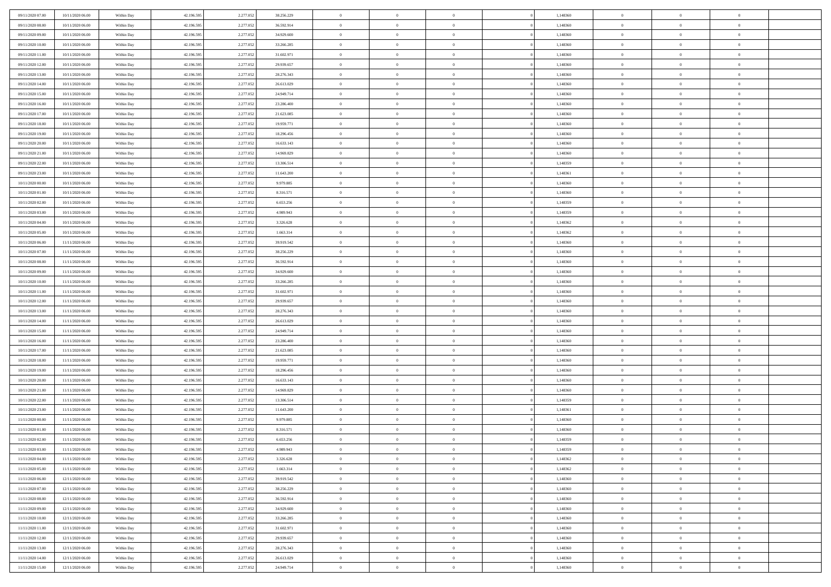| 09/11/2020 07:00 | 10/11/2020 06:00 | Within Day | 42.196.595 | 2.277.05  | 38.256.229 | $\bf{0}$       | $\bf{0}$       | $\Omega$       | 1,148360 | $\bf{0}$       | $\overline{0}$ | $\bf{0}$       |  |
|------------------|------------------|------------|------------|-----------|------------|----------------|----------------|----------------|----------|----------------|----------------|----------------|--|
| 09/11/2020 08:00 | 10/11/2020 06:00 | Within Day | 42.196.595 | 2.277.05  | 36.592.914 | $\overline{0}$ | $\overline{0}$ | $\Omega$       | 1,148360 | $\overline{0}$ | $\theta$       | $\theta$       |  |
| 09/11/2020 09:00 | 10/11/2020 06:00 | Within Day | 42.196.595 | 2.277.052 | 34.929.600 | $\overline{0}$ | $\overline{0}$ | $\overline{0}$ | 1,148360 | $\mathbf{0}$   | $\overline{0}$ | $\theta$       |  |
| 09/11/2020 10:00 | 10/11/2020 06:00 | Within Day | 42.196.595 | 2.277.052 | 33.266.285 | $\bf{0}$       | $\overline{0}$ | $\overline{0}$ | 1,148360 | $\mathbf{0}$   | $\overline{0}$ | $\bf{0}$       |  |
| 09/11/2020 11:00 | 10/11/2020 06:00 | Within Day | 42.196.595 | 2.277.052 | 31.602.971 | $\bf{0}$       | $\overline{0}$ | $\overline{0}$ | 1,148360 | $\bf{0}$       | $\overline{0}$ | $\bf{0}$       |  |
| 09/11/2020 12:00 | 10/11/2020 06:00 | Within Day | 42.196.595 | 2.277.052 | 29.939.657 | $\overline{0}$ | $\overline{0}$ | $\overline{0}$ | 1,148360 | $\mathbf{0}$   | $\overline{0}$ | $\theta$       |  |
| 09/11/2020 13:00 | 10/11/2020 06:00 | Within Day | 42.196.595 | 2.277.052 | 28.276.343 | $\bf{0}$       | $\overline{0}$ | $\overline{0}$ | 1,148360 | $\bf{0}$       | $\overline{0}$ | $\bf{0}$       |  |
| 09/11/2020 14:00 | 10/11/2020 06:00 | Within Day | 42.196.595 | 2.277.052 | 26.613.029 | $\overline{0}$ | $\overline{0}$ | $\overline{0}$ | 1,148360 | $\mathbf{0}$   | $\theta$       | $\theta$       |  |
| 09/11/2020 15:00 | 10/11/2020 06:00 | Within Day | 42.196.595 | 2.277.052 | 24.949.714 | $\overline{0}$ | $\overline{0}$ | $\overline{0}$ | 1,148360 | $\mathbf{0}$   | $\overline{0}$ | $\theta$       |  |
| 09/11/2020 16:00 | 10/11/2020 06:00 | Within Day | 42.196.595 | 2.277.052 | 23.286.400 | $\bf{0}$       | $\bf{0}$       | $\Omega$       | 1,148360 | $\bf{0}$       | $\overline{0}$ | $\bf{0}$       |  |
| 09/11/2020 17:00 | 10/11/2020 06:00 | Within Day | 42.196.595 | 2.277.052 | 21.623.085 | $\bf{0}$       | $\overline{0}$ | $\overline{0}$ | 1,148360 | $\mathbf{0}$   | $\theta$       | $\theta$       |  |
| 09/11/2020 18:00 | 10/11/2020 06:00 | Within Day | 42.196.595 | 2.277.052 | 19.959.771 | $\overline{0}$ | $\overline{0}$ | $\overline{0}$ | 1,148360 | $\mathbf{0}$   | $\overline{0}$ | $\theta$       |  |
| 09/11/2020 19:00 | 10/11/2020 06:00 | Within Day | 42.196.595 | 2.277.052 | 18.296.456 | $\bf{0}$       | $\overline{0}$ | $\overline{0}$ | 1,148360 | $\mathbf{0}$   | $\overline{0}$ | $\bf{0}$       |  |
| 09/11/2020 20:00 | 10/11/2020 06:00 | Within Day | 42.196.595 | 2.277.052 | 16.633.143 | $\bf{0}$       | $\overline{0}$ | $\overline{0}$ | 1,148360 | $\bf{0}$       | $\theta$       | $\bf{0}$       |  |
| 09/11/2020 21.00 | 10/11/2020 06:00 | Within Day | 42.196.595 | 2.277.052 | 14.969.829 | $\overline{0}$ | $\overline{0}$ | $\overline{0}$ | 1,148360 | $\mathbf{0}$   | $\overline{0}$ | $\theta$       |  |
| 09/11/2020 22.00 | 10/11/2020 06:00 | Within Day | 42.196.595 | 2.277.052 | 13.306.514 | $\bf{0}$       | $\overline{0}$ | $\Omega$       | 1,148359 | $\bf{0}$       | $\overline{0}$ | $\bf{0}$       |  |
| 09/11/2020 23.00 | 10/11/2020 06:00 | Within Day | 42.196.595 | 2.277.052 | 11.643.200 | $\,$ 0 $\,$    | $\overline{0}$ | $\overline{0}$ | 1,148361 | $\mathbf{0}$   | $\theta$       | $\theta$       |  |
| 10/11/2020 00:00 | 10/11/2020 06:00 | Within Day | 42.196.595 | 2.277.052 | 9.979.885  | $\overline{0}$ | $\overline{0}$ | $\overline{0}$ | 1,148360 | $\mathbf{0}$   | $\overline{0}$ | $\theta$       |  |
| 10/11/2020 01:00 | 10/11/2020 06:00 | Within Day | 42.196.595 | 2.277.052 | 8.316.571  | $\bf{0}$       | $\overline{0}$ | $\Omega$       | 1,148360 | $\bf{0}$       | $\overline{0}$ | $\bf{0}$       |  |
| 10/11/2020 02:00 | 10/11/2020 06:00 | Within Day | 42.196.595 | 2.277.052 | 6.653.256  | $\bf{0}$       | $\overline{0}$ | $\overline{0}$ | 1,148359 | $\mathbf{0}$   | $\mathbf{0}$   | $\overline{0}$ |  |
| 10/11/2020 03:00 | 10/11/2020 06:00 | Within Day | 42.196.595 | 2.277.052 | 4.989.943  | $\overline{0}$ | $\overline{0}$ | $\overline{0}$ | 1,148359 | $\mathbf{0}$   | $\overline{0}$ | $\theta$       |  |
| 10/11/2020 04:00 | 10/11/2020 06:00 | Within Day | 42.196.595 | 2.277.052 | 3.326.628  | $\bf{0}$       | $\overline{0}$ | $\overline{0}$ | 1,148362 | $\mathbf{0}$   | $\overline{0}$ | $\bf{0}$       |  |
| 10/11/2020 05:00 | 10/11/2020 06:00 | Within Day | 42.196.595 | 2.277.052 | 1.663.314  | $\bf{0}$       | $\overline{0}$ | $\overline{0}$ | 1,148362 | $\,$ 0 $\,$    | $\overline{0}$ | $\bf{0}$       |  |
| 10/11/2020 06:00 | 11/11/2020 06:00 | Within Day | 42.196.595 | 2.277.052 | 39.919.542 | $\overline{0}$ | $\overline{0}$ | $\overline{0}$ | 1,148360 | $\mathbf{0}$   | $\overline{0}$ | $\theta$       |  |
| 10/11/2020 07:00 | 11/11/2020 06:00 | Within Day | 42.196.595 | 2.277.052 | 38.256.229 | $\bf{0}$       | $\overline{0}$ | $\overline{0}$ | 1,148360 | $\bf{0}$       | $\overline{0}$ | $\bf{0}$       |  |
| 10/11/2020 08:00 | 11/11/2020 06:00 | Within Day | 42.196.595 | 2.277.052 | 36.592.914 | $\,$ 0 $\,$    | $\overline{0}$ | $\overline{0}$ | 1,148360 | $\mathbf{0}$   | $\overline{0}$ | $\overline{0}$ |  |
| 10/11/2020 09:00 | 11/11/2020 06:00 | Within Day | 42.196.595 | 2.277.052 | 34.929.600 | $\overline{0}$ | $\overline{0}$ | $\overline{0}$ | 1,148360 | $\mathbf{0}$   | $\overline{0}$ | $\theta$       |  |
| 10/11/2020 10:00 | 11/11/2020 06:00 | Within Day | 42.196.595 | 2.277.052 | 33.266.285 | $\bf{0}$       | $\overline{0}$ | $\Omega$       | 1,148360 | $\mathbf{0}$   | $\overline{0}$ | $\bf{0}$       |  |
| 10/11/2020 11:00 | 11/11/2020 06:00 | Within Day | 42.196.595 | 2.277.052 | 31.602.971 | $\bf{0}$       | $\overline{0}$ | $\overline{0}$ | 1,148360 | $\mathbf{0}$   | $\theta$       | $\overline{0}$ |  |
| 10/11/2020 12:00 | 11/11/2020 06:00 | Within Day | 42.196.595 | 2.277.052 | 29.939.657 | $\overline{0}$ | $\overline{0}$ | $\overline{0}$ | 1,148360 | $\mathbf{0}$   | $\overline{0}$ | $\theta$       |  |
| 10/11/2020 13:00 | 11/11/2020 06:00 | Within Day | 42.196.595 | 2.277.052 | 28.276.343 | $\,$ 0         | $\overline{0}$ | $\overline{0}$ | 1,148360 | $\,$ 0 $\,$    | $\overline{0}$ | $\,0\,$        |  |
| 10/11/2020 14:00 | 11/11/2020 06:00 | Within Day | 42.196.595 | 2.277.052 | 26.613.029 | $\bf{0}$       | $\overline{0}$ | $\overline{0}$ | 1,148360 | $\,$ 0 $\,$    | $\theta$       | $\overline{0}$ |  |
| 10/11/2020 15:00 | 11/11/2020 06:00 | Within Day | 42.196.595 | 2.277.052 | 24.949.714 | $\overline{0}$ | $\overline{0}$ | $\overline{0}$ | 1,148360 | $\mathbf{0}$   | $\overline{0}$ | $\theta$       |  |
| 10/11/2020 16:00 | 11/11/2020 06:00 | Within Day | 42.196.595 | 2.277.052 | 23.286.400 | $\,$ 0         | $\overline{0}$ | $\theta$       | 1,148360 | $\,$ 0         | $\overline{0}$ | $\mathbf{0}$   |  |
| 10/11/2020 17:00 | 11/11/2020 06:00 | Within Day | 42.196.595 | 2.277.052 | 21.623.085 | $\bf{0}$       | $\overline{0}$ | $\overline{0}$ | 1,148360 | $\mathbf{0}$   | $\overline{0}$ | $\overline{0}$ |  |
| 10/11/2020 18:00 | 11/11/2020 06:00 | Within Day | 42.196.595 | 2.277.052 | 19.959.771 | $\overline{0}$ | $\overline{0}$ | $\overline{0}$ | 1,148360 | $\mathbf{0}$   | $\overline{0}$ | $\theta$       |  |
| 10/11/2020 19:00 | 11/11/2020 06:00 | Within Day | 42.196.595 | 2.277.052 | 18.296.456 | $\overline{0}$ | $\overline{0}$ | $\overline{0}$ | 1,148360 | $\,$ 0 $\,$    | $\overline{0}$ | $\mathbf{0}$   |  |
| 10/11/2020 20:00 | 11/11/2020 06:00 | Within Day | 42.196.595 | 2.277.052 | 16.633.143 | $\bf{0}$       | $\overline{0}$ | $\overline{0}$ | 1,148360 | $\mathbf{0}$   | $\theta$       | $\bf{0}$       |  |
| 10/11/2020 21:00 | 11/11/2020 06:00 | Within Day | 42.196.595 | 2.277.052 | 14.969.829 | $\overline{0}$ | $\overline{0}$ | $\overline{0}$ | 1,148360 | $\mathbf{0}$   | $\overline{0}$ | $\theta$       |  |
| 10/11/2020 22.00 | 11/11/2020 06:00 | Within Day | 42.196.595 | 2.277.052 | 13.306.514 | $\,$ 0         | $\overline{0}$ | $\overline{0}$ | 1,148359 | $\,$ 0 $\,$    | $\overline{0}$ | $\,0\,$        |  |
| 10/11/2020 23.00 | 11/11/2020 06:00 | Within Day | 42.196.595 | 2.277.052 | 11.643.200 | $\,$ 0 $\,$    | $\,$ 0 $\,$    | $\overline{0}$ | 1,148361 | $\,$ 0 $\,$    | $\overline{0}$ | $\bf{0}$       |  |
| 11/11/2020 00:00 | 11/11/2020 06:00 | Within Day | 42.196.595 | 2.277.052 | 9.979.885  | $\overline{0}$ | $\overline{0}$ | $\overline{0}$ | 1,148360 | $\mathbf{0}$   | $\overline{0}$ | $\theta$       |  |
| 11/11/2020 01:00 | 11/11/2020 06:00 | Within Day | 42.196.595 | 2.277.052 | 8.316.571  | $\overline{0}$ | $\overline{0}$ | $\overline{0}$ | 1,148360 | $\overline{0}$ | $\overline{0}$ | $\mathbf{0}$   |  |
| 11/11/2020 02:00 | 11/11/2020 06:00 | Within Day | 42.196.595 | 2.277.052 | 6.653.256  | $\bf{0}$       | $\overline{0}$ | $\overline{0}$ | 1,148359 | $\mathbf{0}$   | $\overline{0}$ | $\bf{0}$       |  |
| 11/11/2020 03:00 | 11/11/2020 06:00 | Within Day | 42.196.595 | 2.277.052 | 4.989.943  | $\overline{0}$ | $\theta$       |                | 1,148359 | $\overline{0}$ | $\Omega$       | $\overline{0}$ |  |
| 11/11/2020 04:00 | 11/11/2020 06:00 | Within Day | 42.196.595 | 2.277.052 | 3.326.628  | $\,$ 0 $\,$    | $\overline{0}$ | $\overline{0}$ | 1,148362 | $\,$ 0 $\,$    | $\bf{0}$       | $\,$ 0 $\,$    |  |
| 11/11/2020 05:00 | 11/11/2020 06:00 | Within Day | 42.196.595 | 2.277.052 | 1.663.314  | $\mathbf{0}$   | $\,$ 0 $\,$    | $\overline{0}$ | 1,148362 | $\,$ 0 $\,$    | $\overline{0}$ | $\overline{0}$ |  |
| 11/11/2020 06:00 | 12/11/2020 06:00 | Within Day | 42.196.595 | 2.277.052 | 39.919.542 | $\mathbf{0}$   | $\overline{0}$ | $\overline{0}$ | 1,148360 | $\mathbf{0}$   | $\bf{0}$       | $\overline{0}$ |  |
| 11/11/2020 07.00 | 12/11/2020 06:00 | Within Day | 42.196.595 | 2.277.052 | 38.256.229 | $\,$ 0 $\,$    | $\overline{0}$ | $\overline{0}$ | 1,148360 | $\,$ 0 $\,$    | $\bf{0}$       | $\theta$       |  |
| 11/11/2020 08:00 | 12/11/2020 06:00 | Within Day | 42.196.595 | 2.277.052 | 36.592.914 | $\,$ 0 $\,$    | $\,$ 0 $\,$    | $\overline{0}$ | 1,148360 | $\,$ 0 $\,$    | $\overline{0}$ | $\overline{0}$ |  |
| 11/11/2020 09:00 | 12/11/2020 06:00 | Within Day | 42.196.595 | 2.277.052 | 34.929.600 | $\mathbf{0}$   | $\overline{0}$ | $\overline{0}$ | 1,148360 | $\mathbf{0}$   | $\bf{0}$       | $\overline{0}$ |  |
| 11/11/2020 10:00 | 12/11/2020 06:00 | Within Day | 42.196.595 | 2.277.052 | 33.266.285 | $\,$ 0 $\,$    | $\overline{0}$ | $\overline{0}$ | 1,148360 | $\,$ 0 $\,$    | $\mathbf{0}$   | $\theta$       |  |
| 11/11/2020 11:00 | 12/11/2020 06:00 | Within Day | 42.196.595 | 2.277.052 | 31.602.971 | $\mathbf{0}$   | $\overline{0}$ | $\overline{0}$ | 1,148360 | $\,$ 0 $\,$    | $\overline{0}$ | $\overline{0}$ |  |
| 11/11/2020 12:00 | 12/11/2020 06:00 | Within Day | 42.196.595 | 2.277.052 | 29.939.657 | $\mathbf{0}$   | $\overline{0}$ | $\overline{0}$ | 1,148360 | $\mathbf{0}$   | $\bf{0}$       | $\overline{0}$ |  |
| 11/11/2020 13:00 | 12/11/2020 06:00 | Within Day | 42.196.595 | 2.277.052 | 28.276.343 | $\,$ 0 $\,$    | $\overline{0}$ | $\overline{0}$ | 1,148360 | $\,$ 0 $\,$    | $\mathbf{0}$   | $\theta$       |  |
| 11/11/2020 14.00 | 12/11/2020 06:00 | Within Day | 42.196.595 | 2.277.052 | 26.613.029 | $\,$ 0 $\,$    | $\overline{0}$ | $\overline{0}$ | 1,148360 | $\,$ 0 $\,$    | $\overline{0}$ | $\overline{0}$ |  |
| 11/11/2020 15:00 | 12/11/2020 06:00 | Within Day | 42.196.595 | 2.277.052 | 24.949.714 | $\overline{0}$ | $\overline{0}$ | $\overline{0}$ | 1,148360 | $\mathbf{0}$   | $\mathbf{0}$   | $\overline{0}$ |  |
|                  |                  |            |            |           |            |                |                |                |          |                |                |                |  |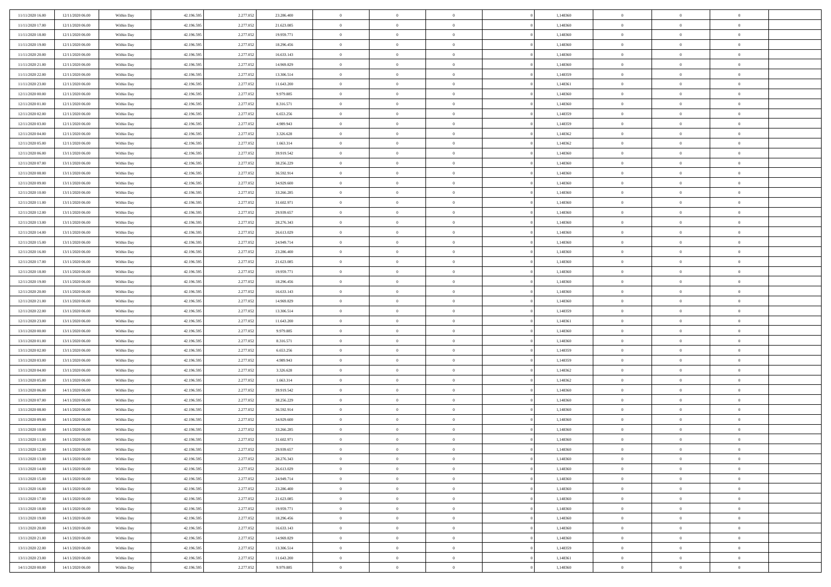| 11/11/2020 16:00                     | 12/11/2020 06.00                     | Within Day               | 42.196.595               | 2.277.052              | 23.286.400               | $\bf{0}$                | $\overline{0}$                   | $\Omega$                         | 1,148360             | $\bf{0}$                      | $\overline{0}$             | $\bf{0}$                       |  |
|--------------------------------------|--------------------------------------|--------------------------|--------------------------|------------------------|--------------------------|-------------------------|----------------------------------|----------------------------------|----------------------|-------------------------------|----------------------------|--------------------------------|--|
| 11/11/2020 17:00                     | 12/11/2020 06:00                     | Within Day               | 42.196.595               | 2.277.052              | 21.623.085               | $\theta$                | $\overline{0}$                   | $\overline{0}$                   | 1,148360             | $\mathbf{0}$                  | $\bf{0}$                   | $\overline{0}$                 |  |
| 11/11/2020 18:00                     | 12/11/2020 06:00                     | Within Day               | 42.196.595               | 2.277.052              | 19.959.771               | $\theta$                | $\overline{0}$                   | $\bf{0}$                         | 1,148360             | $\,$ 0                        | $\overline{0}$             | $\,$ 0 $\,$                    |  |
| 11/11/2020 19:00                     | 12/11/2020 06:00                     | Within Day               | 42.196.595               | 2.277.052              | 18.296.456               | $\mathbf{0}$            | $\overline{0}$                   | $\mathbf{0}$                     | 1,148360             | $\bf{0}$                      | $\mathbf{0}$               | $\theta$                       |  |
| 11/11/2020 20:00                     | 12/11/2020 06:00                     | Within Day               | 42.196.595               | 2.277.052              | 16.633.143               | $\mathbf{0}$            | $\overline{0}$                   | $\overline{0}$                   | 1,148360             | $\mathbf{0}$                  | $\bf{0}$                   | $\overline{0}$                 |  |
| 11/11/2020 21:00                     | 12/11/2020 06:00                     | Within Day               | 42.196.595               | 2.277.052              | 14.969.829               | $\theta$                | $\overline{0}$                   | $\bf{0}$                         | 1,148360             | $\,$ 0                        | $\overline{0}$             | $\,$ 0 $\,$                    |  |
| 11/11/2020 22.00                     | 12/11/2020 06:00                     | Within Day               | 42.196.595               | 2.277.052              | 13.306.514               | $\,$ 0 $\,$             | $\overline{0}$                   | $\Omega$                         | 1,148359             | $\bf{0}$                      | $\overline{0}$             | $\theta$                       |  |
| 11/11/2020 23:00                     | 12/11/2020 06:00                     | Within Day               | 42.196.595               | 2.277.052              | 11.643.200               | $\overline{0}$          | $\overline{0}$                   | $\overline{0}$                   | 1,148361             | $\mathbf{0}$                  | $\bf{0}$                   | $\overline{0}$                 |  |
|                                      |                                      |                          |                          |                        |                          | $\theta$                |                                  |                                  |                      | $\,$ 0                        | $\overline{0}$             | $\,$ 0 $\,$                    |  |
| 12/11/2020 00:00                     | 12/11/2020 06:00                     | Within Day               | 42.196.595               | 2.277.052              | 9.979.885                |                         | $\overline{0}$                   | $\bf{0}$<br>$\mathbf{0}$         | 1,148360<br>1,148360 |                               | $\mathbf{0}$               |                                |  |
| 12/11/2020 01:00                     | 12/11/2020 06.00<br>12/11/2020 06:00 | Within Day               | 42.196.595               | 2.277.052              | 8.316.571                | $\mathbf{0}$            | $\overline{0}$<br>$\overline{0}$ |                                  |                      | $\bf{0}$<br>$\mathbf{0}$      |                            | $\theta$<br>$\overline{0}$     |  |
| 12/11/2020 02:00                     |                                      | Within Day               | 42.196.595               | 2.277.052              | 6.653.256                | $\mathbf{0}$            |                                  | $\overline{0}$                   | 1,148359             |                               | $\bf{0}$                   |                                |  |
| 12/11/2020 03:00                     | 12/11/2020 06:00                     | Within Day               | 42.196.595               | 2.277.052              | 4.989.943                | $\theta$                | $\overline{0}$                   | $\bf{0}$                         | 1,148359             | $\,$ 0                        | $\overline{0}$             | $\,$ 0 $\,$                    |  |
| 12/11/2020 04:00                     | 12/11/2020 06.00                     | Within Day               | 42.196.595               | 2.277.052              | 3.326.628                | $\theta$                | $\overline{0}$                   | $\mathbf{0}$                     | 1.148362             | $\bf{0}$                      | $\mathbf{0}$               | $\theta$                       |  |
| 12/11/2020 05:00                     | 12/11/2020 06:00                     | Within Day               | 42.196.595               | 2.277.052              | 1.663.314                | $\mathbf{0}$            | $\overline{0}$                   | $\overline{0}$                   | 1,148362             | $\mathbf{0}$                  | $\bf{0}$                   | $\overline{0}$                 |  |
| 12/11/2020 06:00                     | 13/11/2020 06:00                     | Within Day               | 42.196.595               | 2.277.052              | 39.919.542               | $\theta$                | $\overline{0}$                   | $\overline{0}$                   | 1,148360             | $\,$ 0                        | $\overline{0}$             | $\,$ 0 $\,$                    |  |
| 12/11/2020 07:00                     | 13/11/2020 06.00                     | Within Day               | 42.196.595               | 2.277.052              | 38.256.229               | $\bf{0}$                | $\overline{0}$                   | $\mathbf{0}$                     | 1,148360             | $\bf{0}$                      | $\overline{0}$             | $\bf{0}$                       |  |
| 12/11/2020 08:00                     | 13/11/2020 06:00                     | Within Day               | 42.196.595               | 2.277.052              | 36.592.914               | $\overline{0}$          | $\overline{0}$                   | $\overline{0}$                   | 1,148360             | $\mathbf{0}$                  | $\bf{0}$                   | $\overline{0}$                 |  |
| 12/11/2020 09:00                     | 13/11/2020 06:00                     | Within Day               | 42.196.595               | 2.277.052              | 34.929.600               | $\theta$                | $\overline{0}$                   | $\bf{0}$                         | 1,148360             | $\,$ 0                        | $\overline{0}$             | $\,$ 0 $\,$                    |  |
| 12/11/2020 10:00                     | 13/11/2020 06.00                     | Within Day               | 42.196.595               | 2.277.052              | 33.266.285               | $\,$ 0 $\,$             | $\overline{0}$                   | $\mathbf{0}$                     | 1,148360             | $\theta$                      | $\mathbf{0}$               | $\theta$                       |  |
| 12/11/2020 11:00                     | 13/11/2020 06:00                     | Within Dav               | 42.196.595               | 2.277.052              | 31.602.971               | $\overline{0}$          | $\overline{0}$                   | $\overline{0}$                   | 1,148360             | $\mathbf{0}$                  | $\bf{0}$                   | $\overline{0}$                 |  |
| 12/11/2020 12:00                     | 13/11/2020 06:00                     | Within Day               | 42.196.595               | 2.277.052              | 29.939.657               | $\theta$                | $\overline{0}$                   | $\bf{0}$                         | 1,148360             | $\,$ 0                        | $\overline{0}$             | $\,$ 0 $\,$                    |  |
| 12/11/2020 13:00                     | 13/11/2020 06.00                     | Within Day               | 42.196.595               | 2.277.052              | 28.276.343               | $\theta$                | $\overline{0}$                   | $\mathbf{0}$                     | 1,148360             | $\bf{0}$                      | $\mathbf{0}$               | $\theta$                       |  |
| 12/11/2020 14:00                     | 13/11/2020 06:00                     | Within Dav               | 42.196.595               | 2.277.052              | 26.613.029               | $\mathbf{0}$            | $\overline{0}$                   | $\overline{0}$                   | 1,148360             | $\mathbf{0}$                  | $\bf{0}$                   | $\overline{0}$                 |  |
| 12/11/2020 15:00                     | 13/11/2020 06:00                     | Within Day               | 42.196.595               | 2.277.052              | 24.949.714               | $\theta$                | $\overline{0}$                   | $\bf{0}$                         | 1,148360             | $\,$ 0                        | $\overline{0}$             | $\,$ 0 $\,$                    |  |
| 12/11/2020 16:00                     | 13/11/2020 06.00                     | Within Day               | 42.196.595               | 2.277.052              | 23.286.400               | $\,$ 0 $\,$             | $\overline{0}$                   | $\mathbf{0}$                     | 1,148360             | $\bf{0}$                      | $\overline{0}$             | $\bf{0}$                       |  |
| 12/11/2020 17:00                     | 13/11/2020 06:00                     | Within Dav               | 42.196.595               | 2.277.052              | 21.623.085               | $\overline{0}$          | $\overline{0}$                   | $\overline{0}$                   | 1,148360             | $\mathbf{0}$                  | $\bf{0}$                   | $\overline{0}$                 |  |
| 12/11/2020 18:00                     | 13/11/2020 06:00                     | Within Day               | 42.196.595               | 2.277.052              | 19.959.771               | $\theta$                | $\overline{0}$                   | $\overline{0}$                   | 1,148360             | $\,$ 0                        | $\overline{0}$             | $\,$ 0 $\,$                    |  |
| 12/11/2020 19:00                     | 13/11/2020 06.00                     | Within Day               | 42.196.595               | 2.277.052              | 18.296.456               | $\mathbf{0}$            | $\overline{0}$                   | $\mathbf{0}$                     | 1,148360             | $\theta$                      | $\mathbf{0}$               | $\theta$                       |  |
| 12/11/2020 20:00                     | 13/11/2020 06:00                     | Within Dav               | 42.196.595               | 2.277.052              | 16.633.143               | $\mathbf{0}$            | $\overline{0}$                   | $\overline{0}$                   | 1,148360             | $\mathbf{0}$                  | $\bf{0}$                   | $\overline{0}$                 |  |
| 12/11/2020 21:00                     | 13/11/2020 06:00                     | Within Day               | 42.196.595               | 2.277.052              | 14.969.829               | $\theta$                | $\overline{0}$                   | $\bf{0}$                         | 1,148360             | $\,$ 0                        | $\overline{0}$             | $\,$ 0 $\,$                    |  |
| 12/11/2020 22.00                     | 13/11/2020 06:00                     | Within Day               | 42.196.595               | 2.277.052              | 13.306.514               | $\,$ 0 $\,$             | $\overline{0}$                   | $\overline{0}$                   | 1,148359             | $\bf{0}$                      | $\overline{0}$             | $\,0\,$                        |  |
| 12/11/2020 23:00                     | 13/11/2020 06:00                     | Within Dav               | 42.196.595               | 2.277.052              | 11.643.200               | $\overline{0}$          | $\overline{0}$                   | $\overline{0}$                   | 1,148361             | $\mathbf{0}$                  | $\bf{0}$                   | $\overline{0}$                 |  |
| 13/11/2020 00:00                     | 13/11/2020 06:00                     | Within Day               | 42.196.595               | 2.277.052              | 9.979.885                | $\theta$                | $\overline{0}$                   | $\overline{0}$                   | 1,148360             | $\,$ 0                        | $\overline{0}$             | $\,$ 0 $\,$                    |  |
| 13/11/2020 01:00                     | 13/11/2020 06.00                     | Within Day               | 42.196.595               | 2.277.052              | 8.316.571                | $\,$ 0 $\,$             | $\overline{0}$                   | $\overline{0}$                   | 1,148360             | $\bf{0}$                      | $\overline{0}$             | $\bf{0}$                       |  |
| 13/11/2020 02.00                     | 13/11/2020 06:00                     | Within Dav               | 42.196.595               | 2.277.052              | 6.653.256                | $\overline{0}$          | $\overline{0}$                   | $\overline{0}$                   | 1,148359             | $\mathbf{0}$                  | $\bf{0}$                   | $\overline{0}$                 |  |
| 13/11/2020 03:00                     | 13/11/2020 06:00                     | Within Day               | 42.196.595               | 2.277.052              | 4.989.943                | $\theta$                | $\overline{0}$                   | $\bf{0}$                         | 1,148359             | $\,$ 0                        | $\overline{0}$             | $\,$ 0 $\,$                    |  |
| 13/11/2020 04:00                     | 13/11/2020 06:00                     | Within Day               | 42.196.595               | 2.277.052              | 3.326.628                | $\,$ 0 $\,$             | $\overline{0}$                   | $\overline{0}$                   | 1,148362             | $\bf{0}$                      | $\overline{0}$             | $\,0\,$                        |  |
| 13/11/2020 05:00                     | 13/11/2020 06:00                     | Within Dav               | 42.196.595               | 2.277.052              | 1.663.314                | $\mathbf{0}$            | $\overline{0}$                   | $\overline{0}$                   | 1,148362             | $\mathbf{0}$                  | $\bf{0}$                   | $\overline{0}$                 |  |
| 13/11/2020 06:00                     | 14/11/2020 06:00                     | Within Day               | 42.196.595               | 2.277.052              | 39.919.542               | $\theta$                | $\overline{0}$                   | $\bf{0}$                         | 1,148360             | $\,$ 0                        | $\overline{0}$             | $\,$ 0 $\,$                    |  |
| 13/11/2020 07.00                     | 14/11/2020 06.00                     | Within Day               | 42.196.595               | 2.277.052              | 38.256.229               | $\,$ 0 $\,$             | $\overline{0}$                   | $\overline{0}$                   | 1,148360             | $\bf{0}$                      | $\overline{0}$             | $\,0\,$                        |  |
| 13/11/2020 08:00                     | 14/11/2020 06:00                     | Within Dav               | 42.196.595               | 2.277.052              | 36.592.914               | $\overline{0}$          | $\overline{0}$                   | $\overline{0}$                   | 1,148360             | $\mathbf{0}$                  | $\bf{0}$                   | $\overline{0}$                 |  |
| 13/11/2020 09:00                     | 14/11/2020 06:00                     | Within Day               | 42.196.595               | 2.277.052              | 34.929.600               | $\theta$                | $\overline{0}$                   | $\bf{0}$                         | 1,148360             | $\,$ 0                        | $\overline{0}$             | $\,$ 0 $\,$                    |  |
| 13/11/2020 10:00                     | 14/11/2020 06.00                     | Within Day               | 42.196.595               | 2.277.052              | 33.266.285               | $\,$ 0 $\,$             | $\overline{0}$                   | $\overline{0}$                   | 1,148360             | $\bf{0}$                      | $\overline{0}$             | $\,0\,$                        |  |
| 13/11/2020 11:00                     | 14/11/2020 06:00                     | Within Dav               | 42.196.595               | 2.277.052              | 31.602.971               | $\theta$                | $\overline{0}$                   | $\overline{0}$                   | 1,148360             | $\mathbf{0}$                  | $\bf{0}$                   | $\overline{0}$                 |  |
| 13/11/2020 12:00                     | 14/11/2020 06:00                     | Within Day               | 42.196.595               | 2.277.052              | 29.939.657               | $\overline{0}$          | $\overline{0}$                   | $\overline{0}$                   | 1,148360             | $\overline{0}$                | $\overline{0}$             | $\theta$                       |  |
| 13/11/2020 13:00                     | 14/11/2020 06:00                     | Within Day               | 42.196.595               | 2.277.052              | 28.276.343               | $\bf{0}$                | $\overline{0}$                   | $\overline{0}$                   | 1,148360             | $\mathbf{0}$                  | $\overline{0}$             | $\bf{0}$                       |  |
| 13/11/2020 14:00                     | 14/11/2020 06:00                     | Within Day               | 42.196.595               | 2.277.052              | 26.613.029               | $\overline{0}$          | $\overline{0}$                   | $\overline{0}$                   | 1,148360             | $\overline{0}$                | $\overline{0}$             | $\overline{0}$                 |  |
| 13/11/2020 15:00                     | 14/11/2020 06:00                     | Within Day               | 42.196.595               | 2.277.052              | 24.949.714               | $\,$ 0                  | $\overline{0}$                   | $\overline{0}$                   | 1,148360             | $\,$ 0 $\,$                   | $\,$ 0 $\,$                | $\,$ 0 $\,$                    |  |
| 13/11/2020 16:00                     | 14/11/2020 06:00                     | Within Day               | 42.196.595               | 2.277.052              | 23.286.400               | $\bf{0}$                | $\overline{0}$                   | $\overline{0}$                   | 1,148360             | $\mathbf{0}$                  | $\overline{0}$             | $\bf{0}$                       |  |
| 13/11/2020 17:00                     | 14/11/2020 06:00                     | Within Day               | 42.196.595               | 2.277.052              | 21.623.085               | $\,$ 0 $\,$             | $\overline{0}$                   | $\overline{0}$                   | 1,148360             | $\,$ 0 $\,$                   | $\bf{0}$                   | $\overline{0}$                 |  |
| 13/11/2020 18:00                     | 14/11/2020 06:00                     | Within Day               | 42.196.595               | 2.277.052              | 19.959.771               | $\,$ 0                  | $\overline{0}$                   | $\overline{0}$                   | 1,148360             | $\,$ 0 $\,$                   | $\overline{0}$             | $\,$ 0 $\,$                    |  |
|                                      | 14/11/2020 06:00                     |                          |                          |                        |                          |                         |                                  |                                  |                      |                               |                            |                                |  |
| 13/11/2020 19:00<br>13/11/2020 20:00 | 14/11/2020 06:00                     | Within Day<br>Within Day | 42.196.595<br>42.196.595 | 2.277.052<br>2.277.052 | 18.296.456<br>16.633.143 | $\bf{0}$<br>$\,$ 0 $\,$ | $\overline{0}$<br>$\overline{0}$ | $\overline{0}$<br>$\overline{0}$ | 1,148360<br>1,148360 | $\overline{0}$<br>$\,$ 0 $\,$ | $\overline{0}$<br>$\bf{0}$ | $\overline{0}$<br>$\mathbf{0}$ |  |
|                                      |                                      |                          |                          |                        |                          |                         |                                  |                                  |                      |                               |                            |                                |  |
| 13/11/2020 21:00                     | 14/11/2020 06:00                     | Within Day               | 42.196.595               | 2.277.052              | 14.969.829               | $\,$ 0                  | $\overline{0}$                   | $\overline{0}$                   | 1,148360             | $\,$ 0 $\,$                   | $\,$ 0 $\,$                | $\,$ 0 $\,$                    |  |
| 13/11/2020 22.00                     | 14/11/2020 06.00                     | Within Day               | 42.196.595               | 2.277.052              | 13.306.514               | $\bf{0}$                | $\overline{0}$                   | $\overline{0}$                   | 1,148359             | $\mathbf{0}$                  | $\overline{0}$             | $\bf{0}$                       |  |
| 13/11/2020 23.00                     | 14/11/2020 06:00                     | Within Day               | 42.196.595               | 2.277.052              | 11.643.200               | $\mathbf{0}$            | $\overline{0}$                   | $\overline{0}$                   | 1,148361             | $\overline{0}$                | $\bf{0}$                   | $\overline{0}$                 |  |
| 14/11/2020 00:00                     | 14/11/2020 06.00                     | Within Day               | 42.196.595               | 2.277.052              | 9.979.885                | $\,$ 0 $\,$             | $\overline{0}$                   | $\overline{0}$                   | 1,148360             | $\,$ 0 $\,$                   | $\overline{0}$             | $\,$ 0 $\,$                    |  |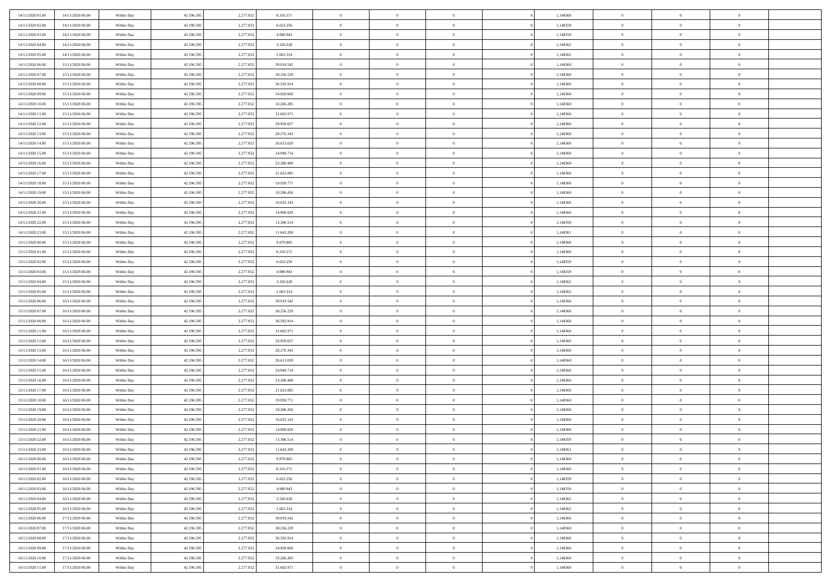| 14/11/2020 01:00 | 14/11/2020 06.00 | Within Day | 42.196.595 | 2.277.052 | 8.316.571  | $\bf{0}$       | $\overline{0}$ | $\overline{0}$ | 1,148360 | $\bf{0}$       | $\overline{0}$ | $\bf{0}$       |  |
|------------------|------------------|------------|------------|-----------|------------|----------------|----------------|----------------|----------|----------------|----------------|----------------|--|
| 14/11/2020 02:00 | 14/11/2020 06:00 | Within Day | 42.196.595 | 2.277.05  | 6.653.256  | $\overline{0}$ | $\overline{0}$ | $\overline{0}$ | 1,148359 | $\mathbf{0}$   | $\bf{0}$       | $\theta$       |  |
| 14/11/2020 03:00 | 14/11/2020 06:00 | Within Day | 42.196.595 | 2.277.052 | 4.989.943  | $\overline{0}$ | $\overline{0}$ | $\overline{0}$ | 1,148359 | $\,$ 0 $\,$    | $\overline{0}$ | $\,$ 0 $\,$    |  |
| 14/11/2020 04.00 | 14/11/2020 06.00 | Within Day | 42.196.595 | 2.277.052 | 3.326.628  | $\overline{0}$ | $\overline{0}$ | $\Omega$       | 1.148362 | $\overline{0}$ | $\theta$       | $\overline{0}$ |  |
| 14/11/2020 05:00 | 14/11/2020 06:00 | Within Day | 42.196.595 | 2.277.052 | 1.663.314  | $\mathbf{0}$   | $\overline{0}$ | $\overline{0}$ | 1,148362 | $\mathbf{0}$   | $\bf{0}$       | $\overline{0}$ |  |
| 14/11/2020 06:00 | 15/11/2020 06:00 | Within Day | 42.196.595 | 2.277.052 | 39.919.542 | $\overline{0}$ | $\overline{0}$ | $\overline{0}$ | 1,148360 | $\,$ 0 $\,$    | $\overline{0}$ | $\,$ 0 $\,$    |  |
| 14/11/2020 07:00 | 15/11/2020 06.00 | Within Day | 42.196.595 | 2.277.052 | 38.256.229 | $\bf{0}$       | $\overline{0}$ | $\Omega$       | 1,148360 | $\bf{0}$       | $\theta$       | $\overline{0}$ |  |
| 14/11/2020 08:00 | 15/11/2020 06:00 | Within Day | 42.196.595 | 2.277.052 | 36.592.914 | $\overline{0}$ | $\overline{0}$ | $\overline{0}$ | 1,148360 | $\mathbf{0}$   | $\bf{0}$       | $\theta$       |  |
| 14/11/2020 09:00 | 15/11/2020 06:00 | Within Day | 42.196.595 | 2.277.052 | 34.929.600 | $\overline{0}$ | $\overline{0}$ | $\overline{0}$ | 1,148360 | $\,$ 0 $\,$    | $\overline{0}$ | $\,$ 0 $\,$    |  |
| 14/11/2020 10:00 | 15/11/2020 06.00 | Within Day | 42.196.595 | 2.277.052 | 33.266.285 | $\overline{0}$ | $\overline{0}$ | $\Omega$       | 1,148360 | $\overline{0}$ | $\theta$       | $\overline{0}$ |  |
| 14/11/2020 11:00 | 15/11/2020 06:00 | Within Day | 42.196.595 | 2.277.052 | 31.602.971 | $\mathbf{0}$   | $\overline{0}$ | $\overline{0}$ | 1,148360 | $\mathbf{0}$   | $\bf{0}$       | $\theta$       |  |
| 14/11/2020 12:00 | 15/11/2020 06:00 | Within Day | 42.196.595 | 2.277.052 | 29.939.657 | $\overline{0}$ | $\overline{0}$ | $\overline{0}$ | 1,148360 | $\,$ 0 $\,$    | $\overline{0}$ | $\,$ 0 $\,$    |  |
| 14/11/2020 13.00 | 15/11/2020 06.00 | Within Day | 42.196.595 | 2.277.052 | 28.276.343 | $\overline{0}$ | $\overline{0}$ | $\Omega$       | 1,148360 | $\overline{0}$ | $\theta$       | $\overline{0}$ |  |
| 14/11/2020 14:00 | 15/11/2020 06:00 | Within Day | 42.196.595 | 2.277.052 | 26.613.029 | $\mathbf{0}$   | $\overline{0}$ | $\overline{0}$ | 1,148360 | $\mathbf{0}$   | $\bf{0}$       | $\theta$       |  |
| 14/11/2020 15:00 | 15/11/2020 06:00 | Within Day | 42.196.595 | 2.277.052 | 24.949.714 | $\,$ 0         | $\overline{0}$ | $\overline{0}$ | 1,148360 | $\,$ 0 $\,$    | $\overline{0}$ | $\,$ 0 $\,$    |  |
| 14/11/2020 16.00 | 15/11/2020 06.00 | Within Day | 42.196.595 | 2.277.052 | 23.286.400 | $\bf{0}$       | $\overline{0}$ | $\Omega$       | 1,148360 | $\bf{0}$       | $\theta$       | $\bf{0}$       |  |
| 14/11/2020 17.00 | 15/11/2020 06:00 | Within Day | 42.196.595 | 2.277.052 | 21.623.085 | $\overline{0}$ | $\overline{0}$ | $\overline{0}$ | 1,148360 | $\mathbf{0}$   | $\bf{0}$       | $\theta$       |  |
| 14/11/2020 18:00 | 15/11/2020 06:00 | Within Day | 42.196.595 | 2.277.052 | 19.959.771 | $\overline{0}$ | $\overline{0}$ | $\overline{0}$ | 1,148360 | $\,$ 0 $\,$    | $\overline{0}$ | $\,$ 0 $\,$    |  |
| 14/11/2020 19.00 | 15/11/2020 06.00 | Within Day | 42.196.595 | 2.277.052 | 18.296.456 | $\overline{0}$ | $\overline{0}$ | $\Omega$       | 1.148360 | $\overline{0}$ | $\theta$       | $\overline{0}$ |  |
| 14/11/2020 20:00 | 15/11/2020 06:00 | Within Day | 42.196.595 | 2.277.052 | 16.633.143 | $\overline{0}$ | $\overline{0}$ | $\overline{0}$ | 1,148360 | $\overline{0}$ | $\bf{0}$       | $\theta$       |  |
| 14/11/2020 21:00 | 15/11/2020 06:00 | Within Day | 42.196.595 | 2.277.052 | 14.969.829 | $\,$ 0         | $\overline{0}$ | $\overline{0}$ | 1,148360 | $\,$ 0 $\,$    | $\overline{0}$ | $\,$ 0 $\,$    |  |
| 14/11/2020 22.00 | 15/11/2020 06:00 | Within Day | 42.196.595 | 2.277.052 | 13.306.514 | $\overline{0}$ | $\overline{0}$ | $\Omega$       | 1.148359 | $\overline{0}$ | $\theta$       | $\overline{0}$ |  |
| 14/11/2020 23:00 | 15/11/2020 06:00 | Within Day | 42.196.595 | 2.277.052 | 11.643.200 | $\mathbf{0}$   | $\overline{0}$ | $\overline{0}$ | 1,148361 | $\mathbf{0}$   | $\bf{0}$       | $\theta$       |  |
| 15/11/2020 00:00 | 15/11/2020 06:00 | Within Day | 42.196.595 | 2.277.052 | 9.979.885  | $\overline{0}$ | $\overline{0}$ | $\overline{0}$ | 1,148360 | $\,$ 0 $\,$    | $\overline{0}$ | $\,$ 0 $\,$    |  |
| 15/11/2020 01:00 | 15/11/2020 06.00 | Within Day | 42.196.595 | 2.277.052 | 8.316.571  | $\bf{0}$       | $\overline{0}$ | $\Omega$       | 1,148360 | $\bf{0}$       | $\theta$       | $\bf{0}$       |  |
| 15/11/2020 02:00 | 15/11/2020 06:00 | Within Day | 42.196.595 | 2.277.052 | 6.653.256  | $\overline{0}$ | $\overline{0}$ | $\overline{0}$ | 1,148359 | $\overline{0}$ | $\bf{0}$       | $\theta$       |  |
| 15/11/2020 03:00 | 15/11/2020 06:00 | Within Day | 42.196.595 | 2.277.052 | 4.989.943  | $\,$ 0         | $\overline{0}$ | $\overline{0}$ | 1,148359 | $\,$ 0 $\,$    | $\overline{0}$ | $\,0\,$        |  |
| 15/11/2020 04.00 | 15/11/2020 06.00 | Within Day | 42.196.595 | 2.277.052 | 3.326.628  | $\overline{0}$ | $\overline{0}$ | $\Omega$       | 1.148362 | $\overline{0}$ | $\theta$       | $\overline{0}$ |  |
| 15/11/2020 05:00 | 15/11/2020 06:00 | Within Day | 42.196.595 | 2.277.052 | 1.663.314  | $\mathbf{0}$   | $\overline{0}$ | $\overline{0}$ | 1,148362 | $\mathbf{0}$   | $\bf{0}$       | $\overline{0}$ |  |
| 15/11/2020 06:00 | 16/11/2020 06:00 | Within Day | 42.196.595 | 2.277.052 | 39.919.542 | $\overline{0}$ | $\overline{0}$ | $\overline{0}$ | 1,148360 | $\,$ 0 $\,$    | $\overline{0}$ | $\,0\,$        |  |
| 15/11/2020 07:00 | 16/11/2020 06:00 | Within Day | 42.196.595 | 2.277.05  | 38.256.229 | $\bf{0}$       | $\overline{0}$ | $\Omega$       | 1,148360 | $\bf{0}$       | $\overline{0}$ | $\bf{0}$       |  |
| 15/11/2020 08:00 | 16/11/2020 06:00 | Within Day | 42.196.595 | 2.277.052 | 36.592.914 | $\overline{0}$ | $\overline{0}$ | $\overline{0}$ | 1,148360 | $\mathbf{0}$   | $\bf{0}$       | $\theta$       |  |
| 15/11/2020 11:00 | 16/11/2020 06:00 | Within Day | 42.196.595 | 2.277.052 | 31.602.971 | $\,$ 0         | $\overline{0}$ | $\overline{0}$ | 1,148360 | $\,$ 0 $\,$    | $\overline{0}$ | $\,0\,$        |  |
| 15/11/2020 12:00 | 16/11/2020 06:00 | Within Day | 42.196.595 | 2.277.052 | 29.939.657 | $\bf{0}$       | $\overline{0}$ | $\overline{0}$ | 1,148360 | $\mathbf{0}$   | $\overline{0}$ | $\bf{0}$       |  |
| 15/11/2020 13:00 | 16/11/2020 06:00 | Within Day | 42.196.595 | 2.277.052 | 28.276.343 | $\overline{0}$ | $\overline{0}$ | $\overline{0}$ | 1,148360 | $\overline{0}$ | $\bf{0}$       | $\theta$       |  |
| 15/11/2020 14:00 | 16/11/2020 06:00 | Within Day | 42.196.595 | 2.277.052 | 26.613.029 | $\overline{0}$ | $\overline{0}$ | $\overline{0}$ | 1,148360 | $\,$ 0 $\,$    | $\overline{0}$ | $\,0\,$        |  |
| 15/11/2020 15:00 | 16/11/2020 06:00 | Within Day | 42.196.595 | 2.277.052 | 24.949.714 | $\bf{0}$       | $\overline{0}$ | $\Omega$       | 1,148360 | $\bf{0}$       | $\theta$       | $\bf{0}$       |  |
| 15/11/2020 16:00 | 16/11/2020 06:00 | Within Day | 42.196.595 | 2.277.052 | 23.286.400 | $\mathbf{0}$   | $\overline{0}$ | $\overline{0}$ | 1,148360 | $\mathbf{0}$   | $\bf{0}$       | $\overline{0}$ |  |
| 15/11/2020 17.00 | 16/11/2020 06:00 | Within Day | 42.196.595 | 2.277.052 | 21.623.085 | $\,$ 0         | $\overline{0}$ | $\overline{0}$ | 1,148360 | $\,$ 0 $\,$    | $\overline{0}$ | $\,$ 0 $\,$    |  |
| 15/11/2020 18.00 | 16/11/2020 06:00 | Within Day | 42.196.595 | 2.277.052 | 19.959.771 | $\bf{0}$       | $\overline{0}$ | $\Omega$       | 1,148360 | $\bf{0}$       | $\overline{0}$ | $\bf{0}$       |  |
| 15/11/2020 19:00 | 16/11/2020 06:00 | Within Day | 42.196.595 | 2.277.052 | 18.296.456 | $\mathbf{0}$   | $\overline{0}$ | $\overline{0}$ | 1,148360 | $\overline{0}$ | $\overline{0}$ | $\theta$       |  |
| 15/11/2020 20:00 | 16/11/2020 06:00 | Within Day | 42.196.595 | 2.277.052 | 16.633.143 | $\,$ 0         | $\overline{0}$ | $\overline{0}$ | 1,148360 | $\,$ 0 $\,$    | $\overline{0}$ | $\,$ 0 $\,$    |  |
| 15/11/2020 21:00 | 16/11/2020 06:00 | Within Day | 42.196.595 | 2.277.05  | 14.969.829 | $\bf{0}$       | $\overline{0}$ | $\overline{0}$ | 1,148360 | $\bf{0}$       | $\overline{0}$ | $\bf{0}$       |  |
| 15/11/2020 22.00 | 16/11/2020 06:00 | Within Day | 42.196.595 | 2.277.052 | 13.306.514 | $\mathbf{0}$   | $\overline{0}$ | $\overline{0}$ | 1,148359 | $\overline{0}$ | $\bf{0}$       | $\theta$       |  |
| 15/11/2020 23.00 | 16/11/2020 06:00 | Within Day | 42.196.595 | 2.277.052 | 11.643.200 | $\theta$       | $\overline{0}$ | $\theta$       | 1,148361 | $\overline{0}$ | $\overline{0}$ | $\overline{0}$ |  |
| 16/11/2020 00:00 | 16/11/2020 06:00 | Within Day | 42.196.595 | 2.277.052 | 9.979.885  | $\bf{0}$       | $\overline{0}$ | $\overline{0}$ | 1,148360 | $\mathbf{0}$   | $\overline{0}$ | $\bf{0}$       |  |
| 16/11/2020 01:00 | 16/11/2020 06:00 | Within Day | 42.196.595 | 2.277.052 | 8.316.571  | $\,$ 0 $\,$    | $\overline{0}$ | $\overline{0}$ | 1,148360 | $\,$ 0 $\,$    | $\bf{0}$       | $\overline{0}$ |  |
| 16/11/2020 02:00 | 16/11/2020 06:00 | Within Day | 42.196.595 | 2.277.052 | 6.653.256  | $\,$ 0 $\,$    | $\overline{0}$ | $\overline{0}$ | 1,148359 | $\,$ 0 $\,$    | $\overline{0}$ | $\theta$       |  |
| 16/11/2020 03:00 | 16/11/2020 06:00 | Within Day | 42.196.595 | 2.277.052 | 4.989.943  | $\bf{0}$       | $\overline{0}$ | $\overline{0}$ | 1,148359 | $\mathbf{0}$   | $\overline{0}$ | $\bf{0}$       |  |
| 16/11/2020 04:00 | 16/11/2020 06:00 | Within Day | 42.196.595 | 2.277.052 | 3.326.628  | $\,$ 0 $\,$    | $\overline{0}$ | $\overline{0}$ | 1,148362 | $\,$ 0 $\,$    | $\bf{0}$       | $\theta$       |  |
| 16/11/2020 05:00 | 16/11/2020 06:00 | Within Day | 42.196.595 | 2.277.052 | 1.663.314  | $\,$ 0 $\,$    | $\overline{0}$ | $\overline{0}$ | 1,148362 | $\,$ 0 $\,$    | $\overline{0}$ | $\theta$       |  |
| 16/11/2020 06.00 | 17/11/2020 06:00 | Within Day | 42.196.595 | 2.277.052 | 39.919.542 | $\mathbf{0}$   | $\overline{0}$ | $\overline{0}$ | 1,148360 | $\mathbf{0}$   | $\overline{0}$ | $\overline{0}$ |  |
| 16/11/2020 07:00 | 17/11/2020 06:00 | Within Day | 42.196.595 | 2.277.052 | 38.256.229 | $\,$ 0 $\,$    | $\overline{0}$ | $\overline{0}$ | 1,148360 | $\,$ 0 $\,$    | $\bf{0}$       | $\overline{0}$ |  |
| 16/11/2020 08:00 | 17/11/2020 06:00 | Within Day | 42.196.595 | 2.277.052 | 36.592.914 | $\,$ 0         | $\overline{0}$ | $\overline{0}$ | 1,148360 | $\,$ 0 $\,$    | $\,$ 0         | $\theta$       |  |
| 16/11/2020 09:00 | 17/11/2020 06:00 | Within Day | 42.196.595 | 2.277.052 | 34.929.600 | $\bf{0}$       | $\overline{0}$ | $\overline{0}$ | 1,148360 | $\mathbf{0}$   | $\overline{0}$ | $\bf{0}$       |  |
| 16/11/2020 10:00 | 17/11/2020 06:00 | Within Day | 42.196.595 | 2.277.052 | 33.266.285 | $\mathbf{0}$   | $\overline{0}$ | $\overline{0}$ | 1,148360 | $\mathbf{0}$   | $\bf{0}$       | $\overline{0}$ |  |
| 16/11/2020 11:00 | 17/11/2020 06:00 | Within Day | 42.196.595 | 2.277.052 | 31.602.971 | $\,$ 0         | $\overline{0}$ | $\overline{0}$ | 1,148360 | $\,$ 0 $\,$    | $\overline{0}$ | $\theta$       |  |
|                  |                  |            |            |           |            |                |                |                |          |                |                |                |  |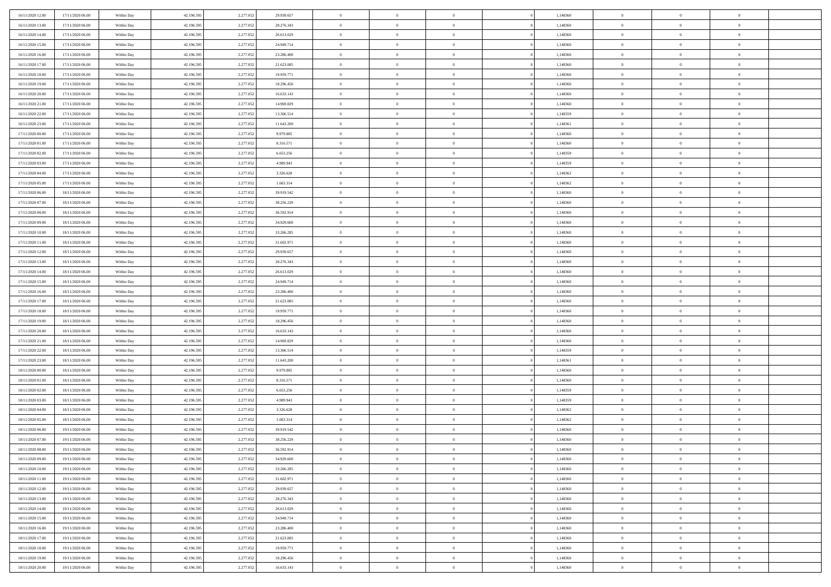| 16/11/2020 12:00 | 17/11/2020 06:00 | Within Day               | 42.196.595 | 2.277.052 | 29.939.657 | $\bf{0}$                   | $\overline{0}$                   | $\overline{0}$                   | 1,148360 | $\bf{0}$       | $\overline{0}$             | $\bf{0}$             |  |
|------------------|------------------|--------------------------|------------|-----------|------------|----------------------------|----------------------------------|----------------------------------|----------|----------------|----------------------------|----------------------|--|
| 16/11/2020 13:00 | 17/11/2020 06:00 | Within Day               | 42.196.595 | 2.277.05  | 28.276.343 | $\overline{0}$             | $\overline{0}$                   | $\Omega$                         | 1,148360 | $\overline{0}$ | $\theta$                   | $\theta$             |  |
| 16/11/2020 14:00 | 17/11/2020 06:00 | Within Day               | 42.196.595 | 2.277.052 | 26.613.029 | $\overline{0}$             | $\overline{0}$                   | $\overline{0}$                   | 1,148360 | $\mathbf{0}$   | $\overline{0}$             | $\theta$             |  |
| 16/11/2020 15:00 | 17/11/2020 06:00 | Within Day               | 42.196.595 | 2.277.052 | 24.949.714 | $\bf{0}$                   | $\overline{0}$                   | $\overline{0}$                   | 1,148360 | $\mathbf{0}$   | $\overline{0}$             | $\bf{0}$             |  |
| 16/11/2020 16:00 | 17/11/2020 06:00 | Within Day               | 42.196.595 | 2.277.052 | 23.286.400 | $\bf{0}$                   | $\overline{0}$                   | $\overline{0}$                   | 1,148360 | $\bf{0}$       | $\overline{0}$             | $\bf{0}$             |  |
| 16/11/2020 17:00 | 17/11/2020 06:00 | Within Day               | 42.196.595 | 2.277.052 | 21.623.085 | $\overline{0}$             | $\overline{0}$                   | $\overline{0}$                   | 1,148360 | $\mathbf{0}$   | $\overline{0}$             | $\theta$             |  |
| 16/11/2020 18.00 | 17/11/2020 06:00 | Within Day               | 42.196.595 | 2.277.052 | 19.959.771 | $\bf{0}$                   | $\overline{0}$                   | $\overline{0}$                   | 1,148360 | $\mathbf{0}$   | $\overline{0}$             | $\bf{0}$             |  |
| 16/11/2020 19:00 | 17/11/2020 06:00 | Within Day               | 42.196.595 | 2.277.052 | 18.296.456 | $\overline{0}$             | $\overline{0}$                   | $\overline{0}$                   | 1,148360 | $\mathbf{0}$   | $\theta$                   | $\theta$             |  |
| 16/11/2020 20:00 | 17/11/2020 06:00 |                          | 42.196.595 | 2.277.052 | 16.633.143 | $\overline{0}$             | $\overline{0}$                   | $\overline{0}$                   | 1,148360 | $\mathbf{0}$   | $\overline{0}$             | $\theta$             |  |
|                  |                  | Within Day               |            |           |            | $\bf{0}$                   | $\overline{0}$                   | $\Omega$                         |          |                | $\overline{0}$             | $\bf{0}$             |  |
| 16/11/2020 21:00 | 17/11/2020 06:00 | Within Day               | 42.196.595 | 2.277.052 | 14.969.829 |                            |                                  |                                  | 1,148360 | $\mathbf{0}$   |                            |                      |  |
| 16/11/2020 22.00 | 17/11/2020 06:00 | Within Day               | 42.196.595 | 2.277.052 | 13.306.514 | $\bf{0}$<br>$\overline{0}$ | $\overline{0}$<br>$\overline{0}$ | $\overline{0}$                   | 1,148359 | $\mathbf{0}$   | $\theta$                   | $\theta$<br>$\theta$ |  |
| 16/11/2020 23.00 | 17/11/2020 06:00 | Within Day               | 42.196.595 | 2.277.052 | 11.643.200 | $\bf{0}$                   |                                  | $\overline{0}$<br>$\overline{0}$ | 1,148361 | $\mathbf{0}$   | $\overline{0}$             | $\bf{0}$             |  |
| 17/11/2020 00:00 | 17/11/2020 06:00 | Within Day               | 42.196.595 | 2.277.052 | 9.979.885  |                            | $\overline{0}$                   |                                  | 1,148360 | $\mathbf{0}$   | $\overline{0}$<br>$\theta$ |                      |  |
| 17/11/2020 01:00 | 17/11/2020 06:00 | Within Day               | 42.196.595 | 2.277.052 | 8.316.571  | $\bf{0}$                   | $\overline{0}$                   | $\overline{0}$                   | 1,148360 | $\bf{0}$       |                            | $\bf{0}$             |  |
| 17/11/2020 02:00 | 17/11/2020 06:00 | Within Day               | 42.196.595 | 2.277.052 | 6.653.256  | $\overline{0}$             | $\overline{0}$                   | $\overline{0}$                   | 1,148359 | $\mathbf{0}$   | $\overline{0}$             | $\theta$             |  |
| 17/11/2020 03:00 | 17/11/2020 06:00 | Within Day               | 42.196.595 | 2.277.052 | 4.989.943  | $\bf{0}$                   | $\overline{0}$                   | $\Omega$                         | 1,148359 | $\bf{0}$       | $\overline{0}$             | $\bf{0}$             |  |
| 17/11/2020 04:00 | 17/11/2020 06:00 | Within Day               | 42.196.595 | 2.277.052 | 3.326.628  | $\,$ 0 $\,$                | $\overline{0}$                   | $\overline{0}$                   | 1,148362 | $\mathbf{0}$   | $\theta$                   | $\theta$             |  |
| 17/11/2020 05:00 | 17/11/2020 06:00 | Within Day               | 42.196.595 | 2.277.052 | 1.663.314  | $\overline{0}$             | $\overline{0}$                   | $\overline{0}$                   | 1,148362 | $\mathbf{0}$   | $\overline{0}$             | $\theta$             |  |
| 17/11/2020 06:00 | 18/11/2020 06:00 | Within Day               | 42.196.595 | 2.277.052 | 39.919.542 | $\bf{0}$                   | $\overline{0}$                   | $\Omega$                         | 1,148360 | $\bf{0}$       | $\overline{0}$             | $\bf{0}$             |  |
| 17/11/2020 07:00 | 18/11/2020 06:00 | Within Day               | 42.196.595 | 2.277.052 | 38.256.229 | $\bf{0}$                   | $\overline{0}$                   | $\overline{0}$                   | 1,148360 | $\mathbf{0}$   | $\mathbf{0}$               | $\overline{0}$       |  |
| 17/11/2020 08:00 | 18/11/2020 06:00 | Within Day               | 42.196.595 | 2.277.052 | 36.592.914 | $\overline{0}$             | $\overline{0}$                   | $\overline{0}$                   | 1,148360 | $\mathbf{0}$   | $\overline{0}$             | $\theta$             |  |
| 17/11/2020 09:00 | 18/11/2020 06:00 | Within Day               | 42.196.595 | 2.277.052 | 34.929.600 | $\bf{0}$                   | $\overline{0}$                   | $\overline{0}$                   | 1,148360 | $\mathbf{0}$   | $\overline{0}$             | $\bf{0}$             |  |
| 17/11/2020 10:00 | 18/11/2020 06:00 | Within Day               | 42.196.595 | 2.277.052 | 33.266.285 | $\bf{0}$                   | $\overline{0}$                   | $\overline{0}$                   | 1,148360 | $\,$ 0 $\,$    | $\overline{0}$             | $\bf{0}$             |  |
| 17/11/2020 11:00 | 18/11/2020 06:00 | Within Day               | 42.196.595 | 2.277.052 | 31.602.971 | $\overline{0}$             | $\overline{0}$                   | $\overline{0}$                   | 1,148360 | $\mathbf{0}$   | $\overline{0}$             | $\theta$             |  |
| 17/11/2020 12:00 | 18/11/2020 06:00 | Within Day               | 42.196.595 | 2.277.052 | 29.939.657 | $\bf{0}$                   | $\overline{0}$                   | $\overline{0}$                   | 1,148360 | $\bf{0}$       | $\overline{0}$             | $\bf{0}$             |  |
| 17/11/2020 13:00 | 18/11/2020 06:00 | Within Day               | 42.196.595 | 2.277.052 | 28.276.343 | $\,$ 0 $\,$                | $\overline{0}$                   | $\overline{0}$                   | 1,148360 | $\mathbf{0}$   | $\overline{0}$             | $\overline{0}$       |  |
| 17/11/2020 14.00 | 18/11/2020 06:00 | Within Day               | 42.196.595 | 2.277.052 | 26.613.029 | $\overline{0}$             | $\overline{0}$                   | $\overline{0}$                   | 1,148360 | $\mathbf{0}$   | $\overline{0}$             | $\theta$             |  |
| 17/11/2020 15.00 | 18/11/2020 06:00 | Within Day               | 42.196.595 | 2.277.052 | 24.949.714 | $\bf{0}$                   | $\overline{0}$                   | $\Omega$                         | 1,148360 | $\mathbf{0}$   | $\overline{0}$             | $\bf{0}$             |  |
| 17/11/2020 16.00 | 18/11/2020 06:00 | Within Day               | 42.196.595 | 2.277.052 | 23.286.400 | $\bf{0}$                   | $\overline{0}$                   | $\overline{0}$                   | 1,148360 | $\mathbf{0}$   | $\theta$                   | $\overline{0}$       |  |
| 17/11/2020 17.00 | 18/11/2020 06:00 | Within Day               | 42.196.595 | 2.277.052 | 21.623.085 | $\overline{0}$             | $\overline{0}$                   | $\overline{0}$                   | 1,148360 | $\mathbf{0}$   | $\overline{0}$             | $\theta$             |  |
| 17/11/2020 18:00 | 18/11/2020 06:00 | Within Day               | 42.196.595 | 2.277.052 | 19.959.771 | $\,$ 0                     | $\overline{0}$                   | $\overline{0}$                   | 1,148360 | $\,$ 0 $\,$    | $\overline{0}$             | $\,$ 0 $\,$          |  |
| 17/11/2020 19:00 | 18/11/2020 06:00 | Within Day               | 42.196.595 | 2.277.052 | 18.296.456 | $\bf{0}$                   | $\overline{0}$                   | $\overline{0}$                   | 1,148360 | $\mathbf{0}$   | $\overline{0}$             | $\overline{0}$       |  |
| 17/11/2020 20.00 | 18/11/2020 06:00 | Within Day               | 42.196.595 | 2.277.052 | 16.633.143 | $\overline{0}$             | $\overline{0}$                   | $\overline{0}$                   | 1,148360 | $\mathbf{0}$   | $\overline{0}$             | $\theta$             |  |
| 17/11/2020 21:00 | 18/11/2020 06:00 | Within Day               | 42.196.595 | 2.277.052 | 14.969.829 | $\,$ 0                     | $\overline{0}$                   | $\theta$                         | 1,148360 | $\,$ 0 $\,$    | $\overline{0}$             | $\mathbf{0}$         |  |
| 17/11/2020 22.00 | 18/11/2020 06:00 | Within Day               | 42.196.595 | 2.277.052 | 13.306.514 | $\,$ 0 $\,$                | $\overline{0}$                   | $\overline{0}$                   | 1,148359 | $\mathbf{0}$   | $\overline{0}$             | $\overline{0}$       |  |
| 17/11/2020 23.00 | 18/11/2020 06:00 | Within Day               | 42.196.595 | 2.277.052 | 11.643.200 | $\overline{0}$             | $\overline{0}$                   | $\overline{0}$                   | 1,148361 | $\mathbf{0}$   | $\overline{0}$             | $\theta$             |  |
| 18/11/2020 00:00 | 18/11/2020 06:00 | Within Day               | 42.196.595 | 2.277.052 | 9.979.885  | $\,$ 0                     | $\overline{0}$                   | $\overline{0}$                   | 1,148360 | $\,$ 0 $\,$    | $\overline{0}$             | $\mathbf{0}$         |  |
| 18/11/2020 01:00 | 18/11/2020 06:00 | Within Day               | 42.196.595 | 2.277.052 | 8.316.571  | $\bf{0}$                   | $\overline{0}$                   | $\overline{0}$                   | 1,148360 | $\mathbf{0}$   | $\mathbf{0}$               | $\bf{0}$             |  |
| 18/11/2020 02:00 | 18/11/2020 06:00 | Within Day               | 42.196.595 | 2.277.052 | 6.653.256  | $\overline{0}$             | $\overline{0}$                   | $\overline{0}$                   | 1,148359 | $\mathbf{0}$   | $\overline{0}$             | $\theta$             |  |
| 18/11/2020 03:00 | 18/11/2020 06:00 | Within Day               | 42.196.595 | 2.277.052 | 4.989.943  | $\,$ 0                     | $\overline{0}$                   | $\overline{0}$                   | 1,148359 | $\,$ 0 $\,$    | $\overline{0}$             | $\,$ 0 $\,$          |  |
| 18/11/2020 04:00 | 18/11/2020 06:00 | Within Day               | 42.196.595 | 2.277.052 | 3.326.628  | $\,$ 0 $\,$                | $\,$ 0 $\,$                      | $\overline{0}$                   | 1,148362 | $\,$ 0 $\,$    | $\overline{0}$             | $\bf{0}$             |  |
| 18/11/2020 05:00 | 18/11/2020 06:00 | Within Day               | 42.196.595 | 2.277.052 | 1.663.314  | $\overline{0}$             | $\overline{0}$                   | $\overline{0}$                   | 1,148362 | $\mathbf{0}$   | $\overline{0}$             | $\theta$             |  |
| 18/11/2020 06:00 | 19/11/2020 06:00 | Within Day               | 42.196.595 | 2.277.052 | 39.919.542 | $\overline{0}$             | $\overline{0}$                   | $\overline{0}$                   | 1,148360 | $\,$ 0         | $\overline{0}$             | $\mathbf{0}$         |  |
| 18/11/2020 07:00 | 19/11/2020 06:00 | Within Day               | 42.196.595 | 2.277.052 | 38.256.229 | $\bf{0}$                   | $\overline{0}$                   | $\overline{0}$                   | 1,148360 | $\mathbf{0}$   | $\overline{0}$             | $\bf{0}$             |  |
| 18/11/2020 08:00 | 19/11/2020 06:00 | Within Day               | 42.196.595 | 2.277.052 | 36.592.914 | $\overline{0}$             | $\theta$                         |                                  | 1,148360 | $\overline{0}$ | $\Omega$                   | $\overline{0}$       |  |
| 18/11/2020 09:00 | 19/11/2020 06:00 | Within Day               | 42.196.595 | 2.277.052 | 34.929.600 | $\,$ 0 $\,$                | $\overline{0}$                   | $\overline{0}$                   | 1,148360 | $\,$ 0 $\,$    | $\bf{0}$                   | $\mathbf{0}$         |  |
| 18/11/2020 10:00 | 19/11/2020 06:00 | Within Day               | 42.196.595 | 2.277.052 | 33.266.285 | $\mathbf{0}$               | $\overline{0}$                   | $\overline{0}$                   | 1,148360 | $\,$ 0 $\,$    | $\overline{0}$             | $\overline{0}$       |  |
| 18/11/2020 11:00 | 19/11/2020 06:00 | Within Day               | 42.196.595 | 2.277.052 | 31.602.971 | $\mathbf{0}$               | $\overline{0}$                   | $\overline{0}$                   | 1,148360 | $\mathbf{0}$   | $\bf{0}$                   | $\overline{0}$       |  |
| 18/11/2020 12:00 | 19/11/2020 06:00 | Within Day               | 42.196.595 | 2.277.052 | 29.939.657 | $\,$ 0 $\,$                | $\overline{0}$                   | $\overline{0}$                   | 1,148360 | $\,$ 0 $\,$    | $\bf{0}$                   | $\theta$             |  |
| 18/11/2020 13:00 | 19/11/2020 06:00 | Within Day               | 42.196.595 | 2.277.052 | 28.276.343 | $\,$ 0 $\,$                | $\,$ 0 $\,$                      | $\overline{0}$                   | 1,148360 | $\,$ 0 $\,$    | $\overline{0}$             | $\overline{0}$       |  |
| 18/11/2020 14:00 | 19/11/2020 06:00 | Within Day               | 42.196.595 | 2.277.052 | 26.613.029 | $\mathbf{0}$               | $\overline{0}$                   | $\overline{0}$                   | 1,148360 | $\mathbf{0}$   | $\bf{0}$                   | $\overline{0}$       |  |
| 18/11/2020 15:00 | 19/11/2020 06:00 | Within Day               | 42.196.595 | 2.277.052 | 24.949.714 | $\,$ 0 $\,$                | $\overline{0}$                   | $\overline{0}$                   | 1,148360 | $\,$ 0 $\,$    | $\mathbf{0}$               | $\theta$             |  |
| 18/11/2020 16.00 | 19/11/2020 06:00 | Within Day               | 42.196.595 | 2.277.052 | 23.286.400 | $\mathbf{0}$               | $\overline{0}$                   | $\overline{0}$                   | 1,148360 | $\,$ 0 $\,$    | $\overline{0}$             | $\overline{0}$       |  |
| 18/11/2020 17:00 | 19/11/2020 06:00 | Within Day               | 42.196.595 | 2.277.052 | 21.623.085 | $\mathbf{0}$               | $\overline{0}$                   | $\overline{0}$                   | 1,148360 | $\mathbf{0}$   | $\bf{0}$                   | $\overline{0}$       |  |
| 18/11/2020 18:00 | 19/11/2020 06:00 |                          | 42.196.595 | 2.277.052 | 19.959.771 | $\,$ 0 $\,$                | $\overline{0}$                   | $\overline{0}$                   | 1,148360 | $\,$ 0 $\,$    | $\mathbf{0}$               | $\theta$             |  |
|                  |                  | Within Day<br>Within Day |            |           |            |                            |                                  |                                  |          |                | $\overline{0}$             |                      |  |
| 18/11/2020 19:00 | 19/11/2020 06:00 |                          | 42.196.595 | 2.277.052 | 18.296.456 | $\mathbf{0}$               | $\overline{0}$                   | $\overline{0}$                   | 1,148360 | $\,$ 0 $\,$    |                            | $\overline{0}$       |  |
| 18/11/2020 20.00 | 19/11/2020 06:00 | Within Day               | 42.196.595 | 2.277.052 | 16.633.143 | $\mathbf{0}$               | $\overline{0}$                   | $\overline{0}$                   | 1,148360 | $\mathbf{0}$   | $\overline{0}$             | $\overline{0}$       |  |